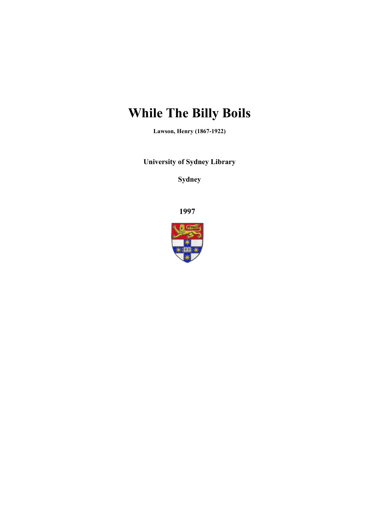# **While The Billy Boils**

**Lawson, Henry (1867-1922)**

**University of Sydney Library** 

**Sydney** 

**1997**

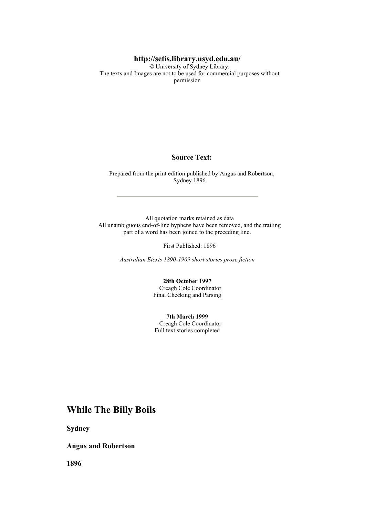#### **http://setis.library.usyd.edu.au/**

 © University of Sydney Library. The texts and Images are not to be used for commercial purposes without permission

#### **Source Text:**

 Prepared from the print edition published by Angus and Robertson, Sydney 1896

 All quotation marks retained as data All unambiguous end-of-line hyphens have been removed, and the trailing part of a word has been joined to the preceding line.

First Published: 1896

*Australian Etexts 1890-1909 short stories prose fiction*

**28th October 1997** Creagh Cole Coordinator Final Checking and Parsing

**7th March 1999** Creagh Cole Coordinator Full text stories completed

### **While The Billy Boils**

**Sydney** 

**Angus and Robertson** 

**1896**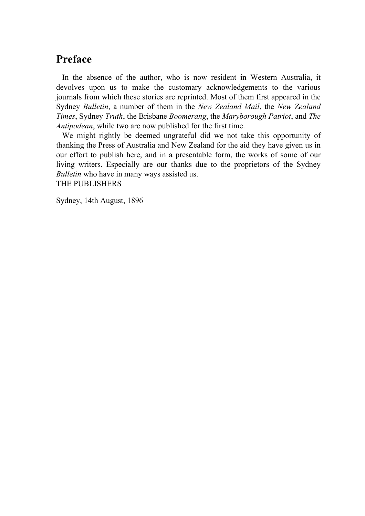# **Preface**

 In the absence of the author, who is now resident in Western Australia, it devolves upon us to make the customary acknowledgements to the various journals from which these stories are reprinted. Most of them first appeared in the Sydney *Bulletin*, a number of them in the *New Zealand Mail*, the *New Zealand Times*, Sydney *Truth*, the Brisbane *Boomerang*, the *Maryborough Patriot*, and *The Antipodean*, while two are now published for the first time.

We might rightly be deemed ungrateful did we not take this opportunity of thanking the Press of Australia and New Zealand for the aid they have given us in our effort to publish here, and in a presentable form, the works of some of our living writers. Especially are our thanks due to the proprietors of the Sydney *Bulletin* who have in many ways assisted us. THE PUBLISHERS

Sydney, 14th August, 1896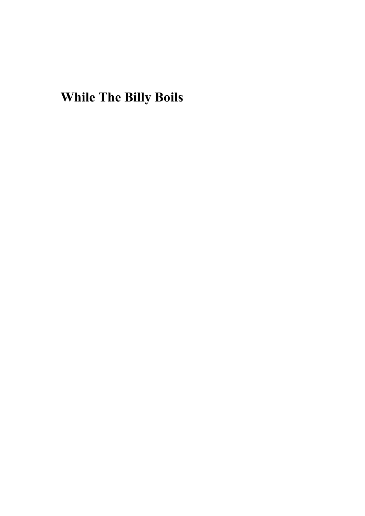**While The Billy Boils**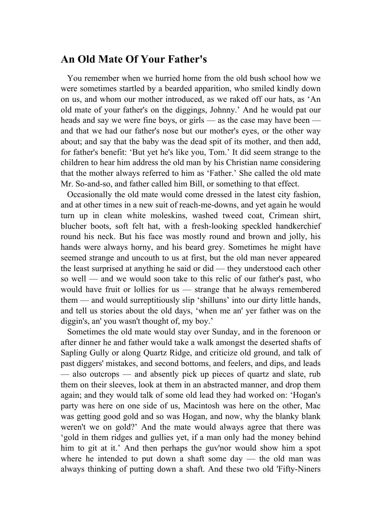#### **An Old Mate Of Your Father's**

 You remember when we hurried home from the old bush school how we were sometimes startled by a bearded apparition, who smiled kindly down on us, and whom our mother introduced, as we raked off our hats, as 'An old mate of your father's on the diggings, Johnny.' And he would pat our heads and say we were fine boys, or girls — as the case may have been and that we had our father's nose but our mother's eyes, or the other way about; and say that the baby was the dead spit of its mother, and then add, for father's benefit: 'But yet he's like you, Tom.' It did seem strange to the children to hear him address the old man by his Christian name considering that the mother always referred to him as 'Father.' She called the old mate Mr. So-and-so, and father called him Bill, or something to that effect.

 Occasionally the old mate would come dressed in the latest city fashion, and at other times in a new suit of reach-me-downs, and yet again he would turn up in clean white moleskins, washed tweed coat, Crimean shirt, blucher boots, soft felt hat, with a fresh-looking speckled handkerchief round his neck. But his face was mostly round and brown and jolly, his hands were always horny, and his beard grey. Sometimes he might have seemed strange and uncouth to us at first, but the old man never appeared the least surprised at anything he said or did — they understood each other so well — and we would soon take to this relic of our father's past, who would have fruit or lollies for us — strange that he always remembered them — and would surreptitiously slip 'shilluns' into our dirty little hands, and tell us stories about the old days, 'when me an' yer father was on the diggin's, an' you wasn't thought of, my boy.'

 Sometimes the old mate would stay over Sunday, and in the forenoon or after dinner he and father would take a walk amongst the deserted shafts of Sapling Gully or along Quartz Ridge, and criticize old ground, and talk of past diggers' mistakes, and second bottoms, and feelers, and dips, and leads — also outcrops — and absently pick up pieces of quartz and slate, rub them on their sleeves, look at them in an abstracted manner, and drop them again; and they would talk of some old lead they had worked on: 'Hogan's party was here on one side of us, Macintosh was here on the other, Mac was getting good gold and so was Hogan, and now, why the blanky blank weren't we on gold?' And the mate would always agree that there was 'gold in them ridges and gullies yet, if a man only had the money behind him to git at it.' And then perhaps the guv'nor would show him a spot where he intended to put down a shaft some day — the old man was always thinking of putting down a shaft. And these two old 'Fifty-Niners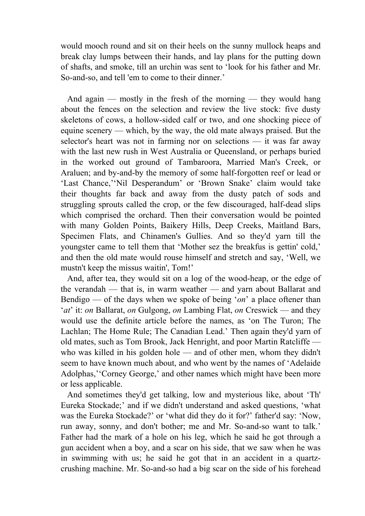would mooch round and sit on their heels on the sunny mullock heaps and break clay lumps between their hands, and lay plans for the putting down of shafts, and smoke, till an urchin was sent to 'look for his father and Mr. So-and-so, and tell 'em to come to their dinner.'

 And again — mostly in the fresh of the morning — they would hang about the fences on the selection and review the live stock: five dusty skeletons of cows, a hollow-sided calf or two, and one shocking piece of equine scenery — which, by the way, the old mate always praised. But the selector's heart was not in farming nor on selections — it was far away with the last new rush in West Australia or Queensland, or perhaps buried in the worked out ground of Tambaroora, Married Man's Creek, or Araluen; and by-and-by the memory of some half-forgotten reef or lead or 'Last Chance,''Nil Desperandum' or 'Brown Snake' claim would take their thoughts far back and away from the dusty patch of sods and struggling sprouts called the crop, or the few discouraged, half-dead slips which comprised the orchard. Then their conversation would be pointed with many Golden Points, Baikery Hills, Deep Creeks, Maitland Bars, Specimen Flats, and Chinamen's Gullies. And so they'd yarn till the youngster came to tell them that 'Mother sez the breakfus is gettin' cold,' and then the old mate would rouse himself and stretch and say, 'Well, we mustn't keep the missus waitin', Tom!'

 And, after tea, they would sit on a log of the wood-heap, or the edge of the verandah — that is, in warm weather — and yarn about Ballarat and Bendigo — of the days when we spoke of being '*on*' a place oftener than '*at*' it: *on* Ballarat, *on* Gulgong, *on* Lambing Flat, *on* Creswick — and they would use the definite article before the names, as 'on The Turon; The Lachlan; The Home Rule; The Canadian Lead.' Then again they'd yarn of old mates, such as Tom Brook, Jack Henright, and poor Martin Ratcliffe who was killed in his golden hole — and of other men, whom they didn't seem to have known much about, and who went by the names of 'Adelaide Adolphas,''Corney George,' and other names which might have been more or less applicable.

 And sometimes they'd get talking, low and mysterious like, about 'Th' Eureka Stockade;' and if we didn't understand and asked questions, 'what was the Eureka Stockade?' or 'what did they do it for?' father'd say: 'Now, run away, sonny, and don't bother; me and Mr. So-and-so want to talk.' Father had the mark of a hole on his leg, which he said he got through a gun accident when a boy, and a scar on his side, that we saw when he was in swimming with us; he said he got that in an accident in a quartzcrushing machine. Mr. So-and-so had a big scar on the side of his forehead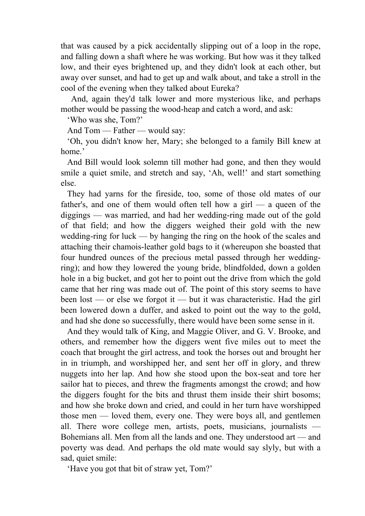that was caused by a pick accidentally slipping out of a loop in the rope, and falling down a shaft where he was working. But how was it they talked low, and their eyes brightened up, and they didn't look at each other, but away over sunset, and had to get up and walk about, and take a stroll in the cool of the evening when they talked about Eureka?

 And, again they'd talk lower and more mysterious like, and perhaps mother would be passing the wood-heap and catch a word, and ask:

'Who was she, Tom?'

And Tom — Father — would say:

 'Oh, you didn't know her, Mary; she belonged to a family Bill knew at home.'

 And Bill would look solemn till mother had gone, and then they would smile a quiet smile, and stretch and say, 'Ah, well!' and start something else.

 They had yarns for the fireside, too, some of those old mates of our father's, and one of them would often tell how a girl — a queen of the diggings — was married, and had her wedding-ring made out of the gold of that field; and how the diggers weighed their gold with the new wedding-ring for luck — by hanging the ring on the hook of the scales and attaching their chamois-leather gold bags to it (whereupon she boasted that four hundred ounces of the precious metal passed through her weddingring); and how they lowered the young bride, blindfolded, down a golden hole in a big bucket, and got her to point out the drive from which the gold came that her ring was made out of. The point of this story seems to have been lost — or else we forgot it — but it was characteristic. Had the girl been lowered down a duffer, and asked to point out the way to the gold, and had she done so successfully, there would have been some sense in it.

 And they would talk of King, and Maggie Oliver, and G. V. Brooke, and others, and remember how the diggers went five miles out to meet the coach that brought the girl actress, and took the horses out and brought her in in triumph, and worshipped her, and sent her off in glory, and threw nuggets into her lap. And how she stood upon the box-seat and tore her sailor hat to pieces, and threw the fragments amongst the crowd; and how the diggers fought for the bits and thrust them inside their shirt bosoms; and how she broke down and cried, and could in her turn have worshipped those men — loved them, every one. They were boys all, and gentlemen all. There wore college men, artists, poets, musicians, journalists — Bohemians all. Men from all the lands and one. They understood art — and poverty was dead. And perhaps the old mate would say slyly, but with a sad, quiet smile:

'Have you got that bit of straw yet, Tom?'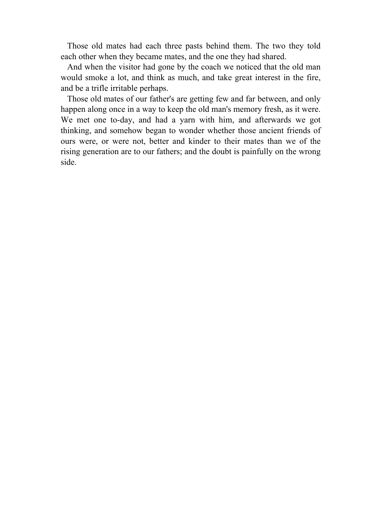Those old mates had each three pasts behind them. The two they told each other when they became mates, and the one they had shared.

 And when the visitor had gone by the coach we noticed that the old man would smoke a lot, and think as much, and take great interest in the fire, and be a trifle irritable perhaps.

 Those old mates of our father's are getting few and far between, and only happen along once in a way to keep the old man's memory fresh, as it were. We met one to-day, and had a yarn with him, and afterwards we got thinking, and somehow began to wonder whether those ancient friends of ours were, or were not, better and kinder to their mates than we of the rising generation are to our fathers; and the doubt is painfully on the wrong side.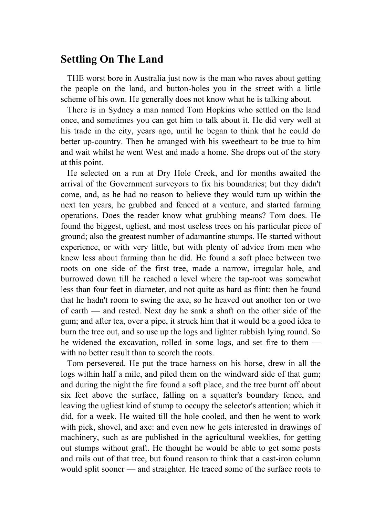#### **Settling On The Land**

 THE worst bore in Australia just now is the man who raves about getting the people on the land, and button-holes you in the street with a little scheme of his own. He generally does not know what he is talking about.

 There is in Sydney a man named Tom Hopkins who settled on the land once, and sometimes you can get him to talk about it. He did very well at his trade in the city, years ago, until he began to think that he could do better up-country. Then he arranged with his sweetheart to be true to him and wait whilst he went West and made a home. She drops out of the story at this point.

 He selected on a run at Dry Hole Creek, and for months awaited the arrival of the Government surveyors to fix his boundaries; but they didn't come, and, as he had no reason to believe they would turn up within the next ten years, he grubbed and fenced at a venture, and started farming operations. Does the reader know what grubbing means? Tom does. He found the biggest, ugliest, and most useless trees on his particular piece of ground; also the greatest number of adamantine stumps. He started without experience, or with very little, but with plenty of advice from men who knew less about farming than he did. He found a soft place between two roots on one side of the first tree, made a narrow, irregular hole, and burrowed down till he reached a level where the tap-root was somewhat less than four feet in diameter, and not quite as hard as flint: then he found that he hadn't room to swing the axe, so he heaved out another ton or two of earth — and rested. Next day he sank a shaft on the other side of the gum; and after tea, over a pipe, it struck him that it would be a good idea to burn the tree out, and so use up the logs and lighter rubbish lying round. So he widened the excavation, rolled in some logs, and set fire to them with no better result than to scorch the roots.

 Tom persevered. He put the trace harness on his horse, drew in all the logs within half a mile, and piled them on the windward side of that gum; and during the night the fire found a soft place, and the tree burnt off about six feet above the surface, falling on a squatter's boundary fence, and leaving the ugliest kind of stump to occupy the selector's attention; which it did, for a week. He waited till the hole cooled, and then he went to work with pick, shovel, and axe: and even now he gets interested in drawings of machinery, such as are published in the agricultural weeklies, for getting out stumps without graft. He thought he would be able to get some posts and rails out of that tree, but found reason to think that a cast-iron column would split sooner — and straighter. He traced some of the surface roots to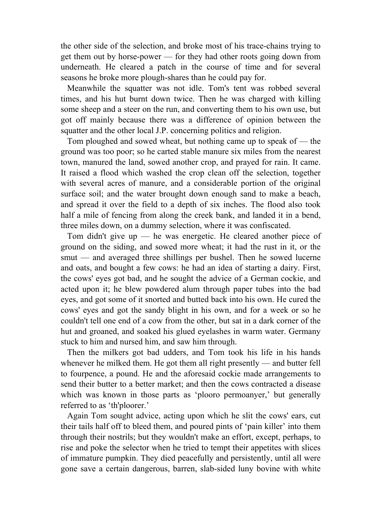the other side of the selection, and broke most of his trace-chains trying to get them out by horse-power — for they had other roots going down from underneath. He cleared a patch in the course of time and for several seasons he broke more plough-shares than he could pay for.

 Meanwhile the squatter was not idle. Tom's tent was robbed several times, and his hut burnt down twice. Then he was charged with killing some sheep and a steer on the run, and converting them to his own use, but got off mainly because there was a difference of opinion between the squatter and the other local J.P. concerning politics and religion.

 Tom ploughed and sowed wheat, but nothing came up to speak of — the ground was too poor; so he carted stable manure six miles from the nearest town, manured the land, sowed another crop, and prayed for rain. It came. It raised a flood which washed the crop clean off the selection, together with several acres of manure, and a considerable portion of the original surface soil; and the water brought down enough sand to make a beach, and spread it over the field to a depth of six inches. The flood also took half a mile of fencing from along the creek bank, and landed it in a bend, three miles down, on a dummy selection, where it was confiscated.

Tom didn't give up — he was energetic. He cleared another piece of ground on the siding, and sowed more wheat; it had the rust in it, or the smut — and averaged three shillings per bushel. Then he sowed lucerne and oats, and bought a few cows: he had an idea of starting a dairy. First, the cows' eyes got bad, and he sought the advice of a German cockie, and acted upon it; he blew powdered alum through paper tubes into the bad eyes, and got some of it snorted and butted back into his own. He cured the cows' eyes and got the sandy blight in his own, and for a week or so he couldn't tell one end of a cow from the other, but sat in a dark corner of the hut and groaned, and soaked his glued eyelashes in warm water. Germany stuck to him and nursed him, and saw him through.

 Then the milkers got bad udders, and Tom took his life in his hands whenever he milked them. He got them all right presently — and butter fell to fourpence, a pound. He and the aforesaid cockie made arrangements to send their butter to a better market; and then the cows contracted a disease which was known in those parts as 'plooro permoanyer,' but generally referred to as 'th'ploorer.'

 Again Tom sought advice, acting upon which he slit the cows' ears, cut their tails half off to bleed them, and poured pints of 'pain killer' into them through their nostrils; but they wouldn't make an effort, except, perhaps, to rise and poke the selector when he tried to tempt their appetites with slices of immature pumpkin. They died peacefully and persistently, until all were gone save a certain dangerous, barren, slab-sided luny bovine with white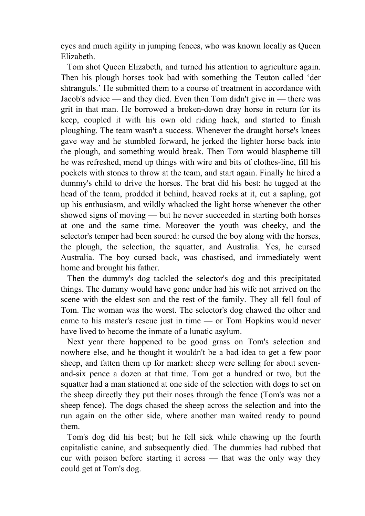eyes and much agility in jumping fences, who was known locally as Queen Elizabeth.

 Tom shot Queen Elizabeth, and turned his attention to agriculture again. Then his plough horses took bad with something the Teuton called 'der shtranguls.' He submitted them to a course of treatment in accordance with Jacob's advice — and they died. Even then Tom didn't give in — there was grit in that man. He borrowed a broken-down dray horse in return for its keep, coupled it with his own old riding hack, and started to finish ploughing. The team wasn't a success. Whenever the draught horse's knees gave way and he stumbled forward, he jerked the lighter horse back into the plough, and something would break. Then Tom would blaspheme till he was refreshed, mend up things with wire and bits of clothes-line, fill his pockets with stones to throw at the team, and start again. Finally he hired a dummy's child to drive the horses. The brat did his best: he tugged at the head of the team, prodded it behind, heaved rocks at it, cut a sapling, got up his enthusiasm, and wildly whacked the light horse whenever the other showed signs of moving — but he never succeeded in starting both horses at one and the same time. Moreover the youth was cheeky, and the selector's temper had been soured: he cursed the boy along with the horses, the plough, the selection, the squatter, and Australia. Yes, he cursed Australia. The boy cursed back, was chastised, and immediately went home and brought his father.

 Then the dummy's dog tackled the selector's dog and this precipitated things. The dummy would have gone under had his wife not arrived on the scene with the eldest son and the rest of the family. They all fell foul of Tom. The woman was the worst. The selector's dog chawed the other and came to his master's rescue just in time — or Tom Hopkins would never have lived to become the inmate of a lunatic asylum.

 Next year there happened to be good grass on Tom's selection and nowhere else, and he thought it wouldn't be a bad idea to get a few poor sheep, and fatten them up for market: sheep were selling for about sevenand-six pence a dozen at that time. Tom got a hundred or two, but the squatter had a man stationed at one side of the selection with dogs to set on the sheep directly they put their noses through the fence (Tom's was not a sheep fence). The dogs chased the sheep across the selection and into the run again on the other side, where another man waited ready to pound them.

 Tom's dog did his best; but he fell sick while chawing up the fourth capitalistic canine, and subsequently died. The dummies had rubbed that cur with poison before starting it across — that was the only way they could get at Tom's dog.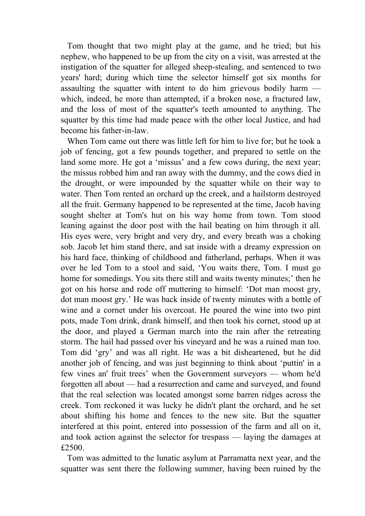Tom thought that two might play at the game, and he tried; but his nephew, who happened to be up from the city on a visit, was arrested at the instigation of the squatter for alleged sheep-stealing, and sentenced to two years' hard; during which time the selector himself got six months for assaulting the squatter with intent to do him grievous bodily harm which, indeed, he more than attempted, if a broken nose, a fractured law, and the loss of most of the squatter's teeth amounted to anything. The squatter by this time had made peace with the other local Justice, and had become his father-in-law.

 When Tom came out there was little left for him to live for; but he took a job of fencing, got a few pounds together, and prepared to settle on the land some more. He got a 'missus' and a few cows during, the next year; the missus robbed him and ran away with the dummy, and the cows died in the drought, or were impounded by the squatter while on their way to water. Then Tom rented an orchard up the creek, and a hailstorm destroyed all the fruit. Germany happened to be represented at the time, Jacob having sought shelter at Tom's hut on his way home from town. Tom stood leaning against the door post with the hail beating on him through it all. His eyes were, very bright and very dry, and every breath was a choking sob. Jacob let him stand there, and sat inside with a dreamy expression on his hard face, thinking of childhood and fatherland, perhaps. When it was over he led Tom to a stool and said, 'You waits there, Tom. I must go home for somedings. You sits there still and waits twenty minutes;' then he got on his horse and rode off muttering to himself: 'Dot man moost gry, dot man moost gry.' He was back inside of twenty minutes with a bottle of wine and a cornet under his overcoat. He poured the wine into two pint pots, made Tom drink, drank himself, and then took his cornet, stood up at the door, and played a German march into the rain after the retreating storm. The hail had passed over his vineyard and he was a ruined man too. Tom did 'gry' and was all right. He was a bit disheartened, but he did another job of fencing, and was just beginning to think about 'puttin' in a few vines an' fruit trees' when the Government surveyors — whom he'd forgotten all about — had a resurrection and came and surveyed, and found that the real selection was located amongst some barren ridges across the creek. Tom reckoned it was lucky he didn't plant the orchard, and he set about shifting his home and fences to the new site. But the squatter interfered at this point, entered into possession of the farm and all on it, and took action against the selector for trespass — laying the damages at £2500

 Tom was admitted to the lunatic asylum at Parramatta next year, and the squatter was sent there the following summer, having been ruined by the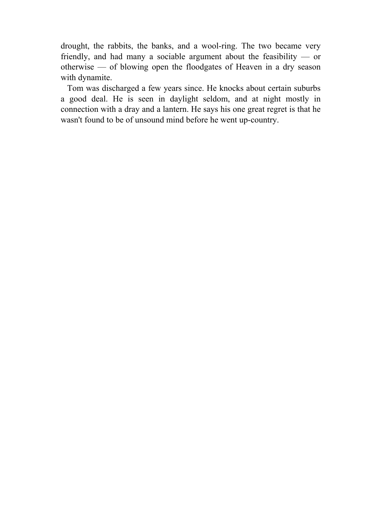drought, the rabbits, the banks, and a wool-ring. The two became very friendly, and had many a sociable argument about the feasibility — or otherwise — of blowing open the floodgates of Heaven in a dry season with dynamite.

 Tom was discharged a few years since. He knocks about certain suburbs a good deal. He is seen in daylight seldom, and at night mostly in connection with a dray and a lantern. He says his one great regret is that he wasn't found to be of unsound mind before he went up-country.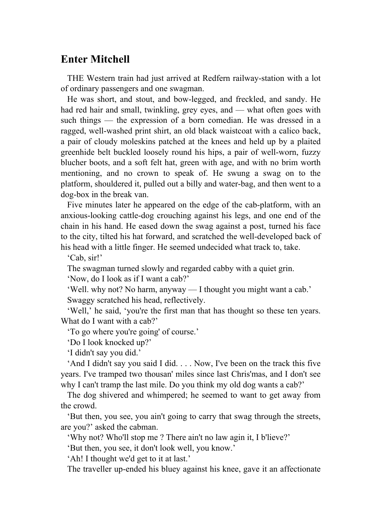## **Enter Mitchell**

 THE Western train had just arrived at Redfern railway-station with a lot of ordinary passengers and one swagman.

 He was short, and stout, and bow-legged, and freckled, and sandy. He had red hair and small, twinkling, grey eyes, and — what often goes with such things — the expression of a born comedian. He was dressed in a ragged, well-washed print shirt, an old black waistcoat with a calico back, a pair of cloudy moleskins patched at the knees and held up by a plaited greenhide belt buckled loosely round his hips, a pair of well-worn, fuzzy blucher boots, and a soft felt hat, green with age, and with no brim worth mentioning, and no crown to speak of. He swung a swag on to the platform, shouldered it, pulled out a billy and water-bag, and then went to a dog-box in the break van.

 Five minutes later he appeared on the edge of the cab-platform, with an anxious-looking cattle-dog crouching against his legs, and one end of the chain in his hand. He eased down the swag against a post, turned his face to the city, tilted his hat forward, and scratched the well-developed back of his head with a little finger. He seemed undecided what track to, take.

'Cab, sir!'

The swagman turned slowly and regarded cabby with a quiet grin.

'Now, do I look as if I want a cab?'

'Well. why not? No harm, anyway — I thought you might want a cab.'

Swaggy scratched his head, reflectively.

 'Well,' he said, 'you're the first man that has thought so these ten years. What do I want with a cab?'

'To go where you're going' of course.'

'Do I look knocked up?'

'I didn't say you did.'

 'And I didn't say you said I did. . . . Now, I've been on the track this five years. I've tramped two thousan' miles since last Chris'mas, and I don't see why I can't tramp the last mile. Do you think my old dog wants a cab?'

 The dog shivered and whimpered; he seemed to want to get away from the crowd.

 'But then, you see, you ain't going to carry that swag through the streets, are you?' asked the cabman.

'Why not? Who'll stop me ? There ain't no law agin it, I b'lieve?'

'But then, you see, it don't look well, you know.'

'Ah! I thought we'd get to it at last.'

The traveller up-ended his bluey against his knee, gave it an affectionate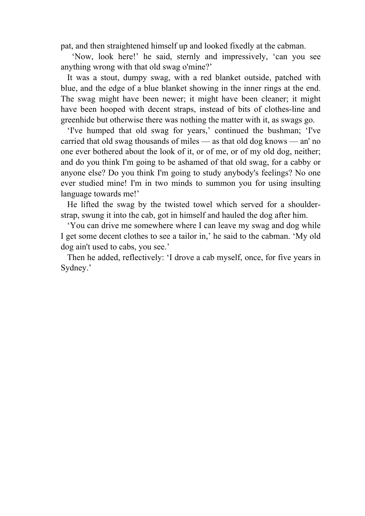pat, and then straightened himself up and looked fixedly at the cabman.

 'Now, look here!' he said, sternly and impressively, 'can you see anything wrong with that old swag o'mine?'

 It was a stout, dumpy swag, with a red blanket outside, patched with blue, and the edge of a blue blanket showing in the inner rings at the end. The swag might have been newer; it might have been cleaner; it might have been hooped with decent straps, instead of bits of clothes-line and greenhide but otherwise there was nothing the matter with it, as swags go.

 'I've humped that old swag for years,' continued the bushman; 'I've carried that old swag thousands of miles — as that old dog knows — an' no one ever bothered about the look of it, or of me, or of my old dog, neither; and do you think I'm going to be ashamed of that old swag, for a cabby or anyone else? Do you think I'm going to study anybody's feelings? No one ever studied mine! I'm in two minds to summon you for using insulting language towards me!'

 He lifted the swag by the twisted towel which served for a shoulderstrap, swung it into the cab, got in himself and hauled the dog after him.

 'You can drive me somewhere where I can leave my swag and dog while I get some decent clothes to see a tailor in,' he said to the cabman. 'My old dog ain't used to cabs, you see.'

 Then he added, reflectively: 'I drove a cab myself, once, for five years in Sydney.'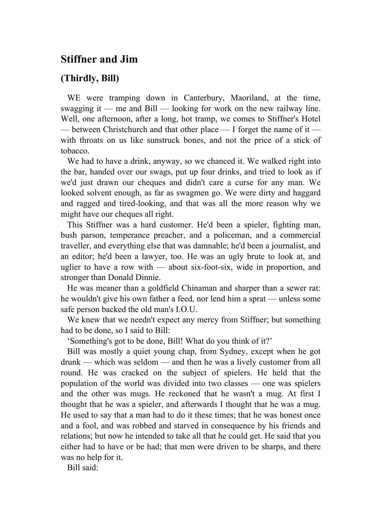#### **Stiffner and Jim**

#### **(Thirdly, Bill)**

 WE were tramping down in Canterbury, Maoriland, at the time, swagging it — me and Bill — looking for work on the new railway line. Well, one afternoon, after a long, hot tramp, we comes to Stiffner's Hotel — between Christchurch and that other place — I forget the name of it with throats on us like sunstruck bones, and not the price of a stick of tobacco.

 We had to have a drink, anyway, so we chanced it. We walked right into the bar, handed over our swags, put up four drinks, and tried to look as if we'd just drawn our cheques and didn't care a curse for any man. We looked solvent enough, as far as swagmen go. We were dirty and haggard and ragged and tired-looking, and that was all the more reason why we might have our cheques all right.

 This Stiffner was a hard customer. He'd been a spieler, fighting man, bush parson, temperance preacher, and a policeman, and a commercial traveller, and everything else that was damnable; he'd been a journalist, and an editor; he'd been a lawyer, too. He was an ugly brute to look at, and uglier to have a row with — about six-foot-six, wide in proportion, and stronger than Donald Dinnie.

 He was meaner than a goldfield Chinaman and sharper than a sewer rat: he wouldn't give his own father a feed, nor lend him a sprat — unless some safe person backed the old man's I.O.U.

 We knew that we needn't expect any mercy from Stiffner; but something had to be done, so I said to Bill:

'Something's got to be done, Bill! What do you think of it?'

 Bill was mostly a quiet young chap, from Sydney, except when he got drunk — which was seldom — and then he was a lively customer from all round. He was cracked on the subject of spielers. He held that the population of the world was divided into two classes — one was spielers and the other was mugs. He reckoned that he wasn't a mug. At first I thought that he was a spieler, and afterwards I thought that he was a mug. He used to say that a man had to do it these times; that he was honest once and a fool, and was robbed and starved in consequence by his friends and relations; but now he intended to take all that he could get. He said that you either had to have or be had; that men were driven to be sharps, and there was no help for it.

Bill said: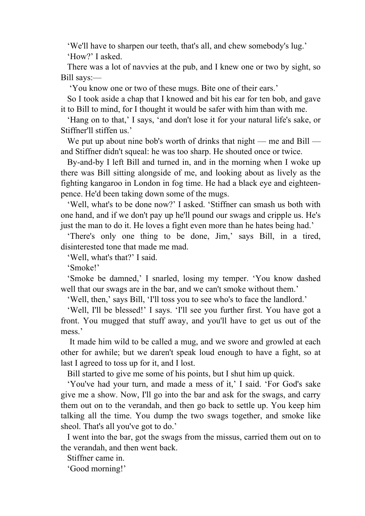'We'll have to sharpen our teeth, that's all, and chew somebody's lug.' 'How?' I asked.

 There was a lot of navvies at the pub, and I knew one or two by sight, so Bill says:—

'You know one or two of these mugs. Bite one of their ears.'

 So I took aside a chap that I knowed and bit his ear for ten bob, and gave it to Bill to mind, for I thought it would be safer with him than with me.

 'Hang on to that,' I says, 'and don't lose it for your natural life's sake, or Stiffner'll stiffen us.'

We put up about nine bob's worth of drinks that night — me and Bill and Stiffner didn't squeal: he was too sharp. He shouted once or twice.

 By-and-by I left Bill and turned in, and in the morning when I woke up there was Bill sitting alongside of me, and looking about as lively as the fighting kangaroo in London in fog time. He had a black eye and eighteenpence. He'd been taking down some of the mugs.

 'Well, what's to be done now?' I asked. 'Stiffner can smash us both with one hand, and if we don't pay up he'll pound our swags and cripple us. He's just the man to do it. He loves a fight even more than he hates being had.'

 'There's only one thing to be done, Jim,' says Bill, in a tired, disinterested tone that made me mad.

'Well, what's that?' I said.

'Smoke!'

 'Smoke be damned,' I snarled, losing my temper. 'You know dashed well that our swags are in the bar, and we can't smoke without them.'

'Well, then,' says Bill, 'I'll toss you to see who's to face the landlord.'

 'Well, I'll be blessed!' I says. 'I'll see you further first. You have got a front. You mugged that stuff away, and you'll have to get us out of the mess.'

 It made him wild to be called a mug, and we swore and growled at each other for awhile; but we daren't speak loud enough to have a fight, so at last I agreed to toss up for it, and I lost.

Bill started to give me some of his points, but I shut him up quick.

 'You've had your turn, and made a mess of it,' I said. 'For God's sake give me a show. Now, I'll go into the bar and ask for the swags, and carry them out on to the verandah, and then go back to settle up. You keep him talking all the time. You dump the two swags together, and smoke like sheol. That's all you've got to do.'

 I went into the bar, got the swags from the missus, carried them out on to the verandah, and then went back.

Stiffner came in.

'Good morning!'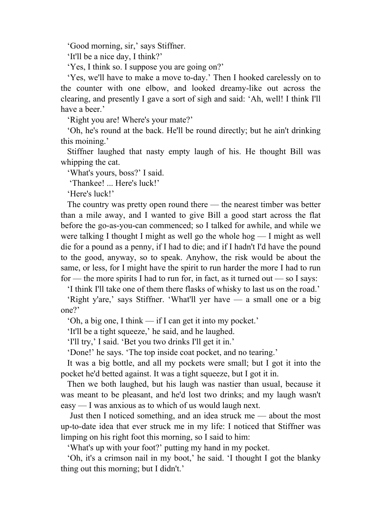'Good morning, sir,' says Stiffner.

'It'll be a nice day, I think?'

'Yes, I think so. I suppose you are going on?'

 'Yes, we'll have to make a move to-day.' Then I hooked carelessly on to the counter with one elbow, and looked dreamy-like out across the clearing, and presently I gave a sort of sigh and said: 'Ah, well! I think I'll have a beer.'

'Right you are! Where's your mate?'

 'Oh, he's round at the back. He'll be round directly; but he ain't drinking this moining.'

 Stiffner laughed that nasty empty laugh of his. He thought Bill was whipping the cat.

'What's yours, boss?' I said.

'Thankee! ... Here's luck!'

'Here's luck!'

 The country was pretty open round there — the nearest timber was better than a mile away, and I wanted to give Bill a good start across the flat before the go-as-you-can commenced; so I talked for awhile, and while we were talking I thought I might as well go the whole hog — I might as well die for a pound as a penny, if I had to die; and if I hadn't I'd have the pound to the good, anyway, so to speak. Anyhow, the risk would be about the same, or less, for I might have the spirit to run harder the more I had to run for — the more spirits I had to run for, in fact, as it turned out — so I says:

 'I think I'll take one of them there flasks of whisky to last us on the road.' 'Right y'are,' says Stiffner. 'What'll yer have — a small one or a big

one?'

'Oh, a big one, I think — if I can get it into my pocket.'

'It'll be a tight squeeze,' he said, and he laughed.

'I'll try,' I said. 'Bet you two drinks I'll get it in.'

'Done!' he says. 'The top inside coat pocket, and no tearing.'

 It was a big bottle, and all my pockets were small; but I got it into the pocket he'd betted against. It was a tight squeeze, but I got it in.

 Then we both laughed, but his laugh was nastier than usual, because it was meant to be pleasant, and he'd lost two drinks; and my laugh wasn't easy — I was anxious as to which of us would laugh next.

 Just then I noticed something, and an idea struck me — about the most up-to-date idea that ever struck me in my life: I noticed that Stiffner was limping on his right foot this morning, so I said to him:

'What's up with your foot?' putting my hand in my pocket.

 'Oh, it's a crimson nail in my boot,' he said. 'I thought I got the blanky thing out this morning; but I didn't.'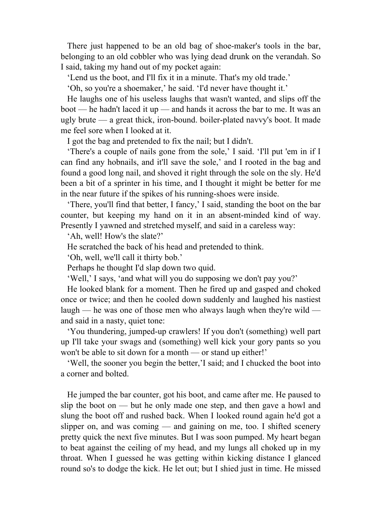There just happened to be an old bag of shoe-maker's tools in the bar, belonging to an old cobbler who was lying dead drunk on the verandah. So I said, taking my hand out of my pocket again:

'Lend us the boot, and I'll fix it in a minute. That's my old trade.'

'Oh, so you're a shoemaker,' he said. 'I'd never have thought it.'

 He laughs one of his useless laughs that wasn't wanted, and slips off the boot — he hadn't laced it up — and hands it across the bar to me. It was an ugly brute — a great thick, iron-bound. boiler-plated navvy's boot. It made me feel sore when I looked at it.

I got the bag and pretended to fix the nail; but I didn't.

 'There's a couple of nails gone from the sole,' I said. 'I'll put 'em in if I can find any hobnails, and it'll save the sole,' and I rooted in the bag and found a good long nail, and shoved it right through the sole on the sly. He'd been a bit of a sprinter in his time, and I thought it might be better for me in the near future if the spikes of his running-shoes were inside.

 'There, you'll find that better, I fancy,' I said, standing the boot on the bar counter, but keeping my hand on it in an absent-minded kind of way. Presently I yawned and stretched myself, and said in a careless way:

'Ah, well! How's the slate?'

He scratched the back of his head and pretended to think.

'Oh, well, we'll call it thirty bob.'

Perhaps he thought I'd slap down two quid.

'Well,' I says, 'and what will you do supposing we don't pay you?'

 He looked blank for a moment. Then he fired up and gasped and choked once or twice; and then he cooled down suddenly and laughed his nastiest laugh — he was one of those men who always laugh when they're wild and said in a nasty, quiet tone:

 'You thundering, jumped-up crawlers! If you don't (something) well part up I'll take your swags and (something) well kick your gory pants so you won't be able to sit down for a month — or stand up either!'

 'Well, the sooner you begin the better,'I said; and I chucked the boot into a corner and bolted.

 He jumped the bar counter, got his boot, and came after me. He paused to slip the boot on — but he only made one step, and then gave a howl and slung the boot off and rushed back. When I looked round again he'd got a slipper on, and was coming — and gaining on me, too. I shifted scenery pretty quick the next five minutes. But I was soon pumped. My heart began to beat against the ceiling of my head, and my lungs all choked up in my throat. When I guessed he was getting within kicking distance I glanced round so's to dodge the kick. He let out; but I shied just in time. He missed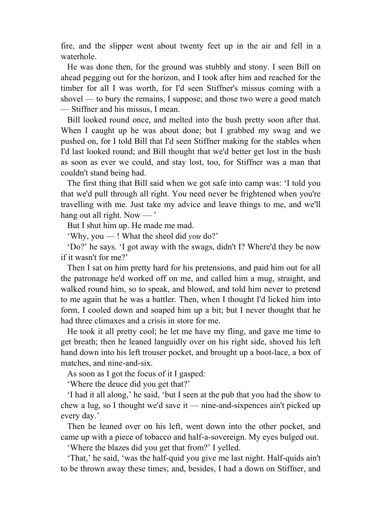fire, and the slipper went about twenty feet up in the air and fell in a waterhole.

 He was done then, for the ground was stubbly and stony. I seen Bill on ahead pegging out for the horizon, and I took after him and reached for the timber for all I was worth, for I'd seen Stiffner's missus coming with a shovel — to bury the remains, I suppose; and those two were a good match — Stiffner and his missus, I mean.

 Bill looked round once, and melted into the bush pretty soon after that. When I caught up he was about done; but I grabbed my swag and we pushed on, for I told Bill that I'd seen Stiffner making for the stables when I'd last looked round; and Bill thought that we'd better get lost in the bush as soon as ever we could, and stay lost, too, for Stiffner was a man that couldn't stand being had.

 The first thing that Bill said when we got safe into camp was: 'I told you that we'd pull through all right. You need never be frightened when you're travelling with me. Just take my advice and leave things to me, and we'll hang out all right. Now — '

But I shut him up. He made me mad.

'Why, you — ! What the sheol did *you* do?'

 'Do?' he says. 'I got away with the swags, didn't I? Where'd they be now if it wasn't for me?'

 Then I sat on him pretty hard for his pretensions, and paid him out for all the patronage he'd worked off on me, and called him a mug, straight, and walked round him, so to speak, and blowed, and told him never to pretend to me again that he was a battler. Then, when I thought I'd licked him into form, I cooled down and soaped him up a bit; but I never thought that he had three climaxes and a crisis in store for me.

 He took it all pretty cool; he let me have my fling, and gave me time to get breath; then he leaned languidly over on his right side, shoved his left hand down into his left trouser pocket, and brought up a boot-lace, a box of matches, and nine-and-six.

As soon as I got the focus of it I gasped:

'Where the deuce did you get that?'

 'I had it all along,' he said, 'but I seen at the pub that you had the show to chew a lug, so I thought we'd save it — nine-and-sixpences ain't picked up every day.'

 Then he leaned over on his left, went down into the other pocket, and came up with a piece of tobacco and half-a-sovereign. My eyes bulged out.

'Where the blazes did you get that from?' I yelled.

 'That,' he said, 'was the half-quid you give me last night. Half-quids ain't to be thrown away these times; and, besides, I had a down on Stiffner, and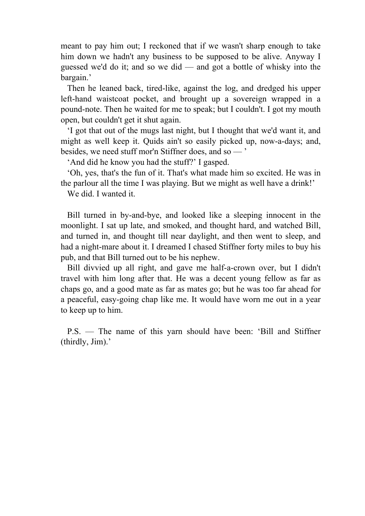meant to pay him out; I reckoned that if we wasn't sharp enough to take him down we hadn't any business to be supposed to be alive. Anyway I guessed we'd do it; and so we did — and got a bottle of whisky into the bargain.'

 Then he leaned back, tired-like, against the log, and dredged his upper left-hand waistcoat pocket, and brought up a sovereign wrapped in a pound-note. Then he waited for me to speak; but I couldn't. I got my mouth open, but couldn't get it shut again.

 'I got that out of the mugs last night, but I thought that we'd want it, and might as well keep it. Quids ain't so easily picked up, now-a-days; and, besides, we need stuff mor'n Stiffner does, and so — '

'And did he know you had the stuff?' I gasped.

 'Oh, yes, that's the fun of it. That's what made him so excited. He was in the parlour all the time I was playing. But we might as well have a drink!'

We did. I wanted it.

 Bill turned in by-and-bye, and looked like a sleeping innocent in the moonlight. I sat up late, and smoked, and thought hard, and watched Bill, and turned in, and thought till near daylight, and then went to sleep, and had a night-mare about it. I dreamed I chased Stiffner forty miles to buy his pub, and that Bill turned out to be his nephew.

 Bill divvied up all right, and gave me half-a-crown over, but I didn't travel with him long after that. He was a decent young fellow as far as chaps go, and a good mate as far as mates go; but he was too far ahead for a peaceful, easy-going chap like me. It would have worn me out in a year to keep up to him.

 P.S. — The name of this yarn should have been: 'Bill and Stiffner (thirdly, Jim).'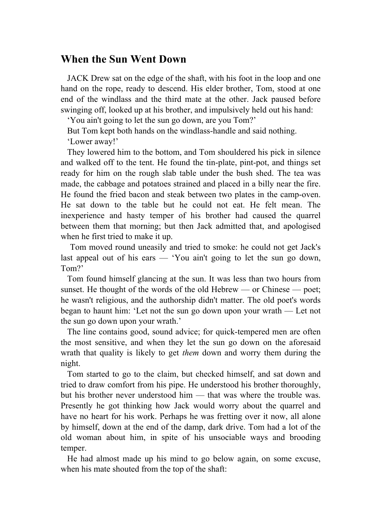#### **When the Sun Went Down**

 JACK Drew sat on the edge of the shaft, with his foot in the loop and one hand on the rope, ready to descend. His elder brother, Tom, stood at one end of the windlass and the third mate at the other. Jack paused before swinging off, looked up at his brother, and impulsively held out his hand:

'You ain't going to let the sun go down, are you Tom?'

 But Tom kept both hands on the windlass-handle and said nothing. 'Lower away!'

 They lowered him to the bottom, and Tom shouldered his pick in silence and walked off to the tent. He found the tin-plate, pint-pot, and things set ready for him on the rough slab table under the bush shed. The tea was made, the cabbage and potatoes strained and placed in a billy near the fire. He found the fried bacon and steak between two plates in the camp-oven. He sat down to the table but he could not eat. He felt mean. The inexperience and hasty temper of his brother had caused the quarrel between them that morning; but then Jack admitted that, and apologised when he first tried to make it up.

 Tom moved round uneasily and tried to smoke: he could not get Jack's last appeal out of his ears — 'You ain't going to let the sun go down, Tom?'

 Tom found himself glancing at the sun. It was less than two hours from sunset. He thought of the words of the old Hebrew — or Chinese — poet; he wasn't religious, and the authorship didn't matter. The old poet's words began to haunt him: 'Let not the sun go down upon your wrath — Let not the sun go down upon your wrath.'

 The line contains good, sound advice; for quick-tempered men are often the most sensitive, and when they let the sun go down on the aforesaid wrath that quality is likely to get *them* down and worry them during the night.

 Tom started to go to the claim, but checked himself, and sat down and tried to draw comfort from his pipe. He understood his brother thoroughly, but his brother never understood him — that was where the trouble was. Presently he got thinking how Jack would worry about the quarrel and have no heart for his work. Perhaps he was fretting over it now, all alone by himself, down at the end of the damp, dark drive. Tom had a lot of the old woman about him, in spite of his unsociable ways and brooding temper.

 He had almost made up his mind to go below again, on some excuse, when his mate shouted from the top of the shaft: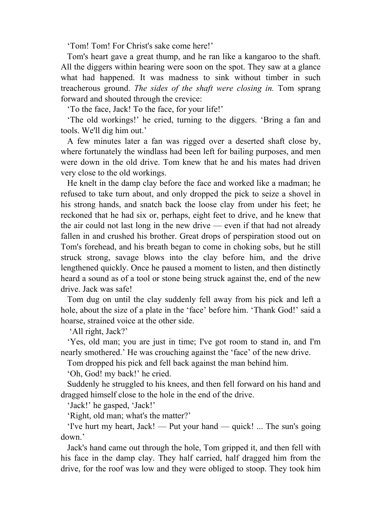'Tom! Tom! For Christ's sake come here!'

 Tom's heart gave a great thump, and he ran like a kangaroo to the shaft. All the diggers within hearing were soon on the spot. They saw at a glance what had happened. It was madness to sink without timber in such treacherous ground. *The sides of the shaft were closing in.* Tom sprang forward and shouted through the crevice:

'To the face, Jack! To the face, for your life!'

 'The old workings!' he cried, turning to the diggers. 'Bring a fan and tools. We'll dig him out.'

 A few minutes later a fan was rigged over a deserted shaft close by, where fortunately the windlass had been left for bailing purposes, and men were down in the old drive. Tom knew that he and his mates had driven very close to the old workings.

 He knelt in the damp clay before the face and worked like a madman; he refused to take turn about, and only dropped the pick to seize a shovel in his strong hands, and snatch back the loose clay from under his feet; he reckoned that he had six or, perhaps, eight feet to drive, and he knew that the air could not last long in the new drive — even if that had not already fallen in and crushed his brother. Great drops of perspiration stood out on Tom's forehead, and his breath began to come in choking sobs, but he still struck strong, savage blows into the clay before him, and the drive lengthened quickly. Once he paused a moment to listen, and then distinctly heard a sound as of a tool or stone being struck against the, end of the new drive. Jack was safe!

 Tom dug on until the clay suddenly fell away from his pick and left a hole, about the size of a plate in the 'face' before him. 'Thank God!' said a hoarse, strained voice at the other side.

'All right, Jack?'

 'Yes, old man; you are just in time; I've got room to stand in, and I'm nearly smothered.' He was crouching against the 'face' of the new drive.

Tom dropped his pick and fell back against the man behind him.

'Oh, God! my back!' he cried.

 Suddenly he struggled to his knees, and then fell forward on his hand and dragged himself close to the hole in the end of the drive.

'Jack!' he gasped, 'Jack!'

'Right, old man; what's the matter?'

 'I've hurt my heart, Jack! — Put your hand — quick! ... The sun's going down.'

 Jack's hand came out through the hole, Tom gripped it, and then fell with his face in the damp clay. They half carried, half dragged him from the drive, for the roof was low and they were obliged to stoop. They took him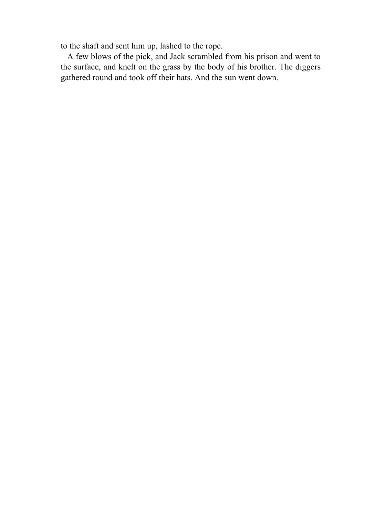to the shaft and sent him up, lashed to the rope.

 A few blows of the pick, and Jack scrambled from his prison and went to the surface, and knelt on the grass by the body of his brother. The diggers gathered round and took off their hats. And the sun went down.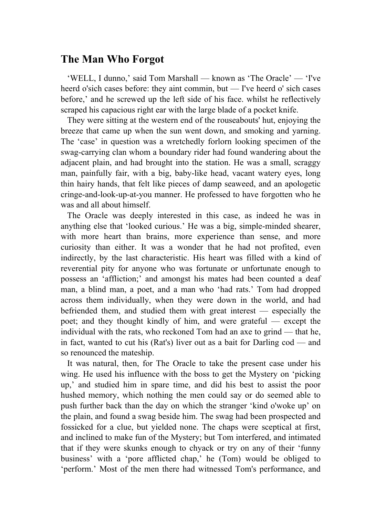## **The Man Who Forgot**

 'WELL, I dunno,' said Tom Marshall — known as 'The Oracle' — 'I've heerd o'sich cases before: they aint commin, but — I've heerd o' sich cases before,' and he screwed up the left side of his face. whilst he reflectively scraped his capacious right ear with the large blade of a pocket knife.

 They were sitting at the western end of the rouseabouts' hut, enjoying the breeze that came up when the sun went down, and smoking and yarning. The 'case' in question was a wretchedly forlorn looking specimen of the swag-carrying clan whom a boundary rider had found wandering about the adjacent plain, and had brought into the station. He was a small, scraggy man, painfully fair, with a big, baby-like head, vacant watery eyes, long thin hairy hands, that felt like pieces of damp seaweed, and an apologetic cringe-and-look-up-at-you manner. He professed to have forgotten who he was and all about himself.

 The Oracle was deeply interested in this case, as indeed he was in anything else that 'looked curious.' He was a big, simple-minded shearer, with more heart than brains, more experience than sense, and more curiosity than either. It was a wonder that he had not profited, even indirectly, by the last characteristic. His heart was filled with a kind of reverential pity for anyone who was fortunate or unfortunate enough to possess an 'affliction;' and amongst his mates had been counted a deaf man, a blind man, a poet, and a man who 'had rats.' Tom had dropped across them individually, when they were down in the world, and had befriended them, and studied them with great interest — especially the poet; and they thought kindly of him, and were grateful — except the individual with the rats, who reckoned Tom had an axe to grind — that he, in fact, wanted to cut his (Rat's) liver out as a bait for Darling cod — and so renounced the mateship.

 It was natural, then, for The Oracle to take the present case under his wing. He used his influence with the boss to get the Mystery on 'picking up,' and studied him in spare time, and did his best to assist the poor hushed memory, which nothing the men could say or do seemed able to push further back than the day on which the stranger 'kind o'woke up' on the plain, and found a swag beside him. The swag had been prospected and fossicked for a clue, but yielded none. The chaps were sceptical at first, and inclined to make fun of the Mystery; but Tom interfered, and intimated that if they were skunks enough to chyack or try on any of their 'funny business' with a 'pore afflicted chap,' he (Tom) would be obliged to 'perform.' Most of the men there had witnessed Tom's performance, and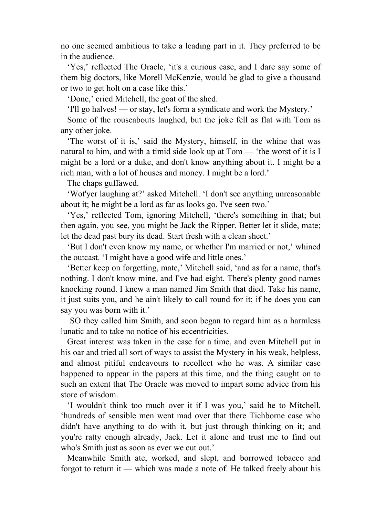no one seemed ambitious to take a leading part in it. They preferred to be in the audience.

 'Yes,' reflected The Oracle, 'it's a curious case, and I dare say some of them big doctors, like Morell McKenzie, would be glad to give a thousand or two to get holt on a case like this.'

'Done,' cried Mitchell, the goat of the shed.

'I'll go halves! — or stay, let's form a syndicate and work the Mystery.'

 Some of the rouseabouts laughed, but the joke fell as flat with Tom as any other joke.

 'The worst of it is,' said the Mystery, himself, in the whine that was natural to him, and with a timid side look up at Tom — 'the worst of it is I might be a lord or a duke, and don't know anything about it. I might be a rich man, with a lot of houses and money. I might be a lord.'

The chaps guffawed.

 'Wot'yer laughing at?' asked Mitchell. 'I don't see anything unreasonable about it; he might be a lord as far as looks go. I've seen two.'

 'Yes,' reflected Tom, ignoring Mitchell, 'there's something in that; but then again, you see, you might be Jack the Ripper. Better let it slide, mate; let the dead past bury its dead. Start fresh with a clean sheet.'

 'But I don't even know my name, or whether I'm married or not,' whined the outcast. 'I might have a good wife and little ones.'

 'Better keep on forgetting, mate,' Mitchell said, 'and as for a name, that's nothing. I don't know mine, and I've had eight. There's plenty good names knocking round. I knew a man named Jim Smith that died. Take his name, it just suits you, and he ain't likely to call round for it; if he does you can say you was born with it.'

 SO they called him Smith, and soon began to regard him as a harmless lunatic and to take no notice of his eccentricities.

 Great interest was taken in the case for a time, and even Mitchell put in his oar and tried all sort of ways to assist the Mystery in his weak, helpless, and almost pitiful endeavours to recollect who he was. A similar case happened to appear in the papers at this time, and the thing caught on to such an extent that The Oracle was moved to impart some advice from his store of wisdom.

 'I wouldn't think too much over it if I was you,' said he to Mitchell, 'hundreds of sensible men went mad over that there Tichborne case who didn't have anything to do with it, but just through thinking on it; and you're ratty enough already, Jack. Let it alone and trust me to find out who's Smith just as soon as ever we cut out.'

 Meanwhile Smith ate, worked, and slept, and borrowed tobacco and forgot to return it — which was made a note of. He talked freely about his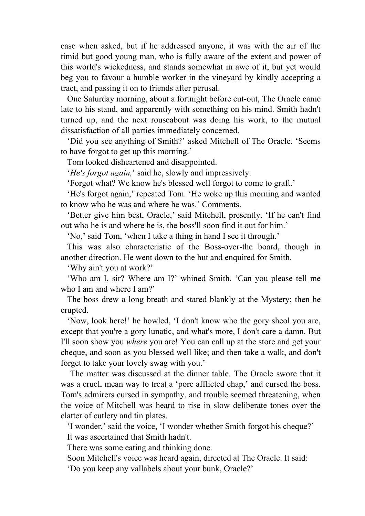case when asked, but if he addressed anyone, it was with the air of the timid but good young man, who is fully aware of the extent and power of this world's wickedness, and stands somewhat in awe of it, but yet would beg you to favour a humble worker in the vineyard by kindly accepting a tract, and passing it on to friends after perusal.

 One Saturday morning, about a fortnight before cut-out, The Oracle came late to his stand, and apparently with something on his mind. Smith hadn't turned up, and the next rouseabout was doing his work, to the mutual dissatisfaction of all parties immediately concerned.

 'Did you see anything of Smith?' asked Mitchell of The Oracle. 'Seems to have forgot to get up this morning.'

Tom looked disheartened and disappointed.

'*He's forgot again,*' said he, slowly and impressively.

'Forgot what? We know he's blessed well forgot to come to graft.'

 'He's forgot again,' repeated Tom. 'He woke up this morning and wanted to know who he was and where he was.' Comments.

 'Better give him best, Oracle,' said Mitchell, presently. 'If he can't find out who he is and where he is, the boss'll soon find it out for him.'

'No,' said Tom, 'when I take a thing in hand I see it through.'

 This was also characteristic of the Boss-over-the board, though in another direction. He went down to the hut and enquired for Smith.

'Why ain't you at work?'

 'Who am I, sir? Where am I?' whined Smith. 'Can you please tell me who I am and where I am?'

 The boss drew a long breath and stared blankly at the Mystery; then he erupted.

 'Now, look here!' he howled, 'I don't know who the gory sheol you are, except that you're a gory lunatic, and what's more, I don't care a damn. But I'll soon show you *where* you are! You can call up at the store and get your cheque, and soon as you blessed well like; and then take a walk, and don't forget to take your lovely swag with you.'

 The matter was discussed at the dinner table. The Oracle swore that it was a cruel, mean way to treat a 'pore afflicted chap,' and cursed the boss. Tom's admirers cursed in sympathy, and trouble seemed threatening, when the voice of Mitchell was heard to rise in slow deliberate tones over the clatter of cutlery and tin plates.

 'I wonder,' said the voice, 'I wonder whether Smith forgot his cheque?' It was ascertained that Smith hadn't.

There was some eating and thinking done.

Soon Mitchell's voice was heard again, directed at The Oracle. It said:

'Do you keep any vallabels about your bunk, Oracle?'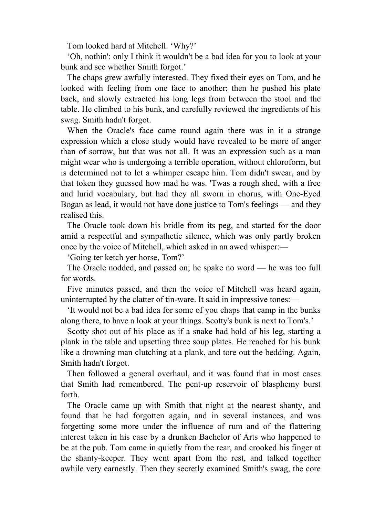Tom looked hard at Mitchell. 'Why?'

 'Oh, nothin': only I think it wouldn't be a bad idea for you to look at your bunk and see whether Smith forgot.'

 The chaps grew awfully interested. They fixed their eyes on Tom, and he looked with feeling from one face to another; then he pushed his plate back, and slowly extracted his long legs from between the stool and the table. He climbed to his bunk, and carefully reviewed the ingredients of his swag. Smith hadn't forgot.

 When the Oracle's face came round again there was in it a strange expression which a close study would have revealed to be more of anger than of sorrow, but that was not all. It was an expression such as a man might wear who is undergoing a terrible operation, without chloroform, but is determined not to let a whimper escape him. Tom didn't swear, and by that token they guessed how mad he was. 'Twas a rough shed, with a free and lurid vocabulary, but had they all sworn in chorus, with One-Eyed Bogan as lead, it would not have done justice to Tom's feelings — and they realised this.

 The Oracle took down his bridle from its peg, and started for the door amid a respectful and sympathetic silence, which was only partly broken once by the voice of Mitchell, which asked in an awed whisper:—

'Going ter ketch yer horse, Tom?'

 The Oracle nodded, and passed on; he spake no word — he was too full for words.

 Five minutes passed, and then the voice of Mitchell was heard again, uninterrupted by the clatter of tin-ware. It said in impressive tones:—

 'It would not be a bad idea for some of you chaps that camp in the bunks along there, to have a look at your things. Scotty's bunk is next to Tom's.'

 Scotty shot out of his place as if a snake had hold of his leg, starting a plank in the table and upsetting three soup plates. He reached for his bunk like a drowning man clutching at a plank, and tore out the bedding. Again, Smith hadn't forgot.

 Then followed a general overhaul, and it was found that in most cases that Smith had remembered. The pent-up reservoir of blasphemy burst forth.

 The Oracle came up with Smith that night at the nearest shanty, and found that he had forgotten again, and in several instances, and was forgetting some more under the influence of rum and of the flattering interest taken in his case by a drunken Bachelor of Arts who happened to be at the pub. Tom came in quietly from the rear, and crooked his finger at the shanty-keeper. They went apart from the rest, and talked together awhile very earnestly. Then they secretly examined Smith's swag, the core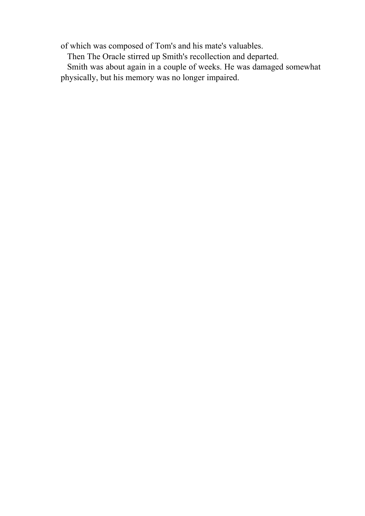of which was composed of Tom's and his mate's valuables.

Then The Oracle stirred up Smith's recollection and departed.

 Smith was about again in a couple of weeks. He was damaged somewhat physically, but his memory was no longer impaired.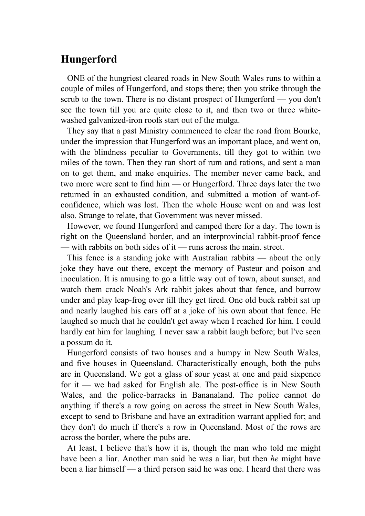## **Hungerford**

 ONE of the hungriest cleared roads in New South Wales runs to within a couple of miles of Hungerford, and stops there; then you strike through the scrub to the town. There is no distant prospect of Hungerford — you don't see the town till you are quite close to it, and then two or three whitewashed galvanized-iron roofs start out of the mulga.

 They say that a past Ministry commenced to clear the road from Bourke, under the impression that Hungerford was an important place, and went on, with the blindness peculiar to Governments, till they got to within two miles of the town. Then they ran short of rum and rations, and sent a man on to get them, and make enquiries. The member never came back, and two more were sent to find him — or Hungerford. Three days later the two returned in an exhausted condition, and submitted a motion of want-ofconfidence, which was lost. Then the whole House went on and was lost also. Strange to relate, that Government was never missed.

 However, we found Hungerford and camped there for a day. The town is right on the Queensland border, and an interprovincial rabbit-proof fence — with rabbits on both sides of it — runs across the main. street.

 This fence is a standing joke with Australian rabbits — about the only joke they have out there, except the memory of Pasteur and poison and inoculation. It is amusing to go a little way out of town, about sunset, and watch them crack Noah's Ark rabbit jokes about that fence, and burrow under and play leap-frog over till they get tired. One old buck rabbit sat up and nearly laughed his ears off at a joke of his own about that fence. He laughed so much that he couldn't get away when I reached for him. I could hardly eat him for laughing. I never saw a rabbit laugh before; but I've seen a possum do it.

 Hungerford consists of two houses and a humpy in New South Wales, and five houses in Queensland. Characteristically enough, both the pubs are in Queensland. We got a glass of sour yeast at one and paid sixpence for it — we had asked for English ale. The post-office is in New South Wales, and the police-barracks in Bananaland. The police cannot do anything if there's a row going on across the street in New South Wales, except to send to Brisbane and have an extradition warrant applied for; and they don't do much if there's a row in Queensland. Most of the rows are across the border, where the pubs are.

 At least, I believe that's how it is, though the man who told me might have been a liar. Another man said he was a liar, but then *he* might have been a liar himself — a third person said he was one. I heard that there was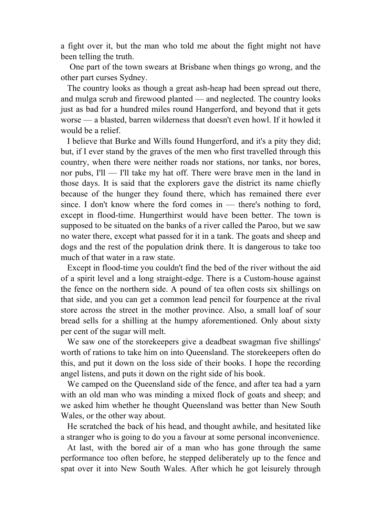a fight over it, but the man who told me about the fight might not have been telling the truth.

 One part of the town swears at Brisbane when things go wrong, and the other part curses Sydney.

 The country looks as though a great ash-heap had been spread out there, and mulga scrub and firewood planted — and neglected. The country looks just as bad for a hundred miles round Hangerford, and beyond that it gets worse — a blasted, barren wilderness that doesn't even howl. If it howled it would be a relief.

 I believe that Burke and Wills found Hungerford, and it's a pity they did; but, if I ever stand by the graves of the men who first travelled through this country, when there were neither roads nor stations, nor tanks, nor bores, nor pubs, I'll — I'll take my hat off. There were brave men in the land in those days. It is said that the explorers gave the district its name chiefly because of the hunger they found there, which has remained there ever since. I don't know where the ford comes in — there's nothing to ford, except in flood-time. Hungerthirst would have been better. The town is supposed to be situated on the banks of a river called the Paroo, but we saw no water there, except what passed for it in a tank. The goats and sheep and dogs and the rest of the population drink there. It is dangerous to take too much of that water in a raw state.

 Except in flood-time you couldn't find the bed of the river without the aid of a spirit level and a long straight-edge. There is a Custom-house against the fence on the northern side. A pound of tea often costs six shillings on that side, and you can get a common lead pencil for fourpence at the rival store across the street in the mother province. Also, a small loaf of sour bread sells for a shilling at the humpy aforementioned. Only about sixty per cent of the sugar will melt.

 We saw one of the storekeepers give a deadbeat swagman five shillings' worth of rations to take him on into Queensland. The storekeepers often do this, and put it down on the loss side of their books. I hope the recording angel listens, and puts it down on the right side of his book.

 We camped on the Queensland side of the fence, and after tea had a yarn with an old man who was minding a mixed flock of goats and sheep; and we asked him whether he thought Queensland was better than New South Wales, or the other way about.

 He scratched the back of his head, and thought awhile, and hesitated like a stranger who is going to do you a favour at some personal inconvenience.

 At last, with the bored air of a man who has gone through the same performance too often before, he stepped deliberately up to the fence and spat over it into New South Wales. After which he got leisurely through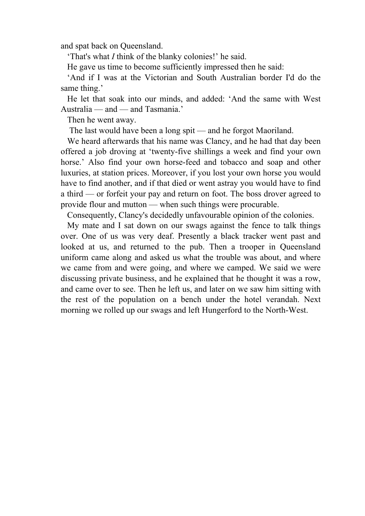and spat back on Queensland.

'That's what *I* think of the blanky colonies!' he said.

He gave us time to become sufficiently impressed then he said:

 'And if I was at the Victorian and South Australian border I'd do the same thing.'

 He let that soak into our minds, and added: 'And the same with West Australia — and — and Tasmania.'

Then he went away.

The last would have been a long spit — and he forgot Maoriland.

 We heard afterwards that his name was Clancy, and he had that day been offered a job droving at 'twenty-five shillings a week and find your own horse.' Also find your own horse-feed and tobacco and soap and other luxuries, at station prices. Moreover, if you lost your own horse you would have to find another, and if that died or went astray you would have to find a third — or forfeit your pay and return on foot. The boss drover agreed to provide flour and mutton — when such things were procurable.

Consequently, Clancy's decidedly unfavourable opinion of the colonies.

 My mate and I sat down on our swags against the fence to talk things over. One of us was very deaf. Presently a black tracker went past and looked at us, and returned to the pub. Then a trooper in Queensland uniform came along and asked us what the trouble was about, and where we came from and were going, and where we camped. We said we were discussing private business, and he explained that he thought it was a row, and came over to see. Then he left us, and later on we saw him sitting with the rest of the population on a bench under the hotel verandah. Next morning we rolled up our swags and left Hungerford to the North-West.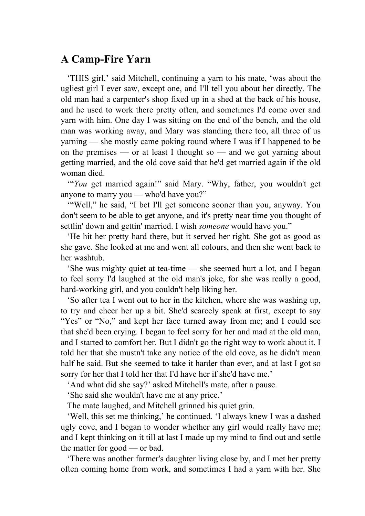## **A Camp-Fire Yarn**

 'THIS girl,' said Mitchell, continuing a yarn to his mate, 'was about the ugliest girl I ever saw, except one, and I'll tell you about her directly. The old man had a carpenter's shop fixed up in a shed at the back of his house, and he used to work there pretty often, and sometimes I'd come over and yarn with him. One day I was sitting on the end of the bench, and the old man was working away, and Mary was standing there too, all three of us yarning — she mostly came poking round where I was if I happened to be on the premises — or at least I thought so — and we got yarning about getting married, and the old cove said that he'd get married again if the old woman died.

 '"*You* get married again!" said Mary. "Why, father, you wouldn't get anyone to marry you — who'd have you?"

 '"Well," he said, "I bet I'll get someone sooner than you, anyway. You don't seem to be able to get anyone, and it's pretty near time you thought of settlin' down and gettin' married. I wish *someone* would have you."

 'He hit her pretty hard there, but it served her right. She got as good as she gave. She looked at me and went all colours, and then she went back to her washtub.

 'She was mighty quiet at tea-time — she seemed hurt a lot, and I began to feel sorry I'd laughed at the old man's joke, for she was really a good, hard-working girl, and you couldn't help liking her.

 'So after tea I went out to her in the kitchen, where she was washing up, to try and cheer her up a bit. She'd scarcely speak at first, except to say "Yes" or "No," and kept her face turned away from me; and I could see that she'd been crying. I began to feel sorry for her and mad at the old man, and I started to comfort her. But I didn't go the right way to work about it. I told her that she mustn't take any notice of the old cove, as he didn't mean half he said. But she seemed to take it harder than ever, and at last I got so sorry for her that I told her that I'd have her if she'd have me.'

'And what did she say?' asked Mitchell's mate, after a pause.

'She said she wouldn't have me at any price.'

The mate laughed, and Mitchell grinned his quiet grin.

 'Well, this set me thinking,' he continued. 'I always knew I was a dashed ugly cove, and I began to wonder whether any girl would really have me; and I kept thinking on it till at last I made up my mind to find out and settle the matter for good — or bad.

 'There was another farmer's daughter living close by, and I met her pretty often coming home from work, and sometimes I had a yarn with her. She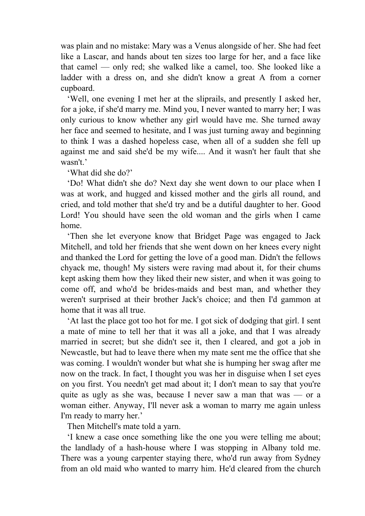was plain and no mistake: Mary was a Venus alongside of her. She had feet like a Lascar, and hands about ten sizes too large for her, and a face like that camel — only red; she walked like a camel, too. She looked like a ladder with a dress on, and she didn't know a great A from a corner cupboard.

 'Well, one evening I met her at the sliprails, and presently I asked her, for a joke, if she'd marry me. Mind you, I never wanted to marry her; I was only curious to know whether any girl would have me. She turned away her face and seemed to hesitate, and I was just turning away and beginning to think I was a dashed hopeless case, when all of a sudden she fell up against me and said she'd be my wife.... And it wasn't her fault that she wasn't.'

'What did she do?'

 'Do! What didn't she do? Next day she went down to our place when I was at work, and hugged and kissed mother and the girls all round, and cried, and told mother that she'd try and be a dutiful daughter to her. Good Lord! You should have seen the old woman and the girls when I came home.

 'Then she let everyone know that Bridget Page was engaged to Jack Mitchell, and told her friends that she went down on her knees every night and thanked the Lord for getting the love of a good man. Didn't the fellows chyack me, though! My sisters were raving mad about it, for their chums kept asking them how they liked their new sister, and when it was going to come off, and who'd be brides-maids and best man, and whether they weren't surprised at their brother Jack's choice; and then I'd gammon at home that it was all true.

 'At last the place got too hot for me. I got sick of dodging that girl. I sent a mate of mine to tell her that it was all a joke, and that I was already married in secret; but she didn't see it, then I cleared, and got a job in Newcastle, but had to leave there when my mate sent me the office that she was coming. I wouldn't wonder but what she is humping her swag after me now on the track. In fact, I thought you was her in disguise when I set eyes on you first. You needn't get mad about it; I don't mean to say that you're quite as ugly as she was, because I never saw a man that was — or a woman either. Anyway, I'll never ask a woman to marry me again unless I'm ready to marry her.'

Then Mitchell's mate told a yarn.

 'I knew a case once something like the one you were telling me about; the landlady of a hash-house where I was stopping in Albany told me. There was a young carpenter staying there, who'd run away from Sydney from an old maid who wanted to marry him. He'd cleared from the church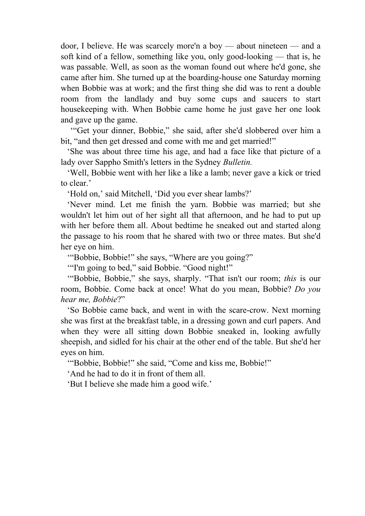door, I believe. He was scarcely more'n a boy — about nineteen — and a soft kind of a fellow, something like you, only good-looking — that is, he was passable. Well, as soon as the woman found out where he'd gone, she came after him. She turned up at the boarding-house one Saturday morning when Bobbie was at work; and the first thing she did was to rent a double room from the landlady and buy some cups and saucers to start housekeeping with. When Bobbie came home he just gave her one look and gave up the game.

 '"Get your dinner, Bobbie," she said, after she'd slobbered over him a bit, "and then get dressed and come with me and get married!"

 'She was about three time his age, and had a face like that picture of a lady over Sappho Smith's letters in the Sydney *Bulletin.*

 'Well, Bobbie went with her like a like a lamb; never gave a kick or tried to clear.'

'Hold on,' said Mitchell, 'Did you ever shear lambs?'

 'Never mind. Let me finish the yarn. Bobbie was married; but she wouldn't let him out of her sight all that afternoon, and he had to put up with her before them all. About bedtime he sneaked out and started along the passage to his room that he shared with two or three mates. But she'd her eye on him.

'"Bobbie, Bobbie!" she says, "Where are you going?"

'"I'm going to bed," said Bobbie. "Good night!"

 '"Bobbie, Bobbie," she says, sharply. "That isn't our room; *this* is our room, Bobbie. Come back at once! What do you mean, Bobbie? *Do you hear me, Bobbie*?"

 'So Bobbie came back, and went in with the scare-crow. Next morning she was first at the breakfast table, in a dressing gown and curl papers. And when they were all sitting down Bobbie sneaked in, looking awfully sheepish, and sidled for his chair at the other end of the table. But she'd her eyes on him.

'"Bobbie, Bobbie!" she said, "Come and kiss me, Bobbie!"

'And he had to do it in front of them all.

'But I believe she made him a good wife.'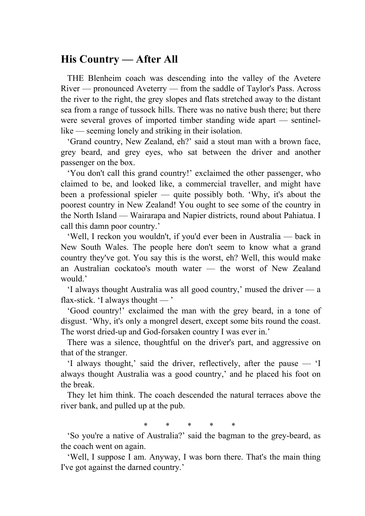## **His Country — After All**

 THE Blenheim coach was descending into the valley of the Avetere River — pronounced Aveterry — from the saddle of Taylor's Pass. Across the river to the right, the grey slopes and flats stretched away to the distant sea from a range of tussock hills. There was no native bush there; but there were several groves of imported timber standing wide apart — sentinellike — seeming lonely and striking in their isolation.

 'Grand country, New Zealand, eh?' said a stout man with a brown face, grey beard, and grey eyes, who sat between the driver and another passenger on the box.

 'You don't call this grand country!' exclaimed the other passenger, who claimed to be, and looked like, a commercial traveller, and might have been a professional spieler — quite possibly both. 'Why, it's about the poorest country in New Zealand! You ought to see some of the country in the North Island — Wairarapa and Napier districts, round about Pahiatua. I call this damn poor country.'

 'Well, I reckon you wouldn't, if you'd ever been in Australia — back in New South Wales. The people here don't seem to know what a grand country they've got. You say this is the worst, eh? Well, this would make an Australian cockatoo's mouth water — the worst of New Zealand would.'

 'I always thought Australia was all good country,' mused the driver — a flax-stick.  $\Omega$  always thought —  $\Omega$ 

 'Good country!' exclaimed the man with the grey beard, in a tone of disgust. 'Why, it's only a mongrel desert, except some bits round the coast. The worst dried-up and God-forsaken country I was ever in.'

 There was a silence, thoughtful on the driver's part, and aggressive on that of the stranger.

 'I always thought,' said the driver, reflectively, after the pause — 'I always thought Australia was a good country,' and he placed his foot on the break.

 They let him think. The coach descended the natural terraces above the river bank, and pulled up at the pub.

\* \* \* \* \*

 'So you're a native of Australia?' said the bagman to the grey-beard, as the coach went on again.

 'Well, I suppose I am. Anyway, I was born there. That's the main thing I've got against the darned country.'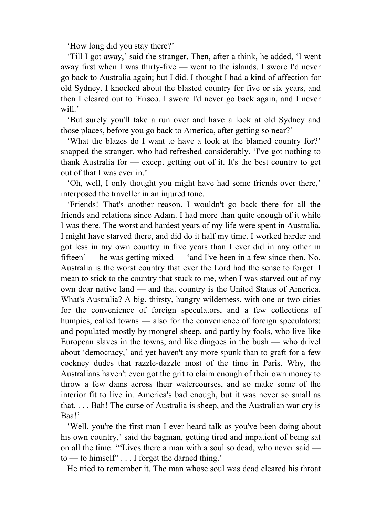'How long did you stay there?'

 'Till I got away,' said the stranger. Then, after a think, he added, 'I went away first when I was thirty-five — went to the islands. I swore I'd never go back to Australia again; but I did. I thought I had a kind of affection for old Sydney. I knocked about the blasted country for five or six years, and then I cleared out to 'Frisco. I swore I'd never go back again, and I never will.'

 'But surely you'll take a run over and have a look at old Sydney and those places, before you go back to America, after getting so near?'

 'What the blazes do I want to have a look at the blamed country for?' snapped the stranger, who had refreshed considerably. 'I've got nothing to thank Australia for — except getting out of it. It's the best country to get out of that I was ever in.'

 'Oh, well, I only thought you might have had some friends over there,' interposed the traveller in an injured tone.

 'Friends! That's another reason. I wouldn't go back there for all the friends and relations since Adam. I had more than quite enough of it while I was there. The worst and hardest years of my life were spent in Australia. I might have starved there, and did do it half my time. I worked harder and got less in my own country in five years than I ever did in any other in fifteen' — he was getting mixed — 'and I've been in a few since then. No, Australia is the worst country that ever the Lord had the sense to forget. I mean to stick to the country that stuck to me, when I was starved out of my own dear native land — and that country is the United States of America. What's Australia? A big, thirsty, hungry wilderness, with one or two cities for the convenience of foreign speculators, and a few collections of humpies, called towns — also for the convenience of foreign speculators: and populated mostly by mongrel sheep, and partly by fools, who live like European slaves in the towns, and like dingoes in the bush — who drivel about 'democracy,' and yet haven't any more spunk than to graft for a few cockney dudes that razzle-dazzle most of the time in Paris. Why, the Australians haven't even got the grit to claim enough of their own money to throw a few dams across their watercourses, and so make some of the interior fit to live in. America's bad enough, but it was never so small as that. . . . Bah! The curse of Australia is sheep, and the Australian war cry is Baa!'

 'Well, you're the first man I ever heard talk as you've been doing about his own country,' said the bagman, getting tired and impatient of being sat on all the time. '"Lives there a man with a soul so dead, who never said to — to himself" . . . I forget the darned thing.'

He tried to remember it. The man whose soul was dead cleared his throat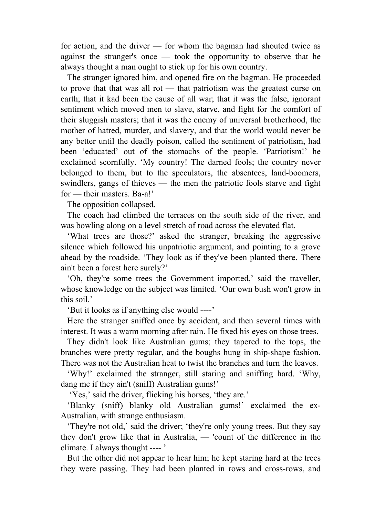for action, and the driver — for whom the bagman had shouted twice as against the stranger's once — took the opportunity to observe that he always thought a man ought to stick up for his own country.

 The stranger ignored him, and opened fire on the bagman. He proceeded to prove that that was all rot — that patriotism was the greatest curse on earth; that it kad been the cause of all war; that it was the false, ignorant sentiment which moved men to slave, starve, and fight for the comfort of their sluggish masters; that it was the enemy of universal brotherhood, the mother of hatred, murder, and slavery, and that the world would never be any better until the deadly poison, called the sentiment of patriotism, had been 'educated' out of the stomachs of the people. 'Patriotism!' he exclaimed scornfully. 'My country! The darned fools; the country never belonged to them, but to the speculators, the absentees, land-boomers, swindlers, gangs of thieves — the men the patriotic fools starve and fight for — their masters. Ba-a!'

The opposition collapsed.

 The coach had climbed the terraces on the south side of the river, and was bowling along on a level stretch of road across the elevated flat.

 'What trees are those?' asked the stranger, breaking the aggressive silence which followed his unpatriotic argument, and pointing to a grove ahead by the roadside. 'They look as if they've been planted there. There ain't been a forest here surely?'

 'Oh, they're some trees the Government imported,' said the traveller, whose knowledge on the subject was limited. 'Our own bush won't grow in this soil.'

'But it looks as if anything else would ----'

 Here the stranger sniffed once by accident, and then several times with interest. It was a warm morning after rain. He fixed his eyes on those trees.

 They didn't look like Australian gums; they tapered to the tops, the branches were pretty regular, and the boughs hung in ship-shape fashion. There was not the Australian heat to twist the branches and turn the leaves.

 'Why!' exclaimed the stranger, still staring and sniffing hard. 'Why, dang me if they ain't (sniff) Australian gums!'

'Yes,' said the driver, flicking his horses, 'they are.'

 'Blanky (sniff) blanky old Australian gums!' exclaimed the ex-Australian, with strange enthusiasm.

 'They're not old,' said the driver; 'they're only young trees. But they say they don't grow like that in Australia, — 'count of the difference in the climate. I always thought ---- '

 But the other did not appear to hear him; he kept staring hard at the trees they were passing. They had been planted in rows and cross-rows, and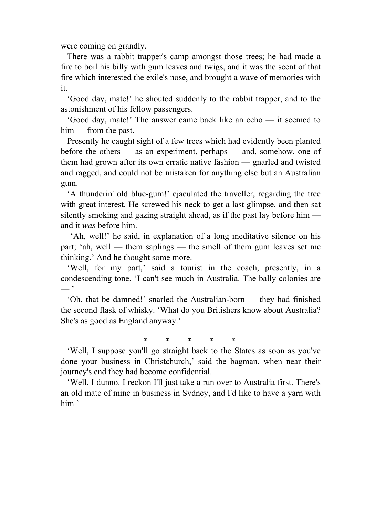were coming on grandly.

 There was a rabbit trapper's camp amongst those trees; he had made a fire to boil his billy with gum leaves and twigs, and it was the scent of that fire which interested the exile's nose, and brought a wave of memories with it.

 'Good day, mate!' he shouted suddenly to the rabbit trapper, and to the astonishment of his fellow passengers.

 'Good day, mate!' The answer came back like an echo — it seemed to him — from the past.

 Presently he caught sight of a few trees which had evidently been planted before the others — as an experiment, perhaps — and, somehow, one of them had grown after its own erratic native fashion — gnarled and twisted and ragged, and could not be mistaken for anything else but an Australian gum.

 'A thunderin' old blue-gum!' ejaculated the traveller, regarding the tree with great interest. He screwed his neck to get a last glimpse, and then sat silently smoking and gazing straight ahead, as if the past lay before him and it *was* before him.

 'Ah, well!' he said, in explanation of a long meditative silence on his part; 'ah, well — them saplings — the smell of them gum leaves set me thinking.' And he thought some more.

 'Well, for my part,' said a tourist in the coach, presently, in a condescending tone, 'I can't see much in Australia. The bally colonies are — '

 'Oh, that be damned!' snarled the Australian-born — they had finished the second flask of whisky. 'What do you Britishers know about Australia? She's as good as England anyway.'

\* \* \* \* \*

 'Well, I suppose you'll go straight back to the States as soon as you've done your business in Christchurch,' said the bagman, when near their journey's end they had become confidential.

 'Well, I dunno. I reckon I'll just take a run over to Australia first. There's an old mate of mine in business in Sydney, and I'd like to have a yarn with him.'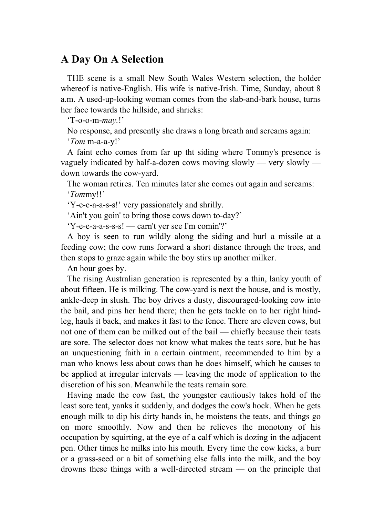## **A Day On A Selection**

 THE scene is a small New South Wales Western selection, the holder whereof is native-English. His wife is native-Irish. Time, Sunday, about 8 a.m. A used-up-looking woman comes from the slab-and-bark house, turns her face towards the hillside, and shrieks:

'T-o-o-m-*may.*!'

 No response, and presently she draws a long breath and screams again: '*Tom* m-a-a-y!'

 A faint echo comes from far up tht siding where Tommy's presence is vaguely indicated by half-a-dozen cows moving slowly — very slowly down towards the cow-yard.

 The woman retires. Ten minutes later she comes out again and screams: '*Tom*my!!'

'Y-e-e-a-a-s-s!' very passionately and shrilly.

'Ain't you goin' to bring those cows down to-day?'

'Y-e-e-a-a-s-s-s! — carn't yer see I'm comin'?'

 A boy is seen to run wildly along the siding and hurl a missile at a feeding cow; the cow runs forward a short distance through the trees, and then stops to graze again while the boy stirs up another milker.

An hour goes by.

 The rising Australian generation is represented by a thin, lanky youth of about fifteen. He is milking. The cow-yard is next the house, and is mostly, ankle-deep in slush. The boy drives a dusty, discouraged-looking cow into the bail, and pins her head there; then he gets tackle on to her right hindleg, hauls it back, and makes it fast to the fence. There are eleven cows, but not one of them can be milked out of the bail — chiefly because their teats are sore. The selector does not know what makes the teats sore, but he has an unquestioning faith in a certain ointment, recommended to him by a man who knows less about cows than he does himself, which he causes to be applied at irregular intervals — leaving the mode of application to the discretion of his son. Meanwhile the teats remain sore.

 Having made the cow fast, the youngster cautiously takes hold of the least sore teat, yanks it suddenly, and dodges the cow's hock. When he gets enough milk to dip his dirty hands in, he moistens the teats, and things go on more smoothly. Now and then he relieves the monotony of his occupation by squirting, at the eye of a calf which is dozing in the adjacent pen. Other times he milks into his mouth. Every time the cow kicks, a burr or a grass-seed or a bit of something else falls into the milk, and the boy drowns these things with a well-directed stream — on the principle that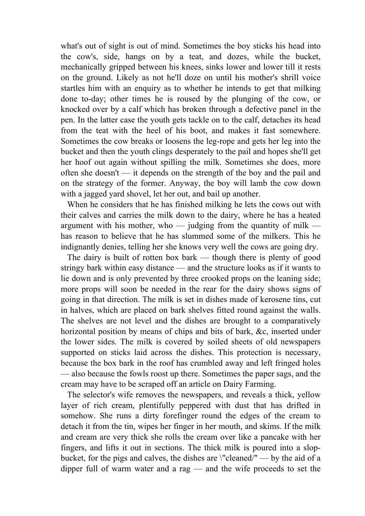what's out of sight is out of mind. Sometimes the boy sticks his head into the cow's, side, hangs on by a teat, and dozes, while the bucket, mechanically gripped between his knees, sinks lower and lower till it rests on the ground. Likely as not he'll doze on until his mother's shrill voice startles him with an enquiry as to whether he intends to get that milking done to-day; other times he is roused by the plunging of the cow, or knocked over by a calf which has broken through a defective panel in the pen. In the latter case the youth gets tackle on to the calf, detaches its head from the teat with the heel of his boot, and makes it fast somewhere. Sometimes the cow breaks or loosens the leg-rope and gets her leg into the bucket and then the youth clings desperately to the pail and hopes she'll get her hoof out again without spilling the milk. Sometimes she does, more often she doesn't — it depends on the strength of the boy and the pail and on the strategy of the former. Anyway, the boy will lamb the cow down with a jagged yard shovel, let her out, and bail up another.

 When he considers that he has finished milking he lets the cows out with their calves and carries the milk down to the dairy, where he has a heated argument with his mother, who — judging from the quantity of milk has reason to believe that he has slummed some of the milkers. This he indignantly denies, telling her she knows very well the cows are going dry.

 The dairy is built of rotten box bark — though there is plenty of good stringy bark within easy distance — and the structure looks as if it wants to lie down and is only prevented by three crooked props on the leaning side; more props will soon be needed in the rear for the dairy shows signs of going in that direction. The milk is set in dishes made of kerosene tins, cut in halves, which are placed on bark shelves fitted round against the walls. The shelves are not level and the dishes are brought to a comparatively horizontal position by means of chips and bits of bark, &c, inserted under the lower sides. The milk is covered by soiled sheets of old newspapers supported on sticks laid across the dishes. This protection is necessary, because the box bark in the roof has crumbled away and left fringed holes — also because the fowls roost up there. Sometimes the paper sags, and the cream may have to be scraped off an article on Dairy Farming.

 The selector's wife removes the newspapers, and reveals a thick, yellow layer of rich cream, plentifully peppered with dust that has drifted in somehow. She runs a dirty forefinger round the edges of the cream to detach it from the tin, wipes her finger in her mouth, and skims. If the milk and cream are very thick she rolls the cream over like a pancake with her fingers, and lifts it out in sections. The thick milk is poured into a slopbucket, for the pigs and calves, the dishes are \"cleaned/" — by the aid of a dipper full of warm water and a rag — and the wife proceeds to set the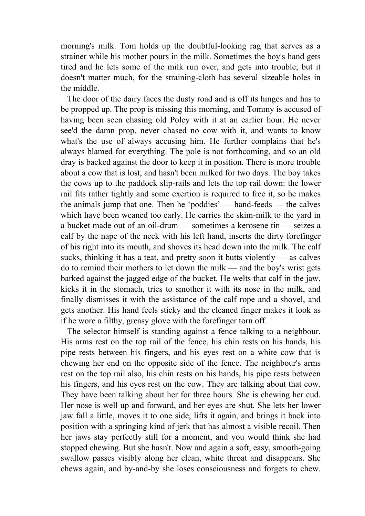morning's milk. Tom holds up the doubtful-looking rag that serves as a strainer while his mother pours in the milk. Sometimes the boy's hand gets tired and he lets some of the milk run over, and gets into trouble; but it doesn't matter much, for the straining-cloth has several sizeable holes in the middle.

 The door of the dairy faces the dusty road and is off its hinges and has to be propped up. The prop is missing this morning, and Tommy is accused of having been seen chasing old Poley with it at an earlier hour. He never see'd the damn prop, never chased no cow with it, and wants to know what's the use of always accusing him. He further complains that he's always blamed for everything. The pole is not forthcoming, and so an old dray is backed against the door to keep it in position. There is more trouble about a cow that is lost, and hasn't been milked for two days. The boy takes the cows up to the paddock slip-rails and lets the top rail down: the lower rail fits rather tightly and some exertion is required to free it, so he makes the animals jump that one. Then he 'poddies' — hand-feeds — the calves which have been weaned too early. He carries the skim-milk to the yard in a bucket made out of an oil-drum — sometimes a kerosene tin — seizes a calf by the nape of the neck with his left hand, inserts the dirty forefinger of his right into its mouth, and shoves its head down into the milk. The calf sucks, thinking it has a teat, and pretty soon it butts violently — as calves do to remind their mothers to let down the milk — and the boy's wrist gets barked against the jagged edge of the bucket. He welts that calf in the jaw, kicks it in the stomach, tries to smother it with its nose in the milk, and finally dismisses it with the assistance of the calf rope and a shovel, and gets another. His hand feels sticky and the cleaned finger makes it look as if he wore a filthy, greasy glove with the forefinger torn off.

 The selector himself is standing against a fence talking to a neighbour. His arms rest on the top rail of the fence, his chin rests on his hands, his pipe rests between his fingers, and his eyes rest on a white cow that is chewing her end on the opposite side of the fence. The neighbour's arms rest on the top rail also, his chin rests on his hands, his pipe rests between his fingers, and his eyes rest on the cow. They are talking about that cow. They have been talking about her for three hours. She is chewing her cud. Her nose is well up and forward, and her eyes are shut. She lets her lower jaw fall a little, moves it to one side, lifts it again, and brings it back into position with a springing kind of jerk that has almost a visible recoil. Then her jaws stay perfectly still for a moment, and you would think she had stopped chewing. But she hasn't. Now and again a soft, easy, smooth-going swallow passes visibly along her clean, white throat and disappears. She chews again, and by-and-by she loses consciousness and forgets to chew.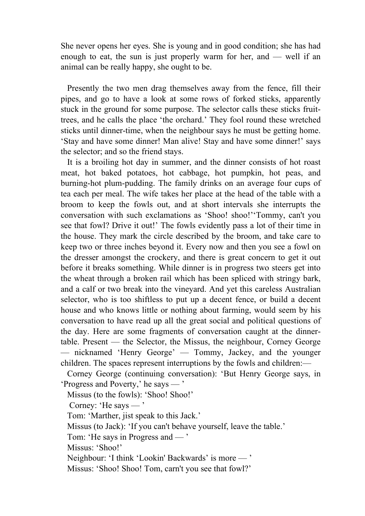She never opens her eyes. She is young and in good condition; she has had enough to eat, the sun is just properly warm for her, and — well if an animal can be really happy, she ought to be.

 Presently the two men drag themselves away from the fence, fill their pipes, and go to have a look at some rows of forked sticks, apparently stuck in the ground for some purpose. The selector calls these sticks fruittrees, and he calls the place 'the orchard.' They fool round these wretched sticks until dinner-time, when the neighbour says he must be getting home. 'Stay and have some dinner! Man alive! Stay and have some dinner!' says the selector; and so the friend stays.

 It is a broiling hot day in summer, and the dinner consists of hot roast meat, hot baked potatoes, hot cabbage, hot pumpkin, hot peas, and burning-hot plum-pudding. The family drinks on an average four cups of tea each per meal. The wife takes her place at the head of the table with a broom to keep the fowls out, and at short intervals she interrupts the conversation with such exclamations as 'Shoo! shoo!''Tommy, can't you see that fowl? Drive it out!' The fowls evidently pass a lot of their time in the house. They mark the circle described by the broom, and take care to keep two or three inches beyond it. Every now and then you see a fowl on the dresser amongst the crockery, and there is great concern to get it out before it breaks something. While dinner is in progress two steers get into the wheat through a broken rail which has been spliced with stringy bark, and a calf or two break into the vineyard. And yet this careless Australian selector, who is too shiftless to put up a decent fence, or build a decent house and who knows little or nothing about farming, would seem by his conversation to have read up all the great social and political questions of the day. Here are some fragments of conversation caught at the dinnertable. Present — the Selector, the Missus, the neighbour, Corney George — nicknamed 'Henry George' — Tommy, Jackey, and the younger children. The spaces represent interruptions by the fowls and children:—

 Corney George (continuing conversation): 'But Henry George says, in 'Progress and Poverty,' he says — '

Missus (to the fowls): 'Shoo! Shoo!'

Corney: 'He says — '

Tom: 'Marther, jist speak to this Jack.'

Missus (to Jack): 'If you can't behave yourself, leave the table.'

Tom: 'He says in Progress and — '

Missus: 'Shoo!'

Neighbour: 'I think 'Lookin' Backwards' is more — '

Missus: 'Shoo! Shoo! Tom, carn't you see that fowl?'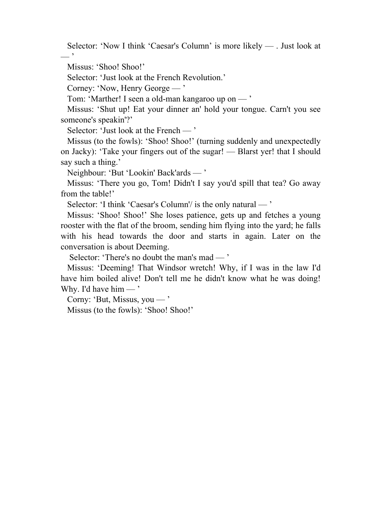Selector: 'Now I think 'Caesar's Column' is more likely — . Just look at  $-$  '

Missus: 'Shoo! Shoo!'

Selector: 'Just look at the French Revolution.'

Corney: 'Now, Henry George — '

Tom: 'Marther! I seen a old-man kangaroo up on — '

 Missus: 'Shut up! Eat your dinner an' hold your tongue. Carn't you see someone's speakin'?'

Selector: 'Just look at the French — '

 Missus (to the fowls): 'Shoo! Shoo!' (turning suddenly and unexpectedly on Jacky): 'Take your fingers out of the sugar! — Blarst yer! that I should say such a thing.'

Neighbour: 'But 'Lookin' Back'ards — '

 Missus: 'There you go, Tom! Didn't I say you'd spill that tea? Go away from the table!'

Selector: 'I think 'Caesar's Column'/ is the only natural — '

 Missus: 'Shoo! Shoo!' She loses patience, gets up and fetches a young rooster with the flat of the broom, sending him flying into the yard; he falls with his head towards the door and starts in again. Later on the conversation is about Deeming.

Selector: 'There's no doubt the man's mad — '

 Missus: 'Deeming! That Windsor wretch! Why, if I was in the law I'd have him boiled alive! Don't tell me he didn't know what he was doing! Why. I'd have him  $-$ '

Corny: 'But, Missus, you — '

Missus (to the fowls): 'Shoo! Shoo!'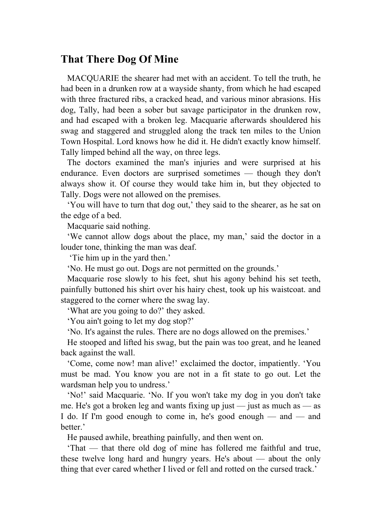## **That There Dog Of Mine**

 MACQUARIE the shearer had met with an accident. To tell the truth, he had been in a drunken row at a wayside shanty, from which he had escaped with three fractured ribs, a cracked head, and various minor abrasions. His dog, Tally, had been a sober but savage participator in the drunken row, and had escaped with a broken leg. Macquarie afterwards shouldered his swag and staggered and struggled along the track ten miles to the Union Town Hospital. Lord knows how he did it. He didn't exactly know himself. Tally limped behind all the way, on three legs.

 The doctors examined the man's injuries and were surprised at his endurance. Even doctors are surprised sometimes — though they don't always show it. Of course they would take him in, but they objected to Tally. Dogs were not allowed on the premises.

 'You will have to turn that dog out,' they said to the shearer, as he sat on the edge of a bed.

Macquarie said nothing.

 'We cannot allow dogs about the place, my man,' said the doctor in a louder tone, thinking the man was deaf.

'Tie him up in the yard then.'

'No. He must go out. Dogs are not permitted on the grounds.'

 Macquarie rose slowly to his feet, shut his agony behind his set teeth, painfully buttoned his shirt over his hairy chest, took up his waistcoat. and staggered to the corner where the swag lay.

'What are you going to do?' they asked.

'You ain't going to let my dog stop?'

'No. It's against the rules. There are no dogs allowed on the premises.'

 He stooped and lifted his swag, but the pain was too great, and he leaned back against the wall.

 'Come, come now! man alive!' exclaimed the doctor, impatiently. 'You must be mad. You know you are not in a fit state to go out. Let the wardsman help you to undress.'

 'No!' said Macquarie. 'No. If you won't take my dog in you don't take me. He's got a broken leg and wants fixing up just — just as much as — as I do. If I'm good enough to come in, he's good enough — and — and better.'

He paused awhile, breathing painfully, and then went on.

 'That — that there old dog of mine has follered me faithful and true, these twelve long hard and hungry years. He's about — about the only thing that ever cared whether I lived or fell and rotted on the cursed track.'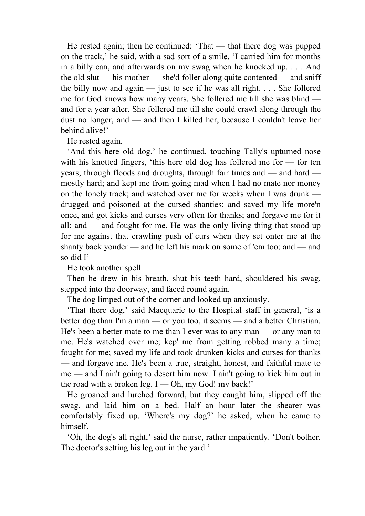He rested again; then he continued: 'That — that there dog was pupped on the track,' he said, with a sad sort of a smile. 'I carried him for months in a billy can, and afterwards on my swag when he knocked up. . . . And the old slut — his mother — she'd foller along quite contented — and sniff the billy now and again — just to see if he was all right.  $\ldots$  She follered me for God knows how many years. She follered me till she was blind and for a year after. She follered me till she could crawl along through the dust no longer, and — and then I killed her, because I couldn't leave her behind alive!'

He rested again.

 'And this here old dog,' he continued, touching Tally's upturned nose with his knotted fingers, 'this here old dog has follered me for — for ten years; through floods and droughts, through fair times and — and hard mostly hard; and kept me from going mad when I had no mate nor money on the lonely track; and watched over me for weeks when I was drunk drugged and poisoned at the cursed shanties; and saved my life more'n once, and got kicks and curses very often for thanks; and forgave me for it all; and — and fought for me. He was the only living thing that stood up for me against that crawling push of curs when they set onter me at the shanty back yonder — and he left his mark on some of 'em too; and — and so did I'

He took another spell.

 Then he drew in his breath, shut his teeth hard, shouldered his swag, stepped into the doorway, and faced round again.

The dog limped out of the corner and looked up anxiously.

 'That there dog,' said Macquarie to the Hospital staff in general, 'is a better dog than I'm a man — or you too, it seems — and a better Christian. He's been a better mate to me than I ever was to any man — or any man to me. He's watched over me; kep' me from getting robbed many a time; fought for me; saved my life and took drunken kicks and curses for thanks — and forgave me. He's been a true, straight, honest, and faithful mate to me — and I ain't going to desert him now. I ain't going to kick him out in the road with a broken leg.  $I$  — Oh, my God! my back!'

 He groaned and lurched forward, but they caught him, slipped off the swag, and laid him on a bed. Half an hour later the shearer was comfortably fixed up. 'Where's my dog?' he asked, when he came to himself.

 'Oh, the dog's all right,' said the nurse, rather impatiently. 'Don't bother. The doctor's setting his leg out in the yard.'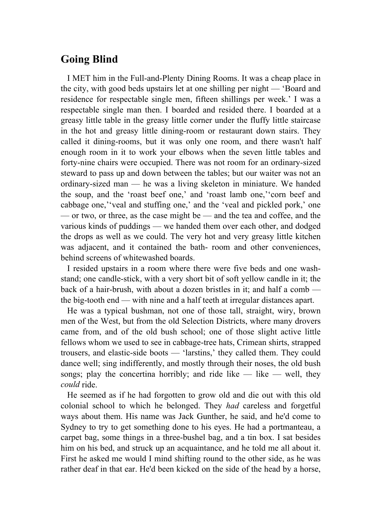# **Going Blind**

 I MET him in the Full-and-Plenty Dining Rooms. It was a cheap place in the city, with good beds upstairs let at one shilling per night — 'Board and residence for respectable single men, fifteen shillings per week.' I was a respectable single man then. I boarded and resided there. I boarded at a greasy little table in the greasy little corner under the fluffy little staircase in the hot and greasy little dining-room or restaurant down stairs. They called it dining-rooms, but it was only one room, and there wasn't half enough room in it to work your elbows when the seven little tables and forty-nine chairs were occupied. There was not room for an ordinary-sized steward to pass up and down between the tables; but our waiter was not an ordinary-sized man — he was a living skeleton in miniature. We handed the soup, and the 'roast beef one,' and 'roast lamb one,''corn beef and cabbage one,''veal and stuffing one,' and the 'veal and pickled pork,' one — or two, or three, as the case might be — and the tea and coffee, and the various kinds of puddings — we handed them over each other, and dodged the drops as well as we could. The very hot and very greasy little kitchen was adjacent, and it contained the bath- room and other conveniences, behind screens of whitewashed boards.

 I resided upstairs in a room where there were five beds and one washstand; one candle-stick, with a very short bit of soft yellow candle in it; the back of a hair-brush, with about a dozen bristles in it; and half a comb the big-tooth end — with nine and a half teeth at irregular distances apart.

 He was a typical bushman, not one of those tall, straight, wiry, brown men of the West, but from the old Selection Districts, where many drovers came from, and of the old bush school; one of those slight active little fellows whom we used to see in cabbage-tree hats, Crimean shirts, strapped trousers, and elastic-side boots — 'larstins,' they called them. They could dance well; sing indifferently, and mostly through their noses, the old bush songs; play the concertina horribly; and ride like — like — well, they *could* ride.

 He seemed as if he had forgotten to grow old and die out with this old colonial school to which he belonged. They *had* careless and forgetful ways about them. His name was Jack Gunther, he said, and he'd come to Sydney to try to get something done to his eyes. He had a portmanteau, a carpet bag, some things in a three-bushel bag, and a tin box. I sat besides him on his bed, and struck up an acquaintance, and he told me all about it. First he asked me would I mind shifting round to the other side, as he was rather deaf in that ear. He'd been kicked on the side of the head by a horse,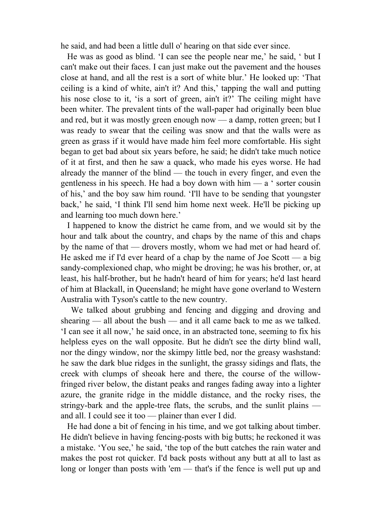he said, and had been a little dull o' hearing on that side ever since.

 He was as good as blind. 'I can see the people near me,' he said, ' but I can't make out their faces. I can just make out the pavement and the houses close at hand, and all the rest is a sort of white blur.' He looked up: 'That ceiling is a kind of white, ain't it? And this,' tapping the wall and putting his nose close to it, 'is a sort of green, ain't it?' The ceiling might have been whiter. The prevalent tints of the wall-paper had originally been blue and red, but it was mostly green enough now — a damp, rotten green; but I was ready to swear that the ceiling was snow and that the walls were as green as grass if it would have made him feel more comfortable. His sight began to get bad about six years before, he said; he didn't take much notice of it at first, and then he saw a quack, who made his eyes worse. He had already the manner of the blind — the touch in every finger, and even the gentleness in his speech. He had a boy down with him — a ' sorter cousin of his,' and the boy saw him round. 'I'll have to be sending that youngster back,' he said, 'I think I'll send him home next week. He'll be picking up and learning too much down here.'

 I happened to know the district he came from, and we would sit by the hour and talk about the country, and chaps by the name of this and chaps by the name of that — drovers mostly, whom we had met or had heard of. He asked me if I'd ever heard of a chap by the name of Joe Scott — a big sandy-complexioned chap, who might be droving; he was his brother, or, at least, his half-brother, but he hadn't heard of him for years; he'd last heard of him at Blackall, in Queensland; he might have gone overland to Western Australia with Tyson's cattle to the new country.

 We talked about grubbing and fencing and digging and droving and shearing — all about the bush — and it all came back to me as we talked. 'I can see it all now,' he said once, in an abstracted tone, seeming to fix his helpless eyes on the wall opposite. But he didn't see the dirty blind wall, nor the dingy window, nor the skimpy little bed, nor the greasy washstand: he saw the dark blue ridges in the sunlight, the grassy sidings and flats, the creek with clumps of sheoak here and there, the course of the willowfringed river below, the distant peaks and ranges fading away into a lighter azure, the granite ridge in the middle distance, and the rocky rises, the stringy-bark and the apple-tree flats, the scrubs, and the sunlit plains and all. I could see it too — plainer than ever I did.

 He had done a bit of fencing in his time, and we got talking about timber. He didn't believe in having fencing-posts with big butts; he reckoned it was a mistake. 'You see,' he said, 'the top of the butt catches the rain water and makes the post rot quicker. I'd back posts without any butt at all to last as long or longer than posts with 'em — that's if the fence is well put up and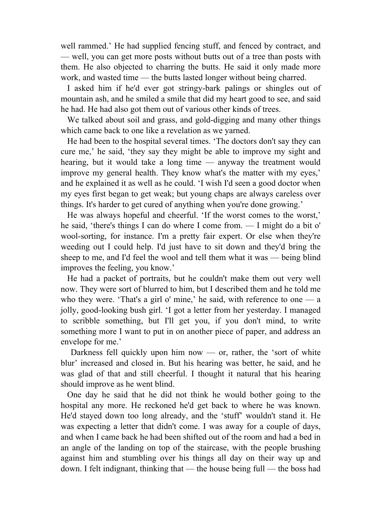well rammed.' He had supplied fencing stuff, and fenced by contract, and — well, you can get more posts without butts out of a tree than posts with them. He also objected to charring the butts. He said it only made more work, and wasted time — the butts lasted longer without being charred.

 I asked him if he'd ever got stringy-bark palings or shingles out of mountain ash, and he smiled a smile that did my heart good to see, and said he had. He had also got them out of various other kinds of trees.

 We talked about soil and grass, and gold-digging and many other things which came back to one like a revelation as we yarned.

 He had been to the hospital several times. 'The doctors don't say they can cure me,' he said, 'they say they might be able to improve my sight and hearing, but it would take a long time — anyway the treatment would improve my general health. They know what's the matter with my eyes,' and he explained it as well as he could. 'I wish I'd seen a good doctor when my eyes first began to get weak; but young chaps are always careless over things. It's harder to get cured of anything when you're done growing.'

 He was always hopeful and cheerful. 'If the worst comes to the worst,' he said, 'there's things I can do where I come from. — I might do a bit o' wool-sorting, for instance. I'm a pretty fair expert. Or else when they're weeding out I could help. I'd just have to sit down and they'd bring the sheep to me, and I'd feel the wool and tell them what it was — being blind improves the feeling, you know.'

 He had a packet of portraits, but he couldn't make them out very well now. They were sort of blurred to him, but I described them and he told me who they were. 'That's a girl o' mine,' he said, with reference to one  $-$  a jolly, good-looking bush girl. 'I got a letter from her yesterday. I managed to scribble something, but I'll get you, if you don't mind, to write something more I want to put in on another piece of paper, and address an envelope for me.'

Darkness fell quickly upon him now — or, rather, the 'sort of white blur' increased and closed in. But his hearing was better, he said, and he was glad of that and still cheerful. I thought it natural that his hearing should improve as he went blind.

 One day he said that he did not think he would bother going to the hospital any more. He reckoned he'd get back to where he was known. He'd stayed down too long already, and the 'stuff' wouldn't stand it. He was expecting a letter that didn't come. I was away for a couple of days, and when I came back he had been shifted out of the room and had a bed in an angle of the landing on top of the staircase, with the people brushing against him and stumbling over his things all day on their way up and down. I felt indignant, thinking that — the house being full — the boss had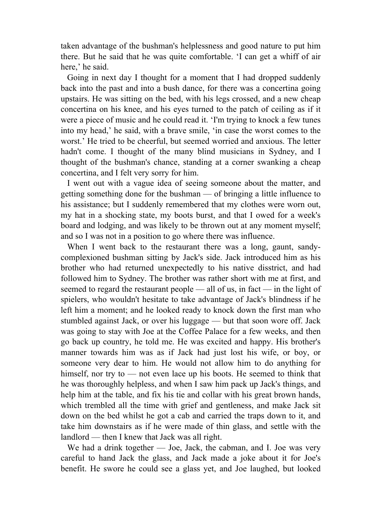taken advantage of the bushman's helplessness and good nature to put him there. But he said that he was quite comfortable. 'I can get a whiff of air here,' he said.

 Going in next day I thought for a moment that I had dropped suddenly back into the past and into a bush dance, for there was a concertina going upstairs. He was sitting on the bed, with his legs crossed, and a new cheap concertina on his knee, and his eyes turned to the patch of ceiling as if it were a piece of music and he could read it. 'I'm trying to knock a few tunes into my head,' he said, with a brave smile, 'in case the worst comes to the worst.' He tried to be cheerful, but seemed worried and anxious. The letter hadn't come. I thought of the many blind musicians in Sydney, and I thought of the bushman's chance, standing at a corner swanking a cheap concertina, and I felt very sorry for him.

 I went out with a vague idea of seeing someone about the matter, and getting something done for the bushman — of bringing a little influence to his assistance; but I suddenly remembered that my clothes were worn out, my hat in a shocking state, my boots burst, and that I owed for a week's board and lodging, and was likely to be thrown out at any moment myself; and so I was not in a position to go where there was influence.

When I went back to the restaurant there was a long, gaunt, sandycomplexioned bushman sitting by Jack's side. Jack introduced him as his brother who had returned unexpectedly to his native disstrict, and had followed him to Sydney. The brother was rather short with me at first, and seemed to regard the restaurant people — all of us, in fact — in the light of spielers, who wouldn't hesitate to take advantage of Jack's blindness if he left him a moment; and he looked ready to knock down the first man who stumbled against Jack, or over his luggage — but that soon wore off. Jack was going to stay with Joe at the Coffee Palace for a few weeks, and then go back up country, he told me. He was excited and happy. His brother's manner towards him was as if Jack had just lost his wife, or boy, or someone very dear to him. He would not allow him to do anything for himself, nor try to — not even lace up his boots. He seemed to think that he was thoroughly helpless, and when I saw him pack up Jack's things, and help him at the table, and fix his tie and collar with his great brown hands, which trembled all the time with grief and gentleness, and make Jack sit down on the bed whilst he got a cab and carried the traps down to it, and take him downstairs as if he were made of thin glass, and settle with the landlord — then I knew that Jack was all right.

We had a drink together — Joe, Jack, the cabman, and I. Joe was very careful to hand Jack the glass, and Jack made a joke about it for Joe's benefit. He swore he could see a glass yet, and Joe laughed, but looked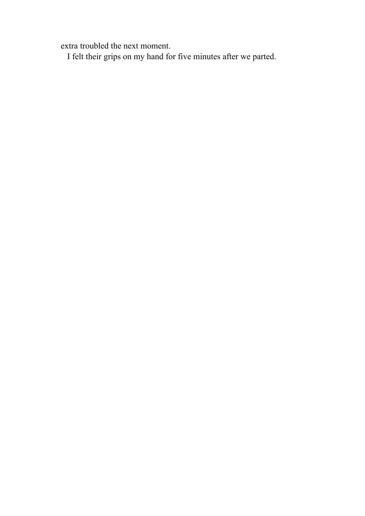extra troubled the next moment.

I felt their grips on my hand for five minutes after we parted.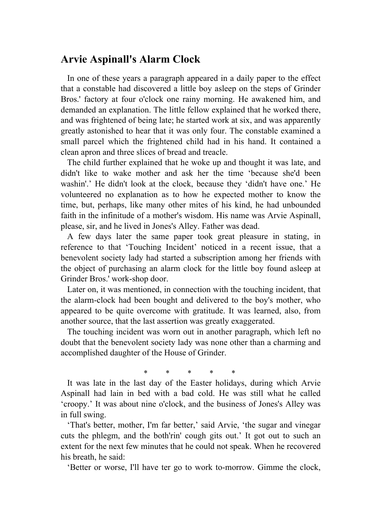## **Arvie Aspinall's Alarm Clock**

 In one of these years a paragraph appeared in a daily paper to the effect that a constable had discovered a little boy asleep on the steps of Grinder Bros.' factory at four o'clock one rainy morning. He awakened him, and demanded an explanation. The little fellow explained that he worked there, and was frightened of being late; he started work at six, and was apparently greatly astonished to hear that it was only four. The constable examined a small parcel which the frightened child had in his hand. It contained a clean apron and three slices of bread and treacle.

 The child further explained that he woke up and thought it was late, and didn't like to wake mother and ask her the time 'because she'd been washin'.' He didn't look at the clock, because they 'didn't have one.' He volunteered no explanation as to how he expected mother to know the time, but, perhaps, like many other mites of his kind, he had unbounded faith in the infinitude of a mother's wisdom. His name was Arvie Aspinall, please, sir, and he lived in Jones's Alley. Father was dead.

 A few days later the same paper took great pleasure in stating, in reference to that 'Touching Incident' noticed in a recent issue, that a benevolent society lady had started a subscription among her friends with the object of purchasing an alarm clock for the little boy found asleep at Grinder Bros.' work-shop door.

 Later on, it was mentioned, in connection with the touching incident, that the alarm-clock had been bought and delivered to the boy's mother, who appeared to be quite overcome with gratitude. It was learned, also, from another source, that the last assertion was greatly exaggerated.

 The touching incident was worn out in another paragraph, which left no doubt that the benevolent society lady was none other than a charming and accomplished daughter of the House of Grinder.

\* \* \* \* \*

 It was late in the last day of the Easter holidays, during which Arvie Aspinall had lain in bed with a bad cold. He was still what he called 'croopy.' It was about nine o'clock, and the business of Jones's Alley was in full swing.

 'That's better, mother, I'm far better,' said Arvie, 'the sugar and vinegar cuts the phlegm, and the both'rin' cough gits out.' It got out to such an extent for the next few minutes that he could not speak. When he recovered his breath, he said:

'Better or worse, I'll have ter go to work to-morrow. Gimme the clock,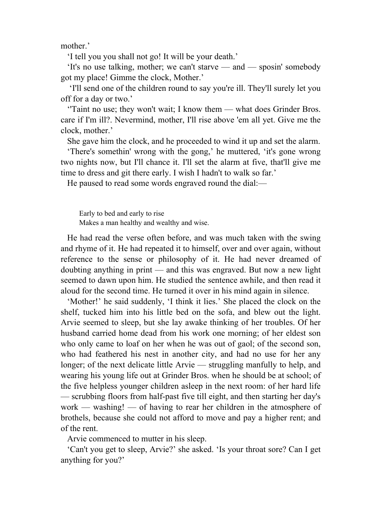mother.'

'I tell you you shall not go! It will be your death.'

 'It's no use talking, mother; we can't starve — and — sposin' somebody got my place! Gimme the clock, Mother.'

 'I'll send one of the children round to say you're ill. They'll surely let you off for a day or two.'

 ''Taint no use; they won't wait; I know them — what does Grinder Bros. care if I'm ill?. Nevermind, mother, I'll rise above 'em all yet. Give me the clock, mother.'

She gave him the clock, and he proceeded to wind it up and set the alarm.

 'There's somethin' wrong with the gong,' he muttered, 'it's gone wrong two nights now, but I'll chance it. I'll set the alarm at five, that'll give me time to dress and git there early. I wish I hadn't to walk so far.'

He paused to read some words engraved round the dial:—

Early to bed and early to rise Makes a man healthy and wealthy and wise.

 He had read the verse often before, and was much taken with the swing and rhyme of it. He had repeated it to himself, over and over again, without reference to the sense or philosophy of it. He had never dreamed of doubting anything in print — and this was engraved. But now a new light seemed to dawn upon him. He studied the sentence awhile, and then read it aloud for the second time. He turned it over in his mind again in silence.

 'Mother!' he said suddenly, 'I think it lies.' She placed the clock on the shelf, tucked him into his little bed on the sofa, and blew out the light. Arvie seemed to sleep, but she lay awake thinking of her troubles. Of her husband carried home dead from his work one morning; of her eldest son who only came to loaf on her when he was out of gaol; of the second son, who had feathered his nest in another city, and had no use for her any longer; of the next delicate little Arvie — struggling manfully to help, and wearing his young life out at Grinder Bros. when he should be at school; of the five helpless younger children asleep in the next room: of her hard life — scrubbing floors from half-past five till eight, and then starting her day's work — washing! — of having to rear her children in the atmosphere of brothels, because she could not afford to move and pay a higher rent; and of the rent.

Arvie commenced to mutter in his sleep.

 'Can't you get to sleep, Arvie?' she asked. 'Is your throat sore? Can I get anything for you?'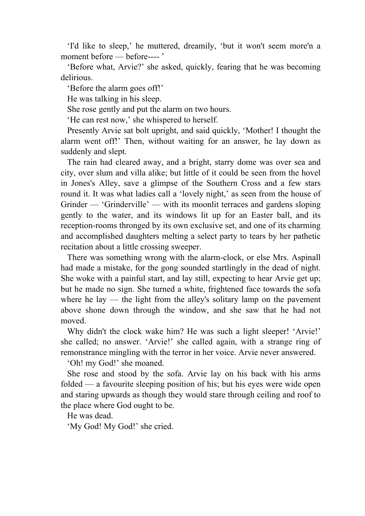'I'd like to sleep,' he muttered, dreamily, 'but it won't seem more'n a moment before — before---- '

 'Before what, Arvie?' she asked, quickly, fearing that he was becoming delirious.

'Before the alarm goes off!'

He was talking in his sleep.

She rose gently and put the alarm on two hours.

'He can rest now,' she whispered to herself.

 Presently Arvie sat bolt upright, and said quickly, 'Mother! I thought the alarm went off!' Then, without waiting for an answer, he lay down as suddenly and slept.

 The rain had cleared away, and a bright, starry dome was over sea and city, over slum and villa alike; but little of it could be seen from the hovel in Jones's Alley, save a glimpse of the Southern Cross and a few stars round it. It was what ladies call a 'lovely night,' as seen from the house of Grinder — 'Grinderville' — with its moonlit terraces and gardens sloping gently to the water, and its windows lit up for an Easter ball, and its reception-rooms thronged by its own exclusive set, and one of its charming and accomplished daughters melting a select party to tears by her pathetic recitation about a little crossing sweeper.

 There was something wrong with the alarm-clock, or else Mrs. Aspinall had made a mistake, for the gong sounded startlingly in the dead of night. She woke with a painful start, and lay still, expecting to hear Arvie get up; but he made no sign. She turned a white, frightened face towards the sofa where he lay  $-$  the light from the alley's solitary lamp on the pavement above shone down through the window, and she saw that he had not moved.

Why didn't the clock wake him? He was such a light sleeper! 'Arvie!' she called; no answer. 'Arvie!' she called again, with a strange ring of remonstrance mingling with the terror in her voice. Arvie never answered.

'Oh! my God!' she moaned.

 She rose and stood by the sofa. Arvie lay on his back with his arms folded — a favourite sleeping position of his; but his eyes were wide open and staring upwards as though they would stare through ceiling and roof to the place where God ought to be.

He was dead.

'My God! My God!' she cried.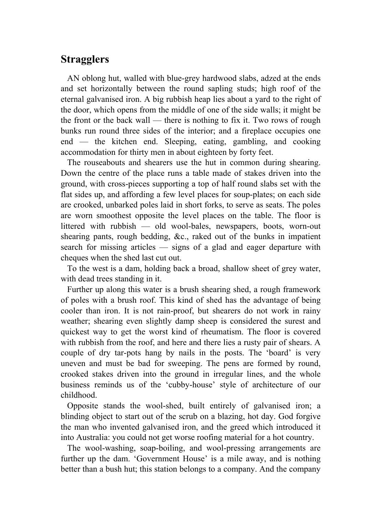## **Stragglers**

 AN oblong hut, walled with blue-grey hardwood slabs, adzed at the ends and set horizontally between the round sapling studs; high roof of the eternal galvanised iron. A big rubbish heap lies about a yard to the right of the door, which opens from the middle of one of the side walls; it might be the front or the back wall — there is nothing to fix it. Two rows of rough bunks run round three sides of the interior; and a fireplace occupies one end — the kitchen end. Sleeping, eating, gambling, and cooking accommodation for thirty men in about eighteen by forty feet.

 The rouseabouts and shearers use the hut in common during shearing. Down the centre of the place runs a table made of stakes driven into the ground, with cross-pieces supporting a top of half round slabs set with the flat sides up, and affording a few level places for soup-plates; on each side are crooked, unbarked poles laid in short forks, to serve as seats. The poles are worn smoothest opposite the level places on the table. The floor is littered with rubbish — old wool-bales, newspapers, boots, worn-out shearing pants, rough bedding, &c., raked out of the bunks in impatient search for missing articles — signs of a glad and eager departure with cheques when the shed last cut out.

 To the west is a dam, holding back a broad, shallow sheet of grey water, with dead trees standing in it.

 Further up along this water is a brush shearing shed, a rough framework of poles with a brush roof. This kind of shed has the advantage of being cooler than iron. It is not rain-proof, but shearers do not work in rainy weather; shearing even slightly damp sheep is considered the surest and quickest way to get the worst kind of rheumatism. The floor is covered with rubbish from the roof, and here and there lies a rusty pair of shears. A couple of dry tar-pots hang by nails in the posts. The 'board' is very uneven and must be bad for sweeping. The pens are formed by round, crooked stakes driven into the ground in irregular lines, and the whole business reminds us of the 'cubby-house' style of architecture of our childhood.

 Opposite stands the wool-shed, built entirely of galvanised iron; a blinding object to start out of the scrub on a blazing, hot day. God forgive the man who invented galvanised iron, and the greed which introduced it into Australia: you could not get worse roofing material for a hot country.

 The wool-washing, soap-boiling, and wool-pressing arrangements are further up the dam. 'Government House' is a mile away, and is nothing better than a bush hut; this station belongs to a company. And the company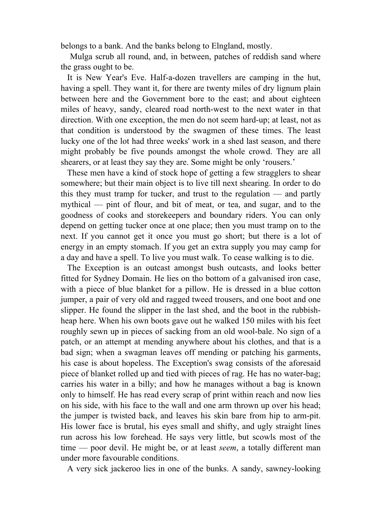belongs to a bank. And the banks belong to Elngland, mostly.

 Mulga scrub all round, and, in between, patches of reddish sand where the grass ought to be.

 It is New Year's Eve. Half-a-dozen travellers are camping in the hut, having a spell. They want it, for there are twenty miles of dry lignum plain between here and the Government bore to the east; and about eighteen miles of heavy, sandy, cleared road north-west to the next water in that direction. With one exception, the men do not seem hard-up; at least, not as that condition is understood by the swagmen of these times. The least lucky one of the lot had three weeks' work in a shed last season, and there might probably be five pounds amongst the whole crowd. They are all shearers, or at least they say they are. Some might be only 'rousers.'

 These men have a kind of stock hope of getting a few stragglers to shear somewhere; but their main object is to live till next shearing. In order to do this they must tramp for tucker, and trust to the regulation — and partly mythical — pint of flour, and bit of meat, or tea, and sugar, and to the goodness of cooks and storekeepers and boundary riders. You can only depend on getting tucker once at one place; then you must tramp on to the next. If you cannot get it once you must go short; but there is a lot of energy in an empty stomach. If you get an extra supply you may camp for a day and have a spell. To live you must walk. To cease walking is to die.

 The Exception is an outcast amongst bush outcasts, and looks better fitted for Sydney Domain. He lies on tho bottom of a galvanised iron case, with a piece of blue blanket for a pillow. He is dressed in a blue cotton jumper, a pair of very old and ragged tweed trousers, and one boot and one slipper. He found the slipper in the last shed, and the boot in the rubbishheap here. When his own boots gave out he walked 150 miles with his feet roughly sewn up in pieces of sacking from an old wool-bale. No sign of a patch, or an attempt at mending anywhere about his clothes, and that is a bad sign; when a swagman leaves off mending or patching his garments, his case is about hopeless. The Exception's swag consists of the aforesaid piece of blanket rolled up and tied with pieces of rag. He has no water-bag; carries his water in a billy; and how he manages without a bag is known only to himself. He has read every scrap of print within reach and now lies on his side, with his face to the wall and one arm thrown up over his head; the jumper is twisted back, and leaves his skin bare from hip to arm-pit. His lower face is brutal, his eyes small and shifty, and ugly straight lines run across his low forehead. He says very little, but scowls most of the time — poor devil. He might be, or at least *seem*, a totally different man under more favourable conditions.

A very sick jackeroo lies in one of the bunks. A sandy, sawney-looking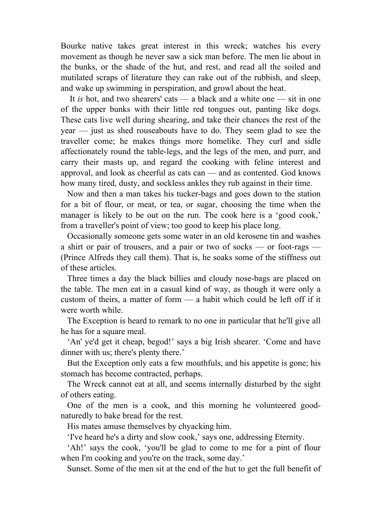Bourke native takes great interest in this wreck; watches his every movement as though he never saw a sick man before. The men lie about in the bunks, or the shade of the hut, and rest, and read all the soiled and mutilated scraps of literature they can rake out of the rubbish, and sleep, and wake up swimming in perspiration, and growl about the heat.

 It *is* hot, and two shearers' cats — a black and a white one — sit in one of the upper bunks with their little red tongues out, panting like dogs. These cats live well during shearing, and take their chances the rest of the year — just as shed rouseabouts have to do. They seem glad to see the traveller come; he makes things more homelike. They curl and sidle affectionately round the table-legs, and the legs of the men, and purr, and carry their masts up, and regard the cooking with feline interest and approval, and look as cheerful as cats can — and as contented. God knows how many tired, dusty, and sockless ankles they rub against in their time.

 Now and then a man takes his tucker-bags and goes down to the station for a bit of flour, or meat, or tea, or sugar, choosing the time when the manager is likely to be out on the run. The cook here is a 'good cook,' from a traveller's point of view; too good to keep his place long.

 Occasionally someone gets some water in an old kerosene tin and washes a shirt or pair of trousers, and a pair or two of socks — or foot-rags — (Prince Alfreds they call them). That is, he soaks some of the stiffness out of these articles.

 Three times a day the black billies and cloudy nose-bags are placed on the table. The men eat in a casual kind of way, as though it were only a custom of theirs, a matter of form — a habit which could be left off if it were worth while.

 The Exception is heard to remark to no one in particular that he'll give all he has for a square meal.

 'An' ye'd get it cheap, begod!' says a big Irish shearer. 'Come and have dinner with us; there's plenty there.'

 But the Exception only eats a few mouthfuls, and his appetite is gone; his stomach has become contracted, perhaps.

 The Wreck cannot eat at all, and seems internally disturbed by the sight of others eating.

 One of the men is a cook, and this morning he volunteered goodnaturedly to bake bread for the rest.

His mates amuse themselves by chyacking him.

'I've heard he's a dirty and slow cook,' says one, addressing Eternity.

 'Ah!' says the cook, 'you'll be glad to come to me for a pint of flour when I'm cooking and you're on the track, some day.'

Sunset. Some of the men sit at the end of the hut to get the full benefit of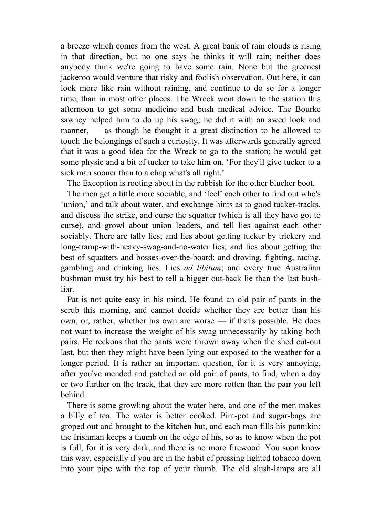a breeze which comes from the west. A great bank of rain clouds is rising in that direction, but no one says he thinks it will rain; neither does anybody think we're going to have some rain. None but the greenest jackeroo would venture that risky and foolish observation. Out here, it can look more like rain without raining, and continue to do so for a longer time, than in most other places. The Wreck went down to the station this afternoon to get some medicine and bush medical advice. The Bourke sawney helped him to do up his swag; he did it with an awed look and manner, — as though he thought it a great distinction to be allowed to touch the belongings of such a curiosity. It was afterwards generally agreed that it was a good idea for the Wreck to go to the station; he would get some physic and a bit of tucker to take him on. 'For they'll give tucker to a sick man sooner than to a chap what's all right.'

The Exception is rooting about in the rubbish for the other blucher boot.

 The men get a little more sociable, and 'feel' each other to find out who's 'union,' and talk about water, and exchange hints as to good tucker-tracks, and discuss the strike, and curse the squatter (which is all they have got to curse), and growl about union leaders, and tell lies against each other sociably. There are tally lies; and lies about getting tucker by trickery and long-tramp-with-heavy-swag-and-no-water lies; and lies about getting the best of squatters and bosses-over-the-board; and droving, fighting, racing, gambling and drinking lies. Lies *ad libitum*; and every true Australian bushman must try his best to tell a bigger out-back lie than the last bushliar.

 Pat is not quite easy in his mind. He found an old pair of pants in the scrub this morning, and cannot decide whether they are better than his own, or, rather, whether his own are worse — if that's possible. He does not want to increase the weight of his swag unnecessarily by taking both pairs. He reckons that the pants were thrown away when the shed cut-out last, but then they might have been lying out exposed to the weather for a longer period. It is rather an important question, for it is very annoying, after you've mended and patched an old pair of pants, to find, when a day or two further on the track, that they are more rotten than the pair you left behind.

 There is some growling about the water here, and one of the men makes a billy of tea. The water is better cooked. Pint-pot and sugar-bags are groped out and brought to the kitchen hut, and each man fills his pannikin; the Irishman keeps a thumb on the edge of his, so as to know when the pot is full, for it is very dark, and there is no more firewood. You soon know this way, especially if you are in the habit of pressing lighted tobacco down into your pipe with the top of your thumb. The old slush-lamps are all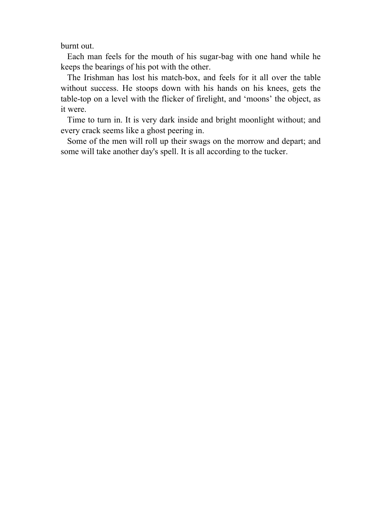burnt out.

 Each man feels for the mouth of his sugar-bag with one hand while he keeps the bearings of his pot with the other.

 The Irishman has lost his match-box, and feels for it all over the table without success. He stoops down with his hands on his knees, gets the table-top on a level with the flicker of firelight, and 'moons' the object, as it were.

 Time to turn in. It is very dark inside and bright moonlight without; and every crack seems like a ghost peering in.

 Some of the men will roll up their swags on the morrow and depart; and some will take another day's spell. It is all according to the tucker.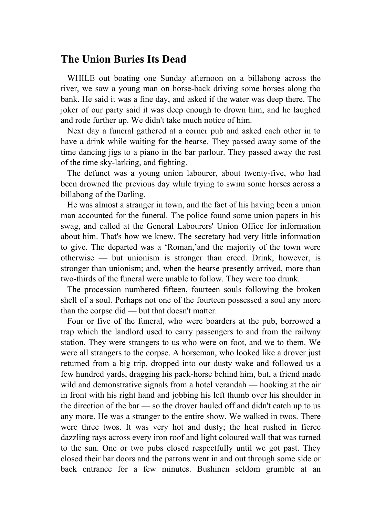#### **The Union Buries Its Dead**

 WHILE out boating one Sunday afternoon on a billabong across the river, we saw a young man on horse-back driving some horses along tho bank. He said it was a fine day, and asked if the water was deep there. The joker of our party said it was deep enough to drown him, and he laughed and rode further up. We didn't take much notice of him.

 Next day a funeral gathered at a corner pub and asked each other in to have a drink while waiting for the hearse. They passed away some of the time dancing jigs to a piano in the bar parlour. They passed away the rest of the time sky-larking, and fighting.

 The defunct was a young union labourer, about twenty-five, who had been drowned the previous day while trying to swim some horses across a billabong of the Darling.

 He was almost a stranger in town, and the fact of his having been a union man accounted for the funeral. The police found some union papers in his swag, and called at the General Labourers' Union Office for information about him. That's how we knew. The secretary had very little information to give. The departed was a 'Roman,'and the majority of the town were otherwise — but unionism is stronger than creed. Drink, however, is stronger than unionism; and, when the hearse presently arrived, more than two-thirds of the funeral were unable to follow. They were too drunk.

 The procession numbered fifteen, fourteen souls following the broken shell of a soul. Perhaps not one of the fourteen possessed a soul any more than the corpse did — but that doesn't matter.

 Four or five of the funeral, who were boarders at the pub, borrowed a trap which the landlord used to carry passengers to and from the railway station. They were strangers to us who were on foot, and we to them. We were all strangers to the corpse. A horseman, who looked like a drover just returned from a big trip, dropped into our dusty wake and followed us a few hundred yards, dragging his pack-horse behind him, but, a friend made wild and demonstrative signals from a hotel verandah — hooking at the air in front with his right hand and jobbing his left thumb over his shoulder in the direction of the bar — so the drover hauled off and didn't catch up to us any more. He was a stranger to the entire show. We walked in twos. There were three twos. It was very hot and dusty; the heat rushed in fierce dazzling rays across every iron roof and light coloured wall that was turned to the sun. One or two pubs closed respectfully until we got past. They closed their bar doors and the patrons went in and out through some side or back entrance for a few minutes. Bushinen seldom grumble at an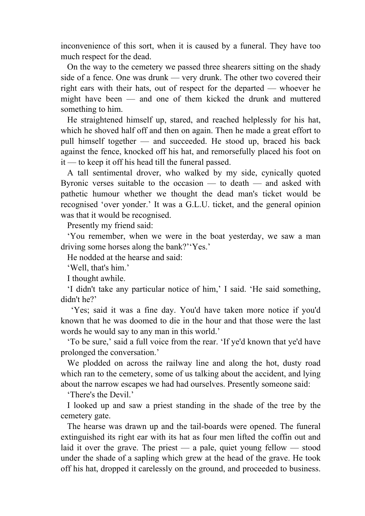inconvenience of this sort, when it is caused by a funeral. They have too much respect for the dead.

 On the way to the cemetery we passed three shearers sitting on the shady side of a fence. One was drunk — very drunk. The other two covered their right ears with their hats, out of respect for the departed — whoever he might have been — and one of them kicked the drunk and muttered something to him.

 He straightened himself up, stared, and reached helplessly for his hat, which he shoved half off and then on again. Then he made a great effort to pull himself together — and succeeded. He stood up, braced his back against the fence, knocked off his hat, and remorsefully placed his foot on it — to keep it off his head till the funeral passed.

 A tall sentimental drover, who walked by my side, cynically quoted Byronic verses suitable to the occasion — to death — and asked with pathetic humour whether we thought the dead man's ticket would be recognised 'over yonder.' It was a G.L.U. ticket, and the general opinion was that it would be recognised.

Presently my friend said:

 'You remember, when we were in the boat yesterday, we saw a man driving some horses along the bank?''Yes.'

He nodded at the hearse and said:

'Well, that's him.'

I thought awhile.

 'I didn't take any particular notice of him,' I said. 'He said something, didn't he?'

 'Yes; said it was a fine day. You'd have taken more notice if you'd known that he was doomed to die in the hour and that those were the last words he would say to any man in this world.'

 'To be sure,' said a full voice from the rear. 'If ye'd known that ye'd have prolonged the conversation.'

 We plodded on across the railway line and along the hot, dusty road which ran to the cemetery, some of us talking about the accident, and lying about the narrow escapes we had had ourselves. Presently someone said:

'There's the Devil.'

 I looked up and saw a priest standing in the shade of the tree by the cemetery gate.

 The hearse was drawn up and the tail-boards were opened. The funeral extinguished its right ear with its hat as four men lifted the coffin out and laid it over the grave. The priest — a pale, quiet young fellow — stood under the shade of a sapling which grew at the head of the grave. He took off his hat, dropped it carelessly on the ground, and proceeded to business.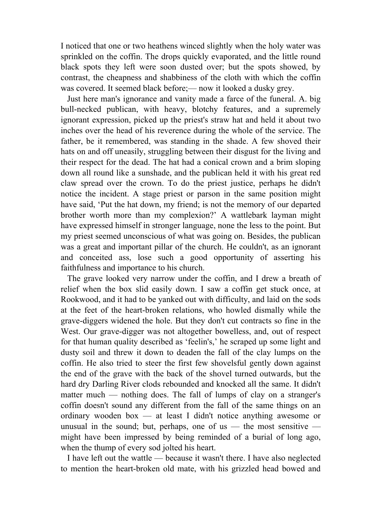I noticed that one or two heathens winced slightly when the holy water was sprinkled on the coffin. The drops quickly evaporated, and the little round black spots they left were soon dusted over; but the spots showed, by contrast, the cheapness and shabbiness of the cloth with which the coffin was covered. It seemed black before;— now it looked a dusky grey.

 Just here man's ignorance and vanity made a farce of the funeral. A. big bull-necked publican, with heavy, blotchy features, and a supremely ignorant expression, picked up the priest's straw hat and held it about two inches over the head of his reverence during the whole of the service. The father, be it remembered, was standing in the shade. A few shoved their hats on and off uneasily, struggling between their disgust for the living and their respect for the dead. The hat had a conical crown and a brim sloping down all round like a sunshade, and the publican held it with his great red claw spread over the crown. To do the priest justice, perhaps he didn't notice the incident. A stage priest or parson in the same position might have said, 'Put the hat down, my friend; is not the memory of our departed brother worth more than my complexion?' A wattlebark layman might have expressed himself in stronger language, none the less to the point. But my priest seemed unconscious of what was going on. Besides, the publican was a great and important pillar of the church. He couldn't, as an ignorant and conceited ass, lose such a good opportunity of asserting his faithfulness and importance to his church.

 The grave looked very narrow under the coffin, and I drew a breath of relief when the box slid easily down. I saw a coffin get stuck once, at Rookwood, and it had to be yanked out with difficulty, and laid on the sods at the feet of the heart-broken relations, who howled dismally while the grave-diggers widened the hole. But they don't cut contracts so fine in the West. Our grave-digger was not altogether bowelless, and, out of respect for that human quality described as 'feelin's,' he scraped up some light and dusty soil and threw it down to deaden the fall of the clay lumps on the coffin. He also tried to steer the first few shovelsful gently down against the end of the grave with the back of the shovel turned outwards, but the hard dry Darling River clods rebounded and knocked all the same. It didn't matter much — nothing does. The fall of lumps of clay on a stranger's coffin doesn't sound any different from the fall of the same things on an ordinary wooden box — at least I didn't notice anything awesome or unusual in the sound; but, perhaps, one of us — the most sensitive might have been impressed by being reminded of a burial of long ago, when the thump of every sod jolted his heart.

 I have left out the wattle — because it wasn't there. I have also neglected to mention the heart-broken old mate, with his grizzled head bowed and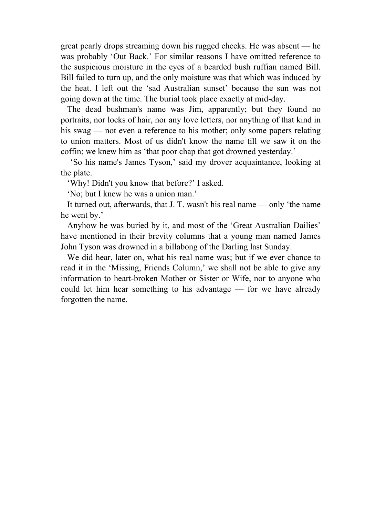great pearly drops streaming down his rugged cheeks. He was absent — he was probably 'Out Back.' For similar reasons I have omitted reference to the suspicious moisture in the eyes of a bearded bush ruffian named Bill. Bill failed to turn up, and the only moisture was that which was induced by the heat. I left out the 'sad Australian sunset' because the sun was not going down at the time. The burial took place exactly at mid-day.

 The dead bushman's name was Jim, apparently; but they found no portraits, nor locks of hair, nor any love letters, nor anything of that kind in his swag — not even a reference to his mother; only some papers relating to union matters. Most of us didn't know the name till we saw it on the coffin; we knew him as 'that poor chap that got drowned yesterday.'

 'So his name's James Tyson,' said my drover acquaintance, looking at the plate.

'Why! Didn't you know that before?' I asked.

'No; but I knew he was a union man.'

 It turned out, afterwards, that J. T. wasn't his real name — only 'the name he went by.'

 Anyhow he was buried by it, and most of the 'Great Australian Dailies' have mentioned in their brevity columns that a young man named James John Tyson was drowned in a billabong of the Darling last Sunday.

 We did hear, later on, what his real name was; but if we ever chance to read it in the 'Missing, Friends Column,' we shall not be able to give any information to heart-broken Mother or Sister or Wife, nor to anyone who could let him hear something to his advantage — for we have already forgotten the name.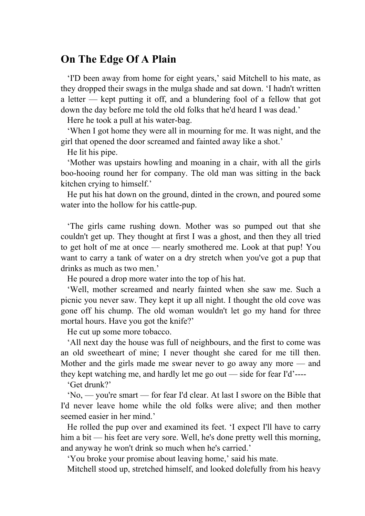## **On The Edge Of A Plain**

 'I'D been away from home for eight years,' said Mitchell to his mate, as they dropped their swags in the mulga shade and sat down. 'I hadn't written a letter — kept putting it off, and a blundering fool of a fellow that got down the day before me told the old folks that he'd heard I was dead.'

Here he took a pull at his water-bag.

 'When I got home they were all in mourning for me. It was night, and the girl that opened the door screamed and fainted away like a shot.'

He lit his pipe.

 'Mother was upstairs howling and moaning in a chair, with all the girls boo-hooing round her for company. The old man was sitting in the back kitchen crying to himself.'

 He put his hat down on the ground, dinted in the crown, and poured some water into the hollow for his cattle-pup.

 'The girls came rushing down. Mother was so pumped out that she couldn't get up. They thought at first I was a ghost, and then they all tried to get holt of me at once — nearly smothered me. Look at that pup! You want to carry a tank of water on a dry stretch when you've got a pup that drinks as much as two men.'

He poured a drop more water into the top of his hat.

 'Well, mother screamed and nearly fainted when she saw me. Such a picnic you never saw. They kept it up all night. I thought the old cove was gone off his chump. The old woman wouldn't let go my hand for three mortal hours. Have you got the knife?'

He cut up some more tobacco.

 'All next day the house was full of neighbours, and the first to come was an old sweetheart of mine; I never thought she cared for me till then. Mother and the girls made me swear never to go away any more — and they kept watching me, and hardly let me go out — side for fear I'd'----

'Get drunk?'

 'No, — you're smart — for fear I'd clear. At last I swore on the Bible that I'd never leave home while the old folks were alive; and then mother seemed easier in her mind.'

 He rolled the pup over and examined its feet. 'I expect I'll have to carry him a bit — his feet are very sore. Well, he's done pretty well this morning, and anyway he won't drink so much when he's carried.'

'You broke your promise about leaving home,' said his mate.

Mitchell stood up, stretched himself, and looked dolefully from his heavy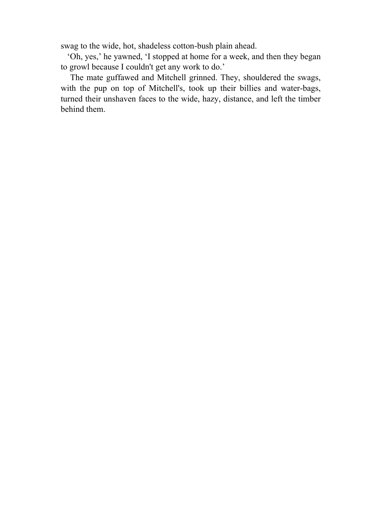swag to the wide, hot, shadeless cotton-bush plain ahead.

 'Oh, yes,' he yawned, 'I stopped at home for a week, and then they began to growl because I couldn't get any work to do.'

 The mate guffawed and Mitchell grinned. They, shouldered the swags, with the pup on top of Mitchell's, took up their billies and water-bags, turned their unshaven faces to the wide, hazy, distance, and left the timber behind them.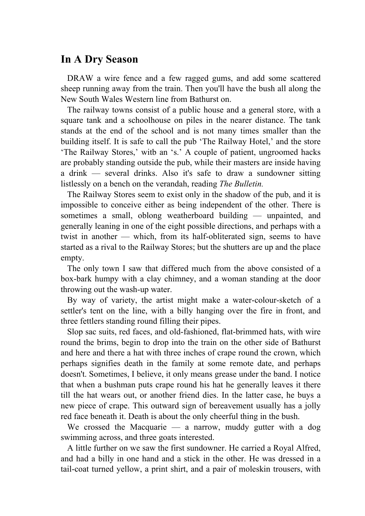## **In A Dry Season**

 DRAW a wire fence and a few ragged gums, and add some scattered sheep running away from the train. Then you'll have the bush all along the New South Wales Western line from Bathurst on.

 The railway towns consist of a public house and a general store, with a square tank and a schoolhouse on piles in the nearer distance. The tank stands at the end of the school and is not many times smaller than the building itself. It is safe to call the pub 'The Railway Hotel,' and the store 'The Railway Stores,' witb an 's.' A couple of patient, ungroomed hacks are probably standing outside the pub, while their masters are inside having a drink — several drinks. Also it's safe to draw a sundowner sitting listlessly on a bench on the verandah, reading *The Bulletin.*

 The Railway Stores seem to exist only in the shadow of the pub, and it is impossible to conceive either as being independent of the other. There is sometimes a small, oblong weatherboard building — unpainted, and generally leaning in one of the eight possible directions, and perhaps with a twist in another — which, from its half-obliterated sign, seems to have started as a rival to the Railway Stores; but the shutters are up and the place empty.

 The only town I saw that differed much from the above consisted of a box-bark humpy with a clay chimney, and a woman standing at the door throwing out the wash-up water.

 By way of variety, the artist might make a water-colour-sketch of a settler's tent on the line, with a billy hanging over the fire in front, and three fettlers standing round filling their pipes.

 Slop sac suits, red faces, and old-fashioned, flat-brimmed hats, with wire round the brims, begin to drop into the train on the other side of Bathurst and here and there a hat with three inches of crape round the crown, which perhaps signifies death in the family at some remote date, and perhaps doesn't. Sometimes, I believe, it only means grease under the band. I notice that when a bushman puts crape round his hat he generally leaves it there till the hat wears out, or another friend dies. In the latter case, he buys a new piece of crape. This outward sign of bereavement usually has a jolly red face beneath it. Death is about the only cheerful thing in the bush.

We crossed the Macquarie  $-$  a narrow, muddy gutter with a dog swimming across, and three goats interested.

 A little further on we saw the first sundowner. He carried a Royal Alfred, and had a billy in one hand and a stick in the other. He was dressed in a tail-coat turned yellow, a print shirt, and a pair of moleskin trousers, with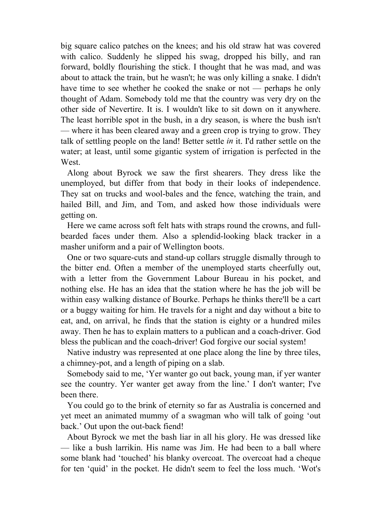big square calico patches on the knees; and his old straw hat was covered with calico. Suddenly he slipped his swag, dropped his billy, and ran forward, boldly flourishing the stick. I thought that he was mad, and was about to attack the train, but he wasn't; he was only killing a snake. I didn't have time to see whether he cooked the snake or not — perhaps he only thought of Adam. Somebody told me that the country was very dry on the other side of Nevertire. It is. I wouldn't like to sit down on it anywhere. The least horrible spot in the bush, in a dry season, is where the bush isn't — where it has been cleared away and a green crop is trying to grow. They talk of settling people on the land! Better settle *in* it. I'd rather settle on the water; at least, until some gigantic system of irrigation is perfected in the West.

 Along about Byrock we saw the first shearers. They dress like the unemployed, but differ from that body in their looks of independence. They sat on trucks and wool-bales and the fence, watching the train, and hailed Bill, and Jim, and Tom, and asked how those individuals were getting on.

 Here we came across soft felt hats with straps round the crowns, and fullbearded faces under them. Also a splendid-looking black tracker in a masher uniform and a pair of Wellington boots.

 One or two square-cuts and stand-up collars struggle dismally through to the bitter end. Often a member of the unemployed starts cheerfully out, with a letter from the Government Labour Bureau in his pocket, and nothing else. He has an idea that the station where he has the job will be within easy walking distance of Bourke. Perhaps he thinks there'll be a cart or a buggy waiting for him. He travels for a night and day without a bite to eat, and, on arrival, he finds that the station is eighty or a hundred miles away. Then he has to explain matters to a publican and a coach-driver. God bless the publican and the coach-driver! God forgive our social system!

 Native industry was represented at one place along the line by three tiles, a chimney-pot, and a length of piping on a slab.

 Somebody said to me, 'Yer wanter go out back, young man, if yer wanter see the country. Yer wanter get away from the line.' I don't wanter; I've been there.

 You could go to the brink of eternity so far as Australia is concerned and yet meet an animated mummy of a swagman who will talk of going 'out back.' Out upon the out-back fiend!

 About Byrock we met the bash liar in all his glory. He was dressed like — like a bush larrikin. His name was Jim. He had been to a ball where some blank had 'touched' his blanky overcoat. The overcoat had a cheque for ten 'quid' in the pocket. He didn't seem to feel the loss much. 'Wot's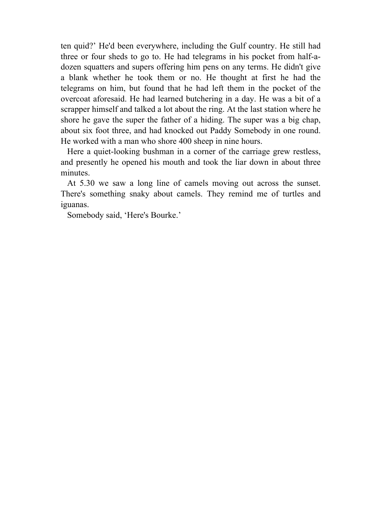ten quid?' He'd been everywhere, including the Gulf country. He still had three or four sheds to go to. He had telegrams in his pocket from half-adozen squatters and supers offering him pens on any terms. He didn't give a blank whether he took them or no. He thought at first he had the telegrams on him, but found that he had left them in the pocket of the overcoat aforesaid. He had learned butchering in a day. He was a bit of a scrapper himself and talked a lot about the ring. At the last station where he shore he gave the super the father of a hiding. The super was a big chap, about six foot three, and had knocked out Paddy Somebody in one round. He worked with a man who shore 400 sheep in nine hours.

 Here a quiet-looking bushman in a corner of the carriage grew restless, and presently he opened his mouth and took the liar down in about three minutes.

 At 5.30 we saw a long line of camels moving out across the sunset. There's something snaky about camels. They remind me of turtles and iguanas.

Somebody said, 'Here's Bourke.'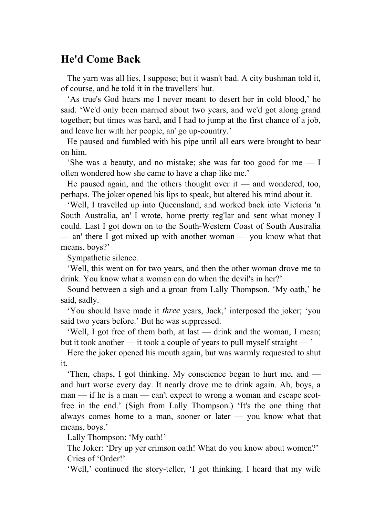# **He'd Come Back**

 The yarn was all lies, I suppose; but it wasn't bad. A city bushman told it, of course, and he told it in the travellers' hut.

 'As true's God hears me I never meant to desert her in cold blood,' he said. 'We'd only been married about two years, and we'd got along grand together; but times was hard, and I had to jump at the first chance of a job, and leave her with her people, an' go up-country.'

 He paused and fumbled with his pipe until all ears were brought to bear on him.

 'She was a beauty, and no mistake; she was far too good for me — I often wondered how she came to have a chap like me.'

He paused again, and the others thought over it — and wondered, too, perhaps. The joker opened his lips to speak, but altered his mind about it.

 'Well, I travelled up into Queensland, and worked back into Victoria 'n South Australia, an' I wrote, home pretty reg'lar and sent what money I could. Last I got down on to the South-Western Coast of South Australia — an' there I got mixed up with another woman — you know what that means, boys?'

Sympathetic silence.

 'Well, this went on for two years, and then the other woman drove me to drink. You know what a woman can do when the devil's in her?'

 Sound between a sigh and a groan from Lally Thompson. 'My oath,' he said, sadly.

 'You should have made it *three* years, Jack,' interposed the joker; 'you said two years before.' But he was suppressed.

 'Well, I got free of them both, at last — drink and the woman, I mean; but it took another — it took a couple of years to pull myself straight — '

 Here the joker opened his mouth again, but was warmly requested to shut it.

 'Then, chaps, I got thinking. My conscience began to hurt me, and and hurt worse every day. It nearly drove me to drink again. Ah, boys, a man — if he is a man — can't expect to wrong a woman and escape scotfree in the end.' (Sigh from Lally Thompson.) 'It's the one thing that always comes home to a man, sooner or later — you know what that means, boys.'

Lally Thompson: 'My oath!'

 The Joker: 'Dry up yer crimson oath! What do you know about women?' Cries of 'Order!'

'Well,' continued the story-teller, 'I got thinking. I heard that my wife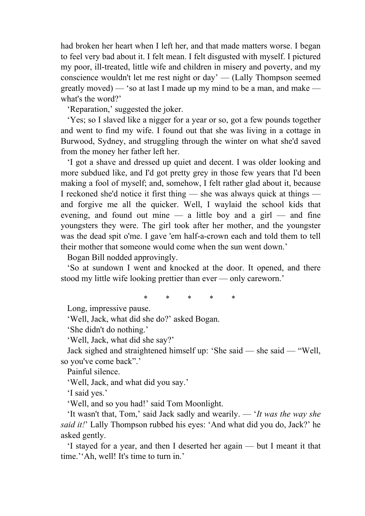had broken her heart when I left her, and that made matters worse. I began to feel very bad about it. I felt mean. I felt disgusted with myself. I pictured my poor, ill-treated, little wife and children in misery and poverty, and my conscience wouldn't let me rest night or day' — (Lally Thompson seemed greatly moved) — 'so at last I made up my mind to be a man, and make what's the word?'

'Reparation,' suggested the joker.

 'Yes; so I slaved like a nigger for a year or so, got a few pounds together and went to find my wife. I found out that she was living in a cottage in Burwood, Sydney, and struggling through the winter on what she'd saved from the money her father left her.

 'I got a shave and dressed up quiet and decent. I was older looking and more subdued like, and I'd got pretty grey in those few years that I'd been making a fool of myself; and, somehow, I felt rather glad about it, because I reckoned she'd notice it first thing — she was always quick at things and forgive me all the quicker. Well, I waylaid the school kids that evening, and found out mine  $-$  a little boy and a girl  $-$  and fine youngsters they were. The girl took after her mother, and the youngster was the dead spit o'me. I gave 'em half-a-crown each and told them to tell their mother that someone would come when the sun went down.'

Bogan Bill nodded approvingly.

 'So at sundown I went and knocked at the door. It opened, and there stood my little wife looking prettier than ever — only careworn.'

\* \* \* \* \*

Long, impressive pause.

'Well, Jack, what did she do?' asked Bogan.

'She didn't do nothing.'

'Well, Jack, what did she say?'

 Jack sighed and straightened himself up: 'She said — she said — "Well, so you've come back".'

Painful silence.

'Well, Jack, and what did you say.'

'I said yes.'

'Well, and so you had!' said Tom Moonlight.

 'It wasn't that, Tom,' said Jack sadly and wearily. — '*It was the way she said it!*' Lally Thompson rubbed his eyes: 'And what did you do, Jack?' he asked gently.

 'I stayed for a year, and then I deserted her again — but I meant it that time.''Ah, well! It's time to turn in.'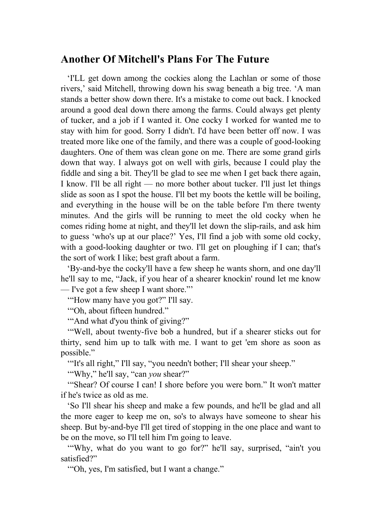#### **Another Of Mitchell's Plans For The Future**

 'I'LL get down among the cockies along the Lachlan or some of those rivers,' said Mitchell, throwing down his swag beneath a big tree. 'A man stands a better show down there. It's a mistake to come out back. I knocked around a good deal down there among the farms. Could always get plenty of tucker, and a job if I wanted it. One cocky I worked for wanted me to stay with him for good. Sorry I didn't. I'd have been better off now. I was treated more like one of the family, and there was a couple of good-looking daughters. One of them was clean gone on me. There are some grand girls down that way. I always got on well with girls, because I could play the fiddle and sing a bit. They'll be glad to see me when I get back there again, I know. I'll be all right — no more bother about tucker. I'll just let things slide as soon as I spot the house. I'll bet my boots the kettle will be boiling, and everything in the house will be on the table before I'm there twenty minutes. And the girls will be running to meet the old cocky when he comes riding home at night, and they'll let down the slip-rails, and ask him to guess 'who's up at our place?' Yes, I'll find a job with some old cocky, with a good-looking daughter or two. I'll get on ploughing if I can; that's the sort of work I like; best graft about a farm.

 'By-and-bye the cocky'll have a few sheep he wants shorn, and one day'll he'll say to me, "Jack, if you hear of a shearer knockin' round let me know — I've got a few sheep I want shore."'

'"How many have you got?" I'll say.

'"Oh, about fifteen hundred."

'"And what d'you think of giving?"

 '"Well, about twenty-five bob a hundred, but if a shearer sticks out for thirty, send him up to talk with me. I want to get 'em shore as soon as possible."

'"It's all right," I'll say, "you needn't bother; I'll shear your sheep."

'"Why," he'll say, "can *you* shear?"

 '"Shear? Of course I can! I shore before you were born." It won't matter if he's twice as old as me.

 'So I'll shear his sheep and make a few pounds, and he'll be glad and all the more eager to keep me on, so's to always have someone to shear his sheep. But by-and-bye I'll get tired of stopping in the one place and want to be on the move, so I'll tell him I'm going to leave.

 '"Why, what do you want to go for?" he'll say, surprised, "ain't you satisfied?"

'"Oh, yes, I'm satisfied, but I want a change."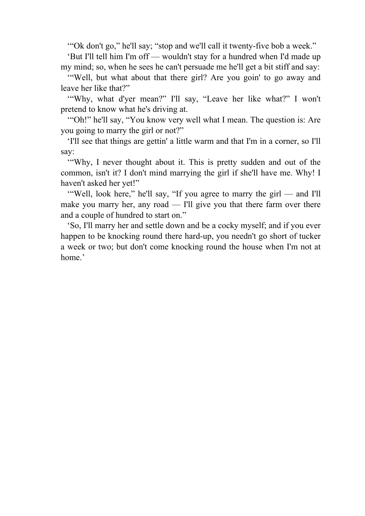'"Ok don't go," he'll say; "stop and we'll call it twenty-five bob a week."

 'But I'll tell him I'm off — wouldn't stay for a hundred when I'd made up my mind; so, when he sees he can't persuade me he'll get a bit stiff and say:

 '"Well, but what about that there girl? Are you goin' to go away and leave her like that?"

 '"Why, what d'yer mean?" I'll say, "Leave her like what?" I won't pretend to know what he's driving at.

 '"Oh!" he'll say, "You know very well what I mean. The question is: Are you going to marry the girl or not?"

 'I'll see that things are gettin' a little warm and that I'm in a corner, so I'll say:

 '"Why, I never thought about it. This is pretty sudden and out of the common, isn't it? I don't mind marrying the girl if she'll have me. Why! I haven't asked her yet!"

 '"Well, look here," he'll say, "If you agree to marry the girl — and I'll make you marry her, any road — I'll give you that there farm over there and a couple of hundred to start on."

 'So, I'll marry her and settle down and be a cocky myself; and if you ever happen to be knocking round there hard-up, you needn't go short of tucker a week or two; but don't come knocking round the house when I'm not at home.'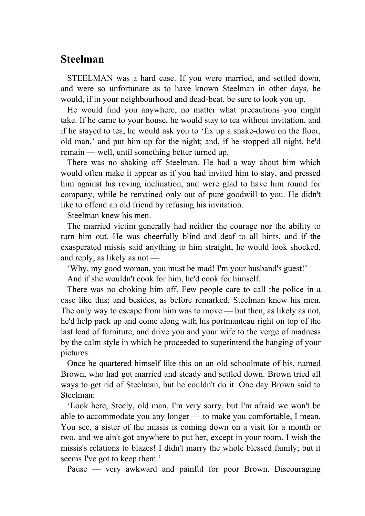#### **Steelman**

 STEELMAN was a hard case. If you were married, and settled down, and were so unfortunate as to have known Steelman in other days, he would, if in your neighbourhood and dead-beat, be sure to look you up.

 He would find you anywhere, no matter what precautions you might take. If he came to your house, he would stay to tea without invitation, and if he stayed to tea, he would ask you to 'fix up a shake-down on the floor, old man,' and put him up for the night; and, if he stopped all night, he'd remain — well, until something better turned up.

 There was no shaking off Steelman. He had a way about him which would often make it appear as if you had invited him to stay, and pressed him against his roving inclination, and were glad to have him round for company, while he remained only out of pure goodwill to you. He didn't like to offend an old friend by refusing his invitation.

Steelman knew his men.

 The married victim generally had neither the courage nor the ability to turn him out. He was cheerfully blind and deaf to all hints, and if the exasperated missis said anything to him straight, he would look shocked, and reply, as likely as not —

'Why, my good woman, you must be mad! I'm your husband's guest!'

And if she wouldn't cook for him, he'd cook for himself.

 There was no choking him off. Few people care to call the police in a case like this; and besides, as before remarked, Steelman knew his men. The only way to escape from him was to move — but then, as likely as not, he'd help pack up and come along with his portmanteau right on top of the last load of furniture, and drive you and your wife to the verge of madness by the calm style in which he proceeded to superintend the hanging of your pictures.

 Once he quartered himself like this on an old schoolmate of his, named Brown, who had got married and steady and settled down. Brown tried all ways to get rid of Steelman, but he couldn't do it. One day Brown said to Steelman:

 'Look here, Steely, old man, I'm very sorry, but I'm afraid we won't be able to accommodate you any longer — to make you comfortable, I mean. You see, a sister of the missis is coming down on a visit for a month or two, and we ain't got anywhere to put her, except in your room. I wish the missis's relations to blazes! I didn't marry the whole blessed family; but it seems I've got to keep them.'

Pause — very awkward and painful for poor Brown. Discouraging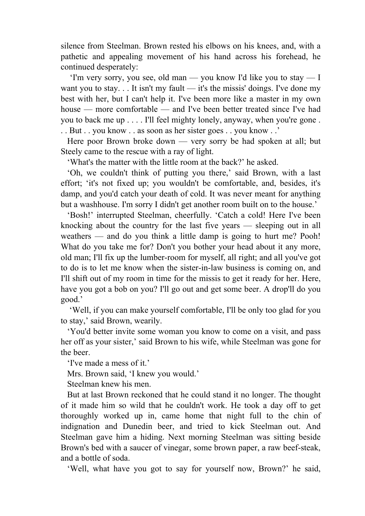silence from Steelman. Brown rested his elbows on his knees, and, with a pathetic and appealing movement of his hand across his forehead, he continued desperately:

 'I'm very sorry, you see, old man — you know I'd like you to stay — I want you to stay.  $\ldots$  It isn't my fault — it's the missis' doings. I've done my best with her, but I can't help it. I've been more like a master in my own house — more comfortable — and I've been better treated since I've had you to back me up . . . . I'll feel mighty lonely, anyway, when you're gone . . . But . . you know . . as soon as her sister goes . . you know . .'

 Here poor Brown broke down — very sorry be had spoken at all; but Steely came to the rescue with a ray of light.

'What's the matter with the little room at the back?' he asked.

 'Oh, we couldn't think of putting you there,' said Brown, with a last effort; 'it's not fixed up; you wouldn't be comfortable, and, besides, it's damp, and you'd catch your death of cold. It was never meant for anything but a washhouse. I'm sorry I didn't get another room built on to the house.'

 'Bosh!' interrupted Steelman, cheerfully. 'Catch a cold! Here I've been knocking about the country for the last five years — sleeping out in all weathers — and do you think a little damp is going to hurt me? Pooh! What do you take me for? Don't you bother your head about it any more, old man; I'll fix up the lumber-room for myself, all right; and all you've got to do is to let me know when the sister-in-law business is coming on, and I'll shift out of my room in time for the missis to get it ready for her. Here, have you got a bob on you? I'll go out and get some beer. A drop'll do you good.'

 'Well, if you can make yourself comfortable, I'll be only too glad for you to stay,' said Brown, wearily.

 'You'd better invite some woman you know to come on a visit, and pass her off as your sister,' said Brown to his wife, while Steelman was gone for the beer.

'I've made a mess of it.'

Mrs. Brown said, 'I knew you would.'

Steelman knew his men.

 But at last Brown reckoned that he could stand it no longer. The thought of it made him so wild that he couldn't work. He took a day off to get thoroughly worked up in, came home that night full to the chin of indignation and Dunedin beer, and tried to kick Steelman out. And Steelman gave him a hiding. Next morning Steelman was sitting beside Brown's bed with a saucer of vinegar, some brown paper, a raw beef-steak, and a bottle of soda.

'Well, what have you got to say for yourself now, Brown?' he said,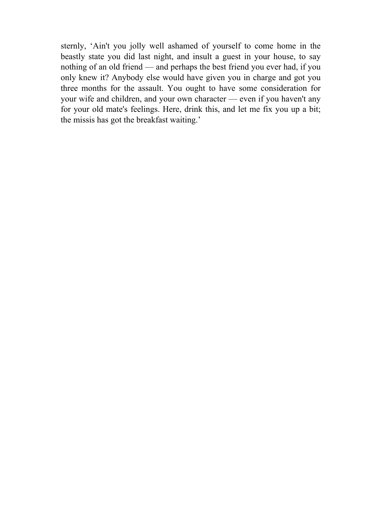sternly, 'Ain't you jolly well ashamed of yourself to come home in the beastly state you did last night, and insult a guest in your house, to say nothing of an old friend — and perhaps the best friend you ever had, if you only knew it? Anybody else would have given you in charge and got you three months for the assault. You ought to have some consideration for your wife and children, and your own character — even if you haven't any for your old mate's feelings. Here, drink this, and let me fix you up a bit; the missis has got the breakfast waiting.'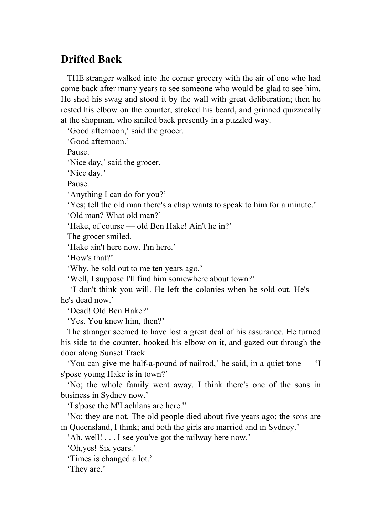# **Drifted Back**

 THE stranger walked into the corner grocery with the air of one who had come back after many years to see someone who would be glad to see him. He shed his swag and stood it by the wall with great deliberation; then he rested his elbow on the counter, stroked his beard, and grinned quizzically at the shopman, who smiled back presently in a puzzled way.

'Good afternoon,' said the grocer.

'Good afternoon.'

Pause.

'Nice day,' said the grocer.

'Nice day.'

Pause.

'Anything I can do for you?'

'Yes; tell the old man there's a chap wants to speak to him for a minute.'

'Old man? What old man?'

'Hake, of course — old Ben Hake! Ain't he in?'

The grocer smiled.

'Hake ain't here now. I'm here.'

'How's that?'

'Why, he sold out to me ten years ago.'

'Well, I suppose I'll find him somewhere about town?'

 'I don't think you will. He left the colonies when he sold out. He's he's dead now'

'Dead! Old Ben Hake?'

'Yes. You knew him, then?'

 The stranger seemed to have lost a great deal of his assurance. He turned his side to the counter, hooked his elbow on it, and gazed out through the door along Sunset Track.

 'You can give me half-a-pound of nailrod,' he said, in a quiet tone — 'I s'pose young Hake is in town?'

 'No; the whole family went away. I think there's one of the sons in business in Sydney now.'

'I s'pose the M'Lachlans are here."

 'No; they are not. The old people died about five years ago; the sons are in Queensland, I think; and both the girls are married and in Sydney.'

'Ah, well! . . . I see you've got the railway here now.'

'Oh,yes! Six years.'

'Times is changed a lot.'

'They are.'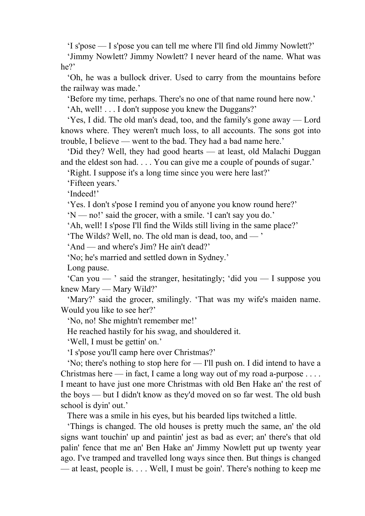'I s'pose — I s'pose you can tell me where I'll find old Jimmy Nowlett?'

 'Jimmy Nowlett? Jimmy Nowlett? I never heard of the name. What was he?'

 'Oh, he was a bullock driver. Used to carry from the mountains before the railway was made.'

'Before my time, perhaps. There's no one of that name round here now.'

'Ah, well! . . . I don't suppose you knew the Duggans?'

 'Yes, I did. The old man's dead, too, and the family's gone away — Lord knows where. They weren't much loss, to all accounts. The sons got into trouble, I believe — went to the bad. They had a bad name here.'

 'Did they? Well, they had good hearts — at least, old Malachi Duggan and the eldest son had. . . . You can give me a couple of pounds of sugar.'

'Right. I suppose it's a long time since you were here last?'

'Fifteen years.'

'Indeed!'

'Yes. I don't s'pose I remind you of anyone you know round here?'

'N — no!' said the grocer, with a smile. 'I can't say you do.'

'Ah, well! I s'pose I'll find the Wilds still living in the same place?'

'The Wilds? Well, no. The old man is dead, too, and — '

'And — and where's Jim? He ain't dead?'

'No; he's married and settled down in Sydney.'

Long pause.

 'Can you — ' said the stranger, hesitatingly; 'did you — I suppose you knew Mary — Mary Wild?'

 'Mary?' said the grocer, smilingly. 'That was my wife's maiden name. Would you like to see her?'

'No, no! She mightn't remember me!'

He reached hastily for his swag, and shouldered it.

'Well, I must be gettin' on.'

'I s'pose you'll camp here over Christmas?'

 'No; there's nothing to stop here for — I'll push on. I did intend to have a Christmas here — in fact, I came a long way out of my road a-purpose  $\dots$ . I meant to have just one more Christmas with old Ben Hake an' the rest of the boys — but I didn't know as they'd moved on so far west. The old bush school is dyin' out.'

There was a smile in his eyes, but his bearded lips twitched a little.

 'Things is changed. The old houses is pretty much the same, an' the old signs want touchin' up and paintin' jest as bad as ever; an' there's that old palin' fence that me an' Ben Hake an' Jimmy Nowlett put up twenty year ago. I've tramped and travelled long ways since then. But things is changed — at least, people is. . . . Well, I must be goin'. There's nothing to keep me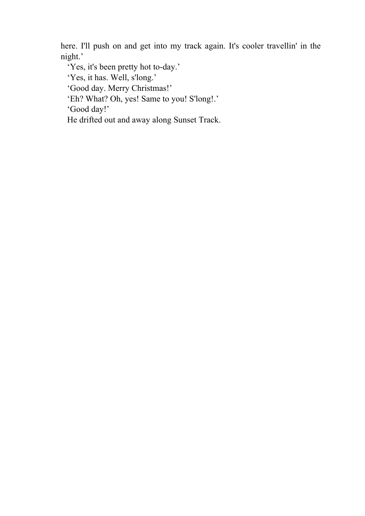here. I'll push on and get into my track again. It's cooler travellin' in the night.'

'Yes, it's been pretty hot to-day.'

'Yes, it has. Well, s'long.'

'Good day. Merry Christmas!'

'Eh? What? Oh, yes! Same to you! S'long!.'

'Good day!'

He drifted out and away along Sunset Track.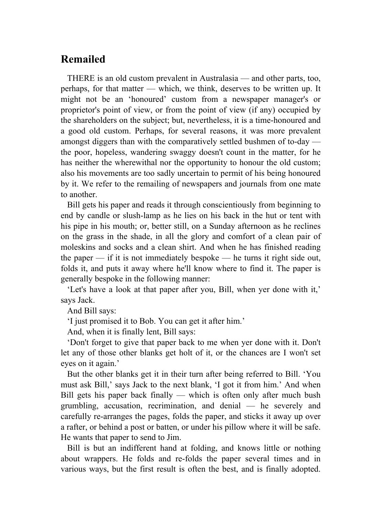# **Remailed**

 THERE is an old custom prevalent in Australasia — and other parts, too, perhaps, for that matter — which, we think, deserves to be written up. It might not be an 'honoured' custom from a newspaper manager's or proprietor's point of view, or from the point of view (if any) occupied by the shareholders on the subject; but, nevertheless, it is a time-honoured and a good old custom. Perhaps, for several reasons, it was more prevalent amongst diggers than with the comparatively settled bushmen of to-day the poor, hopeless, wandering swaggy doesn't count in the matter, for he has neither the wherewithal nor the opportunity to honour the old custom; also his movements are too sadly uncertain to permit of his being honoured by it. We refer to the remailing of newspapers and journals from one mate to another.

 Bill gets his paper and reads it through conscientiously from beginning to end by candle or slush-lamp as he lies on his back in the hut or tent with his pipe in his mouth; or, better still, on a Sunday afternoon as he reclines on the grass in the shade, in all the glory and comfort of a clean pair of moleskins and socks and a clean shirt. And when he has finished reading the paper  $-$  if it is not immediately bespoke  $-$  he turns it right side out, folds it, and puts it away where he'll know where to find it. The paper is generally bespoke in the following manner:

 'Let's have a look at that paper after you, Bill, when yer done with it,' says Jack.

And Bill says:

'I just promised it to Bob. You can get it after him.'

And, when it is finally lent, Bill says:

 'Don't forget to give that paper back to me when yer done with it. Don't let any of those other blanks get holt of it, or the chances are I won't set eyes on it again.'

 But the other blanks get it in their turn after being referred to Bill. 'You must ask Bill,' says Jack to the next blank, 'I got it from him.' And when Bill gets his paper back finally — which is often only after much bush grumbling, accusation, recrimination, and denial — he severely and carefully re-arranges the pages, folds the paper, and sticks it away up over a rafter, or behind a post or batten, or under his pillow where it will be safe. He wants that paper to send to Jim.

 Bill is but an indifferent hand at folding, and knows little or nothing about wrappers. He folds and re-folds the paper several times and in various ways, but the first result is often the best, and is finally adopted.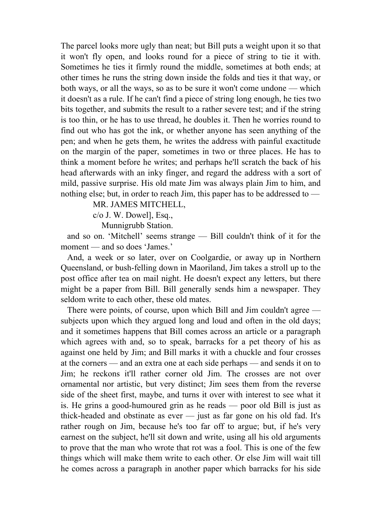The parcel looks more ugly than neat; but Bill puts a weight upon it so that it won't fly open, and looks round for a piece of string to tie it with. Sometimes he ties it firmly round the middle, sometimes at both ends; at other times he runs the string down inside the folds and ties it that way, or both ways, or all the ways, so as to be sure it won't come undone — which it doesn't as a rule. If he can't find a piece of string long enough, he ties two bits together, and submits the result to a rather severe test; and if the string is too thin, or he has to use thread, he doubles it. Then he worries round to find out who has got the ink, or whether anyone has seen anything of the pen; and when he gets them, he writes the address with painful exactitude on the margin of the paper, sometimes in two or three places. He has to think a moment before he writes; and perhaps he'll scratch the back of his head afterwards with an inky finger, and regard the address with a sort of mild, passive surprise. His old mate Jim was always plain Jim to him, and nothing else; but, in order to reach Jim, this paper has to be addressed to —

MR. JAMES MITCHELL,

c/o J. W. Dowel], Esq.,

Munnigrubb Station.

 and so on. 'Mitchell' seems strange — Bill couldn't think of it for the moment — and so does 'James.'

 And, a week or so later, over on Coolgardie, or away up in Northern Queensland, or bush-felling down in Maoriland, Jim takes a stroll up to the post office after tea on mail night. He doesn't expect any letters, but there might be a paper from Bill. Bill generally sends him a newspaper. They seldom write to each other, these old mates.

 There were points, of course, upon which Bill and Jim couldn't agree subjects upon which they argued long and loud and often in the old days; and it sometimes happens that Bill comes across an article or a paragraph which agrees with and, so to speak, barracks for a pet theory of his as against one held by Jim; and Bill marks it with a chuckle and four crosses at the corners — and an extra one at each side perhaps — and sends it on to Jim; he reckons it'll rather corner old Jim. The crosses are not over ornamental nor artistic, but very distinct; Jim sees them from the reverse side of the sheet first, maybe, and turns it over with interest to see what it is. He grins a good-humoured grin as he reads — poor old Bill is just as thick-headed and obstinate as ever — just as far gone on his old fad. It's rather rough on Jim, because he's too far off to argue; but, if he's very earnest on the subject, he'll sit down and write, using all his old arguments to prove that the man who wrote that rot was a fool. This is one of the few things which will make them write to each other. Or else Jim will wait till he comes across a paragraph in another paper which barracks for his side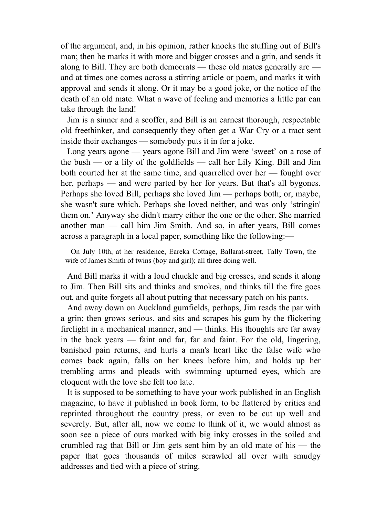of the argument, and, in his opinion, rather knocks the stuffing out of Bill's man; then he marks it with more and bigger crosses and a grin, and sends it along to Bill. They are both democrats — these old mates generally are and at times one comes across a stirring article or poem, and marks it with approval and sends it along. Or it may be a good joke, or the notice of the death of an old mate. What a wave of feeling and memories a little par can take through the land!

 Jim is a sinner and a scoffer, and Bill is an earnest thorough, respectable old freethinker, and consequently they often get a War Cry or a tract sent inside their exchanges — somebody puts it in for a joke.

 Long years agone — years agone Bill and Jim were 'sweet' on a rose of the bush — or a lily of the goldfields — call her Lily King. Bill and Jim both courted her at the same time, and quarrelled over her — fought over her, perhaps — and were parted by her for years. But that's all bygones. Perhaps she loved Bill, perhaps she loved Jim — perhaps both; or, maybe, she wasn't sure which. Perhaps she loved neither, and was only 'stringin' them on.' Anyway she didn't marry either the one or the other. She married another man — call him Jim Smith. And so, in after years, Bill comes across a paragraph in a local paper, something like the following:—

 On July 10th, at her residence, Eareka Cottage, Ballarat-street, Tally Town, the wife of James Smith of twins (boy and girl); all three doing well.

 And Bill marks it with a loud chuckle and big crosses, and sends it along to Jim. Then Bill sits and thinks and smokes, and thinks till the fire goes out, and quite forgets all about putting that necessary patch on his pants.

 And away down on Auckland gumfields, perhaps, Jim reads the par with a grin; then grows serious, and sits and scrapes his gum by the flickering firelight in a mechanical manner, and — thinks. His thoughts are far away in the back years — faint and far, far and faint. For the old, lingering, banished pain returns, and hurts a man's heart like the false wife who comes back again, falls on her knees before him, and holds up her trembling arms and pleads with swimming upturned eyes, which are eloquent with the love she felt too late.

 It is supposed to be something to have your work published in an English magazine, to have it published in book form, to be flattered by critics and reprinted throughout the country press, or even to be cut up well and severely. But, after all, now we come to think of it, we would almost as soon see a piece of ours marked with big inky crosses in the soiled and crumbled rag that Bill or Jim gets sent him by an old mate of his — the paper that goes thousands of miles scrawled all over with smudgy addresses and tied with a piece of string.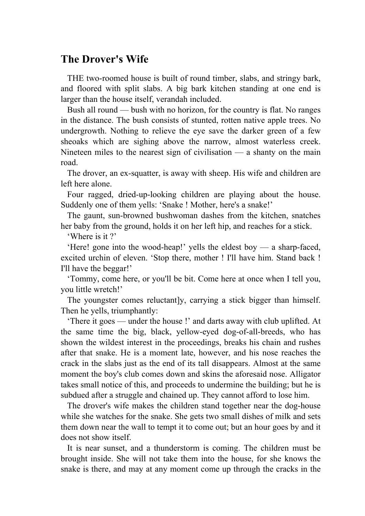# **The Drover's Wife**

 THE two-roomed house is built of round timber, slabs, and stringy bark, and floored with split slabs. A big bark kitchen standing at one end is larger than the house itself, verandah included.

 Bush all round — bush with no horizon, for the country is flat. No ranges in the distance. The bush consists of stunted, rotten native apple trees. No undergrowth. Nothing to relieve the eye save the darker green of a few sheoaks which are sighing above the narrow, almost waterless creek. Nineteen miles to the nearest sign of civilisation  $\frac{1}{x}$  a shanty on the main road.

 The drover, an ex-squatter, is away with sheep. His wife and children are left here alone.

 Four ragged, dried-up-looking children are playing about the house. Suddenly one of them yells: 'Snake ! Mother, here's a snake!'

 The gaunt, sun-browned bushwoman dashes from the kitchen, snatches her baby from the ground, holds it on her left hip, and reaches for a stick.

'Where is it ?'

 'Here! gone into the wood-heap!' yells the eldest boy — a sharp-faced, excited urchin of eleven. 'Stop there, mother ! I'll have him. Stand back ! I'll have the beggar!'

 'Tommy, come here, or you'll be bit. Come here at once when I tell you, you little wretch!'

The youngster comes reluctantly, carrying a stick bigger than himself. Then he yells, triumphantly:

 'There it goes — under the house !' and darts away with club uplifted. At the same time the big, black, yellow-eyed dog-of-all-breeds, who has shown the wildest interest in the proceedings, breaks his chain and rushes after that snake. He is a moment late, however, and his nose reaches the crack in the slabs just as the end of its tall disappears. Almost at the same moment the boy's club comes down and skins the aforesaid nose. Alligator takes small notice of this, and proceeds to undermine the building; but he is subdued after a struggle and chained up. They cannot afford to lose him.

 The drover's wife makes the children stand together near the dog-house while she watches for the snake. She gets two small dishes of milk and sets them down near the wall to tempt it to come out; but an hour goes by and it does not show itself.

 It is near sunset, and a thunderstorm is coming. The children must be brought inside. She will not take them into the house, for she knows the snake is there, and may at any moment come up through the cracks in the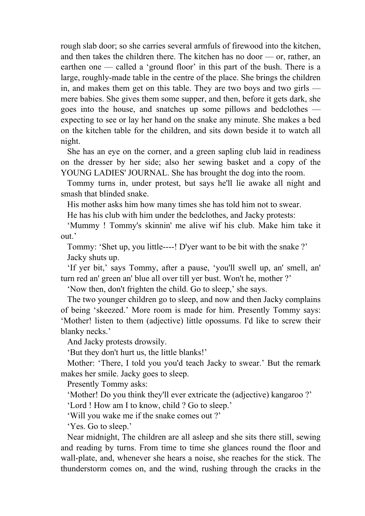rough slab door; so she carries several armfuls of firewood into the kitchen, and then takes the children there. The kitchen has no door — or, rather, an earthen one — called a 'ground floor' in this part of the bush. There is a large, roughly-made table in the centre of the place. She brings the children in, and makes them get on this table. They are two boys and two girls mere babies. She gives them some supper, and then, before it gets dark, she goes into the house, and snatches up some pillows and bedclothes expecting to see or lay her hand on the snake any minute. She makes a bed on the kitchen table for the children, and sits down beside it to watch all night.

 She has an eye on the corner, and a green sapling club laid in readiness on the dresser by her side; also her sewing basket and a copy of the YOUNG LADIES' JOURNAL. She has brought the dog into the room.

 Tommy turns in, under protest, but says he'll lie awake all night and smash that blinded snake.

His mother asks him how many times she has told him not to swear.

He has his club with him under the bedclothes, and Jacky protests:

 'Mummy ! Tommy's skinnin' me alive wif his club. Make him take it out.'

 Tommy: 'Shet up, you little----! D'yer want to be bit with the snake ?' Jacky shuts up.

 'If yer bit,' says Tommy, after a pause, 'you'll swell up, an' smell, an' turn red an' green an' blue all over till yer bust. Won't he, mother ?'

'Now then, don't frighten the child. Go to sleep,' she says.

 The two younger children go to sleep, and now and then Jacky complains of being 'skeezed.' More room is made for him. Presently Tommy says: 'Mother! listen to them (adjective) little opossums. I'd like to screw their blanky necks.'

And Jacky protests drowsily.

'But they don't hurt us, the little blanks!'

 Mother: 'There, I told you you'd teach Jacky to swear.' But the remark makes her smile. Jacky goes to sleep.

Presently Tommy asks:

'Mother! Do you think they'll ever extricate the (adjective) kangaroo ?'

'Lord ! How am I to know, child ? Go to sleep.'

'Will you wake me if the snake comes out ?'

'Yes. Go to sleep.'

 Near midnight, The children are all asleep and she sits there still, sewing and reading by turns. From time to time she glances round the floor and wall-plate, and, whenever she hears a noise, she reaches for the stick. The thunderstorm comes on, and the wind, rushing through the cracks in the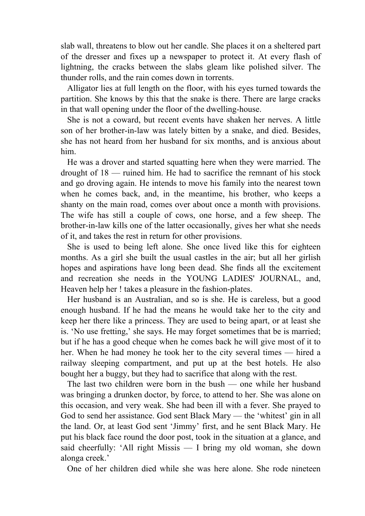slab wall, threatens to blow out her candle. She places it on a sheltered part of the dresser and fixes up a newspaper to protect it. At every flash of lightning, the cracks between the slabs gleam like polished silver. The thunder rolls, and the rain comes down in torrents.

 Alligator lies at full length on the floor, with his eyes turned towards the partition. She knows by this that the snake is there. There are large cracks in that wall opening under the floor of the dwelling-house.

 She is not a coward, but recent events have shaken her nerves. A little son of her brother-in-law was lately bitten by a snake, and died. Besides, she has not heard from her husband for six months, and is anxious about him.

 He was a drover and started squatting here when they were married. The drought of 18 — ruined him. He had to sacrifice the remnant of his stock and go droving again. He intends to move his family into the nearest town when he comes back, and, in the meantime, his brother, who keeps a shanty on the main road, comes over about once a month with provisions. The wife has still a couple of cows, one horse, and a few sheep. The brother-in-law kills one of the latter occasionally, gives her what she needs of it, and takes the rest in return for other provisions.

 She is used to being left alone. She once lived like this for eighteen months. As a girl she built the usual castles in the air; but all her girlish hopes and aspirations have long been dead. She finds all the excitement and recreation she needs in the YOUNG LADIES' JOURNAL, and, Heaven help her ! takes a pleasure in the fashion-plates.

 Her husband is an Australian, and so is she. He is careless, but a good enough husband. If he had the means he would take her to the city and keep her there like a princess. They are used to being apart, or at least she is. 'No use fretting,' she says. He may forget sometimes that be is married; but if he has a good cheque when he comes back he will give most of it to her. When he had money he took her to the city several times — hired a railway sleeping compartment, and put up at the best hotels. He also bought her a buggy, but they had to sacrifice that along with the rest.

 The last two children were born in the bush — one while her husband was bringing a drunken doctor, by force, to attend to her. She was alone on this occasion, and very weak. She had been ill with a fever. She prayed to God to send her assistance. God sent Black Mary — the 'whitest' gin in all the land. Or, at least God sent 'Jimmy' first, and he sent Black Mary. He put his black face round the door post, took in the situation at a glance, and said cheerfully: 'All right Missis — I bring my old woman, she down alonga creek.'

One of her children died while she was here alone. She rode nineteen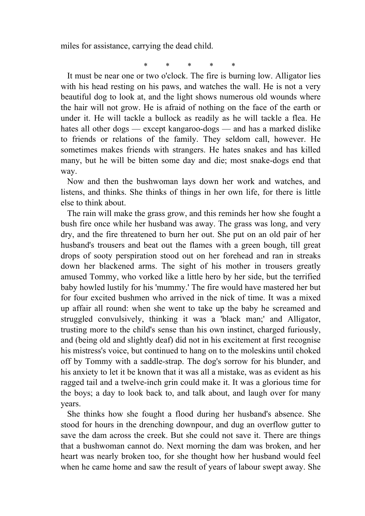miles for assistance, carrying the dead child.

\* \* \* \* \*

 It must be near one or two o'clock. The fire is burning low. Alligator lies with his head resting on his paws, and watches the wall. He is not a very beautiful dog to look at, and the light shows numerous old wounds where the hair will not grow. He is afraid of nothing on the face of the earth or under it. He will tackle a bullock as readily as he will tackle a flea. He hates all other dogs — except kangaroo-dogs — and has a marked dislike to friends or relations of the family. They seldom call, however. He sometimes makes friends with strangers. He hates snakes and has killed many, but he will be bitten some day and die; most snake-dogs end that way.

 Now and then the bushwoman lays down her work and watches, and listens, and thinks. She thinks of things in her own life, for there is little else to think about.

 The rain will make the grass grow, and this reminds her how she fought a bush fire once while her husband was away. The grass was long, and very dry, and the fire threatened to burn her out. She put on an old pair of her husband's trousers and beat out the flames with a green bough, till great drops of sooty perspiration stood out on her forehead and ran in streaks down her blackened arms. The sight of his mother in trousers greatly amused Tommy, who vorked like a little hero by her side, but the terrified baby howled lustily for his 'mummy.' The fire would have mastered her but for four excited bushmen who arrived in the nick of time. It was a mixed up affair all round: when she went to take up the baby he screamed and struggled convulsively, thinking it was a 'black man;' and Alligator, trusting more to the child's sense than his own instinct, charged furiously, and (being old and slightly deaf) did not in his excitement at first recognise his mistress's voice, but continued to hang on to the moleskins until choked off by Tommy with a saddle-strap. The dog's sorrow for his blunder, and his anxiety to let it be known that it was all a mistake, was as evident as his ragged tail and a twelve-inch grin could make it. It was a glorious time for the boys; a day to look back to, and talk about, and laugh over for many years.

 She thinks how she fought a flood during her husband's absence. She stood for hours in the drenching downpour, and dug an overflow gutter to save the dam across the creek. But she could not save it. There are things that a bushwoman cannot do. Next morning the dam was broken, and her heart was nearly broken too, for she thought how her husband would feel when he came home and saw the result of years of labour swept away. She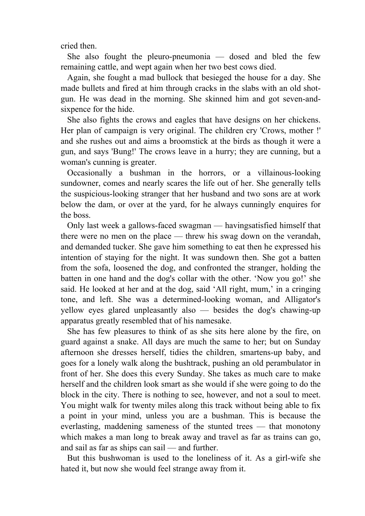cried then.

 She also fought the pleuro-pneumonia — dosed and bled the few remaining cattle, and wept again when her two best cows died.

 Again, she fought a mad bullock that besieged the house for a day. She made bullets and fired at him through cracks in the slabs with an old shotgun. He was dead in the morning. She skinned him and got seven-andsixpence for the hide.

 She also fights the crows and eagles that have designs on her chickens. Her plan of campaign is very original. The children cry 'Crows, mother !' and she rushes out and aims a broomstick at the birds as though it were a gun, and says 'Bung!' The crows leave in a hurry; they are cunning, but a woman's cunning is greater.

 Occasionally a bushman in the horrors, or a villainous-looking sundowner, comes and nearly scares the life out of her. She generally tells the suspicious-looking stranger that her husband and two sons are at work below the dam, or over at the yard, for he always cunningly enquires for the boss.

 Only last week a gallows-faced swagman — havingsatisfied himself that there were no men on the place — threw his swag down on the verandah, and demanded tucker. She gave him something to eat then he expressed his intention of staying for the night. It was sundown then. She got a batten from the sofa, loosened the dog, and confronted the stranger, holding the batten in one hand and the dog's collar with the other. 'Now you go!' she said. He looked at her and at the dog, said 'All right, mum,' in a cringing tone, and left. She was a determined-looking woman, and Alligator's yellow eyes glared unpleasantly also — besides the dog's chawing-up apparatus greatly resembled that of his namesake.

 She has few pleasures to think of as she sits here alone by the fire, on guard against a snake. All days are much the same to her; but on Sunday afternoon she dresses herself, tidies the children, smartens-up baby, and goes for a lonely walk along the bushtrack, pushing an old perambulator in front of her. She does this every Sunday. She takes as much care to make herself and the children look smart as she would if she were going to do the block in the city. There is nothing to see, however, and not a soul to meet. You might walk for twenty miles along this track without being able to fix a point in your mind, unless you are a bushman. This is because the everlasting, maddening sameness of the stunted trees — that monotony which makes a man long to break away and travel as far as trains can go, and sail as far as ships can sail — and further.

 But this bushwoman is used to the loneliness of it. As a girl-wife she hated it, but now she would feel strange away from it.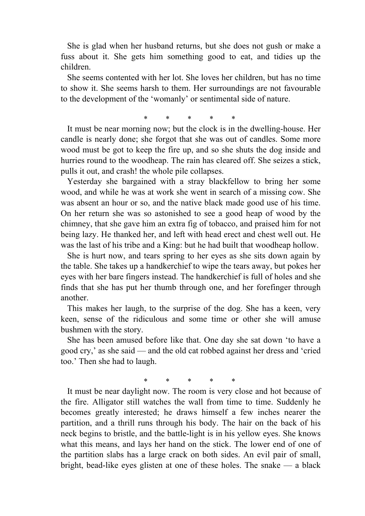She is glad when her husband returns, but she does not gush or make a fuss about it. She gets him something good to eat, and tidies up the children.

 She seems contented with her lot. She loves her children, but has no time to show it. She seems harsh to them. Her surroundings are not favourable to the development of the 'womanly' or sentimental side of nature.

\* \* \* \* \*

 It must be near morning now; but the clock is in the dwelling-house. Her candle is nearly done; she forgot that she was out of candles. Some more wood must be got to keep the fire up, and so she shuts the dog inside and hurries round to the woodheap. The rain has cleared off. She seizes a stick, pulls it out, and crash! the whole pile collapses.

 Yesterday she bargained with a stray blackfellow to bring her some wood, and while he was at work she went in search of a missing cow. She was absent an hour or so, and the native black made good use of his time. On her return she was so astonished to see a good heap of wood by the chimney, that she gave him an extra fig of tobacco, and praised him for not being lazy. He thanked her, and left with head erect and chest well out. He was the last of his tribe and a King: but he had built that woodheap hollow.

 She is hurt now, and tears spring to her eyes as she sits down again by the table. She takes up a handkerchief to wipe the tears away, but pokes her eyes with her bare fingers instead. The handkerchief is full of holes and she finds that she has put her thumb through one, and her forefinger through another.

 This makes her laugh, to the surprise of the dog. She has a keen, very keen, sense of the ridiculous and some time or other she will amuse bushmen with the story.

 She has been amused before like that. One day she sat down 'to have a good cry,' as she said — and the old cat robbed against her dress and 'cried too.' Then she had to laugh.

\* \* \* \* \*

 It must be near daylight now. The room is very close and hot because of the fire. Alligator still watches the wall from time to time. Suddenly he becomes greatly interested; he draws himself a few inches nearer the partition, and a thrill runs through his body. The hair on the back of his neck begins to bristle, and the battle-light is in his yellow eyes. She knows what this means, and lays her hand on the stick. The lower end of one of the partition slabs has a large crack on both sides. An evil pair of small, bright, bead-like eyes glisten at one of these holes. The snake — a black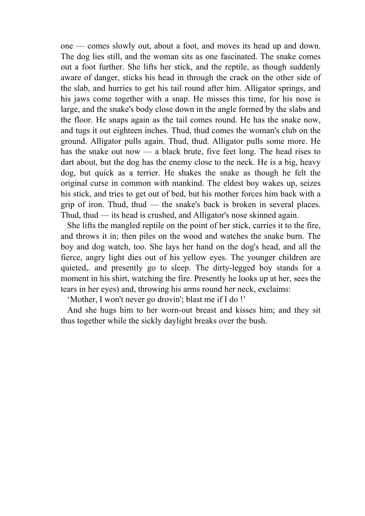one — comes slowly out, about a foot, and moves its head up and down. The dog lies still, and the woman sits as one fascinated. The snake comes out a foot further. She lifts her stick, and the reptile, as though suddenly aware of danger, sticks his head in through the crack on the other side of the slab, and hurries to get his tail round after him. Alligator springs, and his jaws come together with a snap. He misses this time, for his nose is large, and the snake's body close down in the angle formed by the slabs and the floor. He snaps again as the tail comes round. He has the snake now, and tugs it out eighteen inches. Thud, thud comes the woman's club on the ground. Alligator pulls again. Thud, thud. Alligator pulls some more. He has the snake out now — a black brute, five feet long. The head rises to dart about, but the dog has the enemy close to the neck. He is a big, heavy dog, but quick as a terrier. He shakes the snake as though he felt the original curse in common with mankind. The eldest boy wakes up, seizes his stick, and tries to get out of bed, but his mother forces him back with a grip of iron. Thud, thud — the snake's back is broken in several places. Thud, thud — its head is crushed, and Alligator's nose skinned again.

 She lifts the mangled reptile on the point of her stick, carries it to the fire, and throws it in; then piles on the wood and watches the snake burn. The boy and dog watch, too. She lays her hand on the dog's head, and all the fierce, angry light dies out of his yellow eyes. The younger children are quieted,. and presently go to sleep. The dirty-legged boy stands for a moment in his shirt, watching the fire. Presently he looks up at her, sees the tears in her eyes) and, throwing his arms round her neck, exclaims:

'Mother, I won't never go drovin'; blast me if I do !'

 And she hugs him to her worn-out breast and kisses him; and they sit thus together while the sickly daylight breaks over the bush.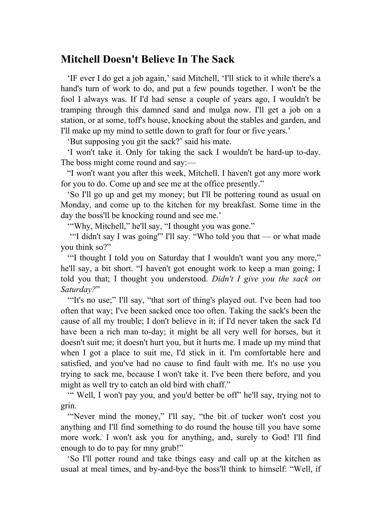### **Mitchell Doesn't Believe In The Sack**

 'IF ever I do get a job again,' said Mitchell, 'I'll stick to it while there's a hand's turn of work to do, and put a few pounds together. I won't be the fool I always was. If I'd had sense a couple of years ago, I wouldn't be tramping through this damned sand and mulga now. I'll get a job on a station, or at some, toff's house, knocking about the stables and garden, and I'll make up my mind to settle down to graft for four or five years.'

'But supposing you git the sack?' said his mate.

 'I won't take it. Only for taking the sack I wouldn't be hard-up to-day. The boss might come round and say:—

 "I won't want you after this week, Mitchell. I haven't got any more work for you to do. Come up and see me at the office presently."

 'So I'll go up and get my money; but I'll be pottering round as usual on Monday, and come up to the kitchen for my breakfast. Some time in the day the boss'll be knocking round and see me.'

'"Why, Mitchell," he'll say, "I thought you was gone."

 '"I didn't say I was going'" I'll say. "Who told you that — or what made you think so?"

 '"I thought I told you on Saturday that I wouldn't want you any more," he'll say, a bit short. "I haven't got enought work to keep a man going; I told you that; I thought you understood. *Didn't I give you the sack on Saturday?*"

"It's no use;" I'll say, "that sort of thing's played out. I've been had too often that way; I've been sacked once too often. Taking the sack's been the cause of all my trouble; I don't believe in it; if I'd never taken the sack I'd have been a rich man to-day; it might be all very well for horses, but it doesn't suit me; it doesn't hurt you, but it hurts me. I made up my mind that when I got a place to suit me, I'd stick in it. I'm comfortable here and satisfied, and you've had no cause to find fault with me. It's no use you trying to sack me, because I won't take it. I've been there before, and you might as well try to catch an old bird with chaff."

"" Well, I won't pay you, and you'd better be off" he'll say, trying not to grin.

 '"Never mind the money," I'll say, "the bit of tucker won't cost you anything and I'll find something to do round the house till you have some more work. I won't ask you for anything, and, surely to God! I'll find enough to do to pay for mny grub!"

 'So I'll potter round and take tbings easy and call up at the kitchen as usual at meal times, and by-and-bye the boss'll think to himself: "Well, if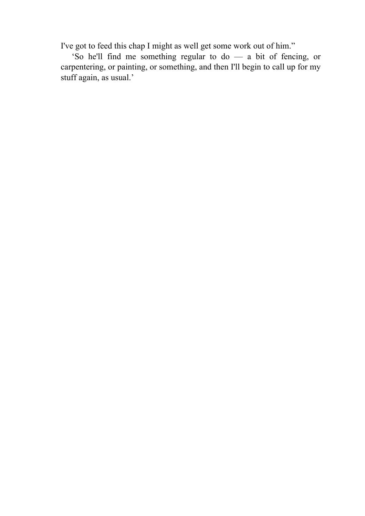I've got to feed this chap I might as well get some work out of him."

 'So he'll find me something regular to do — a bit of fencing, or carpentering, or painting, or something, and then I'll begin to call up for my stuff again, as usual.'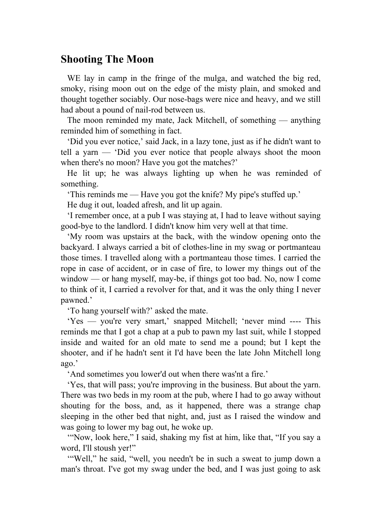#### **Shooting The Moon**

 WE lay in camp in the fringe of the mulga, and watched the big red, smoky, rising moon out on the edge of the misty plain, and smoked and thought together sociably. Our nose-bags were nice and heavy, and we still had about a pound of nail-rod between us.

 The moon reminded my mate, Jack Mitchell, of something — anything reminded him of something in fact.

 'Did you ever notice,' said Jack, in a lazy tone, just as if he didn't want to tell a yarn — 'Did you ever notice that people always shoot the moon when there's no moon? Have you got the matches?'

 He lit up; he was always lighting up when he was reminded of something.

'This reminds me — Have you got the knife? My pipe's stuffed up.'

He dug it out, loaded afresh, and lit up again.

 'I remember once, at a pub I was staying at, I had to leave without saying good-bye to the landlord. I didn't know him very well at that time.

 'My room was upstairs at the back, with the window opening onto the backyard. I always carried a bit of clothes-line in my swag or portmanteau those times. I travelled along with a portmanteau those times. I carried the rope in case of accident, or in case of fire, to lower my things out of the window — or hang myself, may-be, if things got too bad. No, now I come to think of it, I carried a revolver for that, and it was the only thing I never pawned.'

'To hang yourself with?' asked the mate.

 'Yes — you're very smart,' snapped Mitchell; 'never mind ---- This reminds me that I got a chap at a pub to pawn my last suit, while I stopped inside and waited for an old mate to send me a pound; but I kept the shooter, and if he hadn't sent it I'd have been the late John Mitchell long ago.'

'And sometimes you lower'd out when there was'nt a fire.'

 'Yes, that will pass; you're improving in the business. But about the yarn. There was two beds in my room at the pub, where I had to go away without shouting for the boss, and, as it happened, there was a strange chap sleeping in the other bed that night, and, just as I raised the window and was going to lower my bag out, he woke up.

 '"Now, look here," I said, shaking my fist at him, like that, "If you say a word, I'll stoush yer!"

 '"Well," he said, "well, you needn't be in such a sweat to jump down a man's throat. I've got my swag under the bed, and I was just going to ask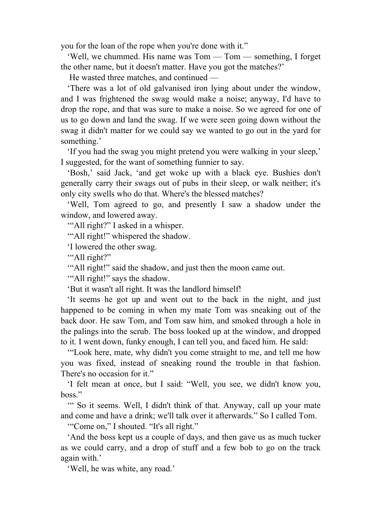you for the loan of the rope when you're done with it."

 'Well, we chummed. His name was Tom — Tom — something, I forget the other name, but it doesn't matter. Have you got the matches?'

He wasted three matches, and continued —

 'There was a lot of old galvanised iron lying about under the window, and I was frightened the swag would make a noise; anyway, I'd have to drop the rope, and that was sure to make a noise. So we agreed for one of us to go down and land the swag. If we were seen going down without the swag it didn't matter for we could say we wanted to go out in the yard for something.'

 'If you had the swag you might pretend you were walking in your sleep,' I suggested, for the want of something funnier to say.

 'Bosh,' said Jack, 'and get woke up with a black eye. Bushies don't generally carry their swags out of pubs in their sleep, or walk neither; it's only city swells who do that. Where's the blessed matches?

 'Well, Tom agreed to go, and presently I saw a shadow under the window, and lowered away.

'"All right?" I asked in a whisper.

'"All right!" whispered the shadow.

'I lowered the other swag.

'"All right?"

'"All right!" said the shadow, and just then the moon came out.

'"All right!" says the shadow.

'But it wasn't all right. It was the landlord himself!

 'It seems he got up and went out to the back in the night, and just happened to be coming in when my mate Tom was sneaking out of the back door. He saw Tom, and Tom saw him, and smoked through a hole in the palings into the scrub. The boss looked up at the window, and dropped to it. I went down, funky enough, I can tell you, and faced him. He sald:

 '"Look here, mate, why didn't you come straight to me, and tell me how you was fixed, instead of sneaking round the trouble in that fashion. There's no occasion for it."

 'I felt mean at once, but I said: "Well, you see, we didn't know you, boss."

 '" So it seems. Well, I didn't think of that. Anyway, call up your mate and come and have a drink; we'll talk over it afterwards." So I called Tom.

'"Come on," I shouted. "It's all right."

 'And the boss kept us a couple of days, and then gave us as much tucker as we could carry, and a drop of stuff and a few bob to go on the track again with.'

'Well, he was white, any road.'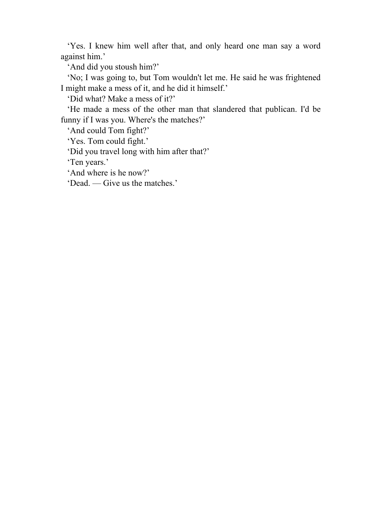'Yes. I knew him well after that, and only heard one man say a word against him.'

'And did you stoush him?'

 'No; I was going to, but Tom wouldn't let me. He said he was frightened I might make a mess of it, and he did it himself.'

'Did what? Make a mess of it?'

 'He made a mess of the other man that slandered that publican. I'd be funny if I was you. Where's the matches?'

'And could Tom fight?'

'Yes. Tom could fight.'

'Did you travel long with him after that?'

'Ten years.'

'And where is he now?'

'Dead. — Give us the matches.'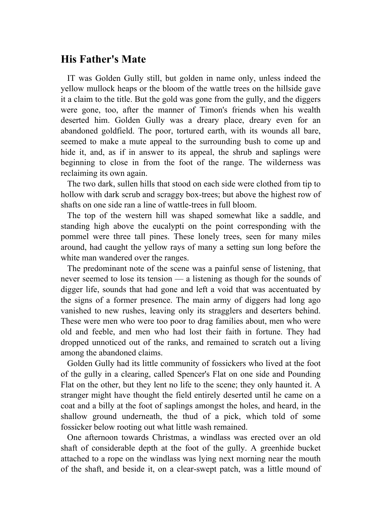### **His Father's Mate**

 IT was Golden Gully still, but golden in name only, unless indeed the yellow mullock heaps or the bloom of the wattle trees on the hillside gave it a claim to the title. But the gold was gone from the gully, and the diggers were gone, too, after the manner of Timon's friends when his wealth deserted him. Golden Gully was a dreary place, dreary even for an abandoned goldfield. The poor, tortured earth, with its wounds all bare, seemed to make a mute appeal to the surrounding bush to come up and hide it, and, as if in answer to its appeal, the shrub and saplings were beginning to close in from the foot of the range. The wilderness was reclaiming its own again.

 The two dark, sullen hills that stood on each side were clothed from tip to hollow with dark scrub and scraggy box-trees; but above the highest row of shafts on one side ran a line of wattle-trees in full bloom.

 The top of the western hill was shaped somewhat like a saddle, and standing high above the eucalypti on the point corresponding with the pommel were three tall pines. These lonely trees, seen for many miles around, had caught the yellow rays of many a setting sun long before the white man wandered over the ranges.

 The predominant note of the scene was a painful sense of listening, that never seemed to lose its tension — a listening as though for the sounds of digger life, sounds that had gone and left a void that was accentuated by the signs of a former presence. The main army of diggers had long ago vanished to new rushes, leaving only its stragglers and deserters behind. These were men who were too poor to drag families about, men who were old and feeble, and men who had lost their faith in fortune. They had dropped unnoticed out of the ranks, and remained to scratch out a living among the abandoned claims.

 Golden Gully had its little community of fossickers who lived at the foot of the gully in a clearing, called Spencer's Flat on one side and Pounding Flat on the other, but they lent no life to the scene; they only haunted it. A stranger might have thought the field entirely deserted until he came on a coat and a billy at the foot of saplings amongst the holes, and heard, in the shallow ground underneath, the thud of a pick, which told of some fossicker below rooting out what little wash remained.

 One afternoon towards Christmas, a windlass was erected over an old shaft of considerable depth at the foot of the gully. A greenhide bucket attached to a rope on the windlass was lying next morning near the mouth of the shaft, and beside it, on a clear-swept patch, was a little mound of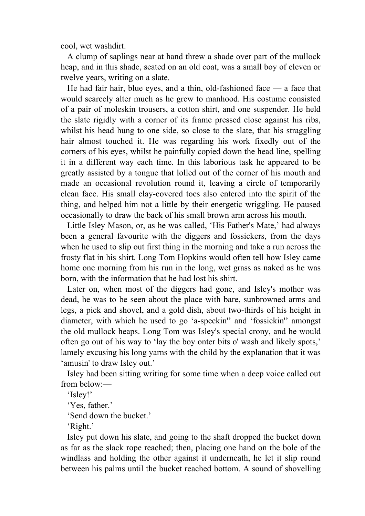cool, wet washdirt.

 A clump of saplings near at hand threw a shade over part of the mullock heap, and in this shade, seated on an old coat, was a small boy of eleven or twelve years, writing on a slate.

 He had fair hair, blue eyes, and a thin, old-fashioned face — a face that would scarcely alter much as he grew to manhood. His costume consisted of a pair of moleskin trousers, a cotton shirt, and one suspender. He held the slate rigidly with a corner of its frame pressed close against his ribs, whilst his head hung to one side, so close to the slate, that his straggling hair almost touched it. He was regarding his work fixedly out of the corners of his eyes, whilst he painfully copied down the head line, spelling it in a different way each time. In this laborious task he appeared to be greatly assisted by a tongue that lolled out of the corner of his mouth and made an occasional revolution round it, leaving a circle of temporarily clean face. His small clay-covered toes also entered into the spirit of the thing, and helped him not a little by their energetic wriggling. He paused occasionally to draw the back of his small brown arm across his mouth.

 Little Isley Mason, or, as he was called, 'His Father's Mate,' had always been a general favourite with the diggers and fossickers, from the days when he used to slip out first thing in the morning and take a run across the frosty flat in his shirt. Long Tom Hopkins would often tell how Isley came home one morning from his run in the long, wet grass as naked as he was born, with the information that he had lost his shirt.

 Later on, when most of the diggers had gone, and Isley's mother was dead, he was to be seen about the place with bare, sunbrowned arms and legs, a pick and shovel, and a gold dish, about two-thirds of his height in diameter, with which he used to go 'a-speckin'' and 'fossickin'' amongst the old mullock heaps. Long Tom was Isley's special crony, and he would often go out of his way to 'lay the boy onter bits o' wash and likely spots,' lamely excusing his long yarns with the child by the explanation that it was 'amusin' to draw Isley out.'

 Isley had been sitting writing for some time when a deep voice called out from below:—

'Isley!'

'Yes, father.'

'Send down the bucket.'

'Right.'

 Isley put down his slate, and going to the shaft dropped the bucket down as far as the slack rope reached; then, placing one hand on the bole of the windlass and holding the other against it underneath, he let it slip round between his palms until the bucket reached bottom. A sound of shovelling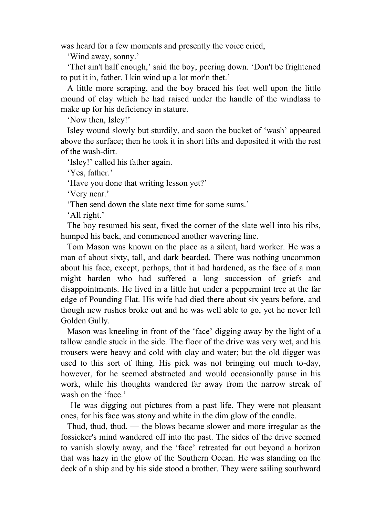was heard for a few moments and presently the voice cried,

'Wind away, sonny.'

 'Thet ain't half enough,' said the boy, peering down. 'Don't be frightened to put it in, father. I kin wind up a lot mor'n thet.'

 A little more scraping, and the boy braced his feet well upon the little mound of clay which he had raised under the handle of the windlass to make up for his deficiency in stature.

'Now then, Isley!'

 Isley wound slowly but sturdily, and soon the bucket of 'wash' appeared above the surface; then he took it in short lifts and deposited it with the rest of the wash-dirt.

'Isley!' called his father again.

'Yes, father.'

'Have you done that writing lesson yet?'

'Very near.'

'Then send down the slate next time for some sums.'

'All right.'

 The boy resumed his seat, fixed the corner of the slate well into his ribs, humped his back, and commenced another wavering line.

 Tom Mason was known on the place as a silent, hard worker. He was a man of about sixty, tall, and dark bearded. There was nothing uncommon about his face, except, perhaps, that it had hardened, as the face of a man might harden who had suffered a long succession of griefs and disappointments. He lived in a little hut under a peppermint tree at the far edge of Pounding Flat. His wife had died there about six years before, and though new rushes broke out and he was well able to go, yet he never left Golden Gully.

 Mason was kneeling in front of the 'face' digging away by the light of a tallow candle stuck in the side. The floor of the drive was very wet, and his trousers were heavy and cold with clay and water; but the old digger was used to this sort of thing. His pick was not bringing out much to-day, however, for he seemed abstracted and would occasionally pause in his work, while his thoughts wandered far away from the narrow streak of wash on the 'face.'

 He was digging out pictures from a past life. They were not pleasant ones, for his face was stony and white in the dim glow of the candle.

 Thud, thud, thud, — the blows became slower and more irregular as the fossicker's mind wandered off into the past. The sides of the drive seemed to vanish slowly away, and the 'face' retreated far out beyond a horizon that was hazy in the glow of the Southern Ocean. He was standing on the deck of a ship and by his side stood a brother. They were sailing southward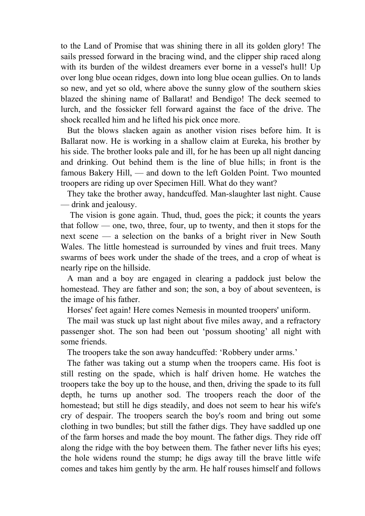to the Land of Promise that was shining there in all its golden glory! The sails pressed forward in the bracing wind, and the clipper ship raced along with its burden of the wildest dreamers ever borne in a vessel's hull! Up over long blue ocean ridges, down into long blue ocean gullies. On to lands so new, and yet so old, where above the sunny glow of the southern skies blazed the shining name of Ballarat! and Bendigo! The deck seemed to lurch, and the fossicker fell forward against the face of the drive. The shock recalled him and he lifted his pick once more.

 But the blows slacken again as another vision rises before him. It is Ballarat now. He is working in a shallow claim at Eureka, his brother by his side. The brother looks pale and ill, for he has been up all night dancing and drinking. Out behind them is the line of blue hills; in front is the famous Bakery Hill, — and down to the left Golden Point. Two mounted troopers are riding up over Specimen Hill. What do they want?

 They take the brother away, handcuffed. Man-slaughter last night. Cause — drink and jealousy.

 The vision is gone again. Thud, thud, goes the pick; it counts the years that follow — one, two, three, four, up to twenty, and then it stops for the next scene — a selection on the banks of a bright river in New South Wales. The little homestead is surrounded by vines and fruit trees. Many swarms of bees work under the shade of the trees, and a crop of wheat is nearly ripe on the hillside.

 A man and a boy are engaged in clearing a paddock just below the homestead. They are father and son; the son, a boy of about seventeen, is the image of his father.

Horses' feet again! Here comes Nemesis in mounted troopers' uniform.

 The mail was stuck up last night about five miles away, and a refractory passenger shot. The son had been out 'possum shooting' all night with some friends.

The troopers take the son away handcuffed: 'Robbery under arms.'

 The father was taking out a stump when the troopers came. His foot is still resting on the spade, which is half driven home. He watches the troopers take the boy up to the house, and then, driving the spade to its full depth, he turns up another sod. The troopers reach the door of the homestead; but still he digs steadily, and does not seem to hear his wife's cry of despair. The troopers search the boy's room and bring out some clothing in two bundles; but still the father digs. They have saddled up one of the farm horses and made the boy mount. The father digs. They ride off along the ridge with the boy between them. The father never lifts his eyes; the hole widens round the stump; he digs away till the brave little wife comes and takes him gently by the arm. He half rouses himself and follows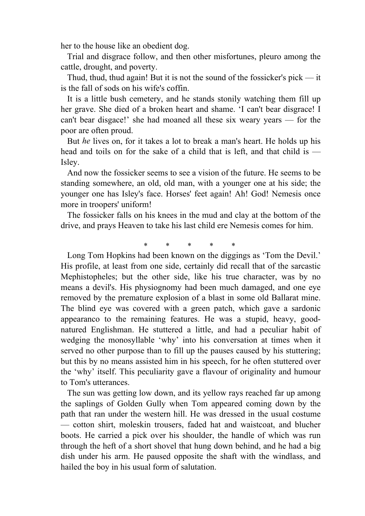her to the house like an obedient dog.

 Trial and disgrace follow, and then other misfortunes, pleuro among the cattle, drought, and poverty.

 Thud, thud, thud again! But it is not the sound of the fossicker's pick — it is the fall of sods on his wife's coffin.

 It is a little bush cemetery, and he stands stonily watching them fill up her grave. She died of a broken heart and shame. 'I can't bear disgrace! I can't bear disgace!' she had moaned all these six weary years — for the poor are often proud.

 But *he* lives on, for it takes a lot to break a man's heart. He holds up his head and toils on for the sake of a child that is left, and that child is — Isley.

 And now the fossicker seems to see a vision of the future. He seems to be standing somewhere, an old, old man, with a younger one at his side; the younger one has Isley's face. Horses' feet again! Ah! God! Nemesis once more in troopers' uniform!

 The fossicker falls on his knees in the mud and clay at the bottom of the drive, and prays Heaven to take his last child ere Nemesis comes for him.

\* \* \* \* \*

 Long Tom Hopkins had been known on the diggings as 'Tom the Devil.' His profile, at least from one side, certainly did recall that of the sarcastic Mephistopheles; but the other side, like his true character, was by no means a devil's. His physiognomy had been much damaged, and one eye removed by the premature explosion of a blast in some old Ballarat mine. The blind eye was covered with a green patch, which gave a sardonic appearanco to the remaining features. He was a stupid, heavy, goodnatured Englishman. He stuttered a little, and had a peculiar habit of wedging the monosyllable 'why' into his conversation at times when it served no other purpose than to fill up the pauses caused by his stuttering; but this by no means assisted him in his speech, for he often stuttered over the 'why' itself. This peculiarity gave a flavour of originality and humour to Tom's utterances.

 The sun was getting low down, and its yellow rays reached far up among the saplings of Golden Gully when Tom appeared coming down by the path that ran under the western hill. He was dressed in the usual costume — cotton shirt, moleskin trousers, faded hat and waistcoat, and blucher boots. He carried a pick over his shoulder, the handle of which was run through the heft of a short shovel that hung down behind, and he had a big dish under his arm. He paused opposite the shaft with the windlass, and hailed the boy in his usual form of salutation.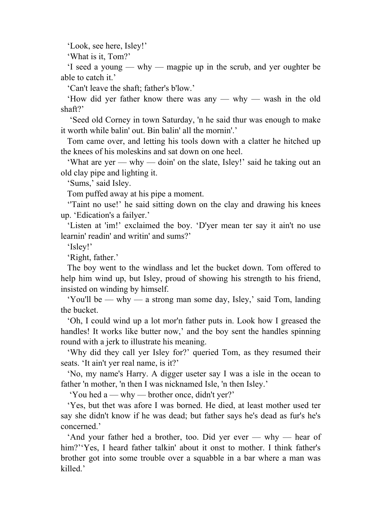'Look, see here, Isley!'

'What is it, Tom?'

 'I seed a young — why — magpie up in the scrub, and yer oughter be able to catch it.'

'Can't leave the shaft; father's b'low.'

 'How did yer father know there was any — why — wash in the old shaft?'

 'Seed old Corney in town Saturday, 'n he said thur was enough to make it worth while balin' out. Bin balin' all the mornin'.'

 Tom came over, and letting his tools down with a clatter he hitched up the knees of his moleskins and sat down on one heel.

 'What are yer — why — doin' on the slate, Isley!' said he taking out an old clay pipe and lighting it.

'Sums,' said Isley.

Tom puffed away at his pipe a moment.

 ''Taint no use!' he said sitting down on the clay and drawing his knees up. 'Edication's a failyer.'

 'Listen at 'im!' exclaimed the boy. 'D'yer mean ter say it ain't no use learnin' readin' and writin' and sums?'

'Isley!'

'Right, father.'

 The boy went to the windlass and let the bucket down. Tom offered to help him wind up, but Isley, proud of showing his strength to his friend, insisted on winding by himself.

 'You'll be — why — a strong man some day, Isley,' said Tom, landing the bucket.

 'Oh, I could wind up a lot mor'n father puts in. Look how I greased the handles! It works like butter now,' and the boy sent the handles spinning round with a jerk to illustrate his meaning.

 'Why did they call yer Isley for?' queried Tom, as they resumed their seats. 'It ain't yer real name, is it?'

 'No, my name's Harry. A digger useter say I was a isle in the ocean to father 'n mother, 'n then I was nicknamed Isle, 'n then Isley.'

'You hed a — why — brother once, didn't yer?'

 'Yes, but thet was afore I was borned. He died, at least mother used ter say she didn't know if he was dead; but father says he's dead as fur's he's concerned.'

 'And your father hed a brother, too. Did yer ever — why — hear of him?''Yes, I heard father talkin' about it onst to mother. I think father's brother got into some trouble over a squabble in a bar where a man was killed.'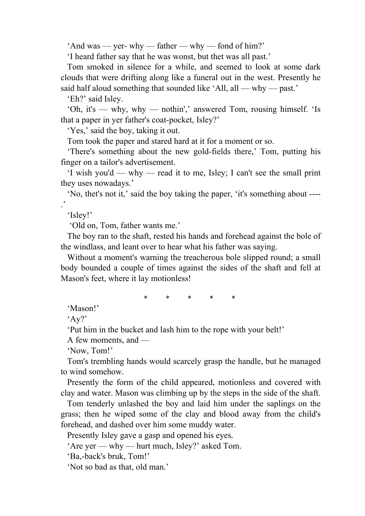'And was — yer- why — father — why — fond of him?'

'I heard father say that he was wonst, but thet was all past.'

 Tom smoked in silence for a while, and seemed to look at some dark clouds that were drifting along like a funeral out in the west. Presently he said half aloud something that sounded like 'All, all — why — past.'

'Eh?' said Isley.

 'Oh, it's — why, why — nothin',' answered Tom, rousing himself. 'Is that a paper in yer father's coat-pocket, Isley?'

'Yes,' said the boy, taking it out.

Tom took the paper and stared hard at it for a moment or so.

 'There's something about the new gold-fields there,' Tom, putting his finger on a tailor's advertisement.

 'I wish you'd — why — read it to me, Isley; I can't see the small print they uses nowadays.'

 'No, thet's not it,' said the boy taking the paper, 'it's something about ---- .'

'Isley!'

'Old on, Tom, father wants me.'

 The boy ran to the shaft, rested his hands and forehead against the bole of the windlass, and leant over to hear what his father was saying.

 Without a moment's warning the treacherous bole slipped round; a small body bounded a couple of times against the sides of the shaft and fell at Mason's feet, where it lay motionless!

\* \* \* \* \*

'Mason!'

'Ay?'

'Put him in the bucket and lash him to the rope with your belt!'

A few moments, and —

'Now, Tom!'

 Tom's trembling hands would scarcely grasp the handle, but he managed to wind somehow.

 Presently the form of the child appeared, motionless and covered with clay and water. Mason was climbing up by the steps in the side of the shaft.

 Tom tenderly unlashed the boy and laid him under the saplings on the grass; then he wiped some of the clay and blood away from the child's forehead, and dashed over him some muddy water.

Presently Isley gave a gasp and opened his eves.

'Are yer — why — hurt much, Isley?' asked Tom.

'Ba,-back's bruk, Tom!'

'Not so bad as that, old man.'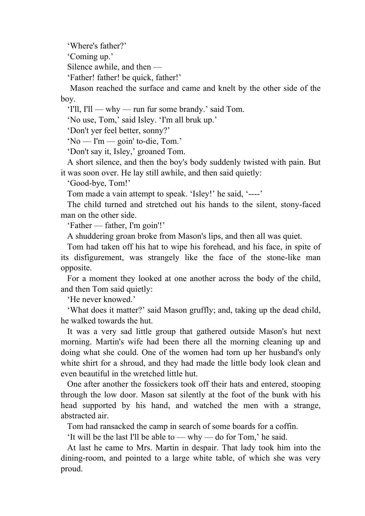'Where's father?'

'Coming up.'

Silence awhile, and then —

'Father! father! be quick, father!'

 Mason reached the surface and came and knelt by the other side of the boy.

'I'll, I'll — why — run fur some brandy.' said Tom.

'No use, Tom,' said Isley. 'I'm all bruk up.'

'Don't yer feel better, sonny?'

'No — I'm — goin' to-die, Tom.'

'Don't say it, Isley,' groaned Tom.

 A short silence, and then the boy's body suddenly twisted with pain. But it was soon over. He lay still awhile, and then said quietly:

'Good-bye, Tom!'

Tom made a vain attempt to speak. 'Isley!' he said, '----'

 The child turned and stretched out his hands to the silent, stony-faced man on the other side.

'Father — father, I'm goin'!'

A shuddering groan broke from Mason's lips, and then all was quiet.

 Tom had taken off his hat to wipe his forehead, and his face, in spite of its disfigurement, was strangely like the face of the stone-like man opposite.

 For a moment they looked at one another across the body of the child, and then Tom said quietly:

'He never knowed.'

 'What does it matter?' said Mason gruffly; and, taking up the dead child, he walked towards the hut.

 It was a very sad little group that gathered outside Mason's hut next morning. Martin's wife had been there all the morning cleaning up and doing what she could. One of the women had torn up her husband's only white shirt for a shroud, and they had made the little body look clean and even beautiful in the wretched little hut.

 One after another the fossickers took off their hats and entered, stooping through the low door. Mason sat silently at the foot of the bunk with his head supported by his hand, and watched the men with a strange, abstracted air.

Tom had ransacked the camp in search of some boards for a coffin.

'It will be the last I'll be able to — why — do for Tom,' he said.

 At last he came to Mrs. Martin in despair. That lady took him into the dining-room, and pointed to a large white table, of which she was very proud.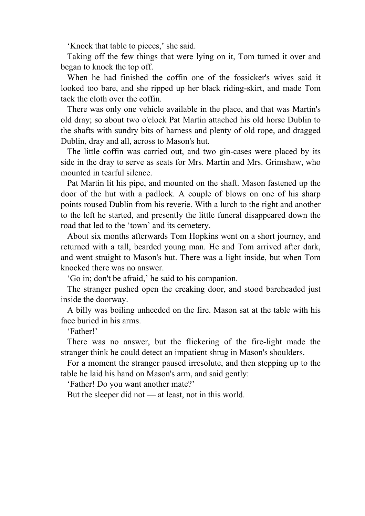'Knock that table to pieces,' she said.

 Taking off the few things that were lying on it, Tom turned it over and began to knock the top off.

 When he had finished the coffin one of the fossicker's wives said it looked too bare, and she ripped up her black riding-skirt, and made Tom tack the cloth over the coffin.

 There was only one vehicle available in the place, and that was Martin's old dray; so about two o'clock Pat Martin attached his old horse Dublin to the shafts with sundry bits of harness and plenty of old rope, and dragged Dublin, dray and all, across to Mason's hut.

 The little coffin was carried out, and two gin-cases were placed by its side in the dray to serve as seats for Mrs. Martin and Mrs. Grimshaw, who mounted in tearful silence.

 Pat Martin lit his pipe, and mounted on the shaft. Mason fastened up the door of the hut with a padlock. A couple of blows on one of his sharp points roused Dublin from his reverie. With a lurch to the right and another to the left he started, and presently the little funeral disappeared down the road that led to the 'town' and its cemetery.

 About six months afterwards Tom Hopkins went on a short journey, and returned with a tall, bearded young man. He and Tom arrived after dark, and went straight to Mason's hut. There was a light inside, but when Tom knocked there was no answer.

'Go in; don't be afraid,' he said to his companion.

 The stranger pushed open the creaking door, and stood bareheaded just inside the doorway.

 A billy was boiling unheeded on the fire. Mason sat at the table with his face buried in his arms.

'Father!'

 There was no answer, but the flickering of the fire-light made the stranger think he could detect an impatient shrug in Mason's shoulders.

 For a moment the stranger paused irresolute, and then stepping up to the table he laid his hand on Mason's arm, and said gently:

'Father! Do you want another mate?'

But the sleeper did not — at least, not in this world.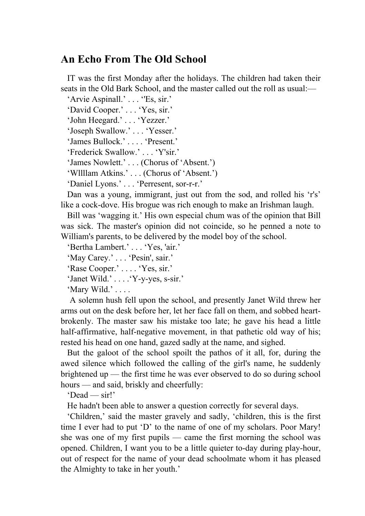#### **An Echo From The Old School**

 IT was the first Monday after the holidays. The children had taken their seats in the Old Bark School, and the master called out the roll as usual:—

'Arvie Aspinall.' . . . "Es, sir.' 'David Cooper.' . . . 'Yes, sir.'

'John Heegard.' . . . 'Yezzer.'

'Joseph Swallow.' . . . 'Yesser.'

'James Bullock.' . . . . 'Present.'

'Frederick Swallow.' . . . 'Y'sir.'

'James Nowlett.' . . . (Chorus of 'Absent.')

'Wllllam Atkins.' . . . (Chorus of 'Absent.')

'Daniel Lyons.' . . . 'Perresent, sor-r-r.'

 Dan was a young, immigrant, just out from the sod, and rolled his 'r's' like a cock-dove. His brogue was rich enough to make an Irishman laugh.

 Bill was 'wagging it.' His own especial chum was of the opinion that Bill was sick. The master's opinion did not coincide, so he penned a note to William's parents, to be delivered by the model boy of the school.

'Bertha Lambert.' . . . 'Yes, 'air.'

'May Carey.' . . . 'Pesin', sair.'

'Rase Cooper.' . . . . 'Yes, sir.'

'Janet Wild.' . . . .'Y-y-yes, s-sir.'

'Mary Wild.' . . . .

 A solemn hush fell upon the school, and presently Janet Wild threw her arms out on the desk before her, let her face fall on them, and sobbed heartbrokenly. The master saw his mistake too late; he gave his head a little half-affirmative, half-negative movement, in that pathetic old way of his; rested his head on one hand, gazed sadly at the name, and sighed.

 But the galoot of the school spoilt the pathos of it all, for, during the awed silence which followed the calling of the girl's name, he suddenly brightened up — the first time he was ever observed to do so during school hours — and said, briskly and cheerfully:

'Dead — sir!'

He hadn't been able to answer a question correctly for several days.

 'Children,' said the master gravely and sadly, 'children, this is the first time I ever had to put 'D' to the name of one of my scholars. Poor Mary! she was one of my first pupils — came the first morning the school was opened. Children, I want you to be a little quieter to-day during play-hour, out of respect for the name of your dead schoolmate whom it has pleased the Almighty to take in her youth.'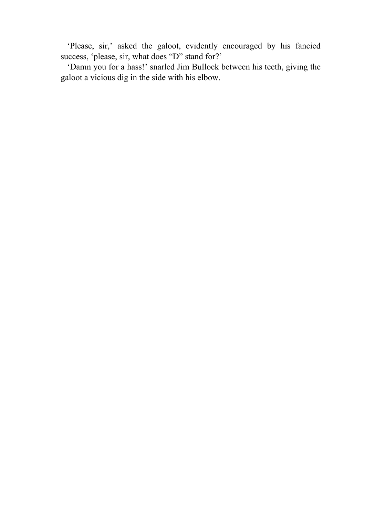'Please, sir,' asked the galoot, evidently encouraged by his fancied success, 'please, sir, what does "D" stand for?'

 'Damn you for a hass!' snarled Jim Bullock between his teeth, giving the galoot a vicious dig in the side with his elbow.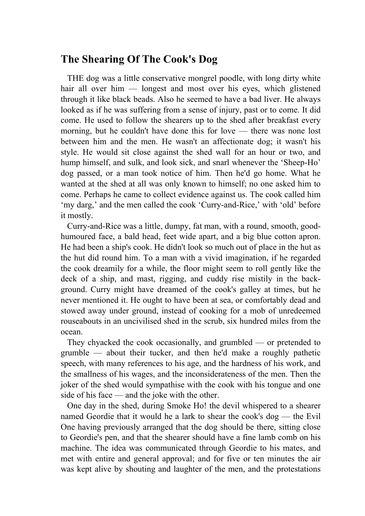### **The Shearing Of The Cook's Dog**

 THE dog was a little conservative mongrel poodle, with long dirty white hair all over him — longest and most over his eyes, which glistened through it like black beads. Also he seemed to have a bad liver. He always looked as if he was suffering from a sense of injury, past or to come. It did come. He used to follow the shearers up to the shed after breakfast every morning, but he couldn't have done this for love — there was none lost between him and the men. He wasn't an affectionate dog; it wasn't his style. He would sit close against the shed wall for an hour or two, and hump himself, and sulk, and look sick, and snarl whenever the 'Sheep-Ho' dog passed, or a man took notice of him. Then he'd go home. What he wanted at the shed at all was only known to himself; no one asked him to come. Perhaps he came to collect evidence against us. The cook called him 'my darg,' and the men called the cook 'Curry-and-Rice,' with 'old' before it mostly.

 Curry-and-Rice was a little, dumpy, fat man, with a round, smooth, goodhumoured face, a bald head, feet wide apart, and a big blue cotton apron. He had been a ship's cook. He didn't look so much out of place in the hut as the hut did round him. To a man with a vivid imagination, if he regarded the cook dreamily for a while, the floor might seem to roll gently like the deck of a ship, and mast, rigging, and cuddy rise mistily in the background. Curry might have dreamed of the cook's galley at times, but he never mentioned it. He ought to have been at sea, or comfortably dead and stowed away under ground, instead of cooking for a mob of unredeemed rouseabouts in an uncivilised shed in the scrub, six hundred miles from the ocean.

 They chyacked the cook occasionally, and grumbled — or pretended to grumble — about their tucker, and then he'd make a roughly pathetic speech, with many references to his age, and the hardness of his work, and the smallness of his wages, and the inconsiderateness of the men. Then the joker of the shed would sympathise with the cook with his tongue and one side of his face — and the joke with the other.

 One day in the shed, during Smoke Ho! the devil whispered to a shearer named Geordie that it would he a lark to shear the cook's dog — the Evil One having previously arranged that the dog should be there, sitting close to Geordie's pen, and that the shearer should have a fine lamb comb on his machine. The idea was communicated through Geordie to his mates, and met with entire and general approval; and for five or ten minutes the air was kept alive by shouting and laughter of the men, and the protestations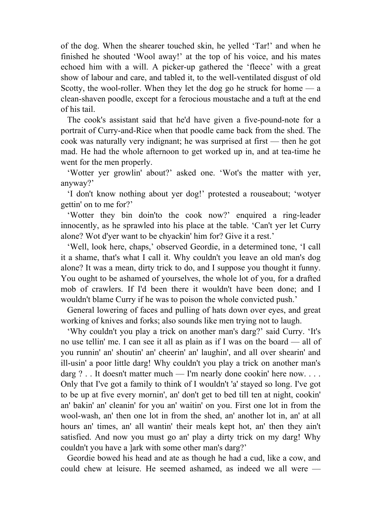of the dog. When the shearer touched skin, he yelled 'Tar!' and when he finished he shouted 'Wool away!' at the top of his voice, and his mates echoed him with a will. A picker-up gathered the 'fleece' with a great show of labour and care, and tabled it, to the well-ventilated disgust of old Scotty, the wool-roller. When they let the dog go he struck for home  $-\alpha$ clean-shaven poodle, except for a ferocious moustache and a tuft at the end of his tail.

 The cook's assistant said that he'd have given a five-pound-note for a portrait of Curry-and-Rice when that poodle came back from the shed. The cook was naturally very indignant; he was surprised at first — then he got mad. He had the whole afternoon to get worked up in, and at tea-time he went for the men properly.

 'Wotter yer growlin' about?' asked one. 'Wot's the matter with yer, anyway?'

 'I don't know nothing about yer dog!' protested a rouseabout; 'wotyer gettin' on to me for?'

 'Wotter they bin doin'to the cook now?' enquired a ring-leader innocently, as he sprawled into his place at the table. 'Can't yer let Curry alone? Wot d'yer want to be chyackin' him for? Give it a rest.'

 'Well, look here, chaps,' observed Geordie, in a determined tone, 'I call it a shame, that's what I call it. Why couldn't you leave an old man's dog alone? It was a mean, dirty trick to do, and I suppose you thought it funny. You ought to be ashamed of yourselves, the whole lot of you, for a drafted mob of crawlers. If I'd been there it wouldn't have been done; and I wouldn't blame Curry if he was to poison the whole convicted push.'

 General lowering of faces and pulling of hats down over eyes, and great working of knives and forks; also sounds like men trying not to laugh.

 'Why couldn't you play a trick on another man's darg?' said Curry. 'It's no use tellin' me. I can see it all as plain as if I was on the board — all of you runnin' an' shoutin' an' cheerin' an' laughin', and all over shearin' and ill-usin' a poor little darg! Why couldn't you play a trick on another man's darg ? . . It doesn't matter much — I'm nearly done cookin' here now. . . . Only that I've got a family to think of I wouldn't 'a' stayed so long. I've got to be up at five every mornin', an' don't get to bed till ten at night, cookin' an' bakin' an' cleanin' for you an' waitin' on you. First one lot in from the wool-wash, an' then one lot in from the shed, an' another lot in, an' at all hours an' times, an' all wantin' their meals kept hot, an' then they ain't satisfied. And now you must go an' play a dirty trick on my darg! Why couldn't you have a ]ark with some other man's darg?'

 Geordie bowed his head and ate as though he had a cud, like a cow, and could chew at leisure. He seemed ashamed, as indeed we all were —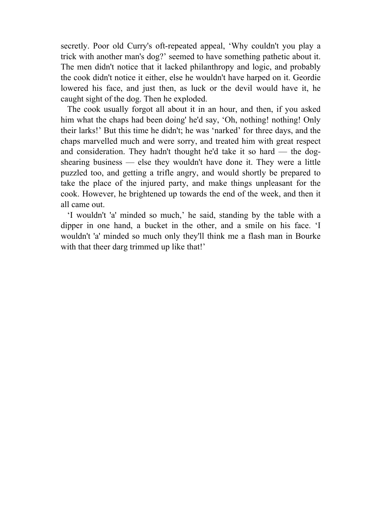secretly. Poor old Curry's oft-repeated appeal, 'Why couldn't you play a trick with another man's dog?' seemed to have something pathetic about it. The men didn't notice that it lacked philanthropy and logic, and probably the cook didn't notice it either, else he wouldn't have harped on it. Geordie lowered his face, and just then, as luck or the devil would have it, he caught sight of the dog. Then he exploded.

 The cook usually forgot all about it in an hour, and then, if you asked him what the chaps had been doing' he'd say, 'Oh, nothing! nothing! Only their larks!' But this time he didn't; he was 'narked' for three days, and the chaps marvelled much and were sorry, and treated him with great respect and consideration. They hadn't thought he'd take it so hard — the dogshearing business — else they wouldn't have done it. They were a little puzzled too, and getting a trifle angry, and would shortly be prepared to take the place of the injured party, and make things unpleasant for the cook. However, he brightened up towards the end of the week, and then it all came out.

 'I wouldn't 'a' minded so much,' he said, standing by the table with a dipper in one hand, a bucket in the other, and a smile on his face. 'I wouldn't 'a' minded so much only they'll think me a flash man in Bourke with that theer darg trimmed up like that!'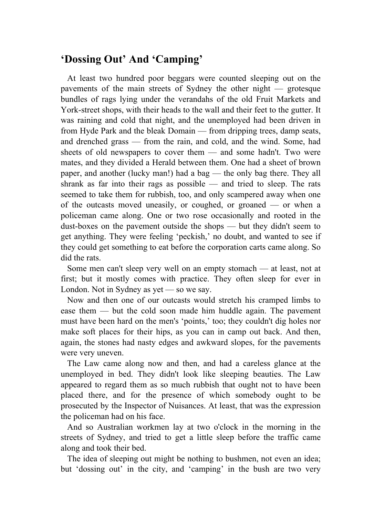# **'Dossing Out' And 'Camping'**

 At least two hundred poor beggars were counted sleeping out on the pavements of the main streets of Sydney the other night — grotesque bundles of rags lying under the verandahs of the old Fruit Markets and York-street shops, with their heads to the wall and their feet to the gutter. It was raining and cold that night, and the unemployed had been driven in from Hyde Park and the bleak Domain — from dripping trees, damp seats, and drenched grass — from the rain, and cold, and the wind. Some, had sheets of old newspapers to cover them — and some hadn't. Two were mates, and they divided a Herald between them. One had a sheet of brown paper, and another (lucky man!) had a bag — the only bag there. They all shrank as far into their rags as possible — and tried to sleep. The rats seemed to take them for rubbish, too, and only scampered away when one of the outcasts moved uneasily, or coughed, or groaned — or when a policeman came along. One or two rose occasionally and rooted in the dust-boxes on the pavement outside the shops — but they didn't seem to get anything. They were feeling 'peckish,' no doubt, and wanted to see if they could get something to eat before the corporation carts came along. So did the rats.

 Some men can't sleep very well on an empty stomach — at least, not at first; but it mostly comes with practice. They often sleep for ever in London. Not in Sydney as yet — so we say.

 Now and then one of our outcasts would stretch his cramped limbs to ease them — but the cold soon made him huddle again. The pavement must have been hard on the men's 'points,' too; they couldn't dig holes nor make soft places for their hips, as you can in camp out back. And then, again, the stones had nasty edges and awkward slopes, for the pavements were very uneven.

 The Law came along now and then, and had a careless glance at the unemployed in bed. They didn't look like sleeping beauties. The Law appeared to regard them as so much rubbish that ought not to have been placed there, and for the presence of which somebody ought to be prosecuted by the Inspector of Nuisances. At least, that was the expression the policeman had on his face.

 And so Australian workmen lay at two o'clock in the morning in the streets of Sydney, and tried to get a little sleep before the traffic came along and took their bed.

 The idea of sleeping out might be nothing to bushmen, not even an idea; but 'dossing out' in the city, and 'camping' in the bush are two very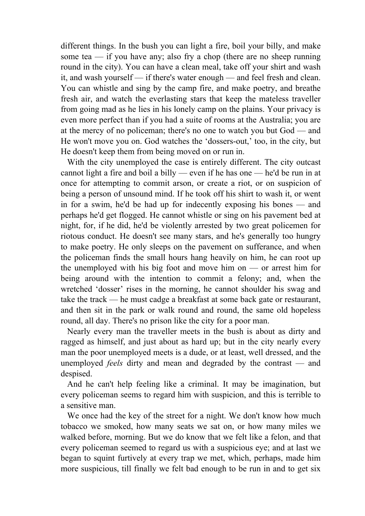different things. In the bush you can light a fire, boil your billy, and make some tea — if you have any; also fry a chop (there are no sheep running round in the city). You can have a clean meal, take off your shirt and wash it, and wash yourself — if there's water enough — and feel fresh and clean. You can whistle and sing by the camp fire, and make poetry, and breathe fresh air, and watch the everlasting stars that keep the mateless traveller from going mad as he lies in his lonely camp on the plains. Your privacy is even more perfect than if you had a suite of rooms at the Australia; you are at the mercy of no policeman; there's no one to watch you but God — and He won't move you on. God watches the 'dossers-out,' too, in the city, but He doesn't keep them from being moved on or run in.

 With the city unemployed the case is entirely different. The city outcast cannot light a fire and boil a billy — even if he has one — he'd be run in at once for attempting to commit arson, or create a riot, or on suspicion of being a person of unsound mind. If he took off his shirt to wash it, or went in for a swim, he'd be had up for indecently exposing his bones — and perhaps he'd get flogged. He cannot whistle or sing on his pavement bed at night, for, if he did, he'd be violently arrested by two great policemen for riotous conduct. He doesn't see many stars, and he's generally too hungry to make poetry. He only sleeps on the pavement on sufferance, and when the policeman finds the small hours hang heavily on him, he can root up the unemployed with his big foot and move him on — or arrest him for being around with the intention to commit a felony; and, when the wretched 'dosser' rises in the morning, he cannot shoulder his swag and take the track — he must cadge a breakfast at some back gate or restaurant, and then sit in the park or walk round and round, the same old hopeless round, all day. There's no prison like the city for a poor man.

 Nearly every man the traveller meets in the bush is about as dirty and ragged as himself, and just about as hard up; but in the city nearly every man the poor unemployed meets is a dude, or at least, well dressed, and the unemployed *feels* dirty and mean and degraded by the contrast — and despised.

 And he can't help feeling like a criminal. It may be imagination, but every policeman seems to regard him with suspicion, and this is terrible to a sensitive man.

 We once had the key of the street for a night. We don't know how much tobacco we smoked, how many seats we sat on, or how many miles we walked before, morning. But we do know that we felt like a felon, and that every policeman seemed to regard us with a suspicious eye; and at last we began to squint furtively at every trap we met, which, perhaps, made him more suspicious, till finally we felt bad enough to be run in and to get six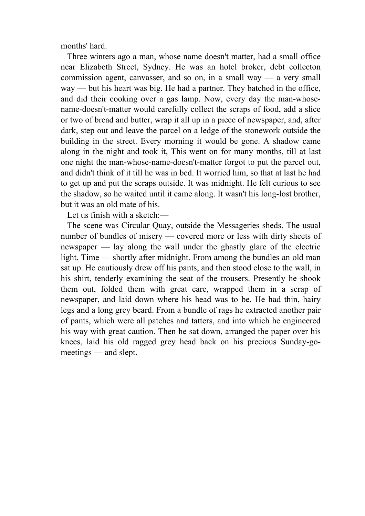months' hard.

 Three winters ago a man, whose name doesn't matter, had a small office near Elizabeth Street, Sydney. He was an hotel broker, debt collecton commission agent, canvasser, and so on, in a small way — a very small way — but his heart was big. He had a partner. They batched in the office, and did their cooking over a gas lamp. Now, every day the man-whosename-doesn't-matter would carefully collect the scraps of food, add a slice or two of bread and butter, wrap it all up in a piece of newspaper, and, after dark, step out and leave the parcel on a ledge of the stonework outside the building in the street. Every morning it would be gone. A shadow came along in the night and took it, This went on for many months, till at last one night the man-whose-name-doesn't-matter forgot to put the parcel out, and didn't think of it till he was in bed. It worried him, so that at last he had to get up and put the scraps outside. It was midnight. He felt curious to see the shadow, so he waited until it came along. It wasn't his long-lost brother, but it was an old mate of his.

Let us finish with a sketch:—

 The scene was Circular Quay, outside the Messageries sheds. The usual number of bundles of misery — covered more or less with dirty sheets of newspaper — lay along the wall under the ghastly glare of the electric light. Time — shortly after midnight. From among the bundles an old man sat up. He cautiously drew off his pants, and then stood close to the wall, in his shirt, tenderly examining the seat of the trousers. Presently he shook them out, folded them with great care, wrapped them in a scrap of newspaper, and laid down where his head was to be. He had thin, hairy legs and a long grey beard. From a bundle of rags he extracted another pair of pants, which were all patches and tatters, and into which he engineered his way with great caution. Then he sat down, arranged the paper over his knees, laid his old ragged grey head back on his precious Sunday-gomeetings — and slept.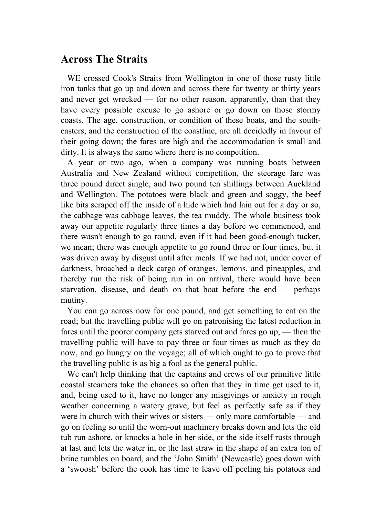### **Across The Straits**

 WE crossed Cook's Straits from Wellington in one of those rusty little iron tanks that go up and down and across there for twenty or thirty years and never get wrecked — for no other reason, apparently, than that they have every possible excuse to go ashore or go down on those stormy coasts. The age, construction, or condition of these boats, and the southeasters, and the construction of the coastline, are all decidedly in favour of their going down; the fares are high and the accommodation is small and dirty. It is always the same where there is no competition.

 A year or two ago, when a company was running boats between Australia and New Zealand without competition, the steerage fare was three pound direct single, and two pound ten shillings between Auckland and Wellington. The potatoes were black and green and soggy, the beef like bits scraped off the inside of a hide which had lain out for a day or so, the cabbage was cabbage leaves, the tea muddy. The whole business took away our appetite regularly three times a day before we commenced, and there wasn't enough to go round, even if it had been good-enough tucker, we mean; there was enough appetite to go round three or four times, but it was driven away by disgust until after meals. If we had not, under cover of darkness, broached a deck cargo of oranges, lemons, and pineapples, and thereby run the risk of being run in on arrival, there would have been starvation, disease, and death on that boat before the end — perhaps mutiny.

 You can go across now for one pound, and get something to eat on the road; but the travelling public will go on patronising the latest reduction in fares until the poorer company gets starved out and fares go up, — then the travelling public will have to pay three or four times as much as they do now, and go hungry on the voyage; all of which ought to go to prove that the travelling public is as big a fool as the general public.

 We can't help thinking that the captains and crews of our primitive little coastal steamers take the chances so often that they in time get used to it, and, being used to it, have no longer any misgivings or anxiety in rough weather concerning a watery grave, but feel as perfectly safe as if they were in church with their wives or sisters — only more comfortable — and go on feeling so until the worn-out machinery breaks down and lets the old tub run ashore, or knocks a hole in her side, or the side itself rusts through at last and lets the water in, or the last straw in the shape of an extra ton of brine tumbles on board, and the 'John Smith' (Newcastle) goes down with a 'swoosh' before the cook has time to leave off peeling his potatoes and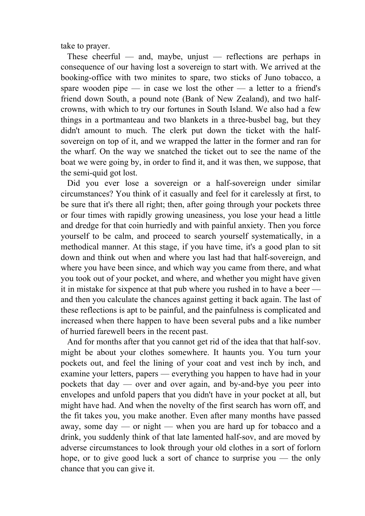take to prayer.

 These cheerful — and, maybe, unjust — reflections are perhaps in consequence of our having lost a sovereign to start with. We arrived at the booking-office with two minites to spare, two sticks of Juno tobacco, a spare wooden pipe — in case we lost the other — a letter to a friend's friend down South, a pound note (Bank of New Zealand), and two halfcrowns, with which to try our fortunes in South Island. We also had a few things in a portmanteau and two blankets in a three-busbel bag, but they didn't amount to much. The clerk put down the ticket with the halfsovereign on top of it, and we wrapped the latter in the former and ran for the wharf. On the way we snatched the ticket out to see the name of the boat we were going by, in order to find it, and it was then, we suppose, that the semi-quid got lost.

Did you ever lose a sovereign or a half-sovereign under similar circumstances? You think of it casually and feel for it carelessly at first, to be sure that it's there all right; then, after going through your pockets three or four times with rapidly growing uneasiness, you lose your head a little and dredge for that coin hurriedly and with painful anxiety. Then you force yourself to be calm, and proceed to search yourself systematically, in a methodical manner. At this stage, if you have time, it's a good plan to sit down and think out when and where you last had that half-sovereign, and where you have been since, and which way you came from there, and what you took out of your pocket, and where, and whether you might have given it in mistake for sixpence at that pub where you rushed in to have a beer and then you calculate the chances against getting it back again. The last of these reflections is apt to be painful, and the painfulness is complicated and increased when there happen to have been several pubs and a like number of hurried farewell beers in the recent past.

 And for months after that you cannot get rid of the idea that that half-sov. might be about your clothes somewhere. It haunts you. You turn your pockets out, and feel the lining of your coat and vest inch by inch, and examine your letters, papers — everything you happen to have had in your pockets that day — over and over again, and by-and-bye you peer into envelopes and unfold papers that you didn't have in your pocket at all, but might have had. And when the novelty of the first search has worn off, and the fit takes you, you make another. Even after many months have passed away, some day — or night — when you are hard up for tobacco and a drink, you suddenly think of that late lamented half-sov, and are moved by adverse circumstances to look through your old clothes in a sort of forlorn hope, or to give good luck a sort of chance to surprise you — the only chance that you can give it.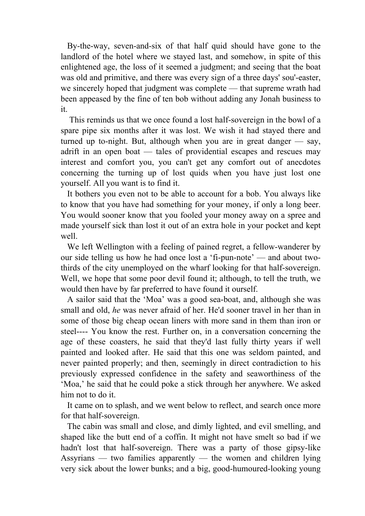By-the-way, seven-and-six of that half quid should have gone to the landlord of the hotel where we stayed last, and somehow, in spite of this enlightened age, the loss of it seemed a judgment; and seeing that the boat was old and primitive, and there was every sign of a three days' sou'-easter, we sincerely hoped that judgment was complete — that supreme wrath had been appeased by the fine of ten bob without adding any Jonah business to it.

 This reminds us that we once found a lost half-sovereign in the bowl of a spare pipe six months after it was lost. We wish it had stayed there and turned up to-night. But, although when you are in great danger — say, adrift in an open boat — tales of providential escapes and rescues may interest and comfort you, you can't get any comfort out of anecdotes concerning the turning up of lost quids when you have just lost one yourself. All you want is to find it.

 It bothers you even not to be able to account for a bob. You always like to know that you have had something for your money, if only a long beer. You would sooner know that you fooled your money away on a spree and made yourself sick than lost it out of an extra hole in your pocket and kept well.

 We left Wellington with a feeling of pained regret, a fellow-wanderer by our side telling us how he had once lost a 'fi-pun-note' — and about twothirds of the city unemployed on the wharf looking for that half-sovereign. Well, we hope that some poor devil found it; although, to tell the truth, we would then have by far preferred to have found it ourself.

 A sailor said that the 'Moa' was a good sea-boat, and, although she was small and old, *he* was never afraid of her. He'd sooner travel in her than in some of those big cheap ocean liners with more sand in them than iron or steel---- You know the rest. Further on, in a conversation concerning the age of these coasters, he said that they'd last fully thirty years if well painted and looked after. He said that this one was seldom painted, and never painted properly; and then, seemingly in direct contradiction to his previously expressed confidence in the safety and seaworthiness of the 'Moa,' he said that he could poke a stick through her anywhere. We asked him not to do it.

 It came on to splash, and we went below to reflect, and search once more for that half-sovereign.

 The cabin was small and close, and dimly lighted, and evil smelling, and shaped like the butt end of a coffin. It might not have smelt so bad if we hadn't lost that half-sovereign. There was a party of those gipsy-like Assyrians — two families apparently — the women and children lying very sick about the lower bunks; and a big, good-humoured-looking young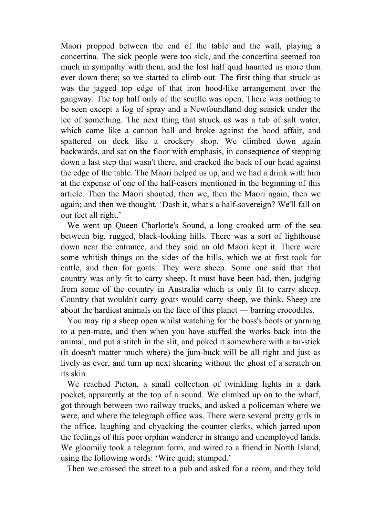Maori propped between the end of the table and the wall, playing a concertina. The sick people were too sick, and the concertina seemed too much in sympathy with them, and the lost half quid haunted us more than ever down there; so we started to climb out. The first thing that struck us was the jagged top edge of that iron hood-like arrangement over the gangway. The top half only of the scuttle was open. There was nothing to be seen except a fog of spray and a Newfoundland dog seasick under the lee of something. The next thing that struck us was a tub of salt water, which came like a cannon ball and broke against the hood affair, and spattered on deck like a crockery shop. We climbed down again backwards, and sat on the floor with emphasis, in consequence of stepping down a last step that wasn't there, and cracked the back of our head against the edge of the table. The Maori helped us up, and we had a drink with him at the expense of one of the half-casers mentioned in the beginning of this article. Then the Maori shouted, then we, then the Maori again, then we again; and then we thought, 'Dash it, what's a half-sovereign? We'll fall on our feet all right.'

 We went up Queen Charlotte's Sound, a long crooked arm of the sea between big, rugged, black-looking hills. There was a sort of lighthouse down near the entrance, and they said an old Maori kept it. There were some whitish things on the sides of the hills, which we at first took for cattle, and then for goats. They were sheep. Some one said that that country was only fit to carry sheep. It must have been bad, then, judging from some of the country in Australia which is only fit to carry sheep. Country that wouldn't carry goats would carry sheep, we think. Sheep are about the hardiest animals on the face of this planet — barring crocodiles.

 You may rip a sheep open whilst watching for the boss's boots or yarning to a pen-mate, and then when you have stuffed the works back into the animal, and put a stitch in the slit, and poked it somewhere with a tar-stick (it doesn't matter much where) the jum-buck will be all right and just as lively as ever, and turn up next shearing without the ghost of a scratch on its skin.

 We reached Picton, a small collection of twinkling lights in a dark pocket, apparently at the top of a sound. We climbed up on to the wharf, got through between two railway trucks, and asked a policeman where we were, and where the telegraph office was. There were several pretty girls in the office, laughing and chyacking the counter clerks, which jarred upon the feelings of this poor orphan wanderer in strange and unemployed lands. We gloomily took a telegram form, and wired to a friend in North Island, using the following words: 'Wire quid; stumped.'

Then we crossed the street to a pub and asked for a room, and they told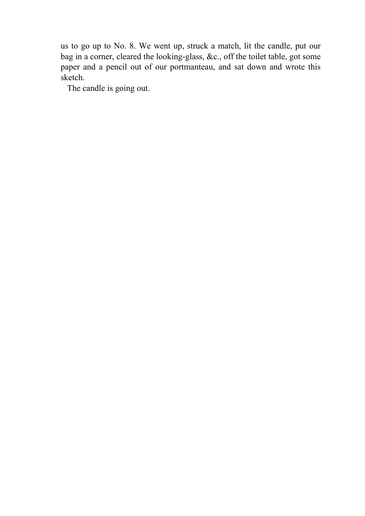us to go up to No. 8. We went up, struck a match, lit the candle, put our bag in a corner, cleared the looking-glass, &c., off the toilet table, got some paper and a pencil out of our portmanteau, and sat down and wrote this sketch.

The candle is going out.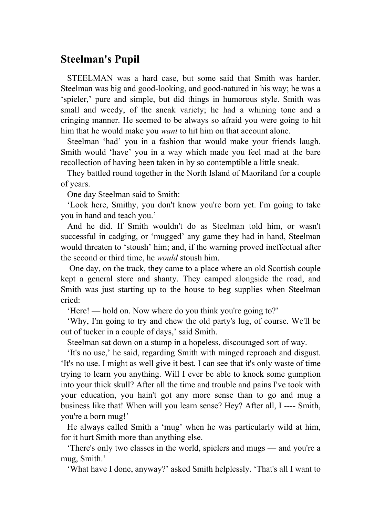## **Steelman's Pupil**

 STEELMAN was a hard case, but some said that Smith was harder. Steelman was big and good-looking, and good-natured in his way; he was a 'spieler,' pure and simple, but did things in humorous style. Smith was small and weedy, of the sneak variety; he had a whining tone and a cringing manner. He seemed to be always so afraid you were going to hit him that he would make you *want* to hit him on that account alone.

 Steelman 'had' you in a fashion that would make your friends laugh. Smith would 'have' you in a way which made you feel mad at the bare recollection of having been taken in by so contemptible a little sneak.

 They battled round together in the North Island of Maoriland for a couple of years.

One day Steelman said to Smith:

 'Look here, Smithy, you don't know you're born yet. I'm going to take you in hand and teach you.'

 And he did. If Smith wouldn't do as Steelman told him, or wasn't successful in cadging, or 'mugged' any game they had in hand, Steelman would threaten to 'stoush' him; and, if the warning proved ineffectual after the second or third time, he *would* stoush him.

 One day, on the track, they came to a place where an old Scottish couple kept a general store and shanty. They camped alongside the road, and Smith was just starting up to the house to beg supplies when Steelman cried:

'Here! — hold on. Now where do you think you're going to?'

 'Why, I'm going to try and chew the old party's lug, of course. We'll be out of tucker in a couple of days,' said Smith.

Steelman sat down on a stump in a hopeless, discouraged sort of way.

 'It's no use,' he said, regarding Smith with minged reproach and disgust. 'It's no use. I might as well give it best. I can see that it's only waste of time trying to learn you anything. Will I ever be able to knock some gumption into your thick skull? After all the time and trouble and pains I've took with your education, you hain't got any more sense than to go and mug a business like that! When will you learn sense? Hey? After all, I ---- Smith, you're a born mug!'

 He always called Smith a 'mug' when he was particularly wild at him, for it hurt Smith more than anything else.

 'There's only two classes in the world, spielers and mugs — and you're a mug, Smith.'

'What have I done, anyway?' asked Smith helplessly. 'That's all I want to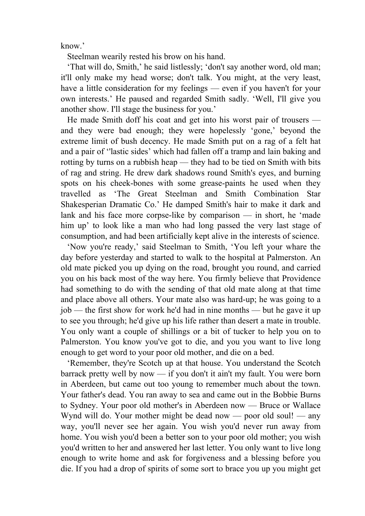know.'

Steelman wearily rested his brow on his hand.

 'That will do, Smith,' he said listlessly; 'don't say another word, old man; it'll only make my head worse; don't talk. You might, at the very least, have a little consideration for my feelings — even if you haven't for your own interests.' He paused and regarded Smith sadly. 'Well, I'll give you another show. I'll stage the business for you.'

 He made Smith doff his coat and get into his worst pair of trousers and they were bad enough; they were hopelessly 'gone,' beyond the extreme limit of bush decency. He made Smith put on a rag of a felt hat and a pair of ''lastic sides' which had fallen off a tramp and lain baking and rotting by turns on a rubbish heap — they had to be tied on Smith with bits of rag and string. He drew dark shadows round Smith's eyes, and burning spots on his cheek-bones with some grease-paints he used when they travelled as 'The Great Steelman and Smith Combination Star Shakesperian Dramatic Co.' He damped Smith's hair to make it dark and lank and his face more corpse-like by comparison — in short, he 'made him up' to look like a man who had long passed the very last stage of consumption, and had been artificially kept alive in the interests of science.

 'Now you're ready,' said Steelman to Smith, 'You left your whare the day before yesterday and started to walk to the hospital at Palmerston. An old mate picked you up dying on the road, brought you round, and carried you on his back most of the way here. You firmly believe that Providence had something to do with the sending of that old mate along at that time and place above all others. Your mate also was hard-up; he was going to a job — the first show for work he'd had in nine months — but he gave it up to see you through; he'd give up his life rather than desert a mate in trouble. You only want a couple of shillings or a bit of tucker to help you on to Palmerston. You know you've got to die, and you you want to live long enough to get word to your poor old mother, and die on a bed.

 'Remember, they're Scotch up at that house. You understand the Scotch barrack pretty well by now — if you don't it ain't my fault. You were born in Aberdeen, but came out too young to remember much about the town. Your father's dead. You ran away to sea and came out in the Bobbie Burns to Sydney. Your poor old mother's in Aberdeen now — Bruce or Wallace Wynd will do. Your mother might be dead now — poor old soul! — any way, you'll never see her again. You wish you'd never run away from home. You wish you'd been a better son to your poor old mother; you wish you'd written to her and answered her last letter. You only want to live long enough to write home and ask for forgiveness and a blessing before you die. If you had a drop of spirits of some sort to brace you up you might get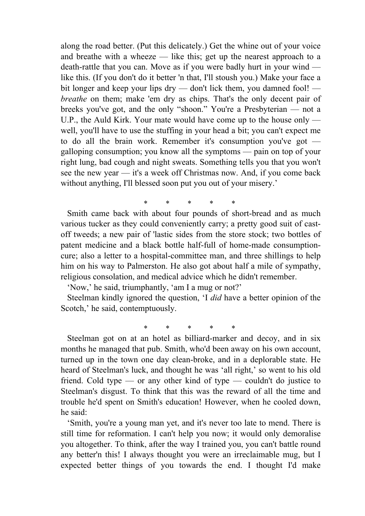along the road better. (Put this delicately.) Get the whine out of your voice and breathe with a wheeze — like this; get up the nearest approach to a death-rattle that you can. Move as if you were badly hurt in your wind like this. (If you don't do it better 'n that, I'll stoush you.) Make your face a bit longer and keep your lips dry — don't lick them, you damned fool! *breathe* on them; make 'em dry as chips. That's the only decent pair of breeks you've got, and the only "shoon." You're a Presbyterian — not a U.P., the Auld Kirk. Your mate would have come up to the house only well, you'll have to use the stuffing in your head a bit; you can't expect me to do all the brain work. Remember it's consumption you've got galloping consumption; you know all the symptoms — pain on top of your right lung, bad cough and night sweats. Something tells you that you won't see the new year — it's a week off Christmas now. And, if you come back without anything, I'll blessed soon put you out of your misery.'

\* \* \* \* \* Smith came back with about four pounds of short-bread and as much various tucker as they could conveniently carry; a pretty good suit of castoff tweeds; a new pair of 'lastic sides from the store stock; two bottles of patent medicine and a black bottle half-full of home-made consumptioncure; also a letter to a hospital-committee man, and three shillings to help him on his way to Palmerston. He also got about half a mile of sympathy, religious consolation, and medical advice which he didn't remember.

'Now,' he said, triumphantly, 'am I a mug or not?'

 Steelman kindly ignored the question, 'I *did* have a better opinion of the Scotch,' he said, contemptuously.

\* \* \* \* \*

 Steelman got on at an hotel as billiard-marker and decoy, and in six months he managed that pub. Smith, who'd been away on his own account, turned up in the town one day clean-broke, and in a deplorable state. He heard of Steelman's luck, and thought he was 'all right,' so went to his old friend. Cold type — or any other kind of type — couldn't do justice to Steelman's disgust. To think that this was the reward of all the time and trouble he'd spent on Smith's education! However, when he cooled down, he said:

 'Smith, you're a young man yet, and it's never too late to mend. There is still time for reformation. I can't help you now; it would only demoralise you altogether. To think, after the way I trained you, you can't battle round any better'n this! I always thought you were an irreclaimable mug, but I expected better things of you towards the end. I thought I'd make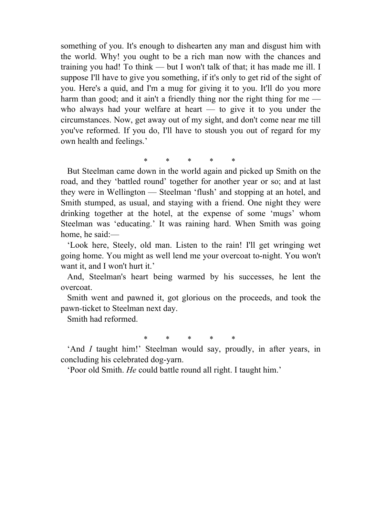something of you. It's enough to dishearten any man and disgust him with the world. Why! you ought to be a rich man now with the chances and training you had! To think — but I won't talk of that; it has made me ill. I suppose I'll have to give you something, if it's only to get rid of the sight of you. Here's a quid, and I'm a mug for giving it to you. It'll do you more harm than good; and it ain't a friendly thing nor the right thing for me  $$ who always had your welfare at heart — to give it to you under the circumstances. Now, get away out of my sight, and don't come near me till you've reformed. If you do, I'll have to stoush you out of regard for my own health and feelings.'

\* \* \* \* \*

 But Steelman came down in the world again and picked up Smith on the road, and they 'battled round' together for another year or so; and at last they were in Wellington — Steelman 'flush' and stopping at an hotel, and Smith stumped, as usual, and staying with a friend. One night they were drinking together at the hotel, at the expense of some 'mugs' whom Steelman was 'educating.' It was raining hard. When Smith was going home, he said:—

 'Look here, Steely, old man. Listen to the rain! I'll get wringing wet going home. You might as well lend me your overcoat to-night. You won't want it, and I won't hurt it.'

 And, Steelman's heart being warmed by his successes, he lent the overcoat.

 Smith went and pawned it, got glorious on the proceeds, and took the pawn-ticket to Steelman next day.

Smith had reformed.

\* \* \* \* \*

 'And *I* taught him!' Steelman would say, proudly, in after years, in concluding his celebrated dog-yarn.

'Poor old Smith. *He* could battle round all right. I taught him.'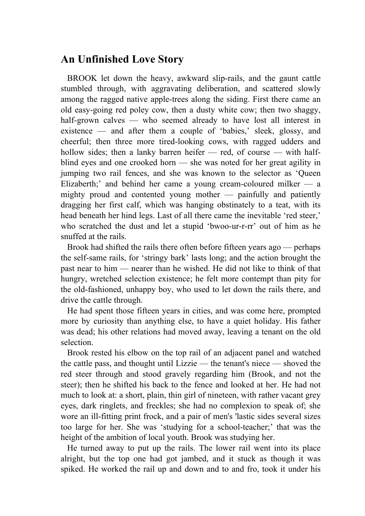### **An Unfinished Love Story**

 BROOK let down the heavy, awkward slip-rails, and the gaunt cattle stumbled through, with aggravating deliberation, and scattered slowly among the ragged native apple-trees along the siding. First there came an old easy-going red poley cow, then a dusty white cow; then two shaggy, half-grown calves — who seemed already to have lost all interest in existence — and after them a couple of 'babies,' sleek, glossy, and cheerful; then three more tired-looking cows, with ragged udders and hollow sides; then a lanky barren heifer — red, of course — with halfblind eyes and one crooked horn — she was noted for her great agility in jumping two rail fences, and she was known to the selector as 'Queen Elizaberth;' and behind her came a young cream-coloured milker  $-$  a mighty proud and contented young mother — painfully and patiently dragging her first calf, which was hanging obstinately to a teat, with its head beneath her hind legs. Last of all there came the inevitable 'red steer,' who scratched the dust and let a stupid 'bwoo-ur-r-rr' out of him as he snuffed at the rails.

 Brook had shifted the rails there often before fifteen years ago — perhaps the self-same rails, for 'stringy bark' lasts long; and the action brought the past near to him — nearer than he wished. He did not like to think of that hungry, wretched selection existence; he felt more contempt than pity for the old-fashioned, unhappy boy, who used to let down the rails there, and drive the cattle through.

 He had spent those fifteen years in cities, and was come here, prompted more by curiosity than anything else, to have a quiet holiday. His father was dead; his other relations had moved away, leaving a tenant on the old selection.

 Brook rested his elbow on the top rail of an adjacent panel and watched the cattle pass, and thought until Lizzie — the tenant's niece — shoved the red steer through and stood gravely regarding him (Brook, and not the steer); then he shifted his back to the fence and looked at her. He had not much to look at: a short, plain, thin girl of nineteen, with rather vacant grey eyes, dark ringlets, and freckles; she had no complexion to speak of; she wore an ill-fitting print frock, and a pair of men's 'lastic sides several sizes too large for her. She was 'studying for a school-teacher;' that was the height of the ambition of local youth. Brook was studying her.

 He turned away to put up the rails. The lower rail went into its place alright, but the top one had got jambed, and it stuck as though it was spiked. He worked the rail up and down and to and fro, took it under his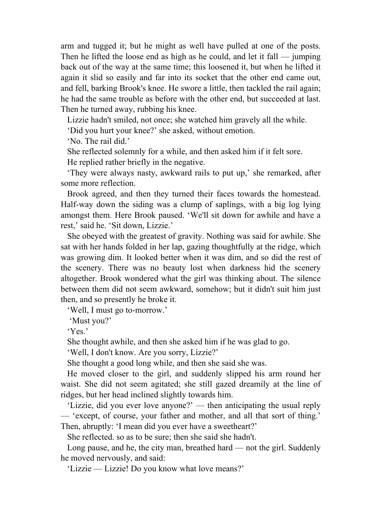arm and tugged it; but he might as well have pulled at one of the posts. Then he lifted the loose end as high as he could, and let it fall — jumping back out of the way at the same time; this loosened it, but when he lifted it again it slid so easily and far into its socket that the other end came out, and fell, barking Brook's knee. He swore a little, then tackled the rail again; he had the same trouble as before with the other end, but succeeded at last. Then he turned away, rubbing his knee.

Lizzie hadn't smiled, not once; she watched him gravely all the while.

'Did you hurt your knee?' she asked, without emotion.

'No. The rail did.'

She reflected solemnly for a while, and then asked him if it felt sore.

He replied rather briefly in the negative.

 'They were always nasty, awkward rails to put up,' she remarked, after some more reflection.

 Brook agreed, and then they turned their faces towards the homestead. Half-way down the siding was a clump of saplings, with a big log lying amongst them. Here Brook paused. 'We'll sit down for awhile and have a rest,' said he. 'Sit down, Lizzie.'

 She obeyed with the greatest of gravity. Nothing was said for awhile. She sat with her hands folded in her lap, gazing thoughtfully at the ridge, which was growing dim. It looked better when it was dim, and so did the rest of the scenery. There was no beauty lost when darkness hid the scenery altogether. Brook wondered what the girl was thinking about. The silence between them did not seem awkward, somehow; but it didn't suit him just then, and so presently he broke it.

'Well, I must go to-morrow.'

'Must you?'

'Yes.'

She thought awhile, and then she asked him if he was glad to go.

'Well, I don't know. Are you sorry, Lizzie?'

She thought a good long while, and then she said she was.

 He moved closer to the girl, and suddenly slipped his arm round her waist. She did not seem agitated; she still gazed dreamily at the line of ridges, but her head inclined slightly towards him.

 'Lizzie, did you ever love anyone?' — then anticipating the usual reply — 'except, of course, your father and mother, and all that sort of thing.' Then, abruptly: 'I mean did you ever have a sweetheart?'

She reflected. so as to be sure; then she said she hadn't.

 Long pause, and he, the city man, breathed hard — not the girl. Suddenly he moved nervously, and said:

'Lizzie — Lizzie! Do you know what love means?'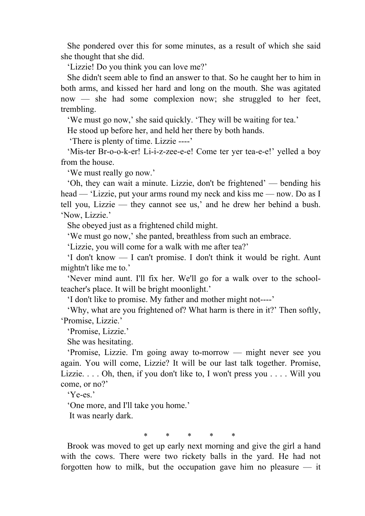She pondered over this for some minutes, as a result of which she said she thought that she did.

'Lizzie! Do you think you can love me?'

 She didn't seem able to find an answer to that. So he caught her to him in both arms, and kissed her hard and long on the mouth. She was agitated now — she had some complexion now; she struggled to her feet, trembling.

'We must go now,' she said quickly. 'They will be waiting for tea.'

He stood up before her, and held her there by both hands.

'There is plenty of time. Lizzie ----'

 'Mis-ter Br-o-o-k-er! Li-i-z-zee-e-e! Come ter yer tea-e-e!' yelled a boy from the house.

'We must really go now.'

 'Oh, they can wait a minute. Lizzie, don't be frightened' — bending his head — 'Lizzie, put your arms round my neck and kiss me — now. Do as I tell you, Lizzie — they cannot see us,' and he drew her behind a bush. 'Now, Lizzie.'

She obeyed just as a frightened child might.

'We must go now,' she panted, breathless from such an embrace.

'Lizzie, you will come for a walk with me after tea?'

 'I don't know — I can't promise. I don't think it would be right. Aunt mightn't like me to.'

 'Never mind aunt. I'll fix her. We'll go for a walk over to the schoolteacher's place. It will be bright moonlight.'

'I don't like to promise. My father and mother might not----'

 'Why, what are you frightened of? What harm is there in it?' Then softly, 'Promise, Lizzie.'

'Promise, Lizzie.'

She was hesitating.

 'Promise, Lizzie. I'm going away to-morrow — might never see you again. You will come, Lizzie? It will be our last talk together. Promise, Lizzie. . . . Oh, then, if you don't like to, I won't press you . . . . Will you come, or no?'

'Ye-es.'

'One more, and I'll take you home.'

It was nearly dark.

\* \* \* \* \*

 Brook was moved to get up early next morning and give the girl a hand with the cows. There were two rickety balls in the yard. He had not forgotten how to milk, but the occupation gave him no pleasure  $-$  it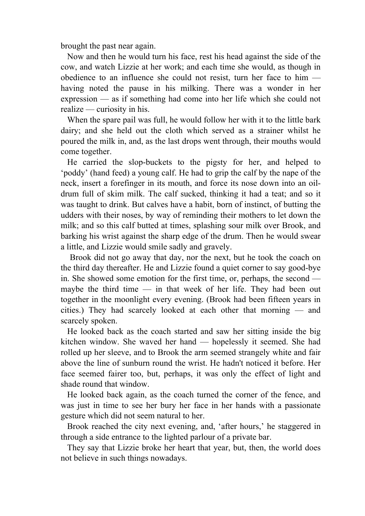brought the past near again.

 Now and then he would turn his face, rest his head against the side of the cow, and watch Lizzie at her work; and each time she would, as though in obedience to an influence she could not resist, turn her face to him having noted the pause in his milking. There was a wonder in her expression — as if something had come into her life which she could not realize — curiosity in his.

 When the spare pail was full, he would follow her with it to the little bark dairy; and she held out the cloth which served as a strainer whilst he poured the milk in, and, as the last drops went through, their mouths would come together.

 He carried the slop-buckets to the pigsty for her, and helped to 'poddy' (hand feed) a young calf. He had to grip the calf by the nape of the neck, insert a forefinger in its mouth, and force its nose down into an oildrum full of skim milk. The calf sucked, thinking it had a teat; and so it was taught to drink. But calves have a habit, born of instinct, of butting the udders with their noses, by way of reminding their mothers to let down the milk; and so this calf butted at times, splashing sour milk over Brook, and barking his wrist against the sharp edge of the drum. Then he would swear a little, and Lizzie would smile sadly and gravely.

 Brook did not go away that day, nor the next, but he took the coach on the third day thereafter. He and Lizzie found a quiet corner to say good-bye in. She showed some emotion for the first time, or, perhaps, the second maybe the third time — in that week of her life. They had been out together in the moonlight every evening. (Brook had been fifteen years in cities.) They had scarcely looked at each other that morning — and scarcely spoken.

 He looked back as the coach started and saw her sitting inside the big kitchen window. She waved her hand — hopelessly it seemed. She had rolled up her sleeve, and to Brook the arm seemed strangely white and fair above the line of sunburn round the wrist. He hadn't noticed it before. Her face seemed fairer too, but, perhaps, it was only the effect of light and shade round that window.

 He looked back again, as the coach turned the corner of the fence, and was just in time to see her bury her face in her hands with a passionate gesture which did not seem natural to her.

 Brook reached the city next evening, and, 'after hours,' he staggered in through a side entrance to the lighted parlour of a private bar.

 They say that Lizzie broke her heart that year, but, then, the world does not believe in such things nowadays.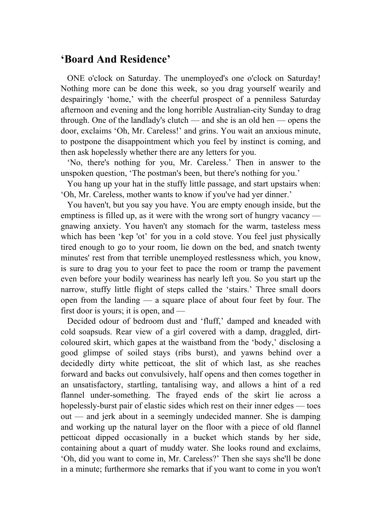### **'Board And Residence'**

 ONE o'clock on Saturday. The unemployed's one o'clock on Saturday! Nothing more can be done this week, so you drag yourself wearily and despairingly 'home,' with the cheerful prospect of a penniless Saturday afternoon and evening and the long horrible Australian-city Sunday to drag through. One of the landlady's clutch — and she is an old hen — opens the door, exclaims 'Oh, Mr. Careless!' and grins. You wait an anxious minute, to postpone the disappointment which you feel by instinct is coming, and then ask hopelessly whether there are any letters for you.

 'No, there's nothing for you, Mr. Careless.' Then in answer to the unspoken question, 'The postman's been, but there's nothing for you.'

 You hang up your hat in the stuffy little passage, and start upstairs when: 'Oh, Mr. Careless, mother wants to know if you've had yer dinner.'

 You haven't, but you say you have. You are empty enough inside, but the emptiness is filled up, as it were with the wrong sort of hungry vacancy gnawing anxiety. You haven't any stomach for the warm, tasteless mess which has been 'kep 'ot' for you in a cold stove. You feel just physically tired enough to go to your room, lie down on the bed, and snatch twenty minutes' rest from that terrible unemployed restlessness which, you know, is sure to drag you to your feet to pace the room or tramp the pavement even before your bodily weariness has nearly left you. So you start up the narrow, stuffy little flight of steps called the 'stairs.' Three small doors open from the landing — a square place of about four feet by four. The first door is yours; it is open, and —

 Decided odour of bedroom dust and 'fluff,' damped and kneaded with cold soapsuds. Rear view of a girl covered with a damp, draggled, dirtcoloured skirt, which gapes at the waistband from the 'body,' disclosing a good glimpse of soiled stays (ribs burst), and yawns behind over a decidedly dirty white petticoat, the slit of which last, as she reaches forward and backs out convulsively, half opens and then comes together in an unsatisfactory, startling, tantalising way, and allows a hint of a red flannel under-something. The frayed ends of the skirt lie across a hopelessly-burst pair of elastic sides which rest on their inner edges — toes out — and jerk about in a seemingly undecided manner. She is damping and working up the natural layer on the floor with a piece of old flannel petticoat dipped occasionally in a bucket which stands by her side, containing about a quart of muddy water. She looks round and exclaims, 'Oh, did you want to come in, Mr. Careless?' Then she says she'll be done in a minute; furthermore she remarks that if you want to come in you won't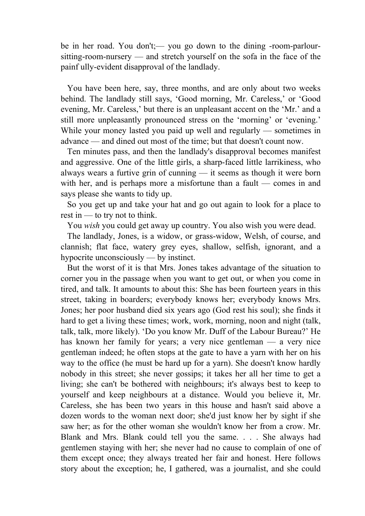be in her road. You don't;— you go down to the dining -room-parloursitting-room-nursery — and stretch yourself on the sofa in the face of the painf ully-evident disapproval of the landlady.

 You have been here, say, three months, and are only about two weeks behind. The landlady still says, 'Good morning, Mr. Careless,' or 'Good evening, Mr. Careless,' but there is an unpleasant accent on the 'Mr.' and a still more unpleasantly pronounced stress on the 'morning' or 'evening.' While your money lasted you paid up well and regularly — sometimes in advance — and dined out most of the time; but that doesn't count now.

 Ten minutes pass, and then the landlady's disapproval becomes manifest and aggressive. One of the little girls, a sharp-faced little larrikiness, who always wears a furtive grin of cunning — it seems as though it were born with her, and is perhaps more a misfortune than a fault — comes in and says please she wants to tidy up.

 So you get up and take your hat and go out again to look for a place to rest in — to try not to think.

You *wish* you could get away up country. You also wish you were dead.

 The landlady, Jones, is a widow, or grass-widow, Welsh, of course, and clannish; flat face, watery grey eyes, shallow, selfish, ignorant, and a hypocrite unconsciously — by instinct.

 But the worst of it is that Mrs. Jones takes advantage of the situation to corner you in the passage when you want to get out, or when you come in tired, and talk. It amounts to about this: She has been fourteen years in this street, taking in boarders; everybody knows her; everybody knows Mrs. Jones; her poor husband died six years ago (God rest his soul); she finds it hard to get a living these times; work, work, morning, noon and night (talk, talk, talk, more likely). 'Do you know Mr. Duff of the Labour Bureau?' He has known her family for years; a very nice gentleman — a very nice gentleman indeed; he often stops at the gate to have a yarn with her on his way to the office (he must be hard up for a yarn). She doesn't know hardly nobody in this street; she never gossips; it takes her all her time to get a living; she can't be bothered with neighbours; it's always best to keep to yourself and keep neighbours at a distance. Would you believe it, Mr. Careless, she has been two years in this house and hasn't said above a dozen words to the woman next door; she'd just know her by sight if she saw her; as for the other woman she wouldn't know her from a crow. Mr. Blank and Mrs. Blank could tell you the same. . . . She always had gentlemen staying with her; she never had no cause to complain of one of them except once; they always treated her fair and honest. Here follows story about the exception; he, I gathered, was a journalist, and she could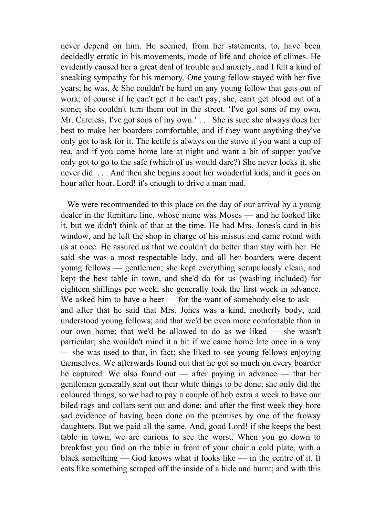never depend on him. He seemed, from her statements, to, have been decidedly erratic in his movements, mode of life and choice of climes. He evidently caused her a great deal of trouble and anxiety, and I felt a kind of sneaking sympathy for his memory. One young fellow stayed with her five years; he was, & She couldn't be hard on any young fellow that gets out of work; of course if he can't get it he can't pay; she, can't get blood out of a stone; she couldn't turn them out in the street. 'I've got sons of my own, Mr. Careless, I've got sons of my own.' . . . She is sure she always does her best to make her boarders comfortable, and if they want anything they've only got to ask for it. The kettle is always on the stove if you want a cup of tea, and if you come home late at night and want a bit of supper you've only got to go to the safe (which of us would dare?) She never locks it, she never did. . . . And then she begins about her wonderful kids, and it goes on hour after hour. Lord! it's enough to drive a man mad.

We were recommended to this place on the day of our arrival by a young dealer in the furniture line, whose name was Moses — and he looked like it, but we didn't think of that at the time. He had Mrs. Jones's card in his window, and he left the shop in charge of his missus and came round with us at once. He assured us that we couldn't do better than stay with her. He said she was a most respectable lady, and all her boarders were decent young fellows — gentlemen; she kept everything scrupulously clean, and kept the best table in town, and she'd do for us (washing included) for eighteen shillings per week; she generally took the first week in advance. We asked him to have a beer — for the want of somebody else to ask and after that he said that Mrs. Jones was a kind, motherly body, and understood young fellows; and that we'd be even more comfortable than in our own home; that we'd be allowed to do as we liked — she wasn't particular; she wouldn't mind it a bit if we came home late once in a way — she was used to that, in fact; she liked to see young fellows enjoying themselves. We afterwards found out that he got so much on every boarder he captured. We also found out — after paying in advance — that her gentlemen generally sent out their white things to be done; she only did the coloured things, so we had to pay a couple of bob extra a week to have our biled rags and collars sent out and done; and after the first week they bore sad evidence of having been done on the premises by one of the frowsy daughters. But we paid all the same. And, good Lord! if she keeps the best table in town, we are curious to see the worst. When you go down to breakfast you find on the table in front of your chair a cold plate, with a black something — God knows what it looks like — in the centre of it. It eats like something scraped off the inside of a hide and burnt; and with this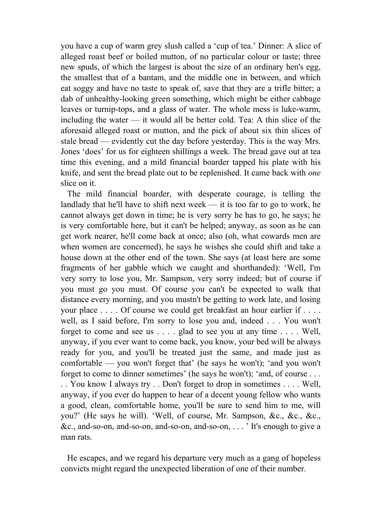you have a cup of warm grey slush called a 'cup of tea.' Dinner: A slice of alleged roast beef or boiled mutton, of no particular colour or taste; three new spuds, of which the largest is about the size of an ordinary hen's egg, the smallest that of a bantam, and the middle one in between, and which eat soggy and have no taste to speak of, save that they are a trifle bitter; a dab of unhealthy-looking green something, which might be either cabbage leaves or turnip-tops, and a glass of water. The whole mess is luke-warm, including the water — it would all be better cold. Tea: A thin slice of the aforesaid alleged roast or mutton, and the pick of about six thin slices of stale bread — evidently cut the day before yesterday. This is the way Mrs. Jones 'does' for us for eighteen shillings a week. The bread gave out at tea time this evening, and a mild financial boarder tapped his plate with his knife, and sent the bread plate out to be replenished. It came back with *one* slice on it.

 The mild financial boarder, with desperate courage, is telling the landlady that he'll have to shift next week  $-$  it is too far to go to work, he cannot always get down in time; he is very sorry he has to go, he says; he is very comfortable here, but it can't be helped; anyway, as soon as he can get work nearer, he'll come back at once; also (oh, what cowards men are when women are concerned), he says he wishes she could shift and take a house down at the other end of the town. She says (at least here are some fragments of her gabble which we caught and shorthanded): 'Well, I'm very sorry to lose you, Mr. Sampson, very sorry indeed; but of course if you must go you must. Of course you can't be expected to walk that distance every morning, and you mustn't be getting to work late, and losing your place . . . . Of course we could get breakfast an hour earlier if . . . . well, as I said before, I'm sorry to lose you and, indeed . . . You won't forget to come and see us . . . . glad to see you at any time . . . . Well, anyway, if you ever want to come back, you know, your bed will be always ready for you, and you'll be treated just the same, and made just as comfortable — you won't forget that' (he says he won't); 'and you won't forget to come to dinner sometimes' (he says he won't); 'and, of course . . . . . You know I always try . . Don't forget to drop in sometimes . . . . Well, anyway, if you ever do happen to hear of a decent young fellow who wants a good, clean, comfortable home, you'll be sure to send him to me, will you?' (He says he will). 'Well, of course, Mr. Sampson, &c., &c., &c., &c., and-so-on, and-so-on, and-so-on, and-so-on, . . . ' It's enough to give a man rats.

 He escapes, and we regard his departure very much as a gang of hopeless convicts might regard the unexpected liberation of one of their number.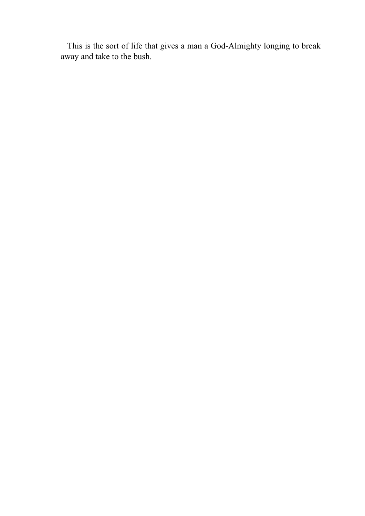This is the sort of life that gives a man a God-Almighty longing to break away and take to the bush.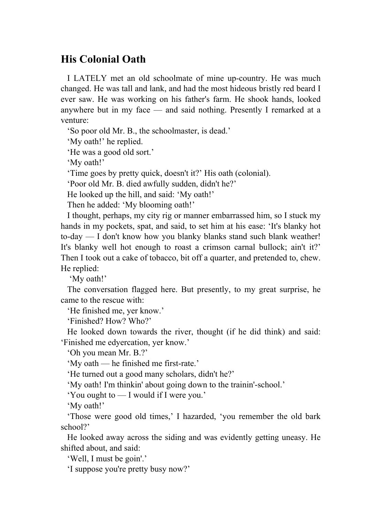# **His Colonial Oath**

 I LATELY met an old schoolmate of mine up-country. He was much changed. He was tall and lank, and had the most hideous bristly red beard I ever saw. He was working on his father's farm. He shook hands, looked anywhere but in my face — and said nothing. Presently I remarked at a venture:

'So poor old Mr. B., the schoolmaster, is dead.'

'My oath!' he replied.

'He was a good old sort.'

'My oath!'

'Time goes by pretty quick, doesn't it?' His oath (colonial).

'Poor old Mr. B. died awfully sudden, didn't he?'

He looked up the hill, and said: 'My oath!'

Then he added: 'My blooming oath!'

 I thought, perhaps, my city rig or manner embarrassed him, so I stuck my hands in my pockets, spat, and said, to set him at his ease: 'It's blanky hot to-day — I don't know how you blanky blanks stand such blank weather! It's blanky well hot enough to roast a crimson carnal bullock; ain't it?' Then I took out a cake of tobacco, bit off a quarter, and pretended to, chew. He replied:

'My oath!'

 The conversation flagged here. But presently, to my great surprise, he came to the rescue with:

'He finished me, yer know.'

'Finished? How? Who?'

 He looked down towards the river, thought (if he did think) and said: 'Finished me edyercation, yer know.'

'Oh you mean Mr. B.?'

'My oath — he finished me first-rate.'

'He turned out a good many scholars, didn't he?'

'My oath! I'm thinkin' about going down to the trainin'-school.'

'You ought to — I would if I were you.'

'My oath!'

 'Those were good old times,' I hazarded, 'you remember the old bark school?'

 He looked away across the siding and was evidently getting uneasy. He shifted about, and said:

'Well, I must be goin'.'

'I suppose you're pretty busy now?'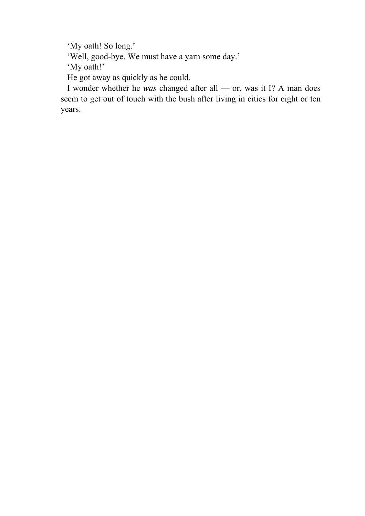'My oath! So long.'

'Well, good-bye. We must have a yarn some day.'

'My oath!'

He got away as quickly as he could.

 I wonder whether he *was* changed after all — or, was it I? A man does seem to get out of touch with the bush after living in cities for eight or ten years.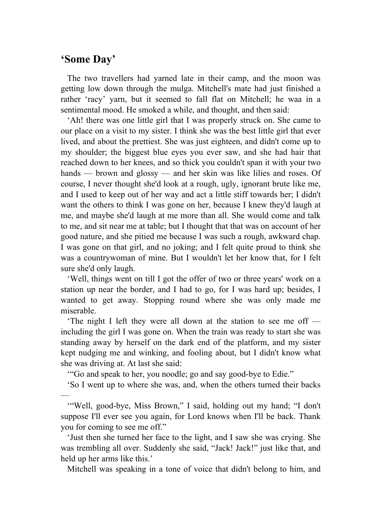## **'Some Day'**

—

 The two travellers had yarned late in their camp, and the moon was getting low down through the mulga. Mitchell's mate had just finished a rather 'racy' yarn, but it seemed to fall flat on Mitchell; he waa in a sentimental mood. He smoked a while, and thought, and then said:

 'Ah! there was one little girl that I was properly struck on. She came to our place on a visit to my sister. I think she was the best little girl that ever lived, and about the prettiest. She was just eighteen, and didn't come up to my shoulder; the biggest blue eyes you ever saw, and she had hair that reached down to her knees, and so thick you couldn't span it with your two hands — brown and glossy — and her skin was like lilies and roses. Of course, I never thought she'd look at a rough, ugly, ignorant brute like me, and I used to keep out of her way and act a little stiff towards her; I didn't want the others to think I was gone on her, because I knew they'd laugh at me, and maybe she'd laugh at me more than all. She would come and talk to me, and sit near me at table; but I thought that that was on account of her good nature, and she pitied me because I was such a rough, awkward chap. I was gone on that girl, and no joking; and I felt quite proud to think she was a countrywoman of mine. But I wouldn't let her know that, for I felt sure she'd only laugh.

 'Well, things went on till I got the offer of two or three years' work on a station up near the border, and I had to go, for I was hard up; besides, I wanted to get away. Stopping round where she was only made me miserable.

 'The night I left they were all down at the station to see me off including the girl I was gone on. When the train was ready to start she was standing away by herself on the dark end of the platform, and my sister kept nudging me and winking, and fooling about, but I didn't know what she was driving at. At last she said:

'"Go and speak to her, you noodle; go and say good-bye to Edie."

'So I went up to where she was, and, when the others turned their backs

 '"Well, good-bye, Miss Brown," I said, holding out my hand; "I don't suppose I'll ever see you again, for Lord knows when I'll be back. Thank you for coming to see me off."

 'Just then she turned her face to the light, and I saw she was crying. She was trembling all over. Suddenly she said, "Jack! Jack!" just like that, and held up her arms like this.'

Mitchell was speaking in a tone of voice that didn't belong to him, and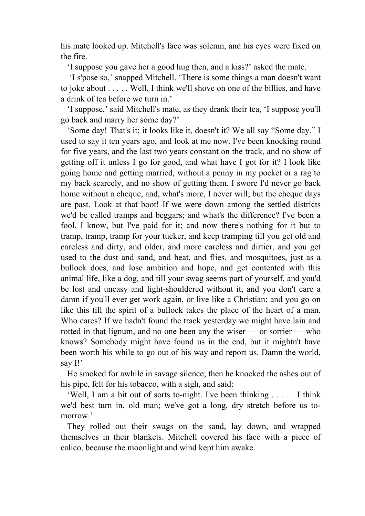his mate looked up. Mitchell's face was solemn, and his eyes were fixed on the fire.

'I suppose you gave her a good hug then, and a kiss?' asked the mate.

 'I s'pose so,' snapped Mitchell. 'There is some things a man doesn't want to joke about . . . . . Well, I think we'll shove on one of the billies, and have a drink of tea before we turn in.'

 'I suppose,' said Mitchell's mate, as they drank their tea, 'I suppose you'll go back and marry her some day?'

 'Some day! That's it; it looks like it, doesn't it? We all say "Some day." I used to say it ten years ago, and look at me now. I've been knocking round for five years, and the last two years constant on the track, and no show of getting off it unless I go for good, and what have I got for it? I look like going home and getting married, without a penny in my pocket or a rag to my back scarcely, and no show of getting them. I swore I'd never go back home without a cheque, and, what's more, I never will; but the cheque days are past. Look at that boot! If we were down among the settled districts we'd be called tramps and beggars; and what's the difference? I've been a fool, I know, but I've paid for it; and now there's nothing for it but to tramp, tramp, tramp for your tucker, and keep tramping till you get old and careless and dirty, and older, and more careless and dirtier, and you get used to the dust and sand, and heat, and flies, and mosquitoes, just as a bullock does, and lose ambition and hope, and get contented with this animal life, like a dog, and till your swag seems part of yourself, and you'd be lost and uneasy and light-shouldered without it, and you don't care a damn if you'll ever get work again, or live like a Christian; and you go on like this till the spirit of a bullock takes the place of the heart of a man. Who cares? If we hadn't found the track yesterday we might have lain and rotted in that lignum, and no one been any the wiser — or sorrier — who knows? Somebody might have found us in the end, but it mightn't have been worth his while to go out of his way and report us. Damn the world, say I!'

 He smoked for awhile in savage silence; then he knocked the ashes out of his pipe, felt for his tobacco, with a sigh, and said:

 'Well, I am a bit out of sorts to-night. I've been thinking . . . . . I think we'd best turn in, old man; we've got a long, dry stretch before us tomorrow.'

 They rolled out their swags on the sand, lay down, and wrapped themselves in their blankets. Mitchell covered his face with a piece of calico, because the moonlight and wind kept him awake.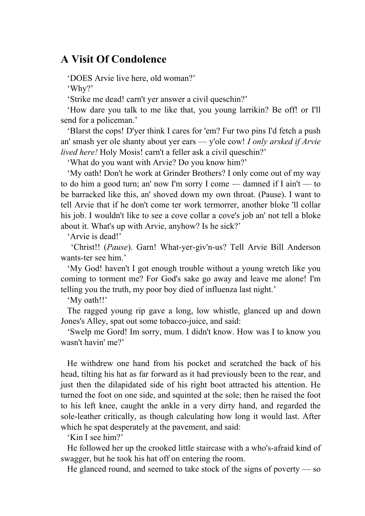### **A Visit Of Condolence**

'DOES Arvie live here, old woman?'

'Why?'

'Strike me dead! carn't yer answer a civil queschin?'

 'How dare you talk to me like that, you young larrikin? Be off! or I'll send for a policeman.'

 'Blarst the cops! D'yer think I cares for 'em? Fur two pins I'd fetch a push an' smash yer ole shanty about yer ears — y'ole cow! *I only arsked if Arvie lived here!* Holy Mosis! carn't a feller ask a civil queschin?'

'What do you want with Arvie? Do you know him?'

 'My oath! Don't he work at Grinder Brothers? I only come out of my way to do him a good turn; an' now I'm sorry I come — damned if I ain't — to be barracked like this, an' shoved down my own throat. (Pause). I want to tell Arvie that if he don't come ter work termorrer, another bloke 'll collar his job. I wouldn't like to see a cove collar a cove's job an' not tell a bloke about it. What's up with Arvie, anyhow? Is he sick?'

'Arvie is dead!'

 'Christ!! (*Pause*). Garn! What-yer-giv'n-us? Tell Arvie Bill Anderson wants-ter see him.'

 'My God! haven't I got enough trouble without a young wretch like you coming to torment me? For God's sake go away and leave me alone! I'm telling you the truth, my poor boy died of influenza last night.'

'My oath!!'

 The ragged young rip gave a long, low whistle, glanced up and down Jones's Alley, spat out some tobacco-juice, and said:

 'Swelp me Gord! Im sorry, mum. I didn't know. How was I to know you wasn't havin' me?'

 He withdrew one hand from his pocket and scratched the back of his head, tilting his hat as far forward as it had previously been to the rear, and just then the dilapidated side of his right boot attracted his attention. He turned the foot on one side, and squinted at the sole; then he raised the foot to his left knee, caught the ankle in a very dirty hand, and regarded the sole-leather critically, as though calculating how long it would last. After which he spat desperately at the pavement, and said:

'Kin I see him?'

 He followed her up the crooked little staircase with a who's-afraid kind of swagger, but he took his hat off on entering the room.

He glanced round, and seemed to take stock of the signs of poverty — so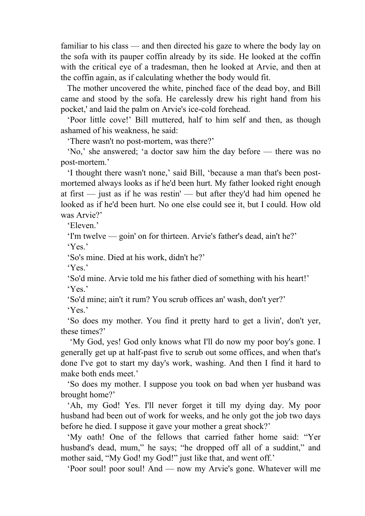familiar to his class — and then directed his gaze to where the body lay on the sofa with its pauper coffin already by its side. He looked at the coffin with the critical eye of a tradesman, then he looked at Arvie, and then at the coffin again, as if calculating whether the body would fit.

 The mother uncovered the white, pinched face of the dead boy, and Bill came and stood by the sofa. He carelessly drew his right hand from his pocket,' and laid the palm on Arvie's ice-cold forehead.

 'Poor little cove!' Bill muttered, half to him self and then, as though ashamed of his weakness, he said:

'There wasn't no post-mortem, was there?'

 'No,' she answered; 'a doctor saw him the day before — there was no post-mortem.'

 'I thought there wasn't none,' said Bill, 'because a man that's been postmortemed always looks as if he'd been hurt. My father looked right enough at first — just as if he was restin' — but after they'd had him opened he looked as if he'd been hurt. No one else could see it, but I could. How old was Arvie?'

'Eleven'

'I'm twelve — goin' on for thirteen. Arvie's father's dead, ain't he?'

'Yes.'

'So's mine. Died at his work, didn't he?'

'Yes.'

 'So'd mine. Arvie told me his father died of something with his heart!' 'Yes.'

'So'd mine; ain't it rum? You scrub offices an' wash, don't yer?'

'Yes.'

 'So does my mother. You find it pretty hard to get a livin', don't yer, these times?'

 'My God, yes! God only knows what I'll do now my poor boy's gone. I generally get up at half-past five to scrub out some offices, and when that's done I've got to start my day's work, washing. And then I find it hard to make both ends meet.'

 'So does my mother. I suppose you took on bad when yer husband was brought home?'

 'Ah, my God! Yes. I'll never forget it till my dying day. My poor husband had been out of work for weeks, and he only got the job two days before he died. I suppose it gave your mother a great shock?'

 'My oath! One of the fellows that carried father home said: "Yer husband's dead, mum," he says; "he dropped off all of a suddint," and mother said, "My God! my God!" just like that, and went off."

'Poor soul! poor soul! And — now my Arvie's gone. Whatever will me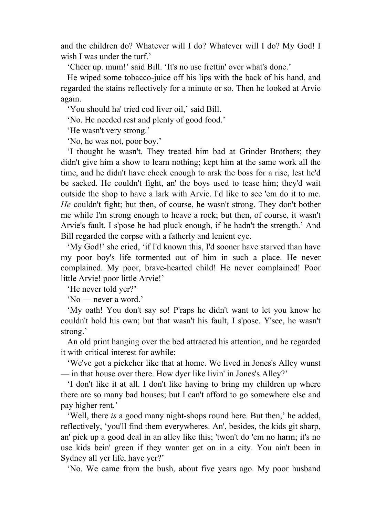and the children do? Whatever will I do? Whatever will I do? My God! I wish I was under the turf.'

'Cheer up. mum!' said Bill. 'It's no use frettin' over what's done.'

 He wiped some tobacco-juice off his lips with the back of his hand, and regarded the stains reflectively for a minute or so. Then he looked at Arvie again.

'You should ha' tried cod liver oil,' said Bill.

'No. He needed rest and plenty of good food.'

'He wasn't very strong.'

'No, he was not, poor boy.'

 'I thought he wasn't. They treated him bad at Grinder Brothers; they didn't give him a show to learn nothing; kept him at the same work all the time, and he didn't have cheek enough to arsk the boss for a rise, lest he'd be sacked. He couldn't fight, an' the boys used to tease him; they'd wait outside the shop to have a lark with Arvie. I'd like to see 'em do it to me. *He* couldn't fight; but then, of course, he wasn't strong. They don't bother me while I'm strong enough to heave a rock; but then, of course, it wasn't Arvie's fault. I s'pose he had pluck enough, if he hadn't the strength.' And Bill regarded the corpse with a fatherly and lenient eye.

 'My God!' she cried, 'if I'd known this, I'd sooner have starved than have my poor boy's life tormented out of him in such a place. He never complained. My poor, brave-hearted child! He never complained! Poor little Arvie! poor little Arvie!'

'He never told yer?'

'No — never a word.'

 'My oath! You don't say so! P'raps he didn't want to let you know he couldn't hold his own; but that wasn't his fault, I s'pose. Y'see, he wasn't strong.'

 An old print hanging over the bed attracted his attention, and he regarded it with critical interest for awhile:

 'We've got a pickcher like that at home. We lived in Jones's Alley wunst — in that house over there. How dyer like livin' in Jones's Alley?'

 'I don't like it at all. I don't like having to bring my children up where there are so many bad houses; but I can't afford to go somewhere else and pay higher rent.'

 'Well, there *is* a good many night-shops round here. But then,' he added, reflectively, 'you'll find them everywheres. An', besides, the kids git sharp, an' pick up a good deal in an alley like this; 'twon't do 'em no harm; it's no use kids bein' green if they wanter get on in a city. You ain't been in Sydney all yer life, have yer?'

'No. We came from the bush, about five years ago. My poor husband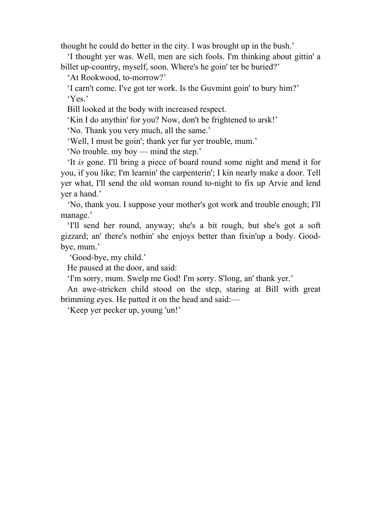thought he could do better in the city. I was brought up in the bush.'

 'I thought yer was. Well, men are sich fools. I'm thinking about gittin' a billet up-country, myself, soon. Where's he goin' ter be buried?'

'At Rookwood, to-morrow?'

 'I carn't come. I've got ter work. Is the Guvmint goin' to bury him?' 'Yes.'

Bill looked at the body with increased respect.

'Kin I do anythin' for you? Now, don't be frightened to arsk!'

'No. Thank you very much, all the same.'

'Well, I must be goin'; thank yer fur yer trouble, mum.'

'No trouble. my boy — mind the step.'

 'It *is* gone. I'll bring a piece of board round some night and mend it for you, if you like; I'm learnin' the carpenterin'; I kin nearly make a door. Tell yer what, I'll send the old woman round to-night to fix up Arvie and lend yer a hand.'

 'No, thank you. I suppose your mother's got work and trouble enough; I'll manage.'

 'I'll send her round, anyway; she's a bit rough, but she's got a soft gizzard; an' there's nothin' she enjoys better than fixin'up a body. Goodbye, mum.'

'Good-bye, my child.'

He paused at the door, and said:

'I'm sorry, mum. Swelp me God! I'm sorry. S'long, an' thank yer.'

 An awe-stricken child stood on the step, staring at Bill with great brimming eyes. He patted it on the head and said:—

'Keep yer pecker up, young 'un!'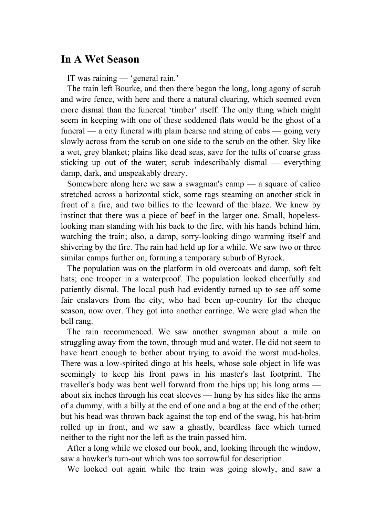### **In A Wet Season**

IT was raining — 'general rain.'

 The train left Bourke, and then there began the long, long agony of scrub and wire fence, with here and there a natural clearing, which seemed even more dismal than the funereal 'timber' itself. The only thing which might seem in keeping with one of these soddened flats would be the ghost of a funeral — a city funeral with plain hearse and string of cabs — going very slowly across from the scrub on one side to the scrub on the other. Sky like a wet, grey blanket; plains like dead seas, save for the tufts of coarse grass sticking up out of the water; scrub indescribably dismal — everything damp, dark, and unspeakably dreary.

 Somewhere along here we saw a swagman's camp — a square of calico stretched across a horizontal stick, some rags steaming on another stick in front of a fire, and two billies to the leeward of the blaze. We knew by instinct that there was a piece of beef in the larger one. Small, hopelesslooking man standing with his back to the fire, with his hands behind him, watching the train; also, a damp, sorry-looking dingo warming itself and shivering by the fire. The rain had held up for a while. We saw two or three similar camps further on, forming a temporary suburb of Byrock.

 The population was on the platform in old overcoats and damp, soft felt hats; one trooper in a waterproof. The population looked cheerfully and patiently dismal. The local push had evidently turned up to see off some fair enslavers from the city, who had been up-country for the cheque season, now over. They got into another carriage. We were glad when the bell rang.

 The rain recommenced. We saw another swagman about a mile on struggling away from the town, through mud and water. He did not seem to have heart enough to bother about trying to avoid the worst mud-holes. There was a low-spirited dingo at his heels, whose sole object in life was seemingly to keep his front paws in his master's last footprint. The traveller's body was bent well forward from the hips up; his long arms about six inches through his coat sleeves — hung by his sides like the arms of a dummy, with a billy at the end of one and a bag at the end of the other; but his head was thrown back against the top end of the swag, his hat-brim rolled up in front, and we saw a ghastly, beardless face which turned neither to the right nor the left as the train passed him.

 After a long while we closed our book, and, looking through the window, saw a hawker's turn-out which was too sorrowful for description.

We looked out again while the train was going slowly, and saw a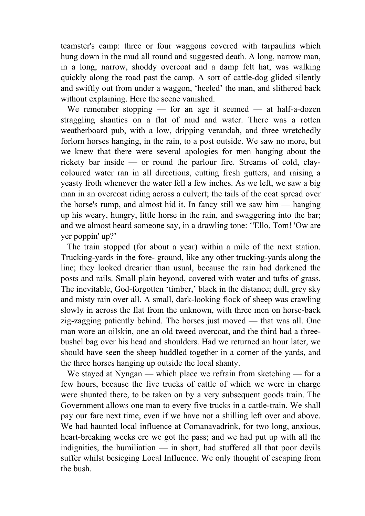teamster's camp: three or four waggons covered with tarpaulins which hung down in the mud all round and suggested death. A long, narrow man, in a long, narrow, shoddy overcoat and a damp felt hat, was walking quickly along the road past the camp. A sort of cattle-dog glided silently and swiftly out from under a waggon, 'heeled' the man, and slithered back without explaining. Here the scene vanished.

We remember stopping — for an age it seemed — at half-a-dozen straggling shanties on a flat of mud and water. There was a rotten weatherboard pub, with a low, dripping verandah, and three wretchedly forlorn horses hanging, in the rain, to a post outside. We saw no more, but we knew that there were several apologies for men hanging about the rickety bar inside — or round the parlour fire. Streams of cold, claycoloured water ran in all directions, cutting fresh gutters, and raising a yeasty froth whenever the water fell a few inches. As we left, we saw a big man in an overcoat riding across a culvert; the tails of the coat spread over the horse's rump, and almost hid it. In fancy still we saw him — hanging up his weary, hungry, little horse in the rain, and swaggering into the bar; and we almost heard someone say, in a drawling tone: ''Ello, Tom! 'Ow are yer poppin' up?'

 The train stopped (for about a year) within a mile of the next station. Trucking-yards in the fore- ground, like any other trucking-yards along the line; they looked drearier than usual, because the rain had darkened the posts and rails. Small plain beyond, covered with water and tufts of grass. The inevitable, God-forgotten 'timber,' black in the distance; dull, grey sky and misty rain over all. A small, dark-looking flock of sheep was crawling slowly in across the flat from the unknown, with three men on horse-back zig-zagging patiently behind. The horses just moved — that was all. One man wore an oilskin, one an old tweed overcoat, and the third had a threebushel bag over his head and shoulders. Had we returned an hour later, we should have seen the sheep huddled together in a corner of the yards, and the three horses hanging up outside the local shanty.

We stayed at Nyngan — which place we refrain from sketching — for a few hours, because the five trucks of cattle of which we were in charge were shunted there, to be taken on by a very subsequent goods train. The Government allows one man to every five trucks in a cattle-train. We shall pay our fare next time, even if we have not a shilling left over and above. We had haunted local influence at Comanavadrink, for two long, anxious, heart-breaking weeks ere we got the pass; and we had put up with all the indignities, the humiliation — in short, had stuffered all that poor devils suffer whilst besieging Local Influence. We only thought of escaping from the bush.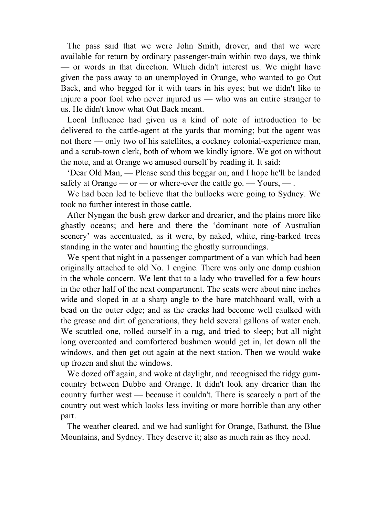The pass said that we were John Smith, drover, and that we were available for return by ordinary passenger-train within two days, we think — or words in that direction. Which didn't interest us. We might have given the pass away to an unemployed in Orange, who wanted to go Out Back, and who begged for it with tears in his eyes; but we didn't like to injure a poor fool who never injured us — who was an entire stranger to us. He didn't know what Out Back meant.

 Local Influence had given us a kind of note of introduction to be delivered to the cattle-agent at the yards that morning; but the agent was not there — only two of his satellites, a cockney colonial-experience man, and a scrub-town clerk, both of whom we kindly ignore. We got on without the note, and at Orange we amused ourself by reading it. It said:

 'Dear Old Man, — Please send this beggar on; and I hope he'll be landed safely at Orange — or — or where-ever the cattle go. — Yours, — .

 We had been led to believe that the bullocks were going to Sydney. We took no further interest in those cattle.

 After Nyngan the bush grew darker and drearier, and the plains more like ghastly oceans; and here and there the 'dominant note of Australian scenery' was accentuated, as it were, by naked, white, ring-barked trees standing in the water and haunting the ghostly surroundings.

 We spent that night in a passenger compartment of a van which had been originally attached to old No. 1 engine. There was only one damp cushion in the whole concern. We lent that to a lady who travelled for a few hours in the other half of the next compartment. The seats were about nine inches wide and sloped in at a sharp angle to the bare matchboard wall, with a bead on the outer edge; and as the cracks had become well caulked with the grease and dirt of generations, they held several gallons of water each. We scuttled one, rolled ourself in a rug, and tried to sleep; but all night long overcoated and comfortered bushmen would get in, let down all the windows, and then get out again at the next station. Then we would wake up frozen and shut the windows.

 We dozed off again, and woke at daylight, and recognised the ridgy gumcountry between Dubbo and Orange. It didn't look any drearier than the country further west — because it couldn't. There is scarcely a part of the country out west which looks less inviting or more horrible than any other part.

 The weather cleared, and we had sunlight for Orange, Bathurst, the Blue Mountains, and Sydney. They deserve it; also as much rain as they need.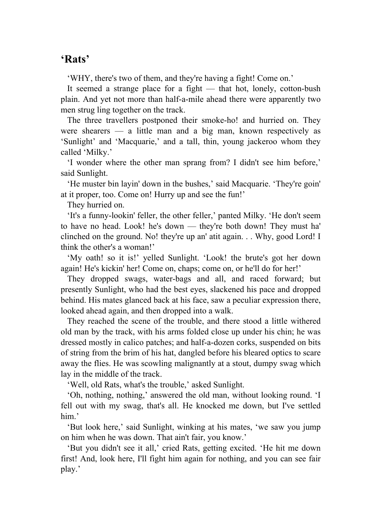### **'Rats'**

'WHY, there's two of them, and they're having a fight! Come on.'

 It seemed a strange place for a fight — that hot, lonely, cotton-bush plain. And yet not more than half-a-mile ahead there were apparently two men strug ling together on the track.

 The three travellers postponed their smoke-ho! and hurried on. They were shearers — a little man and a big man, known respectively as 'Sunlight' and 'Macquarie,' and a tall, thin, young jackeroo whom they called 'Milky.'

 'I wonder where the other man sprang from? I didn't see him before,' said Sunlight.

 'He muster bin layin' down in the bushes,' said Macquarie. 'They're goin' at it proper, too. Come on! Hurry up and see the fun!'

They hurried on.

 'It's a funny-lookin' feller, the other feller,' panted Milky. 'He don't seem to have no head. Look! he's down — they're both down! They must ha' clinched on the ground. No! they're up an' atit again. . . Why, good Lord! I think the other's a woman!'

 'My oath! so it is!' yelled Sunlight. 'Look! the brute's got her down again! He's kickin' her! Come on, chaps; come on, or he'll do for her!'

 They dropped swags, water-bags and all, and raced forward; but presently Sunlight, who had the best eyes, slackened his pace and dropped behind. His mates glanced back at his face, saw a peculiar expression there, looked ahead again, and then dropped into a walk.

 They reached the scene of the trouble, and there stood a little withered old man by the track, with his arms folded close up under his chin; he was dressed mostly in calico patches; and half-a-dozen corks, suspended on bits of string from the brim of his hat, dangled before his bleared optics to scare away the flies. He was scowling malignantly at a stout, dumpy swag which lay in the middle of the track.

'Well, old Rats, what's the trouble,' asked Sunlight.

 'Oh, nothing, nothing,' answered the old man, without looking round. 'I fell out with my swag, that's all. He knocked me down, but I've settled him.'

 'But look here,' said Sunlight, winking at his mates, 'we saw you jump on him when he was down. That ain't fair, you know.'

 'But you didn't see it all,' cried Rats, getting excited. 'He hit me down first! And, look here, I'll fight him again for nothing, and you can see fair play.'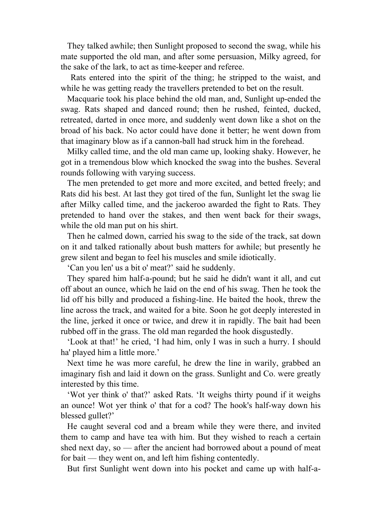They talked awhile; then Sunlight proposed to second the swag, while his mate supported the old man, and after some persuasion, Milky agreed, for the sake of the lark, to act as time-keeper and referee.

 Rats entered into the spirit of the thing; he stripped to the waist, and while he was getting ready the travellers pretended to bet on the result.

 Macquarie took his place behind the old man, and, Sunlight up-ended the swag. Rats shaped and danced round; then he rushed, feinted, ducked, retreated, darted in once more, and suddenly went down like a shot on the broad of his back. No actor could have done it better; he went down from that imaginary blow as if a cannon-ball had struck him in the forehead.

 Milky called time, and the old man came up, looking shaky. However, he got in a tremendous blow which knocked the swag into the bushes. Several rounds following with varying success.

 The men pretended to get more and more excited, and betted freely; and Rats did his best. At last they got tired of the fun, Sunlight let the swag lie after Milky called time, and the jackeroo awarded the fight to Rats. They pretended to hand over the stakes, and then went back for their swags, while the old man put on his shirt.

 Then he calmed down, carried his swag to the side of the track, sat down on it and talked rationally about bush matters for awhile; but presently he grew silent and began to feel his muscles and smile idiotically.

'Can you len' us a bit o' meat?' said he suddenly.

 They spared him half-a-pound; but he said he didn't want it all, and cut off about an ounce, which he laid on the end of his swag. Then he took the lid off his billy and produced a fishing-line. He baited the hook, threw the line across the track, and waited for a bite. Soon he got deeply interested in the line, jerked it once or twice, and drew it in rapidly. The bait had been rubbed off in the grass. The old man regarded the hook disgustedly.

 'Look at that!' he cried, 'I had him, only I was in such a hurry. I should ha' played him a little more.'

 Next time he was more careful, he drew the line in warily, grabbed an imaginary fish and laid it down on the grass. Sunlight and Co. were greatly interested by this time.

 'Wot yer think o' that?' asked Rats. 'It weighs thirty pound if it weighs an ounce! Wot yer think o' that for a cod? The hook's half-way down his blessed gullet?'

 He caught several cod and a bream while they were there, and invited them to camp and have tea with him. But they wished to reach a certain shed next day, so — after the ancient had borrowed about a pound of meat for bait — they went on, and left him fishing contentedly.

But first Sunlight went down into his pocket and came up with half-a-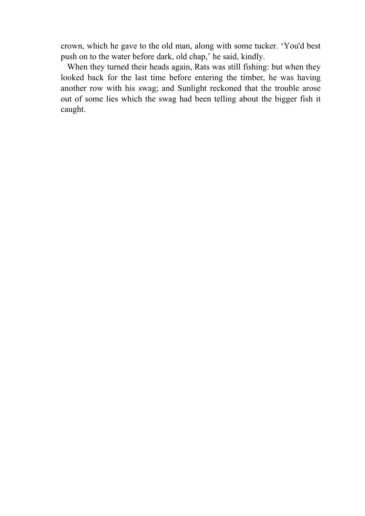crown, which he gave to the old man, along with some tucker. 'You'd best push on to the water before dark, old chap,' he said, kindly.

 When they turned their heads again, Rats was still fishing: but when they looked back for the last time before entering the timber, he was having another row with his swag; and Sunlight reckoned that the trouble arose out of some lies which the swag had been telling about the bigger fish it caught.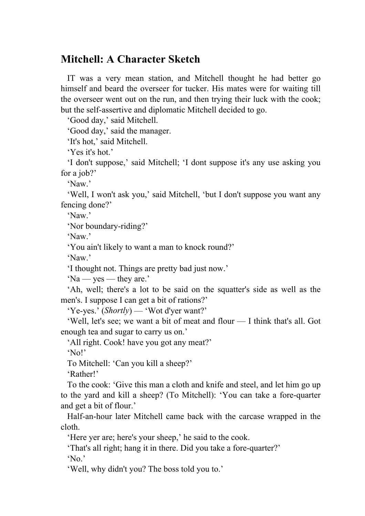## **Mitchell: A Character Sketch**

 IT was a very mean station, and Mitchell thought he had better go himself and beard the overseer for tucker. His mates were for waiting till the overseer went out on the run, and then trying their luck with the cook; but the self-assertive and diplomatic Mitchell decided to go.

'Good day,' said Mitchell.

'Good day,' said the manager.

'It's hot,' said Mitchell.

'Yes it's hot.'

 'I don't suppose,' said Mitchell; 'I dont suppose it's any use asking you for a job?'

'Naw.'

 'Well, I won't ask you,' said Mitchell, 'but I don't suppose you want any fencing done?'

'Naw.'

'Nor boundary-riding?'

'Naw.'

'You ain't likely to want a man to knock round?'

'Naw.'

'I thought not. Things are pretty bad just now.'

'Na — yes — they are.'

 'Ah, well; there's a lot to be said on the squatter's side as well as the men's. I suppose I can get a bit of rations?'

'Ye-yes.' (*Shortly*) — 'Wot d'yer want?'

 'Well, let's see; we want a bit of meat and flour — I think that's all. Got enough tea and sugar to carry us on.'

'All right. Cook! have you got any meat?'

'No!'

To Mitchell: 'Can you kill a sheep?'

'Rather!'

 To the cook: 'Give this man a cloth and knife and steel, and let him go up to the yard and kill a sheep? (To Mitchell): 'You can take a fore-quarter and get a bit of flour.'

 Half-an-hour later Mitchell came back with the carcase wrapped in the cloth.

'Here yer are; here's your sheep,' he said to the cook.

'That's all right; hang it in there. Did you take a fore-quarter?'

'No.'

'Well, why didn't you? The boss told you to.'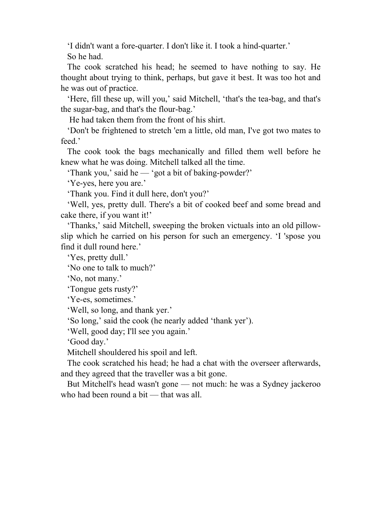'I didn't want a fore-quarter. I don't like it. I took a hind-quarter.' So he had.

 The cook scratched his head; he seemed to have nothing to say. He thought about trying to think, perhaps, but gave it best. It was too hot and he was out of practice.

 'Here, fill these up, will you,' said Mitchell, 'that's the tea-bag, and that's the sugar-bag, and that's the flour-bag.'

He had taken them from the front of his shirt.

 'Don't be frightened to stretch 'em a little, old man, I've got two mates to feed.'

 The cook took the bags mechanically and filled them well before he knew what he was doing. Mitchell talked all the time.

'Thank you,' said he — 'got a bit of baking-powder?'

'Ye-yes, here you are.'

'Thank you. Find it dull here, don't you?'

 'Well, yes, pretty dull. There's a bit of cooked beef and some bread and cake there, if you want it!'

 'Thanks,' said Mitchell, sweeping the broken victuals into an old pillowslip which he carried on his person for such an emergency. 'I 'spose you find it dull round here.'

'Yes, pretty dull.'

'No one to talk to much?'

'No, not many.'

'Tongue gets rusty?'

'Ye-es, sometimes.'

'Well, so long, and thank yer.'

'So long,' said the cook (he nearly added 'thank yer').

'Well, good day; I'll see you again.'

'Good day.'

Mitchell shouldered his spoil and left.

 The cook scratched his head; he had a chat with the overseer afterwards, and they agreed that the traveller was a bit gone.

 But Mitchell's head wasn't gone — not much: he was a Sydney jackeroo who had been round a bit — that was all.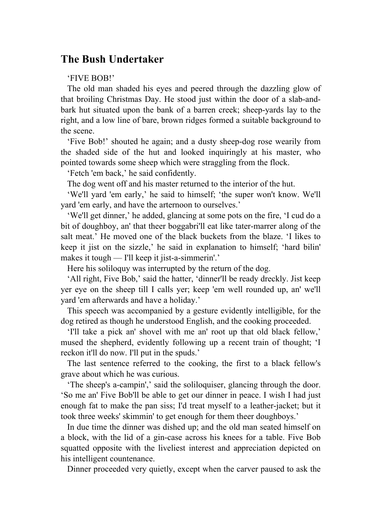## **The Bush Undertaker**

#### 'FIVE BOB!'

 The old man shaded his eyes and peered through the dazzling glow of that broiling Christmas Day. He stood just within the door of a slab-andbark hut situated upon the bank of a barren creek; sheep-yards lay to the right, and a low line of bare, brown ridges formed a suitable background to the scene.

 'Five Bob!' shouted he again; and a dusty sheep-dog rose wearily from the shaded side of the hut and looked inquiringly at his master, who pointed towards some sheep which were straggling from the flock.

'Fetch 'em back,' he said confidently.

The dog went off and his master returned to the interior of the hut.

 'We'll yard 'em early,' he said to himself; 'the super won't know. We'll yard 'em early, and have the arternoon to ourselves.'

 'We'll get dinner,' he added, glancing at some pots on the fire, 'I cud do a bit of doughboy, an' that theer boggabri'll eat like tater-marrer along of the salt meat.' He moved one of the black buckets from the blaze. 'I likes to keep it jist on the sizzle,' he said in explanation to himself; 'hard bilin' makes it tough — I'll keep it jist-a-simmerin'.'

Here his soliloquy was interrupted by the return of the dog.

 'All right, Five Bob,' said the hatter, 'dinner'll be ready dreckly. Jist keep yer eye on the sheep till I calls yer; keep 'em well rounded up, an' we'll yard 'em afterwards and have a holiday.'

 This speech was accompanied by a gesture evidently intelligible, for the dog retired as though he understood English, and the cooking proceeded.

 'I'll take a pick an' shovel with me an' root up that old black fellow,' mused the shepherd, evidently following up a recent train of thought; 'I reckon it'll do now. I'll put in the spuds.'

 The last sentence referred to the cooking, the first to a black fellow's grave about which he was curious.

 'The sheep's a-campin',' said the soliloquiser, glancing through the door. 'So me an' Five Bob'll be able to get our dinner in peace. I wish I had just enough fat to make the pan siss; I'd treat myself to a leather-jacket; but it took three weeks' skimmin' to get enough for them theer doughboys.'

 In due time the dinner was dished up; and the old man seated himself on a block, with the lid of a gin-case across his knees for a table. Five Bob squatted opposite with the liveliest interest and appreciation depicted on his intelligent countenance.

Dinner proceeded very quietly, except when the carver paused to ask the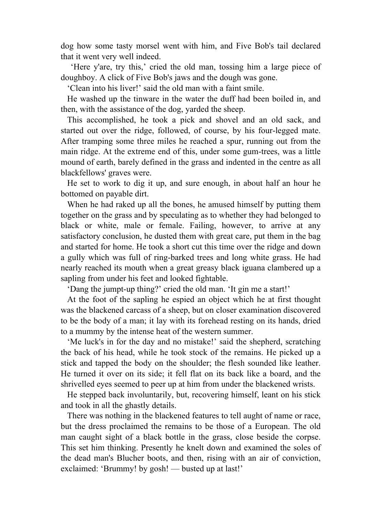dog how some tasty morsel went with him, and Five Bob's tail declared that it went very well indeed.

 'Here y'are, try this,' cried the old man, tossing him a large piece of doughboy. A click of Five Bob's jaws and the dough was gone.

'Clean into his liver!' said the old man with a faint smile.

 He washed up the tinware in the water the duff had been boiled in, and then, with the assistance of the dog, yarded the sheep.

 This accomplished, he took a pick and shovel and an old sack, and started out over the ridge, followed, of course, by his four-legged mate. After tramping some three miles he reached a spur, running out from the main ridge. At the extreme end of this, under some gum-trees, was a little mound of earth, barely defined in the grass and indented in the centre as all blackfellows' graves were.

 He set to work to dig it up, and sure enough, in about half an hour he bottomed on payable dirt.

 When he had raked up all the bones, he amused himself by putting them together on the grass and by speculating as to whether they had belonged to black or white, male or female. Failing, however, to arrive at any satisfactory conclusion, he dusted them with great care, put them in the bag and started for home. He took a short cut this time over the ridge and down a gully which was full of ring-barked trees and long white grass. He had nearly reached its mouth when a great greasy black iguana clambered up a sapling from under his feet and looked fightable.

'Dang the jumpt-up thing?' cried the old man. 'It gin me a start!'

 At the foot of the sapling he espied an object which he at first thought was the blackened carcass of a sheep, but on closer examination discovered to be the body of a man; it lay with its forehead resting on its hands, dried to a mummy by the intense heat of the western summer.

 'Me luck's in for the day and no mistake!' said the shepherd, scratching the back of his head, while he took stock of the remains. He picked up a stick and tapped the body on the shoulder; the flesh sounded like leather. He turned it over on its side; it fell flat on its back like a board, and the shrivelled eyes seemed to peer up at him from under the blackened wrists.

 He stepped back involuntarily, but, recovering himself, leant on his stick and took in all the ghastly details.

 There was nothing in the blackened features to tell aught of name or race, but the dress proclaimed the remains to be those of a European. The old man caught sight of a black bottle in the grass, close beside the corpse. This set him thinking. Presently he knelt down and examined the soles of the dead man's Blucher boots, and then, rising with an air of conviction, exclaimed: 'Brummy! by gosh! — busted up at last!'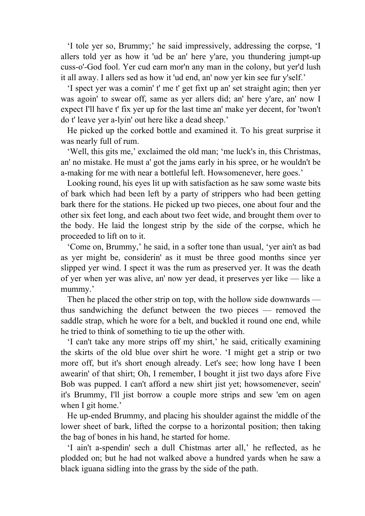'I tole yer so, Brummy;' he said impressively, addressing the corpse, 'I allers told yer as how it 'ud be an' here y'are, you thundering jumpt-up cuss-o'-God fool. Yer cud earn mor'n any man in the colony, but yer'd lush it all away. I allers sed as how it 'ud end, an' now yer kin see fur y'self.'

 'I spect yer was a comin' t' me t' get fixt up an' set straight agin; then yer was agoin' to swear off, same as yer allers did; an' here y'are, an' now I expect I'll have t' fix yer up for the last time an' make yer decent, for 'twon't do t' leave yer a-lyin' out here like a dead sheep.'

 He picked up the corked bottle and examined it. To his great surprise it was nearly full of rum.

 'Well, this gits me,' exclaimed the old man; 'me luck's in, this Christmas, an' no mistake. He must a' got the jams early in his spree, or he wouldn't be a-making for me with near a bottleful left. Howsomenever, here goes.'

 Looking round, his eyes lit up with satisfaction as he saw some waste bits of bark which had been left by a party of strippers who had been getting bark there for the stations. He picked up two pieces, one about four and the other six feet long, and each about two feet wide, and brought them over to the body. He laid the longest strip by the side of the corpse, which he proceeded to lift on to it.

 'Come on, Brummy,' he said, in a softer tone than usual, 'yer ain't as bad as yer might be, considerin' as it must be three good months since yer slipped yer wind. I spect it was the rum as preserved yer. It was the death of yer when yer was alive, an' now yer dead, it preserves yer like — like a mummy.'

 Then he placed the other strip on top, with the hollow side downwards thus sandwiching the defunct between the two pieces — removed the saddle strap, which he wore for a belt, and buckled it round one end, while he tried to think of something to tie up the other with.

 'I can't take any more strips off my shirt,' he said, critically examining the skirts of the old blue over shirt he wore. 'I might get a strip or two more off, but it's short enough already. Let's see; how long have I been awearin' of that shirt; Oh, I remember, I bought it jist two days afore Five Bob was pupped. I can't afford a new shirt jist yet; howsomenever, seein' it's Brummy, I'll jist borrow a couple more strips and sew 'em on agen when I git home.'

 He up-ended Brummy, and placing his shoulder against the middle of the lower sheet of bark, lifted the corpse to a horizontal position; then taking the bag of bones in his hand, he started for home.

 'I ain't a-spendin' sech a dull Chistmas arter all,' he reflected, as he plodded on; but he had not walked above a hundred yards when he saw a black iguana sidling into the grass by the side of the path.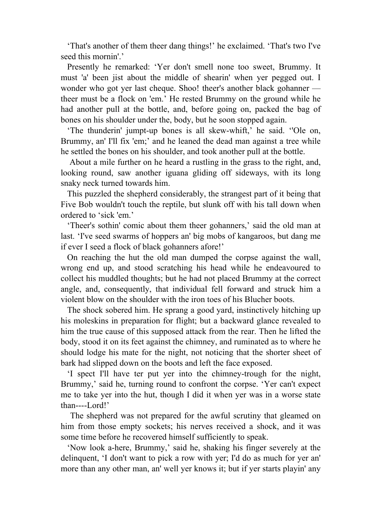'That's another of them theer dang things!' he exclaimed. 'That's two I've seed this mornin'.'

 Presently he remarked: 'Yer don't smell none too sweet, Brummy. It must 'a' been jist about the middle of shearin' when yer pegged out. I wonder who got yer last cheque. Shoo! theer's another black gohanner theer must be a flock on 'em.' He rested Brummy on the ground while he had another pull at the bottle, and, before going on, packed the bag of bones on his shoulder under the, body, but he soon stopped again.

 'The thunderin' jumpt-up bones is all skew-whift,' he said. ''Ole on, Brummy, an' I'll fix 'em;' and he leaned the dead man against a tree while he settled the bones on his shoulder, and took another pull at the bottle.

 About a mile further on he heard a rustling in the grass to the right, and, looking round, saw another iguana gliding off sideways, with its long snaky neck turned towards him.

 This puzzled the shepherd considerably, the strangest part of it being that Five Bob wouldn't touch the reptile, but slunk off with his tall down when ordered to 'sick 'em.'

 'Theer's sothin' comic about them theer gohanners,' said the old man at last. 'I've seed swarms of hoppers an' big mobs of kangaroos, but dang me if ever I seed a flock of black gohanners afore!'

 On reaching the hut the old man dumped the corpse against the wall, wrong end up, and stood scratching his head while he endeavoured to collect his muddled thoughts; but he had not placed Brummy at the correct angle, and, consequently, that individual fell forward and struck him a violent blow on the shoulder with the iron toes of his Blucher boots.

 The shock sobered him. He sprang a good yard, instinctively hitching up his moleskins in preparation for flight; but a backward glance revealed to him the true cause of this supposed attack from the rear. Then he lifted the body, stood it on its feet against the chimney, and ruminated as to where he should lodge his mate for the night, not noticing that the shorter sheet of bark had slipped down on the boots and left the face exposed.

 'I spect I'll have ter put yer into the chimney-trough for the night, Brummy,' said he, turning round to confront the corpse. 'Yer can't expect me to take yer into the hut, though I did it when yer was in a worse state than----Lord!'

 The shepherd was not prepared for the awful scrutiny that gleamed on him from those empty sockets; his nerves received a shock, and it was some time before he recovered himself sufficiently to speak.

 'Now look a-here, Brummy,' said he, shaking his finger severely at the delinquent, 'I don't want to pick a row with yer; I'd do as much for yer an' more than any other man, an' well yer knows it; but if yer starts playin' any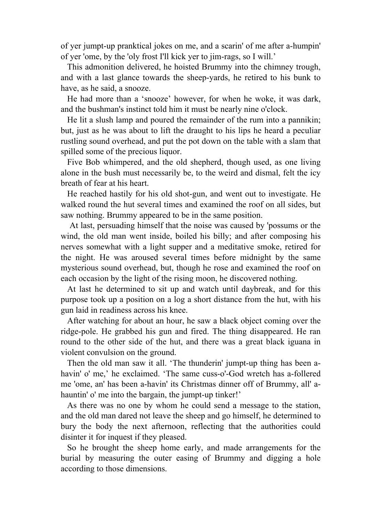of yer jumpt-up pranktical jokes on me, and a scarin' of me after a-humpin' of yer 'ome, by the 'oly frost I'll kick yer to jim-rags, so I will.'

 This admonition delivered, he hoisted Brummy into the chimney trough, and with a last glance towards the sheep-yards, he retired to his bunk to have, as he said, a snooze.

 He had more than a 'snooze' however, for when he woke, it was dark, and the bushman's instinct told him it must be nearly nine o'clock.

 He lit a slush lamp and poured the remainder of the rum into a pannikin; but, just as he was about to lift the draught to his lips he heard a peculiar rustling sound overhead, and put the pot down on the table with a slam that spilled some of the precious liquor.

 Five Bob whimpered, and the old shepherd, though used, as one living alone in the bush must necessarily be, to the weird and dismal, felt the icy breath of fear at his heart.

 He reached hastily for his old shot-gun, and went out to investigate. He walked round the hut several times and examined the roof on all sides, but saw nothing. Brummy appeared to be in the same position.

 At last, persuading himself that the noise was caused by 'possums or the wind, the old man went inside, boiled his billy; and after composing his nerves somewhat with a light supper and a meditative smoke, retired for the night. He was aroused several times before midnight by the same mysterious sound overhead, but, though he rose and examined the roof on each occasion by the light of the rising moon, he discovered nothing.

 At last he determined to sit up and watch until daybreak, and for this purpose took up a position on a log a short distance from the hut, with his gun laid in readiness across his knee.

 After watching for about an hour, he saw a black object coming over the ridge-pole. He grabbed his gun and fired. The thing disappeared. He ran round to the other side of the hut, and there was a great black iguana in violent convulsion on the ground.

 Then the old man saw it all. 'The thunderin' jumpt-up thing has been ahavin' o' me,' he exclaimed. 'The same cuss-o'-God wretch has a-follered me 'ome, an' has been a-havin' its Christmas dinner off of Brummy, all' ahauntin' o' me into the bargain, the jumpt-up tinker!'

 As there was no one by whom he could send a message to the station, and the old man dared not leave the sheep and go himself, he determined to bury the body the next afternoon, reflecting that the authorities could disinter it for inquest if they pleased.

 So he brought the sheep home early, and made arrangements for the burial by measuring the outer easing of Brummy and digging a hole according to those dimensions.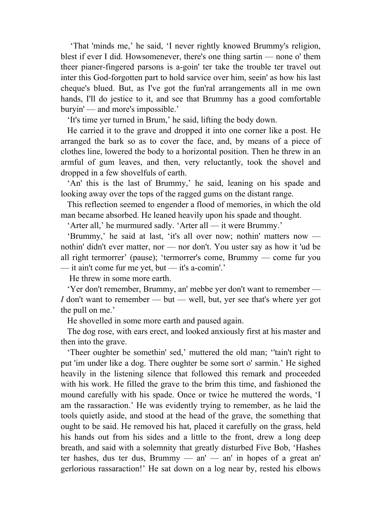'That 'minds me,' he said, 'I never rightly knowed Brummy's religion, blest if ever I did. Howsomenever, there's one thing sartin — none o' them theer pianer-fingered parsons is a-goin' ter take the trouble ter travel out inter this God-forgotten part to hold sarvice over him, seein' as how his last cheque's blued. But, as I've got the fun'ral arrangements all in me own hands, I'll do jestice to it, and see that Brummy has a good comfortable buryin' — and more's impossible.'

'It's time yer turned in Brum,' he said, lifting the body down.

 He carried it to the grave and dropped it into one corner like a post. He arranged the bark so as to cover the face, and, by means of a piece of clothes line, lowered the body to a horizontal position. Then he threw in an armful of gum leaves, and then, very reluctantly, took the shovel and dropped in a few shovelfuls of earth.

 'An' this is the last of Brummy,' he said, leaning on his spade and looking away over the tops of the ragged gums on the distant range.

 This reflection seemed to engender a flood of memories, in which the old man became absorbed. He leaned heavily upon his spade and thought.

'Arter all,' he murmured sadly. 'Arter all — it were Brummy.'

 'Brummy,' he said at last, 'it's all over now; nothin' matters now nothin' didn't ever matter, nor — nor don't. You uster say as how it 'ud be all right termorrer' (pause); 'termorrer's come, Brummy — come fur you — it ain't come fur me yet, but — it's a-comin'.'

He threw in some more earth.

 'Yer don't remember, Brummy, an' mebbe yer don't want to remember — *I* don't want to remember — but — well, but, yer see that's where yer got the pull on me.'

He shovelled in some more earth and paused again.

 The dog rose, with ears erect, and looked anxiously first at his master and then into the grave.

 'Theer oughter be somethin' sed,' muttered the old man; ''tain't right to put 'im under like a dog. There oughter be some sort o' sarmin.' He sighed heavily in the listening silence that followed this remark and proceeded with his work. He filled the grave to the brim this time, and fashioned the mound carefully with his spade. Once or twice he muttered the words, 'I am the rassaraction.' He was evidently trying to remember, as he laid the tools quietly aside, and stood at the head of the grave, the something that ought to be said. He removed his hat, placed it carefully on the grass, held his hands out from his sides and a little to the front, drew a long deep breath, and said with a solemnity that greatly disturbed Five Bob, 'Hashes ter hashes, dus ter dus, Brummy  $-$  an'  $-$  an' in hopes of a great an' gerlorious rassaraction!' He sat down on a log near by, rested his elbows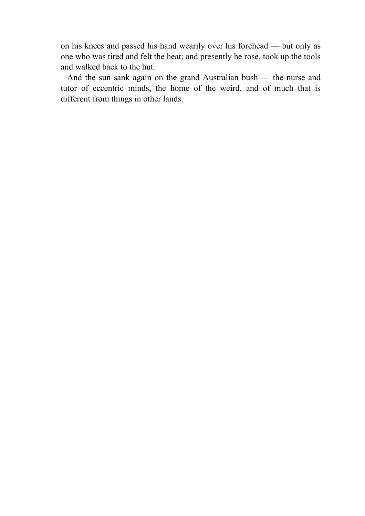on his knees and passed his hand wearily over his forehead — but only as one who was tired and felt the heat; and presently he rose, took up the tools and walked back to the hut.

 And the sun sank again on the grand Australian bush — the nurse and tutor of eccentric minds, the home of the weird, and of much that is different from things in other lands.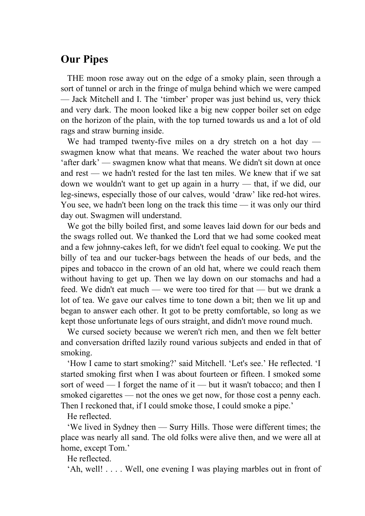# **Our Pipes**

 THE moon rose away out on the edge of a smoky plain, seen through a sort of tunnel or arch in the fringe of mulga behind which we were camped — Jack Mitchell and I. The 'timber' proper was just behind us, very thick and very dark. The moon looked like a big new copper boiler set on edge on the horizon of the plain, with the top turned towards us and a lot of old rags and straw burning inside.

We had tramped twenty-five miles on a dry stretch on a hot day swagmen know what that means. We reached the water about two hours 'after dark' — swagmen know what that means. We didn't sit down at once and rest — we hadn't rested for the last ten miles. We knew that if we sat down we wouldn't want to get up again in a hurry — that, if we did, our leg-sinews, especially those of our calves, would 'draw' like red-hot wires. You see, we hadn't been long on the track this time — it was only our third day out. Swagmen will understand.

 We got the billy boiled first, and some leaves laid down for our beds and the swags rolled out. We thanked the Lord that we had some cooked meat and a few johnny-cakes left, for we didn't feel equal to cooking. We put the billy of tea and our tucker-bags between the heads of our beds, and the pipes and tobacco in the crown of an old hat, where we could reach them without having to get up. Then we lay down on our stomachs and had a feed. We didn't eat much — we were too tired for that — but we drank a lot of tea. We gave our calves time to tone down a bit; then we lit up and began to answer each other. It got to be pretty comfortable, so long as we kept those unfortunate legs of ours straight, and didn't move round much.

 We cursed society because we weren't rich men, and then we felt better and conversation drifted lazily round various subjects and ended in that of smoking.

 'How I came to start smoking?' said Mitchell. 'Let's see.' He reflected. 'I started smoking first when I was about fourteen or fifteen. I smoked some sort of weed — I forget the name of it — but it wasn't tobacco; and then I smoked cigarettes — not the ones we get now, for those cost a penny each. Then I reckoned that, if I could smoke those, I could smoke a pipe.'

He reflected.

 'We lived in Sydney then — Surry Hills. Those were different times; the place was nearly all sand. The old folks were alive then, and we were all at home, except Tom.'

He reflected.

'Ah, well! . . . . Well, one evening I was playing marbles out in front of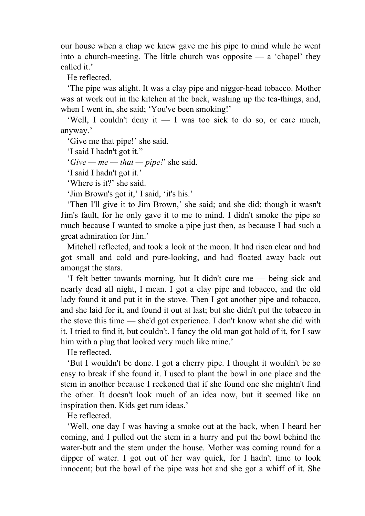our house when a chap we knew gave me his pipe to mind while he went into a church-meeting. The little church was opposite — a 'chapel' they called it.

He reflected.

 'The pipe was alight. It was a clay pipe and nigger-head tobacco. Mother was at work out in the kitchen at the back, washing up the tea-things, and, when I went in, she said; 'You've been smoking!'

 'Well, I couldn't deny it — I was too sick to do so, or care much, anyway.'

'Give me that pipe!' she said.

'I said I hadn't got it."

'*Give — me — that — pipe!*' she said.

'I said I hadn't got it.'

'Where is it?' she said.

'Jim Brown's got it,' I said, 'it's his.'

 'Then I'll give it to Jim Brown,' she said; and she did; though it wasn't Jim's fault, for he only gave it to me to mind. I didn't smoke the pipe so much because I wanted to smoke a pipe just then, as because I had such a great admiration for Jim.'

 Mitchell reflected, and took a look at the moon. It had risen clear and had got small and cold and pure-looking, and had floated away back out amongst the stars.

 'I felt better towards morning, but It didn't cure me — being sick and nearly dead all night, I mean. I got a clay pipe and tobacco, and the old lady found it and put it in the stove. Then I got another pipe and tobacco, and she laid for it, and found it out at last; but she didn't put the tobacco in the stove this time — she'd got experience. I don't know what she did with it. I tried to find it, but couldn't. I fancy the old man got hold of it, for I saw him with a plug that looked very much like mine.'

He reflected.

 'But I wouldn't be done. I got a cherry pipe. I thought it wouldn't be so easy to break if she found it. I used to plant the bowl in one place and the stem in another because I reckoned that if she found one she mightn't find the other. It doesn't look much of an idea now, but it seemed like an inspiration then. Kids get rum ideas.'

He reflected.

 'Well, one day I was having a smoke out at the back, when I heard her coming, and I pulled out the stem in a hurry and put the bowl behind the water-butt and the stem under the house. Mother was coming round for a dipper of water. I got out of her way quick, for I hadn't time to look innocent; but the bowl of the pipe was hot and she got a whiff of it. She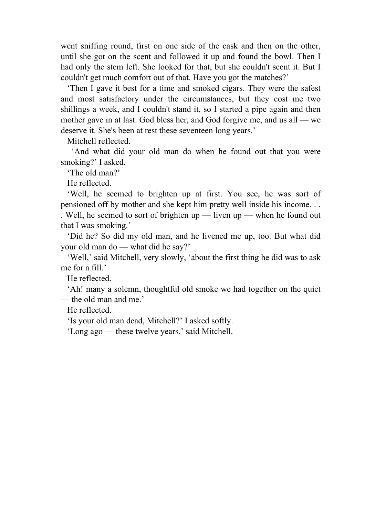went sniffing round, first on one side of the cask and then on the other, until she got on the scent and followed it up and found the bowl. Then I had only the stem left. She looked for that, but she couldn't scent it. But I couldn't get much comfort out of that. Have you got the matches?'

 'Then I gave it best for a time and smoked cigars. They were the safest and most satisfactory under the circumstances, but they cost me two shillings a week, and I couldn't stand it, so I started a pipe again and then mother gave in at last. God bless her, and God forgive me, and us all — we deserve it. She's been at rest these seventeen long years.'

Mitchell reflected.

 'And what did your old man do when he found out that you were smoking?' I asked.

'The old man?'

He reflected.

 'Well, he seemed to brighten up at first. You see, he was sort of pensioned off by mother and she kept him pretty well inside his income. . . . Well, he seemed to sort of brighten up — liven up — when he found out that I was smoking.'

 'Did he? So did my old man, and he livened me up, too. But what did your old man do — what did he say?'

 'Well,' said Mitchell, very slowly, 'about the first thing he did was to ask me for a fill.'

He reflected.

 'Ah! many a solemn, thoughtful old smoke we had together on the quiet — the old man and me.'

He reflected.

'Is your old man dead, Mitchell?' I asked softly.

'Long ago — these twelve years,' said Mitchell.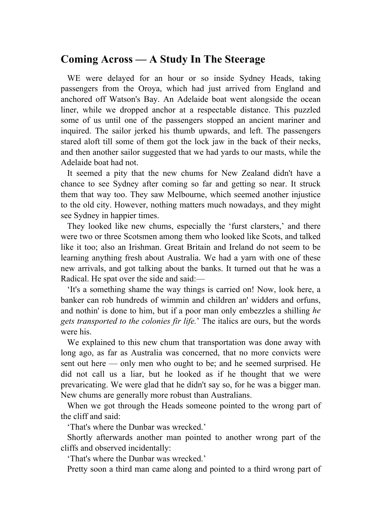## **Coming Across — A Study In The Steerage**

 WE were delayed for an hour or so inside Sydney Heads, taking passengers from the Oroya, which had just arrived from England and anchored off Watson's Bay. An Adelaide boat went alongside the ocean liner, while we dropped anchor at a respectable distance. This puzzled some of us until one of the passengers stopped an ancient mariner and inquired. The sailor jerked his thumb upwards, and left. The passengers stared aloft till some of them got the lock jaw in the back of their necks, and then another sailor suggested that we had yards to our masts, while the Adelaide boat had not.

 It seemed a pity that the new chums for New Zealand didn't have a chance to see Sydney after coming so far and getting so near. It struck them that way too. They saw Melbourne, which seemed another injustice to the old city. However, nothing matters much nowadays, and they might see Sydney in happier times.

 They looked like new chums, especially the 'furst clarsters,' and there were two or three Scotsmen among them who looked like Scots, and talked like it too; also an Irishman. Great Britain and Ireland do not seem to be learning anything fresh about Australia. We had a yarn with one of these new arrivals, and got talking about the banks. It turned out that he was a Radical. He spat over the side and said:—

 'It's a something shame the way things is carried on! Now, look here, a banker can rob hundreds of wimmin and children an' widders and orfuns, and nothin' is done to him, but if a poor man only embezzles a shilling *he gets transported to the colonies fir life.*' The italics are ours, but the words were his.

 We explained to this new chum that transportation was done away with long ago, as far as Australia was concerned, that no more convicts were sent out here — only men who ought to be; and he seemed surprised. He did not call us a liar, but he looked as if he thought that we were prevaricating. We were glad that he didn't say so, for he was a bigger man. New chums are generally more robust than Australians.

 When we got through the Heads someone pointed to the wrong part of the cliff and said:

'That's where the Dunbar was wrecked.'

 Shortly afterwards another man pointed to another wrong part of the cliffs and observed incidentally:

'That's where the Dunbar was wrecked.'

Pretty soon a third man came along and pointed to a third wrong part of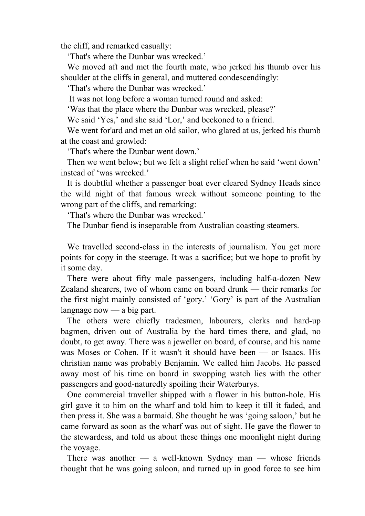the cliff, and remarked casually:

'That's where the Dunbar was wrecked.'

 We moved aft and met the fourth mate, who jerked his thumb over his shoulder at the cliffs in general, and muttered condescendingly:

'That's where the Dunbar was wrecked.'

It was not long before a woman turned round and asked:

'Was that the place where the Dunbar was wrecked, please?'

We said 'Yes,' and she said 'Lor,' and beckoned to a friend.

We went for'ard and met an old sailor, who glared at us, jerked his thumb at the coast and growled:

'That's where the Dunbar went down.'

 Then we went below; but we felt a slight relief when he said 'went down' instead of 'was wrecked.'

 It is doubtful whether a passenger boat ever cleared Sydney Heads since the wild night of that famous wreck without someone pointing to the wrong part of the cliffs, and remarking:

'That's where the Dunbar was wrecked.'

The Dunbar fiend is inseparable from Australian coasting steamers.

 We travelled second-class in the interests of journalism. You get more points for copy in the steerage. It was a sacrifice; but we hope to profit by it some day.

 There were about fifty male passengers, including half-a-dozen New Zealand shearers, two of whom came on board drunk — their remarks for the first night mainly consisted of 'gory.' 'Gory' is part of the Australian langnage now — a big part.

 The others were chiefly tradesmen, labourers, clerks and hard-up bagmen, driven out of Australia by the hard times there, and glad, no doubt, to get away. There was a jeweller on board, of course, and his name was Moses or Cohen. If it wasn't it should have been — or Isaacs. His christian name was probably Benjamin. We called him Jacobs. He passed away most of his time on board in swopping watch lies with the other passengers and good-naturedly spoiling their Waterburys.

 One commercial traveller shipped with a flower in his button-hole. His girl gave it to him on the wharf and told him to keep it till it faded, and then press it. She was a barmaid. She thought he was 'going saloon,' but he came forward as soon as the wharf was out of sight. He gave the flower to the stewardess, and told us about these things one moonlight night during the voyage.

There was another  $-$  a well-known Sydney man  $-$  whose friends thought that he was going saloon, and turned up in good force to see him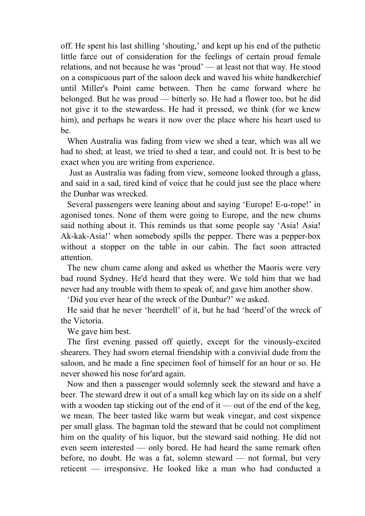off. He spent his last shilling 'shouting,' and kept up his end of the pathetic little farce out of consideration for the feelings of certain proud female relations, and not because he was 'proud' — at least not that way. He stood on a conspicuous part of the saloon deck and waved his white handkerchief until Miller's Point came between. Then he came forward where he belonged. But he was proud — bitterly so. He had a flower too, but he did not give it to the stewardess. He had it pressed, we think (for we knew him), and perhaps he wears it now over the place where his heart used to be.

 When Australia was fading from view we shed a tear, which was all we had to shed; at least, we tried to shed a tear, and could not. It is best to be exact when you are writing from experience.

 Just as Australia was fading from view, someone looked through a glass, and said in a sad, tired kind of voice that he could just see the place where the Dunbar was wrecked.

 Several passengers were leaning about and saying 'Europe! E-u-rope!' in agonised tones. None of them were going to Europe, and the new chums said nothing about it. This reminds us that some people say 'Asia! Asia! Ak-kak-Asia!' when somebody spills the pepper. There was a pepper-box without a stopper on the table in our cabin. The fact soon attracted attention.

 The new chum came along and asked us whether the Maoris were very bad round Sydney. He'd heard that they were. We told him that we had never had any trouble with them to speak of, and gave him another show.

'Did you ever hear of the wreck of the Dunbar?' we asked.

 He said that he never 'heerdtell' of it, but he had 'heerd'of the wreck of the Victoria.

We gave him best.

 The first evening passed off quietly, except for the vinously-excited shearers. They had sworn eternal friendship with a convivial dude from the saloon, and he made a fine specimen fool of himself for an hour or so. He never showed his nose for'ard again.

 Now and then a passenger would solemnly seek the steward and have a beer. The steward drew it out of a small keg which lay on its side on a shelf with a wooden tap sticking out of the end of it — out of the end of the keg, we mean. The beer tasted like warm but weak vinegar, and cost sixpence per small glass. The bagman told the steward that he could not compliment him on the quality of his liquor, but the steward said nothing. He did not even seem interested — only bored. He had heard the same remark often before, no doubt. He was a fat, solemn steward — not formal, but very reticent — irresponsive. He looked like a man who had conducted a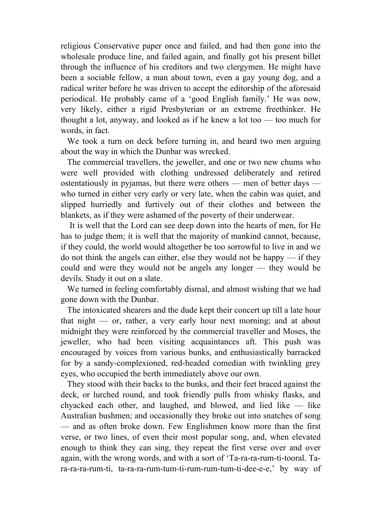religious Conservative paper once and failed, and had then gone into the wholesale produce line, and failed again, and finally got his present billet through the influence of his creditors and two clergymen. He might have been a sociable fellow, a man about town, even a gay young dog, and a radical writer before he was driven to accept the editorship of the aforesaid periodical. He probably came of a 'good English family.' He was now, very likely, either a rigid Presbyterian or an extreme freethinker. He thought a lot, anyway, and looked as if he knew a lot too — too much for words, in fact.

 We took a turn on deck before turning in, and heard two men arguing about the way in which the Dunbar was wrecked.

 The commercial travellers, the jeweller, and one or two new chums who were well provided with clothing undressed deliberately and retired ostentatiously in pyjamas, but there were others — men of better days who turned in either very early or very late, when the cabin was quiet, and slipped hurriedly and furtively out of their clothes and between the blankets, as if they were ashamed of the poverty of their underwear.

 It is well that the Lord can see deep down into the hearts of men, for He has to judge them; it is well that the majority of mankind cannot, because, if they could, the world would altogether be too sorrowful to live in and we do not think the angels can either, else they would not be happy — if they could and were they would not be angels any longer — they would be devils. Study it out on a slate.

 We turned in feeling comfortably dismal, and almost wishing that we had gone down with the Dunbar.

 The intoxicated shearers and the dude kept their concert up till a late hour that night — or, rather, a very early hour next morning; and at about midnight they were reinforced by the commercial traveller and Moses, the jeweller, who had been visiting acquaintances aft. This push was encouraged by voices from various bunks, and enthusiastically barracked for by a sandy-complexioned, red-headed comedian with twinkling grey eyes, who occupied the berth immediately above our own.

 They stood with their backs to the bunks, and their feet braced against the deck, or lurched round, and took friendly pulls from whisky flasks, and chyacked each other, and laughed, and blowed, and lied like — like Australian bushmen; and occasionally they broke out into snatches of song — and as often broke down. Few Englishmen know more than the first verse, or two lines, of even their most popular song, and, when elevated enough to think they can sing, they repeat the first verse over and over again, with the wrong words, and with a sort of 'Ta-ra-ra-rum-ti-tooral. Tara-ra-ra-rum-ti, ta-ra-ra-rum-tum-ti-rum-rum-tum-ti-dee-e-e,' by way of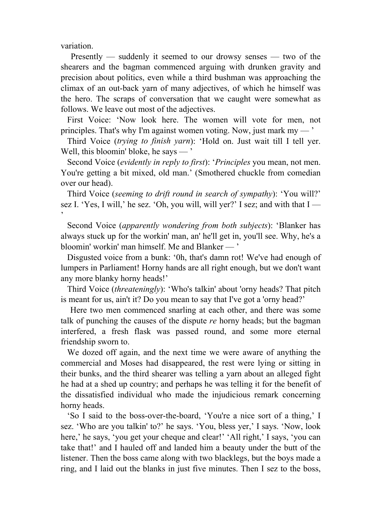variation.

 Presently — suddenly it seemed to our drowsy senses — two of the shearers and the bagman commenced arguing with drunken gravity and precision about politics, even while a third bushman was approaching the climax of an out-back yarn of many adjectives, of which he himself was the hero. The scraps of conversation that we caught were somewhat as follows. We leave out most of the adjectives.

 First Voice: 'Now look here. The women will vote for men, not principles. That's why I'm against women voting. Now, just mark  $mv -$ 

 Third Voice (*trying to finish yarn*): 'Hold on. Just wait till I tell yer. Well, this bloomin' bloke, he says — '

 Second Voice (*evidently in reply to first*): '*Principles* you mean, not men. You're getting a bit mixed, old man.' (Smothered chuckle from comedian over our head).

 Third Voice (*seeming to drift round in search of sympathy*): 'You will?' sez I. 'Yes, I will,' he sez. 'Oh, you will, will yer?' I sez; and with that  $I$  —  $\overline{\phantom{a}}$ 

 Second Voice (*apparently wondering from both subjects*): 'Blanker has always stuck up for the workin' man, an' he'll get in, you'll see. Why, he's a bloomin' workin' man himself. Me and Blanker — '

 Disgusted voice from a bunk: '0h, that's damn rot! We've had enough of lumpers in Parliament! Horny hands are all right enough, but we don't want any more blanky horny heads!'

 Third Voice (*threateningly*): 'Who's talkin' about 'orny heads? That pitch is meant for us, ain't it? Do you mean to say that I've got a 'orny head?'

 Here two men commenced snarling at each other, and there was some talk of punching the causes of the dispute *re* horny heads; but the bagman interfered, a fresh flask was passed round, and some more eternal friendship sworn to.

 We dozed off again, and the next time we were aware of anything the commercial and Moses had disappeared, the rest were lying or sitting in their bunks, and the third shearer was telling a yarn about an alleged fight he had at a shed up country; and perhaps he was telling it for the benefit of the dissatisfied individual who made the injudicious remark concerning horny heads.

 'So I said to the boss-over-the-board, 'You're a nice sort of a thing,' I sez. 'Who are you talkin' to?' he says. 'You, bless yer,' I says. 'Now, look here,' he says, 'you get your cheque and clear!' 'All right,' I says, 'you can take that!' and I hauled off and landed him a beauty under the butt of the listener. Then the boss came along with two blacklegs, but the boys made a ring, and I laid out the blanks in just five minutes. Then I sez to the boss,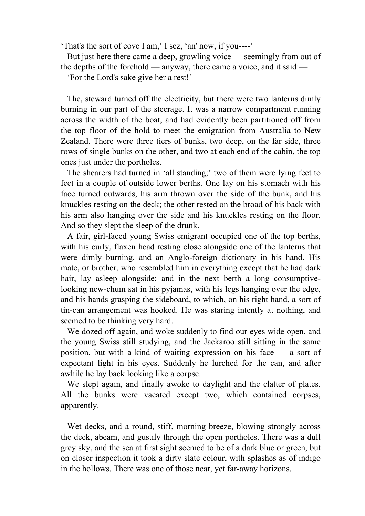'That's the sort of cove I am,' I sez, 'an' now, if you----'

 But just here there came a deep, growling voice — seemingly from out of the depths of the forehold — anyway, there came a voice, and it said:—

'For the Lord's sake give her a rest!'

 The, steward turned off the electricity, but there were two lanterns dimly burning in our part of the steerage. It was a narrow compartment running across the width of the boat, and had evidently been partitioned off from the top floor of the hold to meet the emigration from Australia to New Zealand. There were three tiers of bunks, two deep, on the far side, three rows of single bunks on the other, and two at each end of the cabin, the top ones just under the portholes.

 The shearers had turned in 'all standing;' two of them were lying feet to feet in a couple of outside lower berths. One lay on his stomach with his face turned outwards, his arm thrown over the side of the bunk, and his knuckles resting on the deck; the other rested on the broad of his back with his arm also hanging over the side and his knuckles resting on the floor. And so they slept the sleep of the drunk.

 A fair, girl-faced young Swiss emigrant occupied one of the top berths, with his curly, flaxen head resting close alongside one of the lanterns that were dimly burning, and an Anglo-foreign dictionary in his hand. His mate, or brother, who resembled him in everything except that he had dark hair, lay asleep alongside; and in the next berth a long consumptivelooking new-chum sat in his pyjamas, with his legs hanging over the edge, and his hands grasping the sideboard, to which, on his right hand, a sort of tin-can arrangement was hooked. He was staring intently at nothing, and seemed to be thinking very hard.

 We dozed off again, and woke suddenly to find our eyes wide open, and the young Swiss still studying, and the Jackaroo still sitting in the same position, but with a kind of waiting expression on his face — a sort of expectant light in his eyes. Suddenly he lurched for the can, and after awhile he lay back looking like a corpse.

 We slept again, and finally awoke to daylight and the clatter of plates. All the bunks were vacated except two, which contained corpses, apparently.

 Wet decks, and a round, stiff, morning breeze, blowing strongly across the deck, abeam, and gustily through the open portholes. There was a dull grey sky, and the sea at first sight seemed to be of a dark blue or green, but on closer inspection it took a dirty slate colour, with splashes as of indigo in the hollows. There was one of those near, yet far-away horizons.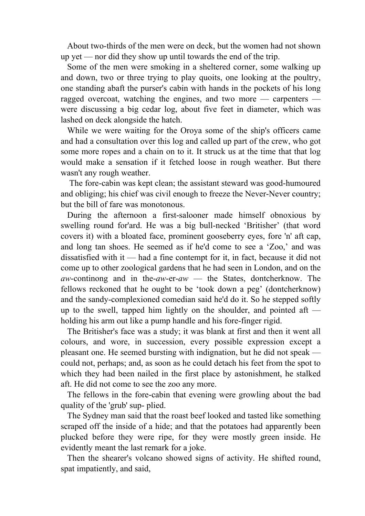About two-thirds of the men were on deck, but the women had not shown up yet — nor did they show up until towards the end of the trip.

 Some of the men were smoking in a sheltered corner, some walking up and down, two or three trying to play quoits, one looking at the poultry, one standing abaft the purser's cabin with hands in the pockets of his long ragged overcoat, watching the engines, and two more — carpenters were discussing a big cedar log, about five feet in diameter, which was lashed on deck alongside the hatch.

 While we were waiting for the Oroya some of the ship's officers came and had a consultation over this log and called up part of the crew, who got some more ropes and a chain on to it. It struck us at the time that that log would make a sensation if it fetched loose in rough weather. But there wasn't any rough weather.

 The fore-cabin was kept clean; the assistant steward was good-humoured and obliging; his chief was civil enough to freeze the Never-Never country; but the bill of fare was monotonous.

 During the afternoon a first-salooner made himself obnoxious by swelling round for'ard. He was a big bull-necked 'Britisher' (that word covers it) with a bloated face, prominent gooseberry eyes, fore 'n' aft cap, and long tan shoes. He seemed as if he'd come to see a 'Zoo,' and was dissatisfied with it — had a fine contempt for it, in fact, because it did not come up to other zoological gardens that he had seen in London, and on the *aw*-continong and in the-*aw*-er-*aw* — the States, dontcherknow. The fellows reckoned that he ought to be 'took down a peg' (dontcherknow) and the sandy-complexioned comedian said he'd do it. So he stepped softly up to the swell, tapped him lightly on the shoulder, and pointed aft holding his arm out like a pump handle and his fore-finger rigid.

 The Britisher's face was a study; it was blank at first and then it went all colours, and wore, in succession, every possible expression except a pleasant one. He seemed bursting with indignation, but he did not speak could not, perhaps; and, as soon as he could detach his feet from the spot to which they had been nailed in the first place by astonishment, he stalked aft. He did not come to see the zoo any more.

 The fellows in the fore-cabin that evening were growling about the bad quality of the 'grub' sup- plied.

 The Sydney man said that the roast beef looked and tasted like something scraped off the inside of a hide; and that the potatoes had apparently been plucked before they were ripe, for they were mostly green inside. He evidently meant the last remark for a joke.

 Then the shearer's volcano showed signs of activity. He shifted round, spat impatiently, and said,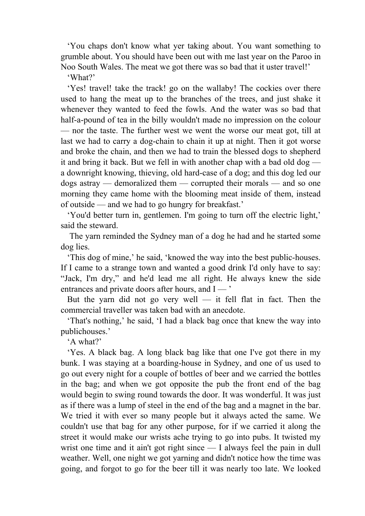'You chaps don't know what yer taking about. You want something to grumble about. You should have been out with me last year on the Paroo in Noo South Wales. The meat we got there was so bad that it uster travel!'

'What?'

 'Yes! travel! take the track! go on the wallaby! The cockies over there used to hang the meat up to the branches of the trees, and just shake it whenever they wanted to feed the fowls. And the water was so bad that half-a-pound of tea in the billy wouldn't made no impression on the colour — nor the taste. The further west we went the worse our meat got, till at last we had to carry a dog-chain to chain it up at night. Then it got worse and broke the chain, and then we had to train the blessed dogs to shepherd it and bring it back. But we fell in with another chap with a bad old dog a downright knowing, thieving, old hard-case of a dog; and this dog led our dogs astray — demoralized them — corrupted their morals — and so one morning they came home with the blooming meat inside of them, instead of outside — and we had to go hungry for breakfast.'

 'You'd better turn in, gentlemen. I'm going to turn off the electric light,' said the steward.

 The yarn reminded the Sydney man of a dog he had and he started some dog lies.

 'This dog of mine,' he said, 'knowed the way into the best public-houses. If I came to a strange town and wanted a good drink I'd only have to say: "Jack, I'm dry," and he'd lead me all right. He always knew the side entrances and private doors after hours, and I — '

But the yarn did not go very well — it fell flat in fact. Then the commercial traveller was taken bad with an anecdote.

 'That's nothing,' he said, 'I had a black bag once that knew the way into publichouses.'

'A what?'

 'Yes. A black bag. A long black bag like that one I've got there in my bunk. I was staying at a boarding-house in Sydney, and one of us used to go out every night for a couple of bottles of beer and we carried the bottles in the bag; and when we got opposite the pub the front end of the bag would begin to swing round towards the door. It was wonderful. It was just as if there was a lump of steel in the end of the bag and a magnet in the bar. We tried it with ever so many people but it always acted the same. We couldn't use that bag for any other purpose, for if we carried it along the street it would make our wrists ache trying to go into pubs. It twisted my wrist one time and it ain't got right since — I always feel the pain in dull weather. Well, one night we got yarning and didn't notice how the time was going, and forgot to go for the beer till it was nearly too late. We looked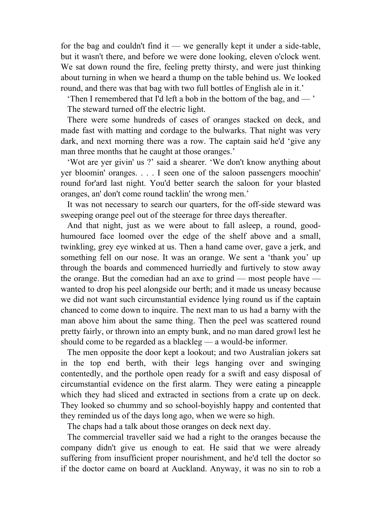for the bag and couldn't find it — we generally kept it under a side-table, but it wasn't there, and before we were done looking, eleven o'clock went. We sat down round the fire, feeling pretty thirsty, and were just thinking about turning in when we heard a thump on the table behind us. We looked round, and there was that bag with two full bottles of English ale in it.'

 'Then I remembered that I'd left a bob in the bottom of the bag, and — ' The steward turned off the electric light.

 There were some hundreds of cases of oranges stacked on deck, and made fast with matting and cordage to the bulwarks. That night was very dark, and next morning there was a row. The captain said he'd 'give any man three months that he caught at those oranges.'

 'Wot are yer givin' us ?' said a shearer. 'We don't know anything about yer bloomin' oranges. . . . I seen one of the saloon passengers moochin' round for'ard last night. You'd better search the saloon for your blasted oranges, an' don't come round tacklin' the wrong men.'

 It was not necessary to search our quarters, for the off-side steward was sweeping orange peel out of the steerage for three days thereafter.

 And that night, just as we were about to fall asleep, a round, goodhumoured face loomed over the edge of the shelf above and a small, twinkling, grey eye winked at us. Then a hand came over, gave a jerk, and something fell on our nose. It was an orange. We sent a 'thank you' up through the boards and commenced hurriedly and furtively to stow away the orange. But the comedian had an axe to grind — most people have wanted to drop his peel alongside our berth; and it made us uneasy because we did not want such circumstantial evidence lying round us if the captain chanced to come down to inquire. The next man to us had a barny with the man above him about the same thing. Then the peel was scattered round pretty fairly, or thrown into an empty bunk, and no man dared growl lest he should come to be regarded as a blackleg — a would-be informer.

 The men opposite the door kept a lookout; and two Australian jokers sat in the top end berth, with their legs hanging over and swinging contentedly, and the porthole open ready for a swift and easy disposal of circumstantial evidence on the first alarm. They were eating a pineapple which they had sliced and extracted in sections from a crate up on deck. They looked so chummy and so school-boyishly happy and contented that they reminded us of the days long ago, when we were so high.

The chaps had a talk about those oranges on deck next day.

 The commercial traveller said we had a right to the oranges because the company didn't give us enough to eat. He said that we were already suffering from insufficient proper nourishment, and he'd tell the doctor so if the doctor came on board at Auckland. Anyway, it was no sin to rob a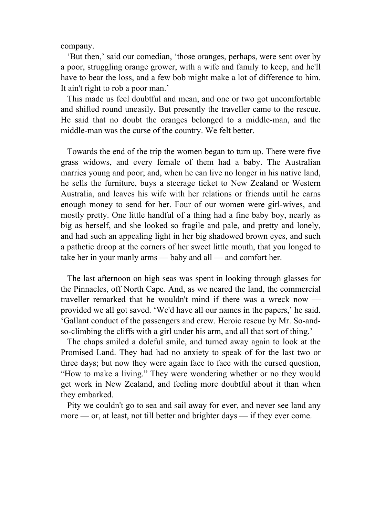company.

 'But then,' said our comedian, 'those oranges, perhaps, were sent over by a poor, struggling orange grower, with a wife and family to keep, and he'll have to bear the loss, and a few bob might make a lot of difference to him. It ain't right to rob a poor man.'

 This made us feel doubtful and mean, and one or two got uncomfortable and shifted round uneasily. But presently the traveller came to the rescue. He said that no doubt the oranges belonged to a middle-man, and the middle-man was the curse of the country. We felt better.

 Towards the end of the trip the women began to turn up. There were five grass widows, and every female of them had a baby. The Australian marries young and poor; and, when he can live no longer in his native land, he sells the furniture, buys a steerage ticket to New Zealand or Western Australia, and leaves his wife with her relations or friends until he earns enough money to send for her. Four of our women were girl-wives, and mostly pretty. One little handful of a thing had a fine baby boy, nearly as big as herself, and she looked so fragile and pale, and pretty and lonely, and had such an appealing light in her big shadowed brown eyes, and such a pathetic droop at the corners of her sweet little mouth, that you longed to take her in your manly arms — baby and all — and comfort her.

 The last afternoon on high seas was spent in looking through glasses for the Pinnacles, off North Cape. And, as we neared the land, the commercial traveller remarked that he wouldn't mind if there was a wreck now provided we all got saved. 'We'd have all our names in the papers,' he said. 'Gallant conduct of the passengers and crew. Heroic rescue by Mr. So-andso-climbing the cliffs with a girl under his arm, and all that sort of thing.'

 The chaps smiled a doleful smile, and turned away again to look at the Promised Land. They had had no anxiety to speak of for the last two or three days; but now they were again face to face with the cursed question, "How to make a living." They were wondering whether or no they would get work in New Zealand, and feeling more doubtful about it than when they embarked.

 Pity we couldn't go to sea and sail away for ever, and never see land any more — or, at least, not till better and brighter days — if they ever come.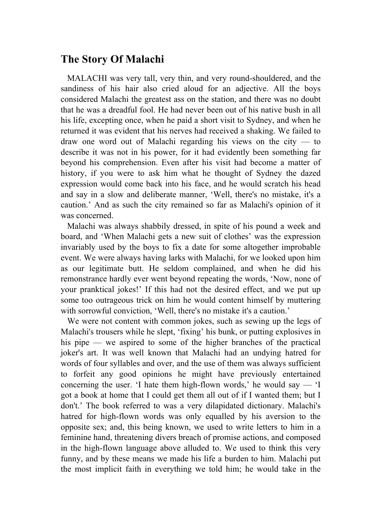# **The Story Of Malachi**

 MALACHI was very tall, very thin, and very round-shouldered, and the sandiness of his hair also cried aloud for an adjective. All the boys considered Malachi the greatest ass on the station, and there was no doubt that he was a dreadful fool. He had never been out of his native bush in all his life, excepting once, when he paid a short visit to Sydney, and when he returned it was evident that his nerves had received a shaking. We failed to draw one word out of Malachi regarding his views on the city  $-$  to describe it was not in his power, for it had evidently been something far beyond his comprehension. Even after his visit had become a matter of history, if you were to ask him what he thought of Sydney the dazed expression would come back into his face, and he would scratch his head and say in a slow and deliberate manner, 'Well, there's no mistake, it's a caution.' And as such the city remained so far as Malachi's opinion of it was concerned.

 Malachi was always shabbily dressed, in spite of his pound a week and board, and 'When Malachi gets a new suit of clothes' was the expression invariably used by the boys to fix a date for some altogether improbable event. We were always having larks with Malachi, for we looked upon him as our legitimate butt. He seldom complained, and when he did his remonstrance hardly ever went beyond repeating the words, 'Now, none of your pranktical jokes!' If this had not the desired effect, and we put up some too outrageous trick on him he would content himself by muttering with sorrowful conviction, 'Well, there's no mistake it's a caution.'

We were not content with common jokes, such as sewing up the legs of Malachi's trousers while he slept, 'fixing' his bunk, or putting explosives in his pipe — we aspired to some of the higher branches of the practical joker's art. It was well known that Malachi had an undying hatred for words of four syllables and over, and the use of them was always sufficient to forfeit any good opinions he might have previously entertained concerning the user. 'I hate them high-flown words,' he would say  $-$  'I got a book at home that I could get them all out of if I wanted them; but I don't.' The book referred to was a very dilapidated dictionary. Malachi's hatred for high-flown words was only equalled by his aversion to the opposite sex; and, this being known, we used to write letters to him in a feminine hand, threatening divers breach of promise actions, and composed in the high-flown language above alluded to. We used to think this very funny, and by these means we made his life a burden to him. Malachi put the most implicit faith in everything we told him; he would take in the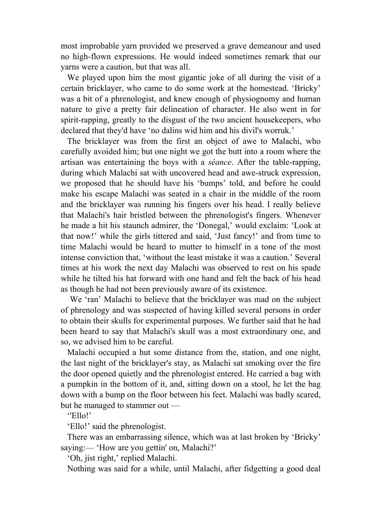most improbable yarn provided we preserved a grave demeanour and used no high-flown expressions. He would indeed sometimes remark that our yarns were a caution, but that was all.

 We played upon him the most gigantic joke of all during the visit of a certain bricklayer, who came to do some work at the homestead. 'Bricky' was a bit of a phrenologist, and knew enough of physiognomy and human nature to give a pretty fair delineation of character. He also went in for spirit-rapping, greatly to the disgust of the two ancient housekeepers, who declared that they'd have 'no dalins wid him and his divil's worruk.'

 The bricklayer was from the first an object of awe to Malachi, who carefully avoided him; but one night we got the butt into a room where the artisan was entertaining the boys with a *séance*. After the table-rapping, during which Malachi sat with uncovered head and awe-struck expression, we proposed that he should have his 'bumps' told, and before he could make his escape Malachi was seated in a chair in the middle of the room and the bricklayer was running his fingers over his head. I really believe that Malachi's hair bristled between the phrenologist's fingers. Whenever he made a hit his staunch admirer, the 'Donegal,' would exclaim: 'Look at that now!' while the girls tittered and said, 'Just fancy!' and from time to time Malachi would be heard to mutter to himself in a tone of the most intense conviction that, 'without the least mistake it was a caution.' Several times at his work the next day Malachi was observed to rest on his spade while he tilted his hat forward with one hand and felt the back of his head as though he had not been previously aware of its existence.

 We 'ran' Malachi to believe that the bricklayer was mad on the subject of phrenology and was suspected of having killed several persons in order to obtain their skulls for experimental purposes. We further said that he had been heard to say that Malachi's skull was a most extraordinary one, and so, we advised him to be careful.

 Malachi occupied a hut some distance from the, station, and one night, the last night of the bricklayer's stay, as Malachi sat smoking over the fire the door opened quietly and the phrenologist entered. He carried a bag with a pumpkin in the bottom of it, and, sitting down on a stool, he let the bag down with a bump on the floor between his feet. Malachi was badly scared, but he managed to stammer out —

''Ello!'

'Ello!' said the phrenologist.

 There was an embarrassing silence, which was at last broken by 'Bricky' saying:— 'How are you gettin' on, Malachi?'

'Oh, jist right,' replied Malachi.

Nothing was said for a while, until Malachi, after fidgetting a good deal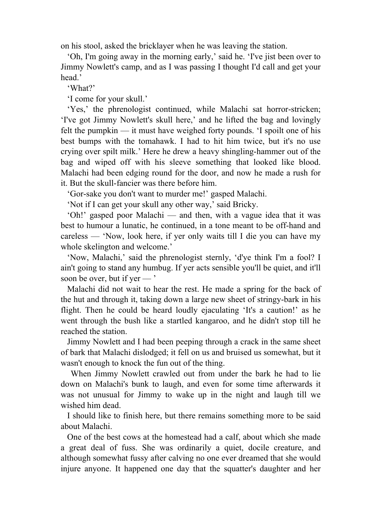on his stool, asked the bricklayer when he was leaving the station.

 'Oh, I'm going away in the morning early,' said he. 'I've jist been over to Jimmy Nowlett's camp, and as I was passing I thought I'd call and get your head.'

'What?'

'I come for your skull.'

 'Yes,' the phrenologist continued, while Malachi sat horror-stricken; 'I've got Jimmy Nowlett's skull here,' and he lifted the bag and lovingly felt the pumpkin — it must have weighed forty pounds. 'I spoilt one of his best bumps with the tomahawk. I had to hit him twice, but it's no use crying over spilt milk.' Here he drew a heavy shingling-hammer out of the bag and wiped off with his sleeve something that looked like blood. Malachi had been edging round for the door, and now he made a rush for it. But the skull-fancier was there before him.

'Gor-sake you don't want to murder me!' gasped Malachi.

'Not if I can get your skull any other way,' said Bricky.

 'Oh!' gasped poor Malachi — and then, with a vague idea that it was best to humour a lunatic, he continued, in a tone meant to be off-hand and careless — 'Now, look here, if yer only waits till I die you can have my whole skelington and welcome.'

 'Now, Malachi,' said the phrenologist sternly, 'd'ye think I'm a fool? I ain't going to stand any humbug. If yer acts sensible you'll be quiet, and it'll soon be over, but if yer — '

 Malachi did not wait to hear the rest. He made a spring for the back of the hut and through it, taking down a large new sheet of stringy-bark in his flight. Then he could be heard loudly ejaculating 'It's a caution!' as he went through the bush like a startled kangaroo, and he didn't stop till he reached the station.

 Jimmy Nowlett and I had been peeping through a crack in the same sheet of bark that Malachi dislodged; it fell on us and bruised us somewhat, but it wasn't enough to knock the fun out of the thing.

 When Jimmy Nowlett crawled out from under the bark he had to lie down on Malachi's bunk to laugh, and even for some time afterwards it was not unusual for Jimmy to wake up in the night and laugh till we wished him dead.

 I should like to finish here, but there remains something more to be said about Malachi.

 One of the best cows at the homestead had a calf, about which she made a great deal of fuss. She was ordinarily a quiet, docile creature, and although somewhat fussy after calving no one ever dreamed that she would injure anyone. It happened one day that the squatter's daughter and her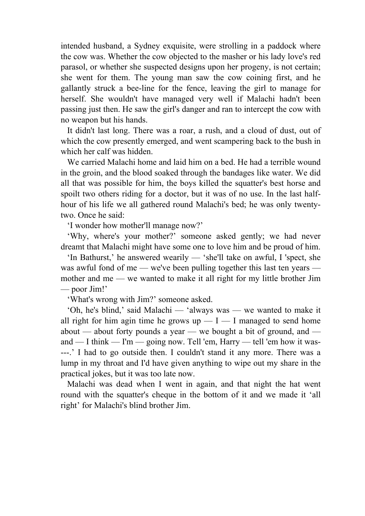intended husband, a Sydney exquisite, were strolling in a paddock where the cow was. Whether the cow objected to the masher or his lady love's red parasol, or whether she suspected designs upon her progeny, is not certain; she went for them. The young man saw the cow coining first, and he gallantly struck a bee-line for the fence, leaving the girl to manage for herself. She wouldn't have managed very well if Malachi hadn't been passing just then. He saw the girl's danger and ran to intercept the cow with no weapon but his hands.

 It didn't last long. There was a roar, a rush, and a cloud of dust, out of which the cow presently emerged, and went scampering back to the bush in which her calf was hidden.

 We carried Malachi home and laid him on a bed. He had a terrible wound in the groin, and the blood soaked through the bandages like water. We did all that was possible for him, the boys killed the squatter's best horse and spoilt two others riding for a doctor, but it was of no use. In the last halfhour of his life we all gathered round Malachi's bed; he was only twentytwo. Once he said:

'I wonder how mother'll manage now?'

 'Why, where's your mother?' someone asked gently; we had never dreamt that Malachi might have some one to love him and be proud of him.

 'In Bathurst,' he answered wearily — 'she'll take on awful, I 'spect, she was awful fond of me — we've been pulling together this last ten years mother and me — we wanted to make it all right for my little brother Jim — poor Jim!'

'What's wrong with Jim?' someone asked.

 'Oh, he's blind,' said Malachi — 'always was — we wanted to make it all right for him agin time he grows  $up - I - I$  managed to send home about — about forty pounds a year — we bought a bit of ground, and and — I think — I'm — going now. Tell 'em, Harry — tell 'em how it was- ---.' I had to go outside then. I couldn't stand it any more. There was a lump in my throat and I'd have given anything to wipe out my share in the practical jokes, but it was too late now.

 Malachi was dead when I went in again, and that night the hat went round with the squatter's cheque in the bottom of it and we made it 'all right' for Malachi's blind brother Jim.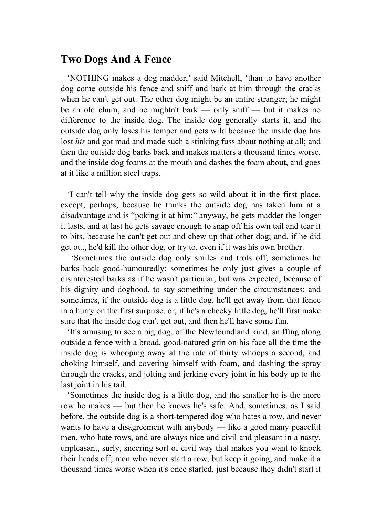## **Two Dogs And A Fence**

 'NOTHING makes a dog madder,' said Mitchell, 'than to have another dog come outside his fence and sniff and bark at him through the cracks when he can't get out. The other dog might be an entire stranger; he might be an old chum, and he mightn't bark — only sniff — but it makes no difference to the inside dog. The inside dog generally starts it, and the outside dog only loses his temper and gets wild because the inside dog has lost *his* and got mad and made such a stinking fuss about nothing at all; and then the outside dog barks back and makes matters a thousand times worse, and the inside dog foams at the mouth and dashes the foam about, and goes at it like a million steel traps.

 'I can't tell why the inside dog gets so wild about it in the first place, except, perhaps, because he thinks the outside dog has taken him at a disadvantage and is "poking it at him;" anyway, he gets madder the longer it lasts, and at last he gets savage enough to snap off his own tail and tear it to bits, because he can't get out and chew up that other dog; and, if he did get out, he'd kill the other dog, or try to, even if it was his own brother.

 'Sometimes the outside dog only smiles and trots off; sometimes he barks back good-humouredly; sometimes he only just gives a couple of disinterested barks as if he wasn't particular, but was expected, because of his dignity and doghood, to say something under the circumstances; and sometimes, if the outside dog is a little dog, he'll get away from that fence in a hurry on the first surprise, or, if he's a cheeky little dog, he'll first make sure that the inside dog can't get out, and then he'll have some fun.

 'It's amusing to see a big dog, of the Newfoundland kind, sniffing along outside a fence with a broad, good-natured grin on his face all the time the inside dog is whooping away at the rate of thirty whoops a second, and choking himself, and covering himself with foam, and dashing the spray through the cracks, and jolting and jerking every joint in his body up to the last joint in his tail.

 'Sometimes the inside dog is a little dog, and the smaller he is the more row he makes — but then he knows he's safe. And, sometimes, as I said before, the outside dog is a short-tempered dog who hates a row, and never wants to have a disagreement with anybody — like a good many peaceful men, who hate rows, and are always nice and civil and pleasant in a nasty, unpleasant, surly, sneering sort of civil way that makes you want to knock their heads off; men who never start a row, but keep it going, and make it a thousand times worse when it's once started, just because they didn't start it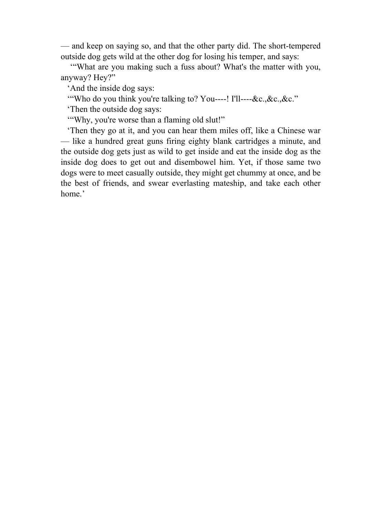— and keep on saying so, and that the other party did. The short-tempered outside dog gets wild at the other dog for losing his temper, and says:

 '"What are you making such a fuss about? What's the matter with you, anyway? Hey?"

'And the inside dog says:

'"Who do you think you're talking to? You----! I'll----&c.,&c.,&c."

'Then the outside dog says:

'"Why, you're worse than a flaming old slut!"

 'Then they go at it, and you can hear them miles off, like a Chinese war — like a hundred great guns firing eighty blank cartridges a minute, and the outside dog gets just as wild to get inside and eat the inside dog as the inside dog does to get out and disembowel him. Yet, if those same two dogs were to meet casually outside, they might get chummy at once, and be the best of friends, and swear everlasting mateship, and take each other home.'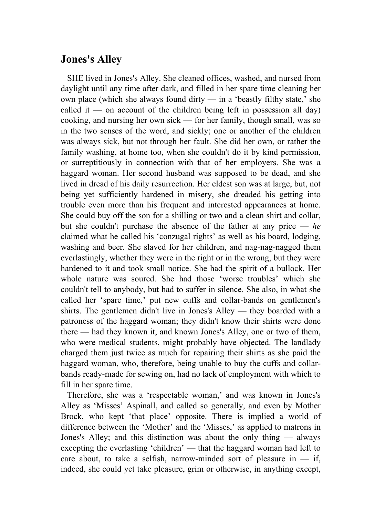### **Jones's Alley**

 SHE lived in Jones's Alley. She cleaned offices, washed, and nursed from daylight until any time after dark, and filled in her spare time cleaning her own place (which she always found dirty  $-$  in a 'beastly filthy state,' she called it — on account of the children being left in possession all day) cooking, and nursing her own sick — for her family, though small, was so in the two senses of the word, and sickly; one or another of the children was always sick, but not through her fault. She did her own, or rather the family washing, at home too, when she couldn't do it by kind permission, or surreptitiously in connection with that of her employers. She was a haggard woman. Her second husband was supposed to be dead, and she lived in dread of his daily resurrection. Her eldest son was at large, but, not being yet sufficiently hardened in misery, she dreaded his getting into trouble even more than his frequent and interested appearances at home. She could buy off the son for a shilling or two and a clean shirt and collar, but she couldn't purchase the absence of the father at any price — *he* claimed what he called his 'conzugal rights' as well as his board, lodging, washing and beer. She slaved for her children, and nag-nag-nagged them everlastingly, whether they were in the right or in the wrong, but they were hardened to it and took small notice. She had the spirit of a bullock. Her whole nature was soured. She had those 'worse troubles' which she couldn't tell to anybody, but had to suffer in silence. She also, in what she called her 'spare time,' put new cuffs and collar-bands on gentlemen's shirts. The gentlemen didn't live in Jones's Alley — they boarded with a patroness of the haggard woman; they didn't know their shirts were done there — had they known it, and known Jones's Alley, one or two of them, who were medical students, might probably have objected. The landlady charged them just twice as much for repairing their shirts as she paid the haggard woman, who, therefore, being unable to buy the cuffs and collarbands ready-made for sewing on, had no lack of employment with which to fill in her spare time.

 Therefore, she was a 'respectable woman,' and was known in Jones's Alley as 'Misses' Aspinall, and called so generally, and even by Mother Brock, who kept 'that place' opposite. There is implied a world of difference between the 'Mother' and the 'Misses,' as applied to matrons in Jones's Alley; and this distinction was about the only thing — always excepting the everlasting 'children' — that the haggard woman had left to care about, to take a selfish, narrow-minded sort of pleasure in  $-$  if, indeed, she could yet take pleasure, grim or otherwise, in anything except,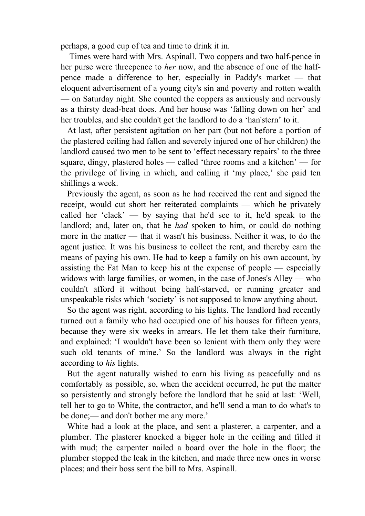perhaps, a good cup of tea and time to drink it in.

 Times were hard with Mrs. Aspinall. Two coppers and two half-pence in her purse were threepence to *her* now, and the absence of one of the halfpence made a difference to her, especially in Paddy's market — that eloquent advertisement of a young city's sin and poverty and rotten wealth — on Saturday night. She counted the coppers as anxiously and nervously as a thirsty dead-beat does. And her house was 'falling down on her' and her troubles, and she couldn't get the landlord to do a 'han'stern' to it.

 At last, after persistent agitation on her part (but not before a portion of the plastered ceiling had fallen and severely injured one of her children) the landlord caused two men to be sent to 'effect necessary repairs' to the three square, dingy, plastered holes — called 'three rooms and a kitchen' — for the privilege of living in which, and calling it 'my place,' she paid ten shillings a week.

 Previously the agent, as soon as he had received the rent and signed the receipt, would cut short her reiterated complaints — which he privately called her 'clack' — by saying that he'd see to it, he'd speak to the landlord; and, later on, that he *had* spoken to him, or could do nothing more in the matter — that it wasn't his business. Neither it was, to do the agent justice. It was his business to collect the rent, and thereby earn the means of paying his own. He had to keep a family on his own account, by assisting the Fat Man to keep his at the expense of people — especially widows with large families, or women, in the case of Jones's Alley — who couldn't afford it without being half-starved, or running greater and unspeakable risks which 'society' is not supposed to know anything about.

 So the agent was right, according to his lights. The landlord had recently turned out a family who had occupied one of his houses for fifteen years, because they were six weeks in arrears. He let them take their furniture, and explained: 'I wouldn't have been so lenient with them only they were such old tenants of mine.' So the landlord was always in the right according to *his* lights.

 But the agent naturally wished to earn his living as peacefully and as comfortably as possible, so, when the accident occurred, he put the matter so persistently and strongly before the landlord that he said at last: 'Well, tell her to go to White, the contractor, and he'll send a man to do what's to be done;— and don't bother me any more.'

 White had a look at the place, and sent a plasterer, a carpenter, and a plumber. The plasterer knocked a bigger hole in the ceiling and filled it with mud; the carpenter nailed a board over the hole in the floor; the plumber stopped the leak in the kitchen, and made three new ones in worse places; and their boss sent the bill to Mrs. Aspinall.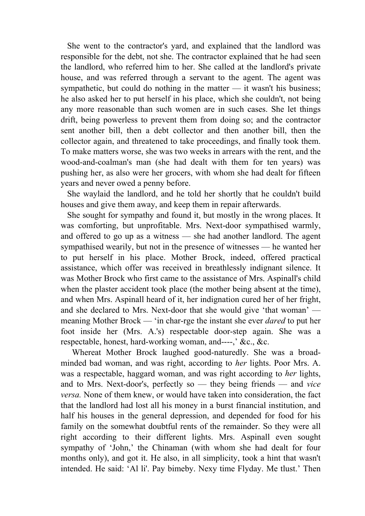She went to the contractor's yard, and explained that the landlord was responsible for the debt, not she. The contractor explained that he had seen the landlord, who referred him to her. She called at the landlord's private house, and was referred through a servant to the agent. The agent was sympathetic, but could do nothing in the matter — it wasn't his business; he also asked her to put herself in his place, which she couldn't, not being any more reasonable than such women are in such cases. She let things drift, being powerless to prevent them from doing so; and the contractor sent another bill, then a debt collector and then another bill, then the collector again, and threatened to take proceedings, and finally took them. To make matters worse, she was two weeks in arrears with the rent, and the wood-and-coalman's man (she had dealt with them for ten years) was pushing her, as also were her grocers, with whom she had dealt for fifteen years and never owed a penny before.

 She waylaid the landlord, and he told her shortly that he couldn't build houses and give them away, and keep them in repair afterwards.

 She sought for sympathy and found it, but mostly in the wrong places. It was comforting, but unprofitable. Mrs. Next-door sympathised warmly, and offered to go up as a witness — she had another landlord. The agent sympathised wearily, but not in the presence of witnesses — he wanted her to put herself in his place. Mother Brock, indeed, offered practical assistance, which offer was received in breathlessly indignant silence. It was Mother Brock who first came to the assistance of Mrs. Aspinall's child when the plaster accident took place (the mother being absent at the time), and when Mrs. Aspinall heard of it, her indignation cured her of her fright, and she declared to Mrs. Next-door that she would give 'that woman' meaning Mother Brock — 'in char-rge the instant she ever *dared* to put her foot inside her (Mrs. A.'s) respectable door-step again. She was a respectable, honest, hard-working woman, and----,' &c., &c.

 Whereat Mother Brock laughed good-naturedly. She was a broadminded bad woman, and was right, according to *her* lights. Poor Mrs. A. was a respectable, haggard woman, and was right according to *her* lights, and to Mrs. Next-door's, perfectly so — they being friends — and *vice versa.* None of them knew, or would have taken into consideration, the fact that the landlord had lost all his money in a burst financial institution, and half his houses in the general depression, and depended for food for his family on the somewhat doubtful rents of the remainder. So they were all right according to their different lights. Mrs. Aspinall even sought sympathy of 'John,' the Chinaman (with whom she had dealt for four months only), and got it. He also, in all simplicity, took a hint that wasn't intended. He said: 'Al li'. Pay bimeby. Nexy time Flyday. Me tlust.' Then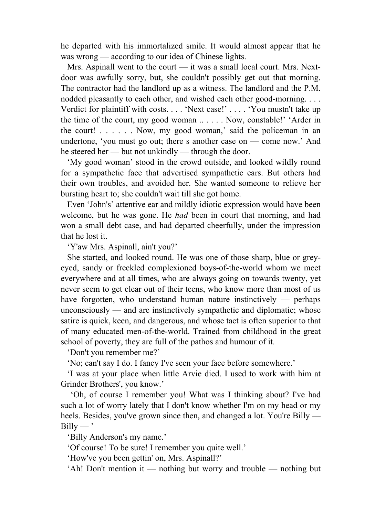he departed with his immortalized smile. It would almost appear that he was wrong — according to our idea of Chinese lights.

 Mrs. Aspinall went to the court — it was a small local court. Mrs. Nextdoor was awfully sorry, but, she couldn't possibly get out that morning. The contractor had the landlord up as a witness. The landlord and the P.M. nodded pleasantly to each other, and wished each other good-morning. . . . Verdict for plaintiff with costs. . . . 'Next case!' . . . . 'You mustn't take up the time of the court, my good woman .. . . . . Now, constable!' 'Arder in the court! . . . . . . Now, my good woman,' said the policeman in an undertone, 'you must go out; there s another case on — come now.' And he steered her — but not unkindly — through the door.

 'My good woman' stood in the crowd outside, and looked wildly round for a sympathetic face that advertised sympathetic ears. But others had their own troubles, and avoided her. She wanted someone to relieve her bursting heart to; she couldn't wait till she got home.

 Even 'John's' attentive ear and mildly idiotic expression would have been welcome, but he was gone. He *had* been in court that morning, and had won a small debt case, and had departed cheerfully, under the impression that he lost it.

'Y'aw Mrs. Aspinall, ain't you?'

 She started, and looked round. He was one of those sharp, blue or greyeyed, sandy or freckled complexioned boys-of-the-world whom we meet everywhere and at all times, who are always going on towards twenty, yet never seem to get clear out of their teens, who know more than most of us have forgotten, who understand human nature instinctively — perhaps unconsciously — and are instinctively sympathetic and diplomatic; whose satire is quick, keen, and dangerous, and whose tact is often superior to that of many educated men-of-the-world. Trained from childhood in the great school of poverty, they are full of the pathos and humour of it.

'Don't you remember me?'

'No; can't say I do. I fancy I've seen your face before somewhere.'

 'I was at your place when little Arvie died. I used to work with him at Grinder Brothers', you know.'

 'Oh, of course I remember you! What was I thinking about? I've had such a lot of worry lately that I don't know whether I'm on my head or my heels. Besides, you've grown since then, and changed a lot. You're Billy —  $Billy - '$ 

'Billy Anderson's my name.'

'Of course! To be sure! I remember you quite well.'

'How've you been gettin' on, Mrs. Aspinall?'

'Ah! Don't mention it — nothing but worry and trouble — nothing but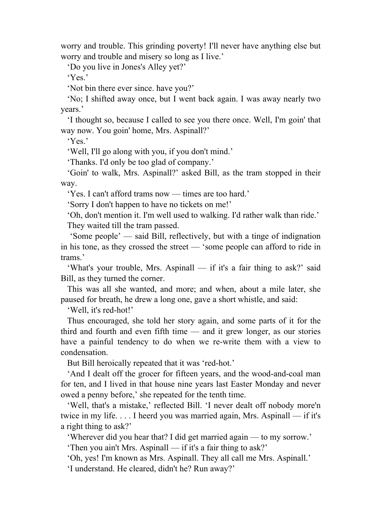worry and trouble. This grinding poverty! I'll never have anything else but worry and trouble and misery so long as I live.'

'Do you live in Jones's Alley yet?'

'Yes.'

'Not bin there ever since. have you?'

 'No; I shifted away once, but I went back again. I was away nearly two years.'

 'I thought so, because I called to see you there once. Well, I'm goin' that way now. You goin' home, Mrs. Aspinall?'

'Yes.'

'Well, I'll go along with you, if you don't mind.'

'Thanks. I'd only be too glad of company.'

 'Goin' to walk, Mrs. Aspinall?' asked Bill, as the tram stopped in their way.

'Yes. I can't afford trams now — times are too hard.'

'Sorry I don't happen to have no tickets on me!'

 'Oh, don't mention it. I'm well used to walking. I'd rather walk than ride.' They waited till the tram passed.

 'Some people' — said Bill, reflectively, but with a tinge of indignation in his tone, as they crossed the street — 'some people can afford to ride in trams.'

 'What's your trouble, Mrs. Aspinall — if it's a fair thing to ask?' said Bill, as they turned the corner.

 This was all she wanted, and more; and when, about a mile later, she paused for breath, he drew a long one, gave a short whistle, and said:

'Well, it's red-hot!'

 Thus encouraged, she told her story again, and some parts of it for the third and fourth and even fifth time — and it grew longer, as our stories have a painful tendency to do when we re-write them with a view to condensation.

But Bill heroically repeated that it was 'red-hot.'

 'And I dealt off the grocer for fifteen years, and the wood-and-coal man for ten, and I lived in that house nine years last Easter Monday and never owed a penny before,' she repeated for the tenth time.

 'Well, that's a mistake,' reflected Bill. 'I never dealt off nobody more'n twice in my life. . . . I heerd you was married again, Mrs. Aspinall — if it's a right thing to ask?'

'Wherever did you hear that? I did get married again — to my sorrow.'

'Then you ain't Mrs. Aspinall — if it's a fair thing to ask?'

 'Oh, yes! I'm known as Mrs. Aspinall. They all call me Mrs. Aspinall.' 'I understand. He cleared, didn't he? Run away?'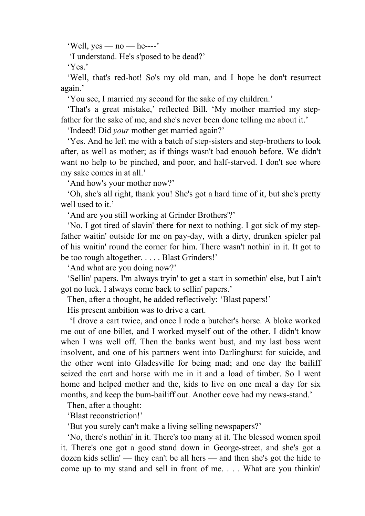'Well,  $ves - no - he---'$ 

'I understand. He's s'posed to be dead?'

'Yes.'

 'Well, that's red-hot! So's my old man, and I hope he don't resurrect again.'

'You see, I married my second for the sake of my children.'

 'That's a great mistake,' reflected Bill. 'My mother married my stepfather for the sake of me, and she's never been done telling me about it.'

'Indeed! Did *your* mother get married again?'

 'Yes. And he left me with a batch of step-sisters and step-brothers to look after, as well as mother; as if things wasn't bad enouoh before. We didn't want no help to be pinched, and poor, and half-starved. I don't see where my sake comes in at all.'

'And how's your mother now?'

 'Oh, she's all right, thank you! She's got a hard time of it, but she's pretty well used to it.'

'And are you still working at Grinder Brothers'?'

 'No. I got tired of slavin' there for next to nothing. I got sick of my stepfather waitin' outside for me on pay-day, with a dirty, drunken spieler pal of his waitin' round the corner for him. There wasn't nothin' in it. It got to be too rough altogether. . . . . Blast Grinders!'

'And what are you doing now?'

 'Sellin' papers. I'm always tryin' to get a start in somethin' else, but I ain't got no luck. I always come back to sellin' papers.'

Then, after a thought, he added reflectively: 'Blast papers!'

His present ambition was to drive a cart.

 'I drove a cart twice, and once I rode a butcher's horse. A bloke worked me out of one billet, and I worked myself out of the other. I didn't know when I was well off. Then the banks went bust, and my last boss went insolvent, and one of his partners went into Darlinghurst for suicide, and the other went into Gladesville for being mad; and one day the bailiff seized the cart and horse with me in it and a load of timber. So I went home and helped mother and the, kids to live on one meal a day for six months, and keep the bum-bailiff out. Another cove had my news-stand.'

Then, after a thought:

'Blast reconstriction!'

'But you surely can't make a living selling newspapers?'

 'No, there's nothin' in it. There's too many at it. The blessed women spoil it. There's one got a good stand down in George-street, and she's got a dozen kids sellin' — they can't be all hers — and then she's got the hide to come up to my stand and sell in front of me. . . . What are you thinkin'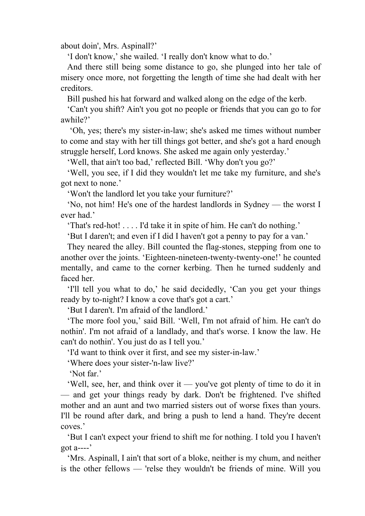about doin', Mrs. Aspinall?'

'I don't know,' she wailed. 'I really don't know what to do.'

 And there still being some distance to go, she plunged into her tale of misery once more, not forgetting the length of time she had dealt with her creditors.

Bill pushed his hat forward and walked along on the edge of the kerb.

 'Can't you shift? Ain't you got no people or friends that you can go to for awhile?'

 'Oh, yes; there's my sister-in-law; she's asked me times without number to come and stay with her till things got better, and she's got a hard enough struggle herself, Lord knows. She asked me again only yesterday.'

'Well, that ain't too bad,' reflected Bill. 'Why don't you go?'

 'Well, you see, if I did they wouldn't let me take my furniture, and she's got next to none.'

'Won't the landlord let you take your furniture?'

 'No, not him! He's one of the hardest landlords in Sydney — the worst I ever had.'

'That's red-hot! . . . . I'd take it in spite of him. He can't do nothing.'

'But I daren't; and even if I did I haven't got a penny to pay for a van.'

 They neared the alley. Bill counted the flag-stones, stepping from one to another over the joints. 'Eighteen-nineteen-twenty-twenty-one!' he counted mentally, and came to the corner kerbing. Then he turned suddenly and faced her.

 'I'll tell you what to do,' he said decidedly, 'Can you get your things ready by to-night? I know a cove that's got a cart.'

'But I daren't. I'm afraid of the landlord.'

 'The more fool you,' said Bill. 'Well, I'm not afraid of him. He can't do nothin'. I'm not afraid of a landlady, and that's worse. I know the law. He can't do nothin'. You just do as I tell you.'

'I'd want to think over it first, and see my sister-in-law.'

'Where does your sister-'n-law live?'

'Not far.'

 'Well, see, her, and think over it — you've got plenty of time to do it in — and get your things ready by dark. Don't be frightened. I've shifted mother and an aunt and two married sisters out of worse fixes than yours. I'll be round after dark, and bring a push to lend a hand. They're decent coves.'

 'But I can't expect your friend to shift me for nothing. I told you I haven't got a----'

 'Mrs. Aspinall, I ain't that sort of a bloke, neither is my chum, and neither is the other fellows — 'relse they wouldn't be friends of mine. Will you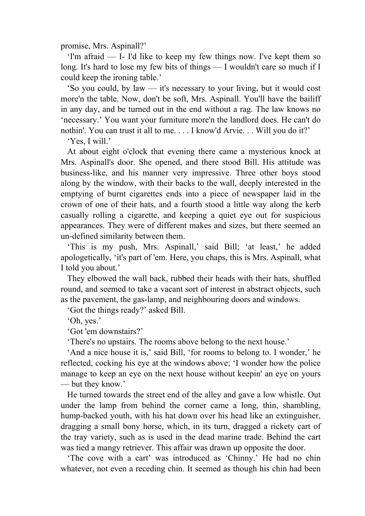promise, Mrs. Aspinall?'

 'I'm afraid — I- I'd like to keep my few things now. I've kept them so long. It's hard to lose my few bits of things — I wouldn't care so much if I could keep the ironing table.'

 'So you could, by law — it's necessary to your living, but it would cost more'n the table. Now, don't be soft, Mrs. Aspinall. You'll have the bailiff in any day, and be turned out in the end without a rag. The law knows no 'necessary.' You want your furniture more'n the landlord does. He can't do nothin'. You can trust it all to me. . . . I know'd Arvie. . . Will you do it?'

'Yes, I will.'

 At about eight o'clock that evening there came a mysterious knock at Mrs. Aspinall's door. She opened, and there stood Bill. His attitude was business-like, and his manner very impressive. Three other boys stood along by the window, with their backs to the wall, deeply interested in the emptying of burnt cigarettes ends into a piece of newspaper laid in the crown of one of their hats, and a fourth stood a little way along the kerb casually rolling a cigarette, and keeping a quiet eye out for suspicious appearances. They were of different makes and sizes, but there seemed an un-defined similarity between them.

 'This is my push, Mrs. Aspinall,' said Bill; 'at least,' he added apologetically, 'it's part of 'em. Here, you chaps, this is Mrs. Aspinall, what I told you about.'

 They elbowed the wall back, rubbed their heads with their hats, shuffled round, and seemed to take a vacant sort of interest in abstract objects, such as the pavement, the gas-lamp, and neighbouring doors and windows.

'Got the things ready?' asked Bill.

'Oh, yes.'

'Got 'em downstairs?'

'There's no upstairs. The rooms above belong to the next house.'

 'And a nice house it is,' said Bill, 'for rooms to belong to. I wonder,' he reflected, cocking his eye at the windows above; 'I wonder how the police manage to keep an eye on the next house without keepin' an eye on yours — but they know.'

 He turned towards the street end of the alley and gave a low whistle. Out under the lamp from behind the corner came a long, thin, shambling, hump-backed youth, with his hat down over his head like an extinguisher, dragging a small bony horse, which, in its turn, dragged a rickety cart of the tray variety, such as is used in the dead marine trade. Behind the cart was tied a mangy retriever. This affair was drawn up opposite the door.

 'The cove with a cart' was introduced as 'Chinny.' He had no chin whatever, not even a receding chin. It seemed as though his chin had been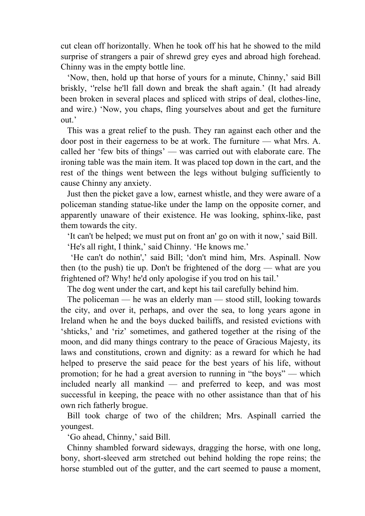cut clean off horizontally. When he took off his hat he showed to the mild surprise of strangers a pair of shrewd grey eyes and abroad high forehead. Chinny was in the empty bottle line.

 'Now, then, hold up that horse of yours for a minute, Chinny,' said Bill briskly, ''relse he'll fall down and break the shaft again.' (It had already been broken in several places and spliced with strips of deal, clothes-line, and wire.) 'Now, you chaps, fling yourselves about and get the furniture out.'

 This was a great relief to the push. They ran against each other and the door post in their eagerness to be at work. The furniture — what Mrs. A. called her 'few bits of things' — was carried out with elaborate care. The ironing table was the main item. It was placed top down in the cart, and the rest of the things went between the legs without bulging sufficiently to cause Chinny any anxiety.

 Just then the picket gave a low, earnest whistle, and they were aware of a policeman standing statue-like under the lamp on the opposite corner, and apparently unaware of their existence. He was looking, sphinx-like, past them towards the city.

'It can't be helped; we must put on front an' go on with it now,' said Bill.

'He's all right, I think,' said Chinny. 'He knows me.'

 'He can't do nothin',' said Bill; 'don't mind him, Mrs. Aspinall. Now then (to the push) tie up. Don't be frightened of the dorg — what are you frightened of? Why! he'd only apologise if you trod on his tail.'

The dog went under the cart, and kept his tail carefully behind him.

 The policeman — he was an elderly man — stood still, looking towards the city, and over it, perhaps, and over the sea, to long years agone in Ireland when he and the boys ducked bailiffs, and resisted evictions with 'shticks,' and 'riz' sometimes, and gathered together at the rising of the moon, and did many things contrary to the peace of Gracious Majesty, its laws and constitutions, crown and dignity: as a reward for which he had helped to preserve the said peace for the best years of his life, without promotion; for he had a great aversion to running in "the boys" — which included nearly all mankind — and preferred to keep, and was most successful in keeping, the peace with no other assistance than that of his own rich fatherly brogue.

 Bill took charge of two of the children; Mrs. Aspinall carried the youngest.

'Go ahead, Chinny,' said Bill.

 Chinny shambled forward sideways, dragging the horse, with one long, bony, short-sleeved arm stretched out behind holding the rope reins; the horse stumbled out of the gutter, and the cart seemed to pause a moment,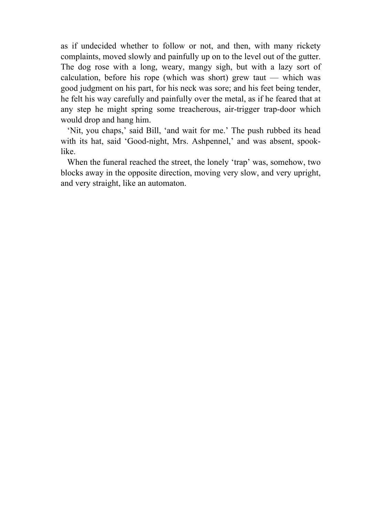as if undecided whether to follow or not, and then, with many rickety complaints, moved slowly and painfully up on to the level out of the gutter. The dog rose with a long, weary, mangy sigh, but with a lazy sort of calculation, before his rope (which was short) grew taut — which was good judgment on his part, for his neck was sore; and his feet being tender, he felt his way carefully and painfully over the metal, as if he feared that at any step he might spring some treacherous, air-trigger trap-door which would drop and hang him.

 'Nit, you chaps,' said Bill, 'and wait for me.' The push rubbed its head with its hat, said 'Good-night, Mrs. Ashpennel,' and was absent, spooklike.

 When the funeral reached the street, the lonely 'trap' was, somehow, two blocks away in the opposite direction, moving very slow, and very upright, and very straight, like an automaton.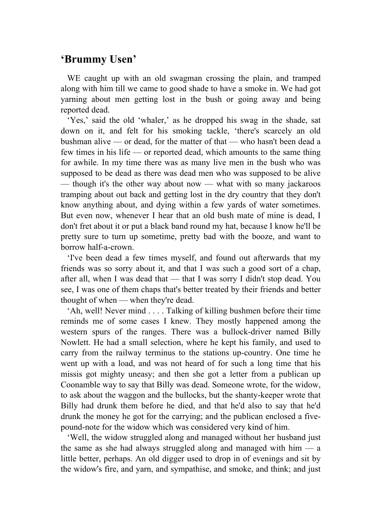# **'Brummy Usen'**

 WE caught up with an old swagman crossing the plain, and tramped along with him till we came to good shade to have a smoke in. We had got yarning about men getting lost in the bush or going away and being reported dead.

 'Yes,' said the old 'whaler,' as he dropped his swag in the shade, sat down on it, and felt for his smoking tackle, 'there's scarcely an old bushman alive — or dead, for the matter of that — who hasn't been dead a few times in his life — or reported dead, which amounts to the same thing for awhile. In my time there was as many live men in the bush who was supposed to be dead as there was dead men who was supposed to be alive — though it's the other way about now — what with so many jackaroos tramping about out back and getting lost in the dry country that they don't know anything about, and dying within a few yards of water sometimes. But even now, whenever I hear that an old bush mate of mine is dead, I don't fret about it or put a black band round my hat, because I know he'll be pretty sure to turn up sometime, pretty bad with the booze, and want to borrow half-a-crown.

 'I've been dead a few times myself, and found out afterwards that my friends was so sorry about it, and that I was such a good sort of a chap, after all, when I was dead that — that I was sorry I didn't stop dead. You see, I was one of them chaps that's better treated by their friends and better thought of when — when they're dead.

 'Ah, well! Never mind . . . . Talking of killing bushmen before their time reminds me of some cases I knew. They mostly happened among the western spurs of the ranges. There was a bullock-driver named Billy Nowlett. He had a small selection, where he kept his family, and used to carry from the railway terminus to the stations up-country. One time he went up with a load, and was not heard of for such a long time that his missis got mighty uneasy; and then she got a letter from a publican up Coonamble way to say that Billy was dead. Someone wrote, for the widow, to ask about the waggon and the bullocks, but the shanty-keeper wrote that Billy had drunk them before he died, and that he'd also to say that he'd drunk the money he got for the carrying; and the publican enclosed a fivepound-note for the widow which was considered very kind of him.

 'Well, the widow struggled along and managed without her husband just the same as she had always struggled along and managed with him — a little better, perhaps. An old digger used to drop in of evenings and sit by the widow's fire, and yarn, and sympathise, and smoke, and think; and just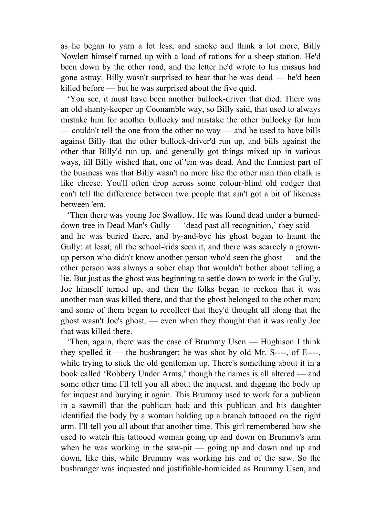as he began to yarn a lot less, and smoke and think a lot more, Billy Nowlett himself turned up with a load of rations for a sheep station. He'd been down by the other road, and the letter he'd wrote to his missus had gone astray. Billy wasn't surprised to hear that he was dead — he'd been killed before — but he was surprised about the five quid.

 'You see, it must have been another bullock-driver that died. There was an old shanty-keeper up Coonamble way, so Billy said, that used to always mistake him for another bullocky and mistake the other bullocky for him — couldn't tell the one from the other no way — and he used to have bills against Billy that the other bullock-driver'd run up, and bills against the other that Billy'd run up, and generally got things mixed up in various ways, till Billy wished that, one of 'em was dead. And the funniest part of the business was that Billy wasn't no more like the other man than chalk is like cheese. You'll often drop across some colour-blind old codger that can't tell the difference between two people that ain't got a bit of likeness between 'em.

 'Then there was young Joe Swallow. He was found dead under a burneddown tree in Dead Man's Gully — 'dead past all recognition,' they said and he was buried there, and by-and-bye his ghost began to haunt the Gully: at least, all the school-kids seen it, and there was scarcely a grownup person who didn't know another person who'd seen the ghost — and the other person was always a sober chap that wouldn't bother about telling a lie. But just as the ghost was beginning to settle down to work in the Gully, Joe himself turned up, and then the folks began to reckon that it was another man was killed there, and that the ghost belonged to the other man; and some of them began to recollect that they'd thought all along that the ghost wasn't Joe's ghost, — even when they thought that it was really Joe that was killed there.

 'Then, again, there was the case of Brummy Usen — Hughison I think they spelled it — the bushranger; he was shot by old Mr. S----, of E----, while trying to stick the old gentleman up. There's something about it in a book called 'Robbery Under Arms,' though the names is all altered — and some other time I'll tell you all about the inquest, and digging the body up for inquest and burying it again. This Brummy used to work for a publican in a sawmill that the publican had; and this publican and his daughter identified the body by a woman holding up a branch tattooed on the right arm. I'll tell you all about that another time. This girl remembered how she used to watch this tattooed woman going up and down on Brummy's arm when he was working in the saw-pit — going up and down and up and down, like this, while Brummy was working his end of the saw. So the bushranger was inquested and justifiable-homicided as Brummy Usen, and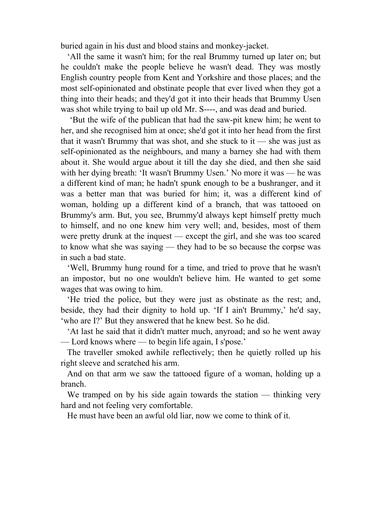buried again in his dust and blood stains and monkey-jacket.

 'All the same it wasn't him; for the real Brummy turned up later on; but he couldn't make the people believe he wasn't dead. They was mostly English country people from Kent and Yorkshire and those places; and the most self-opinionated and obstinate people that ever lived when they got a thing into their heads; and they'd got it into their heads that Brummy Usen was shot while trying to bail up old Mr. S----, and was dead and buried.

 'But the wife of the publican that had the saw-pit knew him; he went to her, and she recognised him at once; she'd got it into her head from the first that it wasn't Brummy that was shot, and she stuck to it — she was just as self-opinionated as the neighbours, and many a barney she had with them about it. She would argue about it till the day she died, and then she said with her dying breath: 'It wasn't Brummy Usen.' No more it was — he was a different kind of man; he hadn't spunk enough to be a bushranger, and it was a better man that was buried for him; it, was a different kind of woman, holding up a different kind of a branch, that was tattooed on Brummy's arm. But, you see, Brummy'd always kept himself pretty much to himself, and no one knew him very well; and, besides, most of them were pretty drunk at the inquest — except the girl, and she was too scared to know what she was saying — they had to be so because the corpse was in such a bad state.

 'Well, Brummy hung round for a time, and tried to prove that he wasn't an impostor, but no one wouldn't believe him. He wanted to get some wages that was owing to him.

 'He tried the police, but they were just as obstinate as the rest; and, beside, they had their dignity to hold up. 'If I ain't Brummy,' he'd say, 'who are I?' But they answered that he knew best. So he did.

 'At last he said that it didn't matter much, anyroad; and so he went away — Lord knows where — to begin life again, I s'pose.'

 The traveller smoked awhile reflectively; then he quietly rolled up his right sleeve and scratched his arm.

 And on that arm we saw the tattooed figure of a woman, holding up a branch.

We tramped on by his side again towards the station — thinking very hard and not feeling very comfortable.

He must have been an awful old liar, now we come to think of it.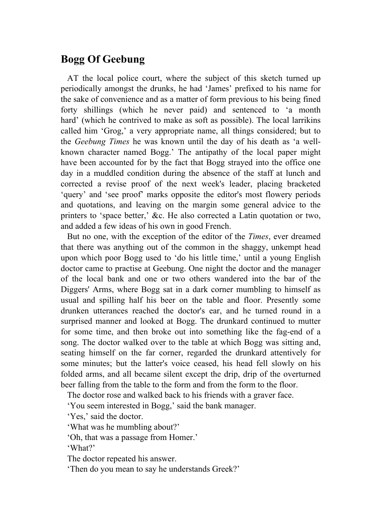## **Bogg Of Geebung**

AT the local police court, where the subject of this sketch turned up periodically amongst the drunks, he had 'James' prefixed to his name for the sake of convenience and as a matter of form previous to his being fined forty shillings (which he never paid) and sentenced to 'a month hard' (which he contrived to make as soft as possible). The local larrikins called him 'Grog,' a very appropriate name, all things considered; but to the *Geebung Times* he was known until the day of his death as 'a wellknown character named Bogg.' The antipathy of the local paper might have been accounted for by the fact that Bogg strayed into the office one day in a muddled condition during the absence of the staff at lunch and corrected a revise proof of the next week's leader, placing bracketed 'query' and 'see proof' marks opposite the editor's most flowery periods and quotations, and leaving on the margin some general advice to the printers to 'space better,' &c. He also corrected a Latin quotation or two, and added a few ideas of his own in good French.

 But no one, with the exception of the editor of the *Times*, ever dreamed that there was anything out of the common in the shaggy, unkempt head upon which poor Bogg used to 'do his little time,' until a young English doctor came to practise at Geebung. One night the doctor and the manager of the local bank and one or two others wandered into the bar of the Diggers' Arms, where Bogg sat in a dark corner mumbling to himself as usual and spilling half his beer on the table and floor. Presently some drunken utterances reached the doctor's ear, and he turned round in a surprised manner and looked at Bogg. The drunkard continued to mutter for some time, and then broke out into something like the fag-end of a song. The doctor walked over to the table at which Bogg was sitting and, seating himself on the far corner, regarded the drunkard attentively for some minutes; but the latter's voice ceased, his head fell slowly on his folded arms, and all became silent except the drip, drip of the overturned beer falling from the table to the form and from the form to the floor.

The doctor rose and walked back to his friends with a graver face.

'You seem interested in Bogg,' said the bank manager.

'Yes,' said the doctor.

'What was he mumbling about?'

'Oh, that was a passage from Homer.'

'What?'

The doctor repeated his answer.

'Then do you mean to say he understands Greek?'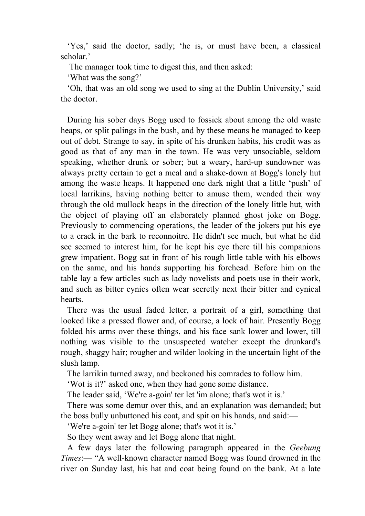'Yes,' said the doctor, sadly; 'he is, or must have been, a classical scholar.'

The manager took time to digest this, and then asked:

'What was the song?'

 'Oh, that was an old song we used to sing at the Dublin University,' said the doctor.

 During his sober days Bogg used to fossick about among the old waste heaps, or split palings in the bush, and by these means he managed to keep out of debt. Strange to say, in spite of his drunken habits, his credit was as good as that of any man in the town. He was very unsociable, seldom speaking, whether drunk or sober; but a weary, hard-up sundowner was always pretty certain to get a meal and a shake-down at Bogg's lonely hut among the waste heaps. It happened one dark night that a little 'push' of local larrikins, having nothing better to amuse them, wended their way through the old mullock heaps in the direction of the lonely little hut, with the object of playing off an elaborately planned ghost joke on Bogg. Previously to commencing operations, the leader of the jokers put his eye to a crack in the bark to reconnoitre. He didn't see much, but what he did see seemed to interest him, for he kept his eye there till his companions grew impatient. Bogg sat in front of his rough little table with his elbows on the same, and his hands supporting his forehead. Before him on the table lay a few articles such as lady novelists and poets use in their work, and such as bitter cynics often wear secretly next their bitter and cynical hearts.

 There was the usual faded letter, a portrait of a girl, something that looked like a pressed flower and, of course, a lock of hair. Presently Bogg folded his arms over these things, and his face sank lower and lower, till nothing was visible to the unsuspected watcher except the drunkard's rough, shaggy hair; rougher and wilder looking in the uncertain light of the slush lamp.

The larrikin turned away, and beckoned his comrades to follow him.

'Wot is it?' asked one, when they had gone some distance.

The leader said, 'We're a-goin' ter let 'im alone; that's wot it is.'

 There was some demur over this, and an explanation was demanded; but the boss bully unbuttoned his coat, and spit on his hands, and said:—

'We're a-goin' ter let Bogg alone; that's wot it is.'

So they went away and let Bogg alone that night.

 A few days later the following paragraph appeared in the *Geebung Times*:— "A well-known character named Bogg was found drowned in the river on Sunday last, his hat and coat being found on the bank. At a late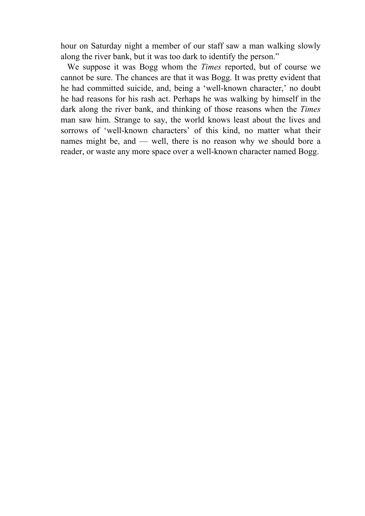hour on Saturday night a member of our staff saw a man walking slowly along the river bank, but it was too dark to identify the person."

 We suppose it was Bogg whom the *Times* reported, but of course we cannot be sure. The chances are that it was Bogg. It was pretty evident that he had committed suicide, and, being a 'well-known character,' no doubt he had reasons for his rash act. Perhaps he was walking by himself in the dark along the river bank, and thinking of those reasons when the *Times* man saw him. Strange to say, the world knows least about the lives and sorrows of 'well-known characters' of this kind, no matter what their names might be, and — well, there is no reason why we should bore a reader, or waste any more space over a well-known character named Bogg.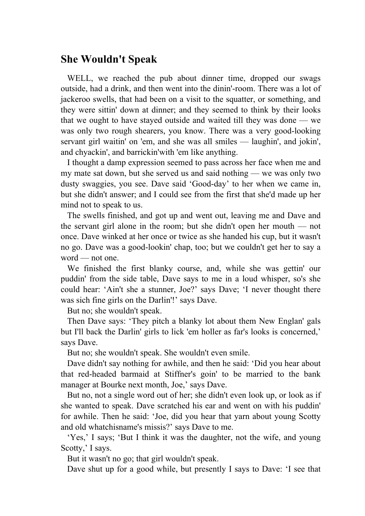#### **She Wouldn't Speak**

 WELL, we reached the pub about dinner time, dropped our swags outside, had a drink, and then went into the dinin'-room. There was a lot of jackeroo swells, that had been on a visit to the squatter, or something, and they were sittin' down at dinner; and they seemed to think by their looks that we ought to have stayed outside and waited till they was done — we was only two rough shearers, you know. There was a very good-looking servant girl waitin' on 'em, and she was all smiles — laughin', and jokin', and chyackin', and barrickin'with 'em like anything.

 I thought a damp expression seemed to pass across her face when me and my mate sat down, but she served us and said nothing — we was only two dusty swaggies, you see. Dave said 'Good-day' to her when we came in, but she didn't answer; and I could see from the first that she'd made up her mind not to speak to us.

 The swells finished, and got up and went out, leaving me and Dave and the servant girl alone in the room; but she didn't open her mouth — not once. Dave winked at her once or twice as she handed his cup, but it wasn't no go. Dave was a good-lookin' chap, too; but we couldn't get her to say a word — not one.

 We finished the first blanky course, and, while she was gettin' our puddin' from the side table, Dave says to me in a loud whisper, so's she could hear: 'Ain't she a stunner, Joe?' says Dave; 'I never thought there was sich fine girls on the Darlin'!' says Dave.

But no; she wouldn't speak.

 Then Dave says: 'They pitch a blanky lot about them New Englan' gals but I'll back the Darlin' girls to lick 'em holler as far's looks is concerned,' says Dave.

But no; she wouldn't speak. She wouldn't even smile.

 Dave didn't say nothing for awhile, and then he said: 'Did you hear about that red-headed barmaid at Stiffner's goin' to be married to the bank manager at Bourke next month, Joe,' says Dave.

 But no, not a single word out of her; she didn't even look up, or look as if she wanted to speak. Dave scratched his ear and went on with his puddin' for awhile. Then he said: 'Joe, did you hear that yarn about young Scotty and old whatchisname's missis?' says Dave to me.

 'Yes,' I says; 'But I think it was the daughter, not the wife, and young Scotty,' I says.

But it wasn't no go; that girl wouldn't speak.

Dave shut up for a good while, but presently I says to Dave: 'I see that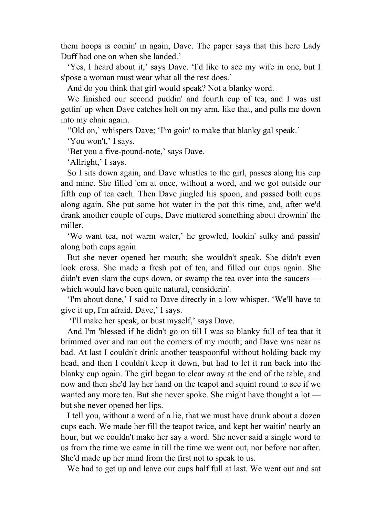them hoops is comin' in again, Dave. The paper says that this here Lady Duff had one on when she landed.'

 'Yes, I heard about it,' says Dave. 'I'd like to see my wife in one, but I s'pose a woman must wear what all the rest does.'

And do you think that girl would speak? Not a blanky word.

 We finished our second puddin' and fourth cup of tea, and I was ust gettin' up when Dave catches holt on my arm, like that, and pulls me down into my chair again.

''Old on,' whispers Dave; 'I'm goin' to make that blanky gal speak.'

'You won't,' I says.

'Bet you a five-pound-note,' says Dave.

'Allright,' I says.

 So I sits down again, and Dave whistles to the girl, passes along his cup and mine. She filled 'em at once, without a word, and we got outside our fifth cup of tea each. Then Dave jingled his spoon, and passed both cups along again. She put some hot water in the pot this time, and, after we'd drank another couple of cups, Dave muttered something about drownin' the miller.

 'We want tea, not warm water,' he growled, lookin' sulky and passin' along both cups again.

 But she never opened her mouth; she wouldn't speak. She didn't even look cross. She made a fresh pot of tea, and filled our cups again. She didn't even slam the cups down, or swamp the tea over into the saucers which would have been quite natural, considerin'.

 'I'm about done,' I said to Dave directly in a low whisper. 'We'll have to give it up, I'm afraid, Dave,' I says.

'I'll make her speak, or bust myself,' says Dave.

 And I'm 'blessed if he didn't go on till I was so blanky full of tea that it brimmed over and ran out the corners of my mouth; and Dave was near as bad. At last I couldn't drink another teaspoonful without holding back my head, and then I couldn't keep it down, but had to let it run back into the blanky cup again. The girl began to clear away at the end of the table, and now and then she'd lay her hand on the teapot and squint round to see if we wanted any more tea. But she never spoke. She might have thought a lot but she never opened her lips.

 I tell you, without a word of a lie, that we must have drunk about a dozen cups each. We made her fill the teapot twice, and kept her waitin' nearly an hour, but we couldn't make her say a word. She never said a single word to us from the time we came in till the time we went out, nor before nor after. She'd made up her mind from the first not to speak to us.

We had to get up and leave our cups half full at last. We went out and sat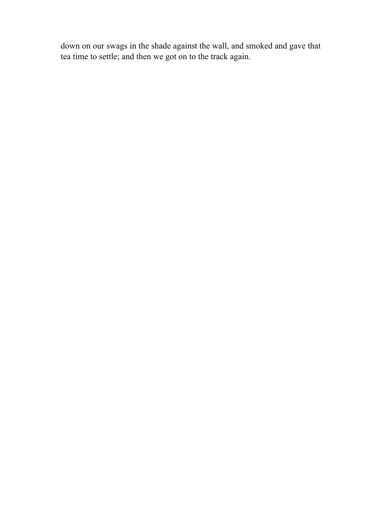down on our swags in the shade against the wall, and smoked and gave that tea time to settle; and then we got on to the track again.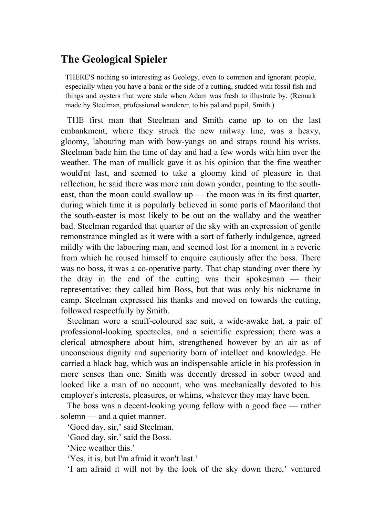# **The Geological Spieler**

THERE'S nothing so interesting as Geology, even to common and ignorant people, especially when you have a bank or the side of a cutting, studded with fossil fish and things and oysters that were stale when Adam was fresh to illustrate by. (Remark made by Steelman, professional wanderer, to his pal and pupil, Smith.)

 THE first man that Steelman and Smith came up to on the last embankment, where they struck the new railway line, was a heavy, gloomy, labouring man with bow-yangs on and straps round his wrists. Steelman bade him the time of day and had a few words with him over the weather. The man of mullick gave it as his opinion that the fine weather would'nt last, and seemed to take a gloomy kind of pleasure in that reflection; he said there was more rain down yonder, pointing to the southeast, than the moon could swallow up — the moon was in its first quarter, during which time it is popularly believed in some parts of Maoriland that the south-easter is most likely to be out on the wallaby and the weather bad. Steelman regarded that quarter of the sky with an expression of gentle remonstrance mingled as it were with a sort of fatherly indulgence, agreed mildly with the labouring man, and seemed lost for a moment in a reverie from which he roused himself to enquire cautiously after the boss. There was no boss, it was a co-operative party. That chap standing over there by the dray in the end of the cutting was their spokesman — their representative: they called him Boss, but that was only his nickname in camp. Steelman expressed his thanks and moved on towards the cutting, followed respectfully by Smith.

 Steelman wore a snuff-coloured sac suit, a wide-awake hat, a pair of professional-looking spectacles, and a scientific expression; there was a clerical atmosphere about him, strengthened however by an air as of unconscious dignity and superiority born of intellect and knowledge. He carried a black bag, which was an indispensable article in his profession in more senses than one. Smith was decently dressed in sober tweed and looked like a man of no account, who was mechanically devoted to his employer's interests, pleasures, or whims, whatever they may have been.

 The boss was a decent-looking young fellow with a good face — rather solemn — and a quiet manner.

'Good day, sir,' said Steelman.

'Good day, sir,' said the Boss.

'Nice weather this.'

'Yes, it is, but I'm afraid it won't last.'

'I am afraid it will not by the look of the sky down there,' ventured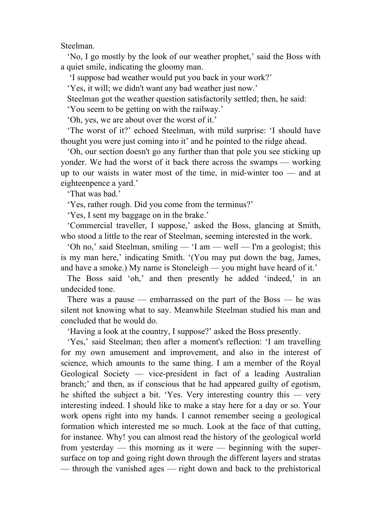Steelman.

 'No, I go mostly by the look of our weather prophet,' said the Boss with a quiet smile, indicating the gloomy man.

'I suppose bad weather would put you back in your work?'

'Yes, it will; we didn't want any bad weather just now.'

Steelman got the weather question satisfactorily settled; then, he said:

'You seem to be getting on with the railway.'

'Oh, yes, we are about over the worst of it.'

 'The worst of it?' echoed Steelman, with mild surprise: 'I should have thought you were just coming into it' and he pointed to the ridge ahead.

 'Oh, our section doesn't go any further than that pole you see sticking up yonder. We had the worst of it back there across the swamps — working up to our waists in water most of the time, in mid-winter too — and at eighteenpence a yard.'

'That was bad.'

'Yes, rather rough. Did you come from the terminus?'

'Yes, I sent my baggage on in the brake.'

 'Commercial traveller, I suppose,' asked the Boss, glancing at Smith, who stood a little to the rear of Steelman, seeming interested in the work.

 'Oh no,' said Steelman, smiling — 'I am — well — I'm a geologist; this is my man here,' indicating Smith. '(You may put down the bag, James, and have a smoke.) My name is Stoneleigh — you might have heard of it.'

 The Boss said 'oh,' and then presently he added 'indeed,' in an undecided tone.

There was a pause — embarrassed on the part of the Boss — he was silent not knowing what to say. Meanwhile Steelman studied his man and concluded that he would do.

'Having a look at the country, I suppose?' asked the Boss presently.

 'Yes,' said Steelman; then after a moment's reflection: 'I am travelling for my own amusement and improvement, and also in the interest of science, which amounts to the same thing. I am a member of the Royal Geological Society — vice-president in fact of a leading Australian branch;' and then, as if conscious that he had appeared guilty of egotism, he shifted the subject a bit. 'Yes. Very interesting country this — very interesting indeed. I should like to make a stay here for a day or so. Your work opens right into my hands. I cannot remember seeing a geological formation which interested me so much. Look at the face of that cutting, for instanee. Why! you can almost read the history of the geological world from yesterday — this morning as it were — beginning with the supersurface on top and going right down through the different layers and stratas — through the vanished ages — right down and back to the prehistorical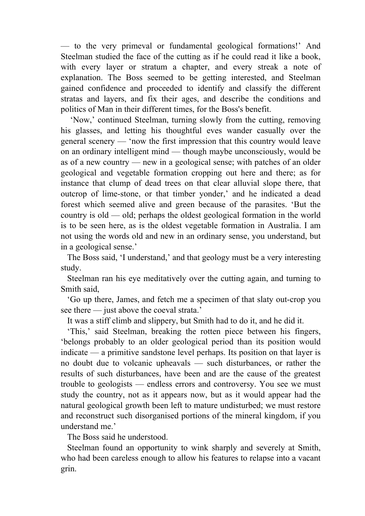— to the very primeval or fundamental geological formations!' And Steelman studied the face of the cutting as if he could read it like a book, with every layer or stratum a chapter, and every streak a note of explanation. The Boss seemed to be getting interested, and Steelman gained confidence and proceeded to identify and classify the different stratas and layers, and fix their ages, and describe the conditions and politics of Man in their different times, for the Boss's benefit.

 'Now,' continued Steelman, turning slowly from the cutting, removing his glasses, and letting his thoughtful eves wander casually over the general scenery — 'now the first impression that this country would leave on an ordinary intelligent mind — though maybe unconsciously, would be as of a new country — new in a geological sense; with patches of an older geological and vegetable formation cropping out here and there; as for instance that clump of dead trees on that clear alluvial slope there, that outcrop of lime-stone, or that timber yonder,' and he indicated a dead forest which seemed alive and green because of the parasites. 'But the country is old — old; perhaps the oldest geological formation in the world is to be seen here, as is the oldest vegetable formation in Australia. I am not using the words old and new in an ordinary sense, you understand, but in a geological sense.'

 The Boss said, 'I understand,' and that geology must be a very interesting study.

 Steelman ran his eye meditatively over the cutting again, and turning to Smith said,

 'Go up there, James, and fetch me a specimen of that slaty out-crop you see there — just above the coeval strata.'

It was a stiff climb and slippery, but Smith had to do it, and he did it.

 'This,' said Steelman, breaking the rotten piece between his fingers, 'belongs probably to an older geological period than its position would indicate — a primitive sandstone level perhaps. Its position on that layer is no doubt due to volcanic upheavals — such disturbances, or rather the results of such disturbances, have been and are the cause of the greatest trouble to geologists — endless errors and controversy. You see we must study the country, not as it appears now, but as it would appear had the natural geological growth been left to mature undisturbed; we must restore and reconstruct such disorganised portions of the mineral kingdom, if you understand me.'

The Boss said he understood.

 Steelman found an opportunity to wink sharply and severely at Smith, who had been careless enough to allow his features to relapse into a vacant grin.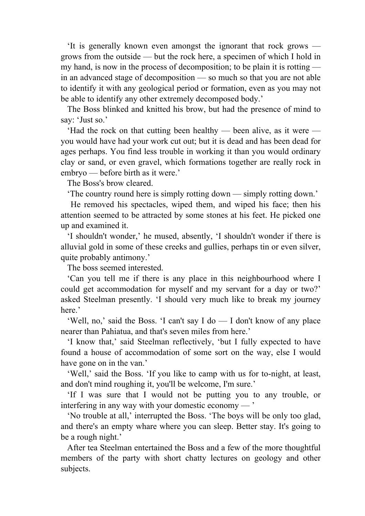'It is generally known even amongst the ignorant that rock grows grows from the outside — but the rock here, a specimen of which I hold in my hand, is now in the process of decomposition; to be plain it is rotting in an advanced stage of decomposition — so much so that you are not able to identify it with any geological period or formation, even as you may not be able to identify any other extremely decomposed body.'

 The Boss blinked and knitted his brow, but had the presence of mind to say: 'Just so.'

 'Had the rock on that cutting been healthy — been alive, as it were you would have had your work cut out; but it is dead and has been dead for ages perhaps. You find less trouble in working it than you would ordinary clay or sand, or even gravel, which formations together are really rock in embryo — before birth as it were.'

The Boss's brow cleared.

'The country round here is simply rotting down — simply rotting down.'

 He removed his spectacles, wiped them, and wiped his face; then his attention seemed to be attracted by some stones at his feet. He picked one up and examined it.

 'I shouldn't wonder,' he mused, absently, 'I shouldn't wonder if there is alluvial gold in some of these creeks and gullies, perhaps tin or even silver, quite probably antimony.'

The boss seemed interested.

 'Can you tell me if there is any place in this neighbourhood where I could get accommodation for myself and my servant for a day or two?' asked Steelman presently. 'I should very much like to break my journey here.'

 'Well, no,' said the Boss. 'I can't say I do — I don't know of any place nearer than Pahiatua, and that's seven miles from here.'

 'I know that,' said Steelman reflectively, 'but I fully expected to have found a house of accommodation of some sort on the way, else I would have gone on in the van.'

 'Well,' said the Boss. 'If you like to camp with us for to-night, at least, and don't mind roughing it, you'll be welcome, I'm sure.'

 'If I was sure that I would not be putting you to any trouble, or interfering in any way with your domestic economy — '

 'No trouble at all,' interrupted the Boss. 'The boys will be only too glad, and there's an empty whare where you can sleep. Better stay. It's going to be a rough night.'

 After tea Steelman entertained the Boss and a few of the more thoughtful members of the party with short chatty lectures on geology and other subjects.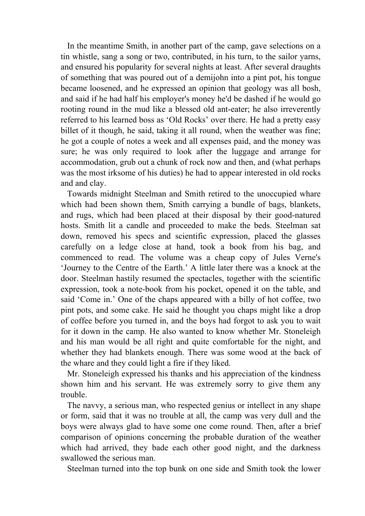In the meantime Smith, in another part of the camp, gave selections on a tin whistle, sang a song or two, contributed, in his turn, to the sailor yarns, and ensured his popularity for several nights at least. After several draughts of something that was poured out of a demijohn into a pint pot, his tongue became loosened, and he expressed an opinion that geology was all bosh, and said if he had half his employer's money he'd be dashed if he would go rooting round in the mud like a blessed old ant-eater; he also irreverently referred to his learned boss as 'Old Rocks' over there. He had a pretty easy billet of it though, he said, taking it all round, when the weather was fine; he got a couple of notes a week and all expenses paid, and the money was sure; he was only required to look after the luggage and arrange for accommodation, grub out a chunk of rock now and then, and (what perhaps was the most irksome of his duties) he had to appear interested in old rocks and and clay.

 Towards midnight Steelman and Smith retired to the unoccupied whare which had been shown them, Smith carrying a bundle of bags, blankets, and rugs, which had been placed at their disposal by their good-natured hosts. Smith lit a candle and proceeded to make the beds. Steelman sat down, removed his specs and scientific expression, placed the glasses carefully on a ledge close at hand, took a book from his bag, and commenced to read. The volume was a cheap copy of Jules Verne's 'Journey to the Centre of the Earth.' A little later there was a knock at the door. Steelman hastily resumed the spectacles, together with the scientific expression, took a note-book from his pocket, opened it on the table, and said 'Come in.' One of the chaps appeared with a billy of hot coffee, two pint pots, and some cake. He said he thought you chaps might like a drop of coffee before you turned in, and the boys had forgot to ask you to wait for it down in the camp. He also wanted to know whether Mr. Stoneleigh and his man would be all right and quite comfortable for the night, and whether they had blankets enough. There was some wood at the back of the whare and they could light a fire if they liked.

 Mr. Stoneleigh expressed his thanks and his appreciation of the kindness shown him and his servant. He was extremely sorry to give them any trouble.

 The navvy, a serious man, who respected genius or intellect in any shape or form, said that it was no trouble at all, the camp was very dull and the boys were always glad to have some one come round. Then, after a brief comparison of opinions concerning the probable duration of the weather which had arrived, they bade each other good night, and the darkness swallowed the serious man.

Steelman turned into the top bunk on one side and Smith took the lower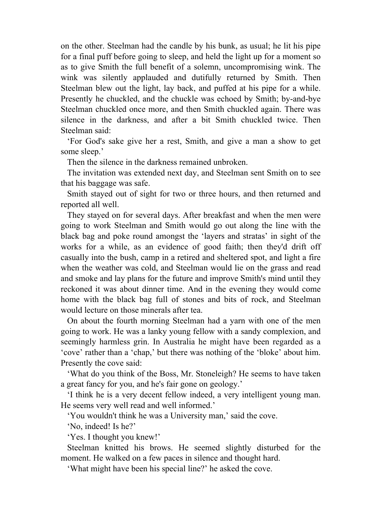on the other. Steelman had the candle by his bunk, as usual; he lit his pipe for a final puff before going to sleep, and held the light up for a moment so as to give Smith the full benefit of a solemn, uncompromising wink. The wink was silently applauded and dutifully returned by Smith. Then Steelman blew out the light, lay back, and puffed at his pipe for a while. Presently he chuckled, and the chuckle was echoed by Smith; by-and-bye Steelman chuckled once more, and then Smith chuckled again. There was silence in the darkness, and after a bit Smith chuckled twice. Then Steelman said:

 'For God's sake give her a rest, Smith, and give a man a show to get some sleep.'

Then the silence in the darkness remained unbroken.

 The invitation was extended next day, and Steelman sent Smith on to see that his baggage was safe.

 Smith stayed out of sight for two or three hours, and then returned and reported all well.

 They stayed on for several days. After breakfast and when the men were going to work Steelman and Smith would go out along the line with the black bag and poke round amongst the 'layers and stratas' in sight of the works for a while, as an evidence of good faith; then they'd drift off casually into the bush, camp in a retired and sheltered spot, and light a fire when the weather was cold, and Steelman would lie on the grass and read and smoke and lay plans for the future and improve Smith's mind until they reckoned it was about dinner time. And in the evening they would come home with the black bag full of stones and bits of rock, and Steelman would lecture on those minerals after tea.

 On about the fourth morning Steelman had a yarn with one of the men going to work. He was a lanky young fellow with a sandy complexion, and seemingly harmless grin. In Australia he might have been regarded as a 'cove' rather than a 'chap,' but there was nothing of the 'bloke' about him. Presently the cove said:

 'What do you think of the Boss, Mr. Stoneleigh? He seems to have taken a great fancy for you, and he's fair gone on geology.'

 'I think he is a very decent fellow indeed, a very intelligent young man. He seems very well read and well informed.'

'You wouldn't think he was a University man,' said the cove.

'No, indeed! Is he?'

'Yes. I thought you knew!'

 Steelman knitted his brows. He seemed slightly disturbed for the moment. He walked on a few paces in silence and thought hard.

'What might have been his special line?' he asked the cove.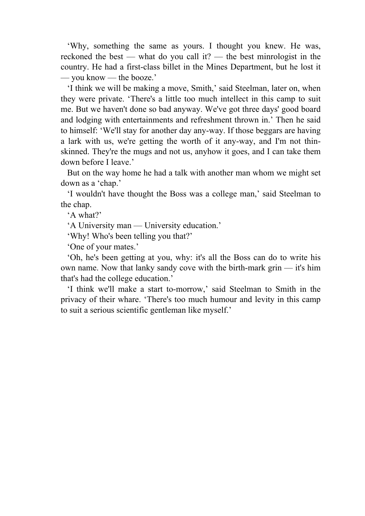'Why, something the same as yours. I thought you knew. He was, reckoned the best — what do you call it? — the best minrologist in the country. He had a first-class billet in the Mines Department, but he lost it — you know — the booze.'

 'I think we will be making a move, Smith,' said Steelman, later on, when they were private. 'There's a little too much intellect in this camp to suit me. But we haven't done so bad anyway. We've got three days' good board and lodging with entertainments and refreshment thrown in.' Then he said to himself: 'We'll stay for another day any-way. If those beggars are having a lark with us, we're getting the worth of it any-way, and I'm not thinskinned. They're the mugs and not us, anyhow it goes, and I can take them down before I leave.'

 But on the way home he had a talk with another man whom we might set down as a 'chap.'

 'I wouldn't have thought the Boss was a college man,' said Steelman to the chap.

'A what?'

'A University man — University education.'

'Why! Who's been telling you that?'

'One of your mates.'

 'Oh, he's been getting at you, why: it's all the Boss can do to write his own name. Now that lanky sandy cove with the birth-mark grin — it's him that's had the college education.'

 'I think we'll make a start to-morrow,' said Steelman to Smith in the privacy of their whare. 'There's too much humour and levity in this camp to suit a serious scientific gentleman like myself.'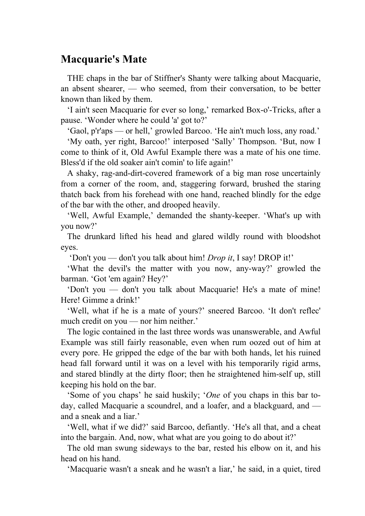### **Macquarie's Mate**

 THE chaps in the bar of Stiffner's Shanty were talking about Macquarie, an absent shearer, — who seemed, from their conversation, to be better known than liked by them.

 'I ain't seen Macquarie for ever so long,' remarked Box-o'-Tricks, after a pause. 'Wonder where he could 'a' got to?'

'Gaol, p'r'aps — or hell,' growled Barcoo. 'He ain't much loss, any road.'

 'My oath, yer right, Barcoo!' interposed 'Sally' Thompson. 'But, now I come to think of it, Old Awful Example there was a mate of his one time. Bless'd if the old soaker ain't comin' to life again!'

 A shaky, rag-and-dirt-covered framework of a big man rose uncertainly from a corner of the room, and, staggering forward, brushed the staring thatch back from his forehead with one hand, reached blindly for the edge of the bar with the other, and drooped heavily.

 'Well, Awful Example,' demanded the shanty-keeper. 'What's up with you now?'

 The drunkard lifted his head and glared wildly round with bloodshot eyes.

'Don't you — don't you talk about him! *Drop it*, I say! DROP it!'

 'What the devil's the matter with you now, any-way?' growled the barman. 'Got 'em again? Hey?'

 'Don't you — don't you talk about Macquarie! He's a mate of mine! Here! Gimme a drink!'

 'Well, what if he is a mate of yours?' sneered Barcoo. 'It don't reflec' much credit on you — nor him neither.'

 The logic contained in the last three words was unanswerable, and Awful Example was still fairly reasonable, even when rum oozed out of him at every pore. He gripped the edge of the bar with both hands, let his ruined head fall forward until it was on a level with his temporarily rigid arms, and stared blindly at the dirty floor; then he straightened him-self up, still keeping his hold on the bar.

 'Some of you chaps' he said huskily; '*One* of you chaps in this bar today, called Macquarie a scoundrel, and a loafer, and a blackguard, and and a sneak and a liar.'

 'Well, what if we did?' said Barcoo, defiantly. 'He's all that, and a cheat into the bargain. And, now, what what are you going to do about it?'

 The old man swung sideways to the bar, rested his elbow on it, and his head on his hand.

'Macquarie wasn't a sneak and he wasn't a liar,' he said, in a quiet, tired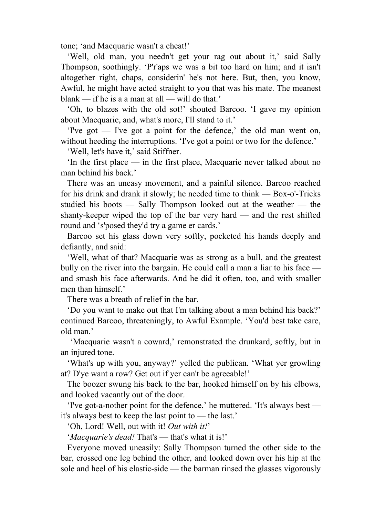tone; 'and Macquarie wasn't a cheat!'

 'Well, old man, you needn't get your rag out about it,' said Sally Thompson, soothingly. 'P'r'aps we was a bit too hard on him; and it isn't altogether right, chaps, considerin' he's not here. But, then, you know, Awful, he might have acted straight to you that was his mate. The meanest blank — if he is a a man at all — will do that.'

 'Oh, to blazes with the old sot!' shouted Barcoo. 'I gave my opinion about Macquarie, and, what's more, I'll stand to it.'

 'I've got — I've got a point for the defence,' the old man went on, without heeding the interruptions. Tve got a point or two for the defence.'

'Well, let's have it,' said Stiffner.

 'In the first place — in the first place, Macquarie never talked about no man behind his back.'

 There was an uneasy movement, and a painful silence. Barcoo reached for his drink and drank it slowly; he needed time to think — Box-o'-Tricks studied his boots — Sally Thompson looked out at the weather — the shanty-keeper wiped the top of the bar very hard — and the rest shifted round and 's'posed they'd try a game er cards.'

 Barcoo set his glass down very softly, pocketed his hands deeply and defiantly, and said:

 'Well, what of that? Macquarie was as strong as a bull, and the greatest bully on the river into the bargain. He could call a man a liar to his face – and smash his face afterwards. And he did it often, too, and with smaller men than himself.'

There was a breath of relief in the bar.

 'Do you want to make out that I'm talking about a man behind his back?' continued Barcoo, threateningly, to Awful Example. 'You'd best take care, old man.'

 'Macquarie wasn't a coward,' remonstrated the drunkard, softly, but in an injured tone.

 'What's up with you, anyway?' yelled the publican. 'What yer growling at? D'ye want a row? Get out if yer can't be agreeable!'

 The boozer swung his back to the bar, hooked himself on by his elbows, and looked vacantly out of the door.

 'I've got-a-nother point for the defence,' he muttered. 'It's always best it's always best to keep the last point to — the last.'

'Oh, Lord! Well, out with it! *Out with it!*'

'*Macquarie's dead!* That's — that's what it is!'

 Everyone moved uneasily: Sally Thompson turned the other side to the bar, crossed one leg behind the other, and looked down over his hip at the sole and heel of his elastic-side — the barman rinsed the glasses vigorously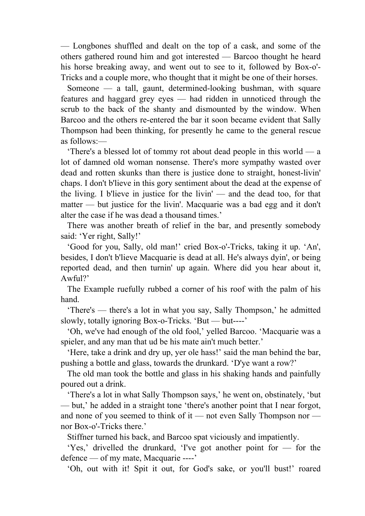— Longbones shuffled and dealt on the top of a cask, and some of the others gathered round him and got interested — Barcoo thought he heard his horse breaking away, and went out to see to it, followed by Box-o'- Tricks and a couple more, who thought that it might be one of their horses.

 Someone — a tall, gaunt, determined-looking bushman, with square features and haggard grey eyes — had ridden in unnoticed through the scrub to the back of the shanty and dismounted by the window. When Barcoo and the others re-entered the bar it soon became evident that Sally Thompson had been thinking, for presently he came to the general rescue as follows:—

 'There's a blessed lot of tommy rot about dead people in this world — a lot of damned old woman nonsense. There's more sympathy wasted over dead and rotten skunks than there is justice done to straight, honest-livin' chaps. I don't b'lieve in this gory sentiment about the dead at the expense of the living. I b'lieve in justice for the livin' — and the dead too, for that matter — but justice for the livin'. Macquarie was a bad egg and it don't alter the case if he was dead a thousand times.'

 There was another breath of relief in the bar, and presently somebody said: 'Yer right, Sally!'

 'Good for you, Sally, old man!' cried Box-o'-Tricks, taking it up. 'An', besides, I don't b'lieve Macquarie is dead at all. He's always dyin', or being reported dead, and then turnin' up again. Where did you hear about it, Awful?'

 The Example ruefully rubbed a corner of his roof with the palm of his hand.

 'There's — there's a lot in what you say, Sally Thompson,' he admitted slowly, totally ignoring Box-o-Tricks. 'But — but----'

 'Oh, we've had enough of the old fool,' yelled Barcoo. 'Macquarie was a spieler, and any man that ud be his mate ain't much better.'

 'Here, take a drink and dry up, yer ole hass!' said the man behind the bar, pushing a bottle and glass, towards the drunkard. 'D'ye want a row?'

 The old man took the bottle and glass in his shaking hands and painfully poured out a drink.

 'There's a lot in what Sally Thompson says,' he went on, obstinately, 'but — but,' he added in a straight tone 'there's another point that I near forgot, and none of you seemed to think of it — not even Sally Thompson nor nor Box-o'-Tricks there.'

Stiffner turned his back, and Barcoo spat viciously and impatiently.

 'Yes,' drivelled the drunkard, 'I've got another point for — for the defence — of my mate, Macquarie ----'

'Oh, out with it! Spit it out, for God's sake, or you'll bust!' roared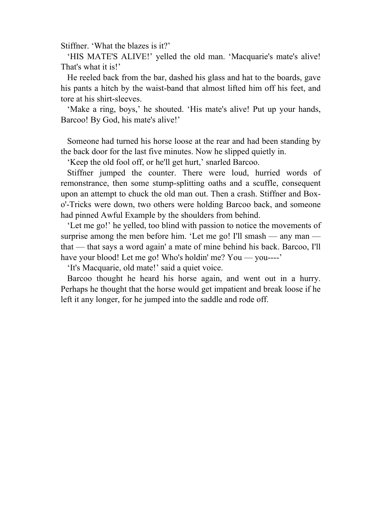Stiffner. 'What the blazes is it?'

 'HIS MATE'S ALIVE!' yelled the old man. 'Macquarie's mate's alive! That's what it is!'

 He reeled back from the bar, dashed his glass and hat to the boards, gave his pants a hitch by the waist-band that almost lifted him off his feet, and tore at his shirt-sleeves.

 'Make a ring, boys,' he shouted. 'His mate's alive! Put up your hands, Barcoo! By God, his mate's alive!'

 Someone had turned his horse loose at the rear and had been standing by the back door for the last five minutes. Now he slipped quietly in.

'Keep the old fool off, or he'll get hurt,' snarled Barcoo.

 Stiffner jumped the counter. There were loud, hurried words of remonstrance, then some stump-splitting oaths and a scuffle, consequent upon an attempt to chuck the old man out. Then a crash. Stiffner and Boxo'-Tricks were down, two others were holding Barcoo back, and someone had pinned Awful Example by the shoulders from behind.

 'Let me go!' he yelled, too blind with passion to notice the movements of surprise among the men before him. 'Let me go! I'll smash — any man that — that says a word again' a mate of mine behind his back. Barcoo, I'll have your blood! Let me go! Who's holdin' me? You — you----'

'It's Macquarie, old mate!' said a quiet voice.

 Barcoo thought he heard his horse again, and went out in a hurry. Perhaps he thought that the horse would get impatient and break loose if he left it any longer, for he jumped into the saddle and rode off.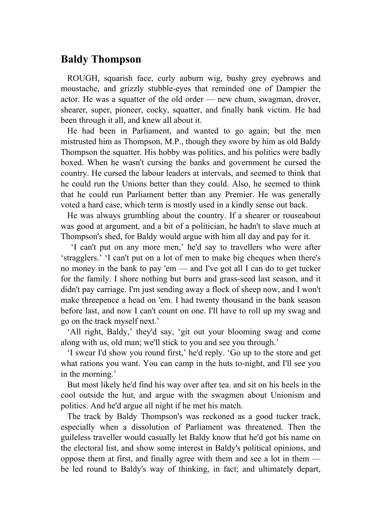### **Baldy Thompson**

 ROUGH, squarish face, curly auburn wig, bushy grey eyebrows and moustache, and grizzly stubble-eyes that reminded one of Dampier the actor. He was a squatter of the old order — new chum, swagman, drover, shearer, super, pioneer, cocky, squatter, and finally bank victim. He had been through it all, and knew all about it.

 He had been in Parliament, and wanted to go again; but the men mistrusted him as Thompson, M.P., though they swore by him as old Baldy Thompson the squatter. His hobby was politics, and his politics were badly boxed. When he wasn't cursing the banks and government he cursed the country. He cursed the labour leaders at intervals, and seemed to think that he could run the Unions better than they could. Also, he seemed to think that he could run Parliament better than any Premier. He was generally voted a hard case, which term is mostly used in a kindly sense out back.

 He was always grumbling about the country. If a shearer or rouseabout was good at argument, and a bit of a politician, he hadn't to slave much at Thompson's shed, for Baldy would argue with him all day and pay for it.

 'I can't put on any more men,' he'd say to travellers who were after 'stragglers.' 'I can't put on a lot of men to make big cheques when there's no money in the bank to pay 'em — and I've got all I can do to get tucker for the family. I shore nothing but burrs and grass-seed last season, and it didn't pay carriage. I'm just sending away a flock of sheep now, and I won't make threepence a head on 'em. I had twenty thousand in the bank season before last, and now I can't count on one. I'll have to roll up my swag and go on the track myself next.'

 'All right, Baldy,' they'd say, 'git out your blooming swag and come along with us, old man; we'll stick to you and see you through.'

 'I swear I'd show you round first,' he'd reply. 'Go up to the store and get what rations you want. You can camp in the huts to-night, and I'll see you in the morning.'

 But most likely he'd find his way over after tea. and sit on his heels in the cool outside the hut, and argue with the swagmen about Unionism and politics. And he'd argue all night if he met his match.

 The track by Baldy Thompson's was reckoned as a good tucker track, especially when a dissolution of Parliament was threatened. Then the guileless traveller would casually let Baldy know that he'd got his name on the electoral list, and show some interest in Baldy's political opinions, and oppose them at first, and finally agree with them and see a lot in them be led round to Baldy's way of thinking, in fact; and ultimately depart,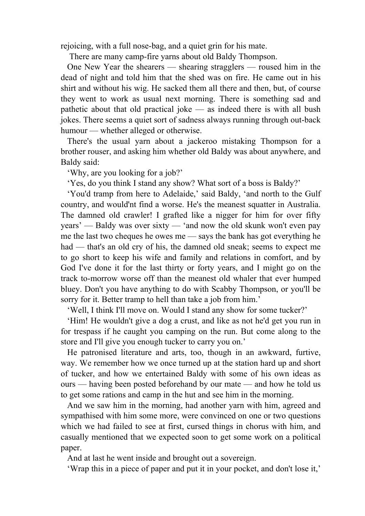rejoicing, with a full nose-bag, and a quiet grin for his mate.

There are many camp-fire yarns about old Baldy Thompson.

 One New Year the shearers — shearing stragglers — roused him in the dead of night and told him that the shed was on fire. He came out in his shirt and without his wig. He sacked them all there and then, but, of course they went to work as usual next morning. There is something sad and pathetic about that old practical joke — as indeed there is with all bush jokes. There seems a quiet sort of sadness always running through out-back humour — whether alleged or otherwise.

 There's the usual yarn about a jackeroo mistaking Thompson for a brother rouser, and asking him whether old Baldy was about anywhere, and Baldy said:

'Why, are you looking for a job?'

'Yes, do you think I stand any show? What sort of a boss is Baldy?'

 'You'd tramp from here to Adelaide,' said Baldy, 'and north to the Gulf country, and would'nt find a worse. He's the meanest squatter in Australia. The damned old crawler! I grafted like a nigger for him for over fifty years' — Baldy was over sixty — 'and now the old skunk won't even pay me the last two cheques he owes me — says the bank has got everything he had — that's an old cry of his, the damned old sneak; seems to expect me to go short to keep his wife and family and relations in comfort, and by God I've done it for the last thirty or forty years, and I might go on the track to-morrow worse off than the meanest old whaler that ever humped bluey. Don't you have anything to do with Scabby Thompson, or you'll be sorry for it. Better tramp to hell than take a job from him.'

'Well, I think I'll move on. Would I stand any show for some tucker?'

 'Him! He wouldn't give a dog a crust, and like as not he'd get you run in for trespass if he caught you camping on the run. But come along to the store and I'll give you enough tucker to carry you on.'

 He patronised literature and arts, too, though in an awkward, furtive, way. We remember how we once turned up at the station hard up and short of tucker, and how we entertained Baldy with some of his own ideas as ours — having been posted beforehand by our mate — and how he told us to get some rations and camp in the hut and see him in the morning.

 And we saw him in the morning, had another yarn with him, agreed and sympathised with him some more, were convinced on one or two questions which we had failed to see at first, cursed things in chorus with him, and casually mentioned that we expected soon to get some work on a political paper.

And at last he went inside and brought out a sovereign.

'Wrap this in a piece of paper and put it in your pocket, and don't lose it,'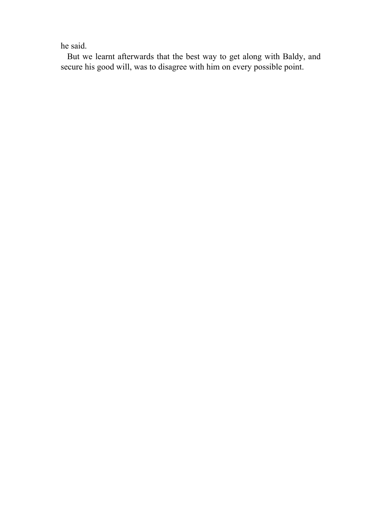he said.

 But we learnt afterwards that the best way to get along with Baldy, and secure his good will, was to disagree with him on every possible point.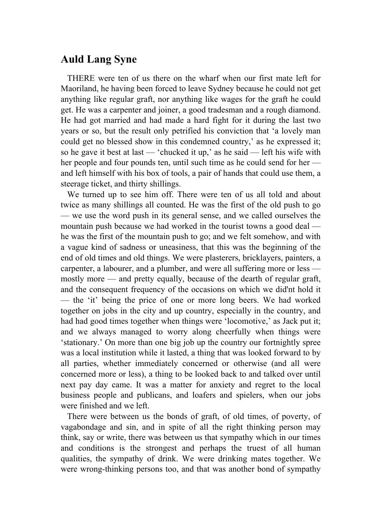### **Auld Lang Syne**

 THERE were ten of us there on the wharf when our first mate left for Maoriland, he having been forced to leave Sydney because he could not get anything like regular graft, nor anything like wages for the graft he could get. He was a carpenter and joiner, a good tradesman and a rough diamond. He had got married and had made a hard fight for it during the last two years or so, but the result only petrified his conviction that 'a lovely man could get no blessed show in this condemned country,' as he expressed it; so he gave it best at last — 'chucked it up,' as he said — left his wife with her people and four pounds ten, until such time as he could send for her and left himself with his box of tools, a pair of hands that could use them, a steerage ticket, and thirty shillings.

 We turned up to see him off. There were ten of us all told and about twice as many shillings all counted. He was the first of the old push to go — we use the word push in its general sense, and we called ourselves the mountain push because we had worked in the tourist towns a good deal he was the first of the mountain push to go; and we felt somehow, and with a vague kind of sadness or uneasiness, that this was the beginning of the end of old times and old things. We were plasterers, bricklayers, painters, a carpenter, a labourer, and a plumber, and were all suffering more or less mostly more — and pretty equally, because of the dearth of regular graft, and the consequent frequency of the occasions on which we did'nt hold it — the 'it' being the price of one or more long beers. We had worked together on jobs in the city and up country, especially in the country, and had had good times together when things were 'locomotive,' as Jack put it; and we always managed to worry along cheerfully when things were 'stationary.' On more than one big job up the country our fortnightly spree was a local institution while it lasted, a thing that was looked forward to by all parties, whether immediately concerned or otherwise (and all were concerned more or less), a thing to be looked back to and talked over until next pay day came. It was a matter for anxiety and regret to the local business people and publicans, and loafers and spielers, when our jobs were finished and we left.

 There were between us the bonds of graft, of old times, of poverty, of vagabondage and sin, and in spite of all the right thinking person may think, say or write, there was between us that sympathy which in our times and conditions is the strongest and perhaps the truest of all human qualities, the sympathy of drink. We were drinking mates together. We were wrong-thinking persons too, and that was another bond of sympathy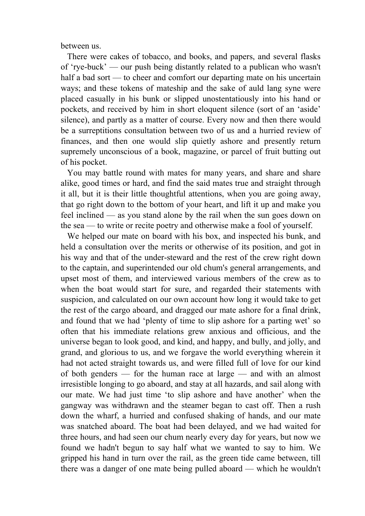between us.

 There were cakes of tobacco, and books, and papers, and several flasks of 'rye-buck' — our push being distantly related to a publican who wasn't half a bad sort — to cheer and comfort our departing mate on his uncertain ways; and these tokens of mateship and the sake of auld lang syne were placed casually in his bunk or slipped unostentatiously into his hand or pockets, and received by him in short eloquent silence (sort of an 'aside' silence), and partly as a matter of course. Every now and then there would be a surreptitions consultation between two of us and a hurried review of finances, and then one would slip quietly ashore and presently return supremely unconscious of a book, magazine, or parcel of fruit butting out of his pocket.

 You may battle round with mates for many years, and share and share alike, good times or hard, and find the said mates true and straight through it all, but it is their little thoughtful attentions, when you are going away, that go right down to the bottom of your heart, and lift it up and make you feel inclined — as you stand alone by the rail when the sun goes down on the sea — to write or recite poetry and otherwise make a fool of yourself.

 We helped our mate on board with his box, and inspected his bunk, and held a consultation over the merits or otherwise of its position, and got in his way and that of the under-steward and the rest of the crew right down to the captain, and superintended our old chum's general arrangements, and upset most of them, and interviewed various members of the crew as to when the boat would start for sure, and regarded their statements with suspicion, and calculated on our own account how long it would take to get the rest of the cargo aboard, and dragged our mate ashore for a final drink, and found that we had 'plenty of time to slip ashore for a parting wet' so often that his immediate relations grew anxious and officious, and the universe began to look good, and kind, and happy, and bully, and jolly, and grand, and glorious to us, and we forgave the world everything wherein it had not acted straight towards us, and were filled full of love for our kind of both genders — for the human race at large — and with an almost irresistible longing to go aboard, and stay at all hazards, and sail along with our mate. We had just time 'to slip ashore and have another' when the gangway was withdrawn and the steamer began to cast off. Then a rush down the wharf, a hurried and confused shaking of hands, and our mate was snatched aboard. The boat had been delayed, and we had waited for three hours, and had seen our chum nearly every day for years, but now we found we hadn't begun to say half what we wanted to say to him. We gripped his hand in turn over the rail, as the green tide came between, till there was a danger of one mate being pulled aboard — which he wouldn't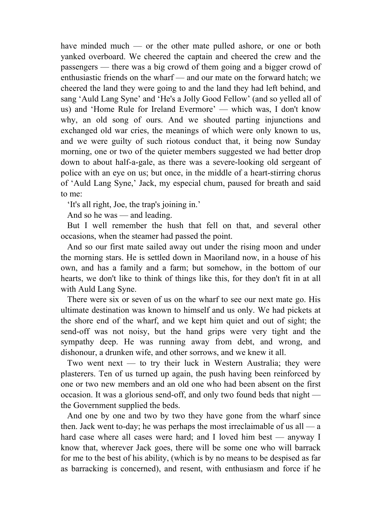have minded much — or the other mate pulled ashore, or one or both yanked overboard. We cheered the captain and cheered the crew and the passengers — there was a big crowd of them going and a bigger crowd of enthusiastic friends on the wharf — and our mate on the forward hatch; we cheered the land they were going to and the land they had left behind, and sang 'Auld Lang Syne' and 'He's a Jolly Good Fellow' (and so yelled all of us) and 'Home Rule for Ireland Evermore' — which was, I don't know why, an old song of ours. And we shouted parting injunctions and exchanged old war cries, the meanings of which were only known to us, and we were guilty of such riotous conduct that, it being now Sunday morning, one or two of the quieter members suggested we had better drop down to about half-a-gale, as there was a severe-looking old sergeant of police with an eye on us; but once, in the middle of a heart-stirring chorus of 'Auld Lang Syne,' Jack, my especial chum, paused for breath and said to me:

'It's all right, Joe, the trap's joining in.'

And so he was — and leading.

 But I well remember the hush that fell on that, and several other occasions, when the steamer had passed the point.

 And so our first mate sailed away out under the rising moon and under the morning stars. He is settled down in Maoriland now, in a house of his own, and has a family and a farm; but somehow, in the bottom of our hearts, we don't like to think of things like this, for they don't fit in at all with Auld Lang Syne.

 There were six or seven of us on the wharf to see our next mate go. His ultimate destination was known to himself and us only. We had pickets at the shore end of the wharf, and we kept him quiet and out of sight; the send-off was not noisy, but the hand grips were very tight and the sympathy deep. He was running away from debt, and wrong, and dishonour, a drunken wife, and other sorrows, and we knew it all.

 Two went next — to try their luck in Western Australia; they were plasterers. Ten of us turned up again, the push having been reinforced by one or two new members and an old one who had been absent on the first occasion. It was a glorious send-off, and only two found beds that night the Government supplied the beds.

 And one by one and two by two they have gone from the wharf since then. Jack went to-day; he was perhaps the most irreclaimable of us all — a hard case where all cases were hard; and I loved him best — anyway I know that, wherever Jack goes, there will be some one who will barrack for me to the best of his ability, (which is by no means to be despised as far as barracking is concerned), and resent, with enthusiasm and force if he